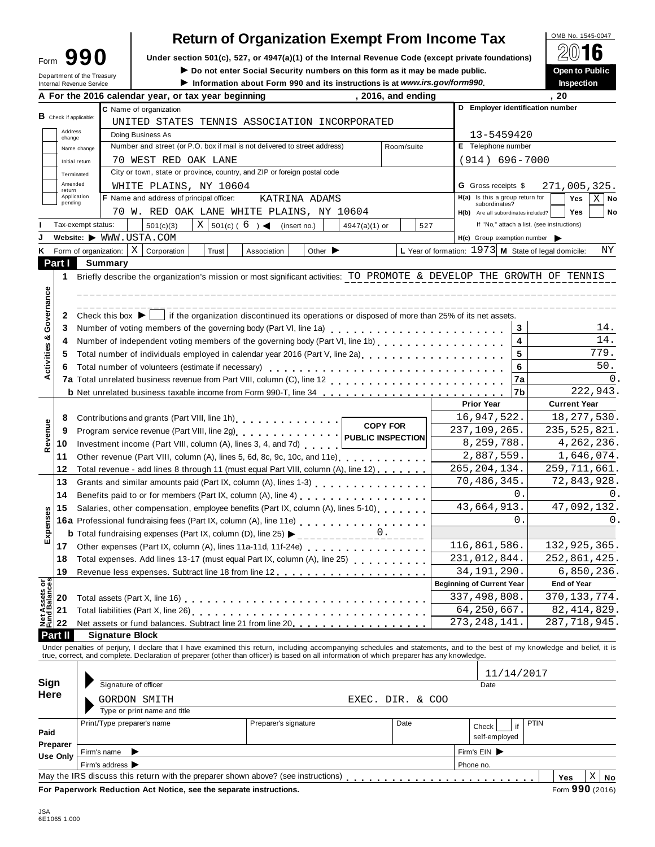| Form                       |  | 990 |
|----------------------------|--|-----|
| Department of the Treasury |  |     |

# **Return of Organization Exempt From Income Tax**  $\frac{\text{OMB No. 1545-0047}}{2016}$

**Example 1990** Under section 501(c), 527, or 4947(a)(1) of the Internal Revenue Code (except private foundations) <u>A</u><sup>∪</sup> II **O**<br>Do not enter Social Security numbers on this form as it may be made public. Open to Public

 $\blacktriangleright$  Do not enter Social Security numbers on this form as it may be made public.

Information about Form 990 and its instructions is at www.irs.gov/form990.

| <b>Inspection</b> |
|-------------------|
|                   |

|                               |                       |                                                                 | A For the 2016 calendar year, or tax year beginning                          |       | ייטכּכּווווּטוווּוּפֿווייטווייטווייט אַ פּוֹי פֿווייטווייט וויס זייטע און דער דער דער דער דער דער דער דער דער                              |                                                               |                | , 2016, and ending |              |                                     |            | ווטשט<br>. 20                                                                                                                                                              |
|-------------------------------|-----------------------|-----------------------------------------------------------------|------------------------------------------------------------------------------|-------|--------------------------------------------------------------------------------------------------------------------------------------------|---------------------------------------------------------------|----------------|--------------------|--------------|-------------------------------------|------------|----------------------------------------------------------------------------------------------------------------------------------------------------------------------------|
|                               |                       |                                                                 | C Name of organization                                                       |       |                                                                                                                                            |                                                               |                |                    |              |                                     |            | D Employer identification number                                                                                                                                           |
| <b>B</b> Check if applicable: |                       |                                                                 |                                                                              |       | UNITED STATES TENNIS ASSOCIATION INCORPORATED                                                                                              |                                                               |                |                    |              |                                     |            |                                                                                                                                                                            |
|                               | Address               |                                                                 | Doing Business As                                                            |       |                                                                                                                                            |                                                               |                |                    |              |                                     |            |                                                                                                                                                                            |
| change                        | Name change           |                                                                 |                                                                              |       | Number and street (or P.O. box if mail is not delivered to street address)                                                                 |                                                               |                | Room/suite         |              | 13-5459420<br>E Telephone number    |            |                                                                                                                                                                            |
|                               | Initial return        |                                                                 | 70 WEST RED OAK LANE                                                         |       |                                                                                                                                            |                                                               |                |                    |              | $(914) 696 - 7000$                  |            |                                                                                                                                                                            |
|                               |                       |                                                                 |                                                                              |       | City or town, state or province, country, and ZIP or foreign postal code                                                                   |                                                               |                |                    |              |                                     |            |                                                                                                                                                                            |
|                               | Terminated<br>Amended |                                                                 | WHITE PLAINS, NY 10604                                                       |       |                                                                                                                                            |                                                               |                |                    |              | <b>G</b> Gross receipts \$          |            | 271,005,325.                                                                                                                                                               |
| return                        | Application           |                                                                 | F Name and address of principal officer:                                     |       |                                                                                                                                            | KATRINA ADAMS                                                 |                |                    |              | H(a) Is this a group return for     |            | Yes<br>$X \mid$ No                                                                                                                                                         |
|                               | pending               |                                                                 |                                                                              |       | 70 W. RED OAK LANE WHITE PLAINS, NY 10604                                                                                                  |                                                               |                |                    |              | subordinates?                       |            | Yes                                                                                                                                                                        |
|                               |                       |                                                                 |                                                                              |       |                                                                                                                                            |                                                               |                |                    |              | H(b) Are all subordinates included? |            | No<br>If "No," attach a list. (see instructions)                                                                                                                           |
|                               | Tax-exempt status:    |                                                                 | 501(c)(3)                                                                    |       | $X \mid 501(c) (6)$ (insert no.)                                                                                                           |                                                               | 4947(a)(1) or  |                    | 527          |                                     |            |                                                                                                                                                                            |
|                               |                       | Website: WWW.USTA.COM                                           |                                                                              |       |                                                                                                                                            |                                                               |                |                    |              | $H(c)$ Group exemption number       |            |                                                                                                                                                                            |
| Κ                             |                       |                                                                 | Form of organization: $X \mid$ Corporation                                   | Trust | Association                                                                                                                                | Other $\blacktriangleright$                                   |                |                    |              |                                     |            | L Year of formation: $1973$ M State of legal domicile:<br>ΝY                                                                                                               |
| Part I                        |                       | <b>Summary</b>                                                  |                                                                              |       |                                                                                                                                            |                                                               |                |                    |              |                                     |            |                                                                                                                                                                            |
| 1                             |                       |                                                                 |                                                                              |       |                                                                                                                                            |                                                               |                |                    |              |                                     |            | Briefly describe the organization's mission or most significant activities: TO PROMOTE & DEVELOP THE GROWTH OF TENNIS                                                      |
|                               |                       |                                                                 |                                                                              |       |                                                                                                                                            |                                                               |                |                    |              |                                     |            |                                                                                                                                                                            |
| Governance                    |                       |                                                                 |                                                                              |       |                                                                                                                                            |                                                               |                |                    |              |                                     |            |                                                                                                                                                                            |
| 2                             |                       |                                                                 |                                                                              |       | Check this box $\blacktriangleright$   if the organization discontinued its operations or disposed of more than 25% of its net assets.     |                                                               |                |                    |              |                                     |            |                                                                                                                                                                            |
| 3                             |                       |                                                                 |                                                                              |       |                                                                                                                                            |                                                               |                |                    |              |                                     | 3          | 14.                                                                                                                                                                        |
| 4                             |                       |                                                                 |                                                                              |       | Number of independent voting members of the governing body (Part VI, line 1b)                                                              |                                                               |                |                    |              |                                     | 4          | 14.                                                                                                                                                                        |
| 5                             |                       |                                                                 |                                                                              |       | Total number of individuals employed in calendar year 2016 (Part V, line 2a)<br>The 2a)                                                    |                                                               |                |                    |              |                                     | 5          | 779.                                                                                                                                                                       |
| Activities &<br>6             |                       |                                                                 | Total number of volunteers (estimate if necessary)                           |       |                                                                                                                                            |                                                               |                |                    |              |                                     | 6          | 50.                                                                                                                                                                        |
|                               |                       |                                                                 |                                                                              |       |                                                                                                                                            |                                                               |                |                    |              |                                     | 7a         | 0.                                                                                                                                                                         |
|                               |                       |                                                                 |                                                                              |       | <b>b</b> Net unrelated business taxable income from Form 990-T, line 34                                                                    |                                                               |                |                    |              |                                     | 17b        | 222,943.                                                                                                                                                                   |
|                               |                       |                                                                 |                                                                              |       |                                                                                                                                            |                                                               |                |                    |              | <b>Prior Year</b>                   |            | <b>Current Year</b>                                                                                                                                                        |
| 8                             |                       |                                                                 |                                                                              |       | Contributions and grants (Part VIII, line 1h) [19] Contributions and grants (Part VIII, line 1h)                                           |                                                               |                | <b>COPY FOR</b>    |              | 16,947,522.                         |            | 18, 277, 530.                                                                                                                                                              |
| Revenue<br>9                  |                       |                                                                 |                                                                              |       |                                                                                                                                            |                                                               |                |                    |              | 237,109,265.                        |            | 235, 525, 821.                                                                                                                                                             |
| 10                            |                       |                                                                 |                                                                              |       | Investment income (Part VIII, column (A), lines 3, 4, and 7d)                                                                              |                                                               |                |                    |              | 8,259,788.                          |            | 4, 262, 236.                                                                                                                                                               |
| 11                            |                       |                                                                 |                                                                              |       | Other revenue (Part VIII, column (A), lines 5, 6d, 8c, 9c, 10c, and 11e)                                                                   |                                                               |                |                    |              | 2,887,559.                          |            | 1,646,074.                                                                                                                                                                 |
| 12                            |                       |                                                                 |                                                                              |       | Total revenue - add lines 8 through 11 (must equal Part VIII, column (A), line 12)                                                         |                                                               |                |                    |              | 265, 204, 134.                      |            | 259, 711, 661.                                                                                                                                                             |
| 13                            |                       |                                                                 |                                                                              |       | Grants and similar amounts paid (Part IX, column (A), lines 1-3)<br><sub>1111</sub> , $\cdots$ , $\cdots$ , $\cdots$ , $\cdots$ , $\cdots$ |                                                               |                |                    |              | 70,486,345.                         |            | 72,843,928.                                                                                                                                                                |
| 14                            |                       |                                                                 |                                                                              |       |                                                                                                                                            | Benefits paid to or for members (Part IX, column (A), line 4) |                |                    |              |                                     | 0.         | 0.                                                                                                                                                                         |
| 15                            |                       |                                                                 |                                                                              |       | Salaries, other compensation, employee benefits (Part IX, column (A), lines 5-10)                                                          |                                                               |                |                    |              | 43,664,913.                         |            | 47,092,132.                                                                                                                                                                |
|                               |                       |                                                                 |                                                                              |       | 16a Professional fundraising fees (Part IX, column (A), line 11e)<br>16a Professional fundraising fees (Part IX, column (A), line 11e)     |                                                               |                |                    |              |                                     | $\Omega$ . | 0.                                                                                                                                                                         |
| Expenses                      |                       |                                                                 |                                                                              |       | <b>b</b> Total fundraising expenses (Part IX, column (D), line 25) $\blacktriangleright$                                                   |                                                               | ____________0. |                    |              |                                     |            |                                                                                                                                                                            |
|                               |                       | 17 Other expenses (Part IX, column (A), lines 11a-11d, 11f-24e) |                                                                              |       |                                                                                                                                            |                                                               | 116,861,586.   |                    | 132,925,365. |                                     |            |                                                                                                                                                                            |
| 18                            |                       |                                                                 |                                                                              |       | Total expenses. Add lines 13-17 (must equal Part IX, column (A), line 25)                                                                  |                                                               |                |                    |              | 231,012,844.                        |            | 252,861,425.                                                                                                                                                               |
| 19                            |                       |                                                                 |                                                                              |       |                                                                                                                                            |                                                               |                |                    |              | 34, 191, 290.                       |            | 6,850,236.                                                                                                                                                                 |
| Net Assets or                 |                       |                                                                 |                                                                              |       |                                                                                                                                            |                                                               |                |                    |              | <b>Beginning of Current Year</b>    |            | <b>End of Year</b>                                                                                                                                                         |
| 20                            |                       |                                                                 |                                                                              |       |                                                                                                                                            |                                                               |                |                    |              | 337, 498, 808.                      |            | 370, 133, 774.                                                                                                                                                             |
| 21                            |                       |                                                                 | Total liabilities (Part X, line 26) [19] Total liabilities (Part X, line 26) |       |                                                                                                                                            |                                                               |                |                    |              | 64, 250, 667.                       |            | 82, 414, 829.                                                                                                                                                              |
| 22                            |                       |                                                                 |                                                                              |       | Net assets or fund balances. Subtract line 21 from line 20                                                                                 |                                                               |                |                    |              | 273, 248, 141                       |            | 287, 718, 945.                                                                                                                                                             |
| Part II                       |                       | <b>Signature Block</b>                                          |                                                                              |       |                                                                                                                                            |                                                               |                |                    |              |                                     |            |                                                                                                                                                                            |
|                               |                       |                                                                 |                                                                              |       |                                                                                                                                            |                                                               |                |                    |              |                                     |            | Under penalties of perjury, I declare that I have examined this return, including accompanying schedules and statements, and to the best of my knowledge and belief, it is |
|                               |                       |                                                                 |                                                                              |       | true, correct, and complete. Declaration of preparer (other than officer) is based on all information of which preparer has any knowledge. |                                                               |                |                    |              |                                     |            |                                                                                                                                                                            |
|                               |                       |                                                                 |                                                                              |       |                                                                                                                                            |                                                               |                |                    |              |                                     | 11/14/2017 |                                                                                                                                                                            |
| Sign                          |                       | Signature of officer                                            |                                                                              |       |                                                                                                                                            |                                                               |                |                    |              | Date                                |            |                                                                                                                                                                            |
| <b>Here</b>                   |                       | GORDON SMITH                                                    |                                                                              |       |                                                                                                                                            |                                                               |                | EXEC. DIR. & COO   |              |                                     |            |                                                                                                                                                                            |
|                               |                       |                                                                 | Type or print name and title                                                 |       |                                                                                                                                            |                                                               |                |                    |              |                                     |            |                                                                                                                                                                            |
|                               |                       | Print/Type preparer's name                                      |                                                                              |       | Preparer's signature                                                                                                                       |                                                               |                | Date               |              | Check                               | if         | PTIN                                                                                                                                                                       |
|                               |                       |                                                                 |                                                                              |       |                                                                                                                                            |                                                               |                |                    |              |                                     |            |                                                                                                                                                                            |
|                               |                       |                                                                 |                                                                              |       |                                                                                                                                            |                                                               |                |                    |              | self-employed                       |            |                                                                                                                                                                            |
|                               |                       |                                                                 |                                                                              |       |                                                                                                                                            |                                                               |                |                    |              |                                     |            |                                                                                                                                                                            |
| Paid<br>Preparer<br>Use Only  |                       | Firm's name<br>▶<br>Firm's address >                            |                                                                              |       |                                                                                                                                            |                                                               |                |                    |              | Firm's EIN<br>Phone no.             |            |                                                                                                                                                                            |

**For Paperwork Reduction Act Notice, see the separate instructions.** Form **990** (2016)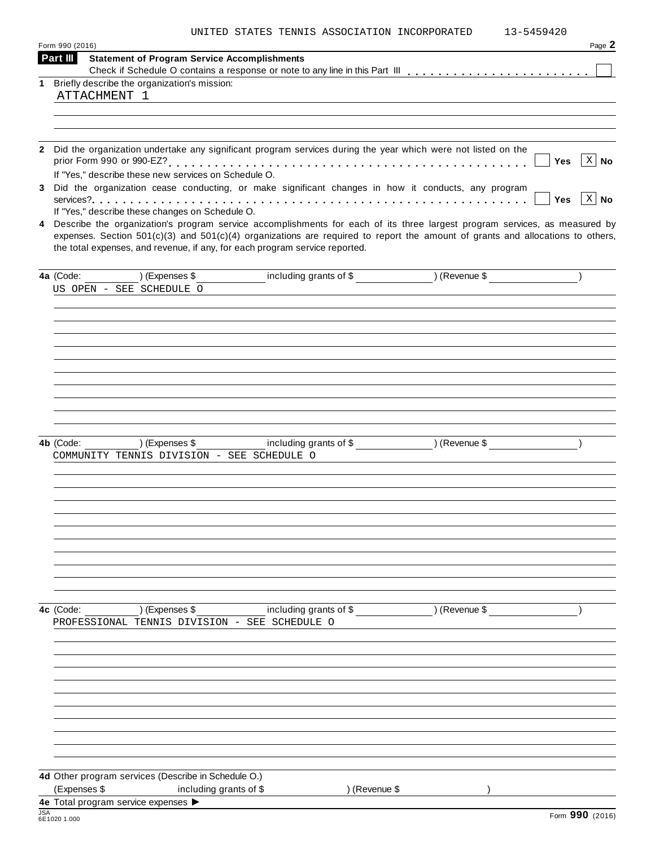|  |  |  |  | UNITED STATES TENNIS ASSOCIATION INCORPORATED | 13-5459420 |
|--|--|--|--|-----------------------------------------------|------------|
|--|--|--|--|-----------------------------------------------|------------|

|            | Form 990 (2016)                                                                                                                                                                                                                                                                                                                                 | Page 2               |
|------------|-------------------------------------------------------------------------------------------------------------------------------------------------------------------------------------------------------------------------------------------------------------------------------------------------------------------------------------------------|----------------------|
|            | Part III<br><b>Statement of Program Service Accomplishments</b>                                                                                                                                                                                                                                                                                 |                      |
|            |                                                                                                                                                                                                                                                                                                                                                 |                      |
|            | 1 Briefly describe the organization's mission:<br>ATTACHMENT 1                                                                                                                                                                                                                                                                                  |                      |
|            |                                                                                                                                                                                                                                                                                                                                                 |                      |
|            |                                                                                                                                                                                                                                                                                                                                                 |                      |
|            |                                                                                                                                                                                                                                                                                                                                                 |                      |
|            | 2 Did the organization undertake any significant program services during the year which were not listed on the                                                                                                                                                                                                                                  |                      |
|            | Yes                                                                                                                                                                                                                                                                                                                                             | $\vert$ X $\vert$ No |
|            | If "Yes," describe these new services on Schedule O.                                                                                                                                                                                                                                                                                            |                      |
| 3          | Did the organization cease conducting, or make significant changes in how it conducts, any program                                                                                                                                                                                                                                              |                      |
|            | Yes                                                                                                                                                                                                                                                                                                                                             | $\vert$ X $\vert$ No |
|            | If "Yes," describe these changes on Schedule O.                                                                                                                                                                                                                                                                                                 |                      |
| 4          | Describe the organization's program service accomplishments for each of its three largest program services, as measured by<br>expenses. Section $501(c)(3)$ and $501(c)(4)$ organizations are required to report the amount of grants and allocations to others,<br>the total expenses, and revenue, if any, for each program service reported. |                      |
|            |                                                                                                                                                                                                                                                                                                                                                 |                      |
|            | including grants of \$ ) (Revenue \$<br>4a (Code:<br>) (Expenses \$                                                                                                                                                                                                                                                                             |                      |
|            | US OPEN - SEE SCHEDULE O                                                                                                                                                                                                                                                                                                                        |                      |
|            |                                                                                                                                                                                                                                                                                                                                                 |                      |
|            |                                                                                                                                                                                                                                                                                                                                                 |                      |
|            |                                                                                                                                                                                                                                                                                                                                                 |                      |
|            |                                                                                                                                                                                                                                                                                                                                                 |                      |
|            |                                                                                                                                                                                                                                                                                                                                                 |                      |
|            |                                                                                                                                                                                                                                                                                                                                                 |                      |
|            |                                                                                                                                                                                                                                                                                                                                                 |                      |
|            |                                                                                                                                                                                                                                                                                                                                                 |                      |
|            |                                                                                                                                                                                                                                                                                                                                                 |                      |
|            |                                                                                                                                                                                                                                                                                                                                                 |                      |
|            |                                                                                                                                                                                                                                                                                                                                                 |                      |
|            | including grants of \$ (Revenue \$)<br>) (Expenses \$<br>4b (Code:<br>COMMUNITY TENNIS DIVISION - SEE SCHEDULE O                                                                                                                                                                                                                                |                      |
|            |                                                                                                                                                                                                                                                                                                                                                 |                      |
|            |                                                                                                                                                                                                                                                                                                                                                 |                      |
|            |                                                                                                                                                                                                                                                                                                                                                 |                      |
|            |                                                                                                                                                                                                                                                                                                                                                 |                      |
|            |                                                                                                                                                                                                                                                                                                                                                 |                      |
|            |                                                                                                                                                                                                                                                                                                                                                 |                      |
|            |                                                                                                                                                                                                                                                                                                                                                 |                      |
|            |                                                                                                                                                                                                                                                                                                                                                 |                      |
|            |                                                                                                                                                                                                                                                                                                                                                 |                      |
|            |                                                                                                                                                                                                                                                                                                                                                 |                      |
|            |                                                                                                                                                                                                                                                                                                                                                 |                      |
|            | ) (Expenses \$<br>including grants of \$<br>4c (Code:<br>) (Revenue \$                                                                                                                                                                                                                                                                          |                      |
|            | PROFESSIONAL TENNIS DIVISION - SEE SCHEDULE O                                                                                                                                                                                                                                                                                                   |                      |
|            |                                                                                                                                                                                                                                                                                                                                                 |                      |
|            |                                                                                                                                                                                                                                                                                                                                                 |                      |
|            |                                                                                                                                                                                                                                                                                                                                                 |                      |
|            |                                                                                                                                                                                                                                                                                                                                                 |                      |
|            |                                                                                                                                                                                                                                                                                                                                                 |                      |
|            |                                                                                                                                                                                                                                                                                                                                                 |                      |
|            |                                                                                                                                                                                                                                                                                                                                                 |                      |
|            |                                                                                                                                                                                                                                                                                                                                                 |                      |
|            |                                                                                                                                                                                                                                                                                                                                                 |                      |
|            |                                                                                                                                                                                                                                                                                                                                                 |                      |
|            |                                                                                                                                                                                                                                                                                                                                                 |                      |
|            | 4d Other program services (Describe in Schedule O.)                                                                                                                                                                                                                                                                                             |                      |
|            | (Expenses \$<br>including grants of \$<br>) (Revenue \$                                                                                                                                                                                                                                                                                         |                      |
|            | 4e Total program service expenses                                                                                                                                                                                                                                                                                                               |                      |
|            |                                                                                                                                                                                                                                                                                                                                                 |                      |
| <b>JSA</b> | Form 990 (2016)<br>6E1020 1.000                                                                                                                                                                                                                                                                                                                 |                      |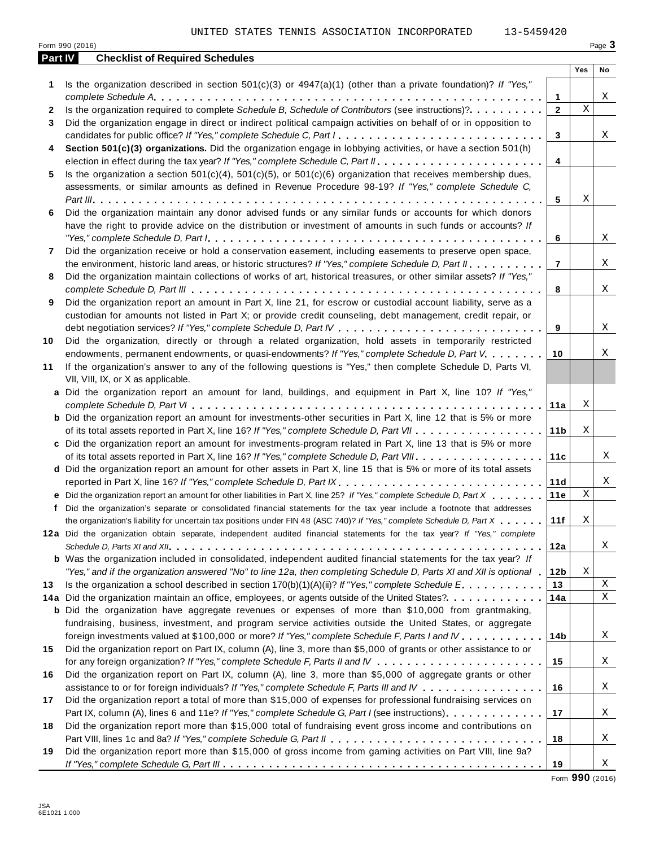UNITED STATES TENNIS ASSOCIATION INCORPORATED 13-5459420

|         | Form 990 (2016)                                                                                                                                                                                                                                                                                                                                                                               |                 |             | Page 3      |
|---------|-----------------------------------------------------------------------------------------------------------------------------------------------------------------------------------------------------------------------------------------------------------------------------------------------------------------------------------------------------------------------------------------------|-----------------|-------------|-------------|
| Part IV | <b>Checklist of Required Schedules</b>                                                                                                                                                                                                                                                                                                                                                        |                 |             |             |
|         |                                                                                                                                                                                                                                                                                                                                                                                               |                 | Yes         | No          |
| 1       | Is the organization described in section $501(c)(3)$ or $4947(a)(1)$ (other than a private foundation)? If "Yes,"                                                                                                                                                                                                                                                                             | $\mathbf{1}$    |             | X           |
| 2       | Is the organization required to complete Schedule B, Schedule of Contributors (see instructions)?.                                                                                                                                                                                                                                                                                            | $\mathbf{2}$    | $\mathbf X$ |             |
| 3       | Did the organization engage in direct or indirect political campaign activities on behalf of or in opposition to                                                                                                                                                                                                                                                                              |                 |             |             |
|         | candidates for public office? If "Yes," complete Schedule C, Part I.                                                                                                                                                                                                                                                                                                                          | 3               |             | X           |
| 4       | Section 501(c)(3) organizations. Did the organization engage in lobbying activities, or have a section 501(h)                                                                                                                                                                                                                                                                                 |                 |             |             |
|         |                                                                                                                                                                                                                                                                                                                                                                                               | 4               |             |             |
| 5       | Is the organization a section $501(c)(4)$ , $501(c)(5)$ , or $501(c)(6)$ organization that receives membership dues,                                                                                                                                                                                                                                                                          |                 |             |             |
|         | assessments, or similar amounts as defined in Revenue Procedure 98-19? If "Yes," complete Schedule C,                                                                                                                                                                                                                                                                                         |                 |             |             |
|         |                                                                                                                                                                                                                                                                                                                                                                                               | 5               | Χ           |             |
| 6       | Did the organization maintain any donor advised funds or any similar funds or accounts for which donors                                                                                                                                                                                                                                                                                       |                 |             |             |
|         | have the right to provide advice on the distribution or investment of amounts in such funds or accounts? If                                                                                                                                                                                                                                                                                   |                 |             |             |
|         | "Yes," complete Schedule D, Part $l_1, \ldots, l_k, \ldots, l_k, \ldots, l_k, \ldots, l_k, \ldots, l_k, \ldots, l_k, \ldots, l_k, \ldots, l_k, \ldots, l_k, \ldots, l_k, \ldots, l_k, \ldots, l_k, \ldots, l_k, \ldots, l_k, \ldots, l_k, \ldots, l_k, \ldots, l_k, \ldots, l_k, \ldots, l_k, \ldots, l_k, \ldots, l_k, \ldots, l_k, \ldots, l_k, \ldots, l_k, \ldots, l_k, \ldots, l_k, \ld$ | 6               |             | Χ           |
| 7       | Did the organization receive or hold a conservation easement, including easements to preserve open space,                                                                                                                                                                                                                                                                                     |                 |             |             |
|         | the environment, historic land areas, or historic structures? If "Yes," complete Schedule D, Part II.                                                                                                                                                                                                                                                                                         | $\overline{7}$  |             | X           |
| 8       | Did the organization maintain collections of works of art, historical treasures, or other similar assets? If "Yes,"                                                                                                                                                                                                                                                                           |                 |             |             |
|         |                                                                                                                                                                                                                                                                                                                                                                                               | 8               |             | X           |
| 9       | Did the organization report an amount in Part X, line 21, for escrow or custodial account liability, serve as a                                                                                                                                                                                                                                                                               |                 |             |             |
|         | custodian for amounts not listed in Part X; or provide credit counseling, debt management, credit repair, or                                                                                                                                                                                                                                                                                  |                 |             |             |
|         |                                                                                                                                                                                                                                                                                                                                                                                               | 9               |             | Χ           |
| 10      | Did the organization, directly or through a related organization, hold assets in temporarily restricted                                                                                                                                                                                                                                                                                       |                 |             |             |
|         | endowments, permanent endowments, or quasi-endowments? If "Yes," complete Schedule D, Part V.                                                                                                                                                                                                                                                                                                 | 10              |             | Χ           |
| 11      | If the organization's answer to any of the following questions is "Yes," then complete Schedule D, Parts VI,                                                                                                                                                                                                                                                                                  |                 |             |             |
|         | VII, VIII, IX, or X as applicable.                                                                                                                                                                                                                                                                                                                                                            |                 |             |             |
|         | a Did the organization report an amount for land, buildings, and equipment in Part X, line 10? If "Yes,"                                                                                                                                                                                                                                                                                      |                 |             |             |
|         |                                                                                                                                                                                                                                                                                                                                                                                               | 11a             | Χ           |             |
|         | <b>b</b> Did the organization report an amount for investments-other securities in Part X, line 12 that is 5% or more                                                                                                                                                                                                                                                                         |                 |             |             |
|         |                                                                                                                                                                                                                                                                                                                                                                                               | 11 <sub>b</sub> | Χ           |             |
|         | c Did the organization report an amount for investments-program related in Part X, line 13 that is 5% or more                                                                                                                                                                                                                                                                                 |                 |             |             |
|         |                                                                                                                                                                                                                                                                                                                                                                                               | 11c             |             | X           |
|         | d Did the organization report an amount for other assets in Part X, line 15 that is 5% or more of its total assets                                                                                                                                                                                                                                                                            |                 |             |             |
|         | reported in Part X, line 16? If "Yes," complete Schedule D, Part IX.                                                                                                                                                                                                                                                                                                                          | 11d             |             | X           |
|         | e Did the organization report an amount for other liabilities in Part X, line 25? If "Yes," complete Schedule D, Part X                                                                                                                                                                                                                                                                       | 11e             | $\mathbf X$ |             |
|         | f Did the organization's separate or consolidated financial statements for the tax year include a footnote that addresses                                                                                                                                                                                                                                                                     |                 |             |             |
|         | the organization's liability for uncertain tax positions under FIN 48 (ASC 740)? If "Yes," complete Schedule D, Part X                                                                                                                                                                                                                                                                        | 11f             | $\mathbf X$ |             |
|         | 12a Did the organization obtain separate, independent audited financial statements for the tax year? If "Yes," complete                                                                                                                                                                                                                                                                       |                 |             |             |
|         |                                                                                                                                                                                                                                                                                                                                                                                               | 12a             |             | Χ           |
|         | <b>b</b> Was the organization included in consolidated, independent audited financial statements for the tax year? If                                                                                                                                                                                                                                                                         |                 |             |             |
|         | "Yes," and if the organization answered "No" to line 12a, then completing Schedule D, Parts XI and XII is optional "                                                                                                                                                                                                                                                                          | 12 <sub>b</sub> | Χ           |             |
| 13      | Is the organization a school described in section $170(b)(1)(A)(ii)?$ If "Yes," complete Schedule E.                                                                                                                                                                                                                                                                                          | 13              |             | $\mathbf X$ |
|         | 14a Did the organization maintain an office, employees, or agents outside of the United States?.                                                                                                                                                                                                                                                                                              | 14a             |             | Χ           |
|         | <b>b</b> Did the organization have aggregate revenues or expenses of more than \$10,000 from grantmaking,                                                                                                                                                                                                                                                                                     |                 |             |             |
|         | fundraising, business, investment, and program service activities outside the United States, or aggregate                                                                                                                                                                                                                                                                                     |                 |             |             |
|         | foreign investments valued at \$100,000 or more? If "Yes," complete Schedule F, Parts I and IV                                                                                                                                                                                                                                                                                                | 14 <sub>b</sub> |             | Χ           |
| 15      | Did the organization report on Part IX, column (A), line 3, more than \$5,000 of grants or other assistance to or                                                                                                                                                                                                                                                                             |                 |             |             |
|         |                                                                                                                                                                                                                                                                                                                                                                                               | 15              |             | Χ           |
| 16      | Did the organization report on Part IX, column (A), line 3, more than \$5,000 of aggregate grants or other                                                                                                                                                                                                                                                                                    |                 |             |             |
|         | assistance to or for foreign individuals? If "Yes," complete Schedule F, Parts III and IV                                                                                                                                                                                                                                                                                                     | 16              |             | Χ           |
| 17      | Did the organization report a total of more than \$15,000 of expenses for professional fundraising services on                                                                                                                                                                                                                                                                                |                 |             |             |
|         | Part IX, column (A), lines 6 and 11e? If "Yes," complete Schedule G, Part I (see instructions)                                                                                                                                                                                                                                                                                                | 17              |             | Χ           |
| 18      | Did the organization report more than \$15,000 total of fundraising event gross income and contributions on                                                                                                                                                                                                                                                                                   |                 |             |             |
|         |                                                                                                                                                                                                                                                                                                                                                                                               | 18              |             | Χ           |
| 19      | Did the organization report more than \$15,000 of gross income from gaming activities on Part VIII, line 9a?                                                                                                                                                                                                                                                                                  |                 |             |             |
|         |                                                                                                                                                                                                                                                                                                                                                                                               | 19              |             | Χ           |

Form **990** (2016)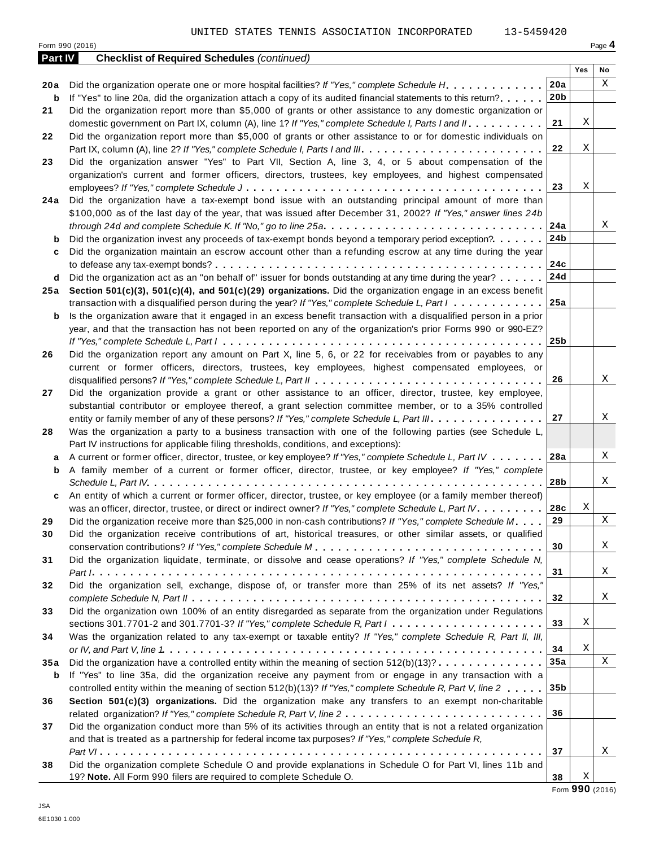Form <sup>990</sup> (2016) Page **4**

| Yes<br>No<br>X<br>20a<br>Did the organization operate one or more hospital facilities? If "Yes," complete Schedule H.<br>20 a<br>20 <sub>b</sub><br>If "Yes" to line 20a, did the organization attach a copy of its audited financial statements to this return?<br>b<br>Did the organization report more than \$5,000 of grants or other assistance to any domestic organization or<br>21<br>Χ<br>21<br>domestic government on Part IX, column (A), line 1? If "Yes," complete Schedule I, Parts I and II.<br>Did the organization report more than \$5,000 of grants or other assistance to or for domestic individuals on<br>22<br>Χ<br>22<br>Did the organization answer "Yes" to Part VII, Section A, line 3, 4, or 5 about compensation of the<br>23<br>organization's current and former officers, directors, trustees, key employees, and highest compensated<br>Χ<br>23<br>Did the organization have a tax-exempt bond issue with an outstanding principal amount of more than<br>24 a<br>\$100,000 as of the last day of the year, that was issued after December 31, 2002? If "Yes," answer lines 24b<br>24a<br>Χ<br>24b<br>Did the organization invest any proceeds of tax-exempt bonds beyond a temporary period exception?<br>b<br>Did the organization maintain an escrow account other than a refunding escrow at any time during the year<br>c<br>24c<br>24d<br>Did the organization act as an "on behalf of" issuer for bonds outstanding at any time during the year?<br>d<br>Section 501(c)(3), 501(c)(4), and 501(c)(29) organizations. Did the organization engage in an excess benefit<br>25 a<br>25a<br>transaction with a disqualified person during the year? If "Yes," complete Schedule L, Part I<br>Is the organization aware that it engaged in an excess benefit transaction with a disqualified person in a prior<br>b<br>year, and that the transaction has not been reported on any of the organization's prior Forms 990 or 990-EZ?<br>25 <sub>b</sub><br>Did the organization report any amount on Part X, line 5, 6, or 22 for receivables from or payables to any<br>26<br>current or former officers, directors, trustees, key employees, highest compensated employees, or<br>Χ<br>26<br>Did the organization provide a grant or other assistance to an officer, director, trustee, key employee,<br>27<br>substantial contributor or employee thereof, a grant selection committee member, or to a 35% controlled<br>Χ<br>27<br>entity or family member of any of these persons? If "Yes," complete Schedule L, Part III.<br>Was the organization a party to a business transaction with one of the following parties (see Schedule L,<br>28<br>Part IV instructions for applicable filing thresholds, conditions, and exceptions):<br>Χ<br>28a<br>A current or former officer, director, trustee, or key employee? If "Yes," complete Schedule L, Part IV<br>a<br>A family member of a current or former officer, director, trustee, or key employee? If "Yes," complete<br>b<br>X<br>28b<br>An entity of which a current or former officer, director, trustee, or key employee (or a family member thereof)<br>c<br>Χ<br>was an officer, director, trustee, or direct or indirect owner? If "Yes," complete Schedule L, Part IV.<br>28c<br>X<br>Did the organization receive more than \$25,000 in non-cash contributions? If "Yes," complete Schedule M<br>29<br>29<br>Did the organization receive contributions of art, historical treasures, or other similar assets, or qualified<br>30<br>X<br>30<br>Did the organization liquidate, terminate, or dissolve and cease operations? If "Yes," complete Schedule N,<br>31<br>X<br>31<br>Did the organization sell, exchange, dispose of, or transfer more than 25% of its net assets? If "Yes,"<br>32<br>X<br>32<br>Did the organization own 100% of an entity disregarded as separate from the organization under Regulations<br>33<br>33<br>Χ<br>sections 301.7701-2 and 301.7701-3? If "Yes," complete Schedule R, Part $l_1, \ldots, l_l, l_l, \ldots, l_l, l_l, \ldots, l_l, l_l$<br>Was the organization related to any tax-exempt or taxable entity? If "Yes," complete Schedule R, Part II, III,<br>34<br>Χ<br>34<br>$\mathbf X$<br>Did the organization have a controlled entity within the meaning of section $512(b)(13)? \ldots \ldots \ldots \ldots$<br>35a<br>35 a<br>If "Yes" to line 35a, did the organization receive any payment from or engage in any transaction with a<br>b<br>35 <sub>b</sub><br>controlled entity within the meaning of section 512(b)(13)? If "Yes," complete Schedule R, Part V, line 2<br>Section 501(c)(3) organizations. Did the organization make any transfers to an exempt non-charitable<br>36<br>36<br>Did the organization conduct more than 5% of its activities through an entity that is not a related organization<br>37<br>and that is treated as a partnership for federal income tax purposes? If "Yes," complete Schedule R,<br>Χ<br>37<br>Did the organization complete Schedule O and provide explanations in Schedule O for Part VI, lines 11b and<br>38 | <b>Part IV</b> | <b>Checklist of Required Schedules (continued)</b> |  |  |
|---------------------------------------------------------------------------------------------------------------------------------------------------------------------------------------------------------------------------------------------------------------------------------------------------------------------------------------------------------------------------------------------------------------------------------------------------------------------------------------------------------------------------------------------------------------------------------------------------------------------------------------------------------------------------------------------------------------------------------------------------------------------------------------------------------------------------------------------------------------------------------------------------------------------------------------------------------------------------------------------------------------------------------------------------------------------------------------------------------------------------------------------------------------------------------------------------------------------------------------------------------------------------------------------------------------------------------------------------------------------------------------------------------------------------------------------------------------------------------------------------------------------------------------------------------------------------------------------------------------------------------------------------------------------------------------------------------------------------------------------------------------------------------------------------------------------------------------------------------------------------------------------------------------------------------------------------------------------------------------------------------------------------------------------------------------------------------------------------------------------------------------------------------------------------------------------------------------------------------------------------------------------------------------------------------------------------------------------------------------------------------------------------------------------------------------------------------------------------------------------------------------------------------------------------------------------------------------------------------------------------------------------------------------------------------------------------------------------------------------------------------------------------------------------------------------------------------------------------------------------------------------------------------------------------------------------------------------------------------------------------------------------------------------------------------------------------------------------------------------------------------------------------------------------------------------------------------------------------------------------------------------------------------------------------------------------------------------------------------------------------------------------------------------------------------------------------------------------------------------------------------------------------------------------------------------------------------------------------------------------------------------------------------------------------------------------------------------------------------------------------------------------------------------------------------------------------------------------------------------------------------------------------------------------------------------------------------------------------------------------------------------------------------------------------------------------------------------------------------------------------------------------------------------------------------------------------------------------------------------------------------------------------------------------------------------------------------------------------------------------------------------------------------------------------------------------------------------------------------------------------------------------------------------------------------------------------------------------------------------------------------------------------------------------------------------------------------------------------------------------------------------------------------------------------------------------------------------------------------------------------------------------------------------------------------------------------------------------------------------------------------------------------------------------------------------------------------------------------------------------|----------------|----------------------------------------------------|--|--|
|                                                                                                                                                                                                                                                                                                                                                                                                                                                                                                                                                                                                                                                                                                                                                                                                                                                                                                                                                                                                                                                                                                                                                                                                                                                                                                                                                                                                                                                                                                                                                                                                                                                                                                                                                                                                                                                                                                                                                                                                                                                                                                                                                                                                                                                                                                                                                                                                                                                                                                                                                                                                                                                                                                                                                                                                                                                                                                                                                                                                                                                                                                                                                                                                                                                                                                                                                                                                                                                                                                                                                                                                                                                                                                                                                                                                                                                                                                                                                                                                                                                                                                                                                                                                                                                                                                                                                                                                                                                                                                                                                                                                                                                                                                                                                                                                                                                                                                                                                                                                                                                                                                                     |                |                                                    |  |  |
|                                                                                                                                                                                                                                                                                                                                                                                                                                                                                                                                                                                                                                                                                                                                                                                                                                                                                                                                                                                                                                                                                                                                                                                                                                                                                                                                                                                                                                                                                                                                                                                                                                                                                                                                                                                                                                                                                                                                                                                                                                                                                                                                                                                                                                                                                                                                                                                                                                                                                                                                                                                                                                                                                                                                                                                                                                                                                                                                                                                                                                                                                                                                                                                                                                                                                                                                                                                                                                                                                                                                                                                                                                                                                                                                                                                                                                                                                                                                                                                                                                                                                                                                                                                                                                                                                                                                                                                                                                                                                                                                                                                                                                                                                                                                                                                                                                                                                                                                                                                                                                                                                                                     |                |                                                    |  |  |
|                                                                                                                                                                                                                                                                                                                                                                                                                                                                                                                                                                                                                                                                                                                                                                                                                                                                                                                                                                                                                                                                                                                                                                                                                                                                                                                                                                                                                                                                                                                                                                                                                                                                                                                                                                                                                                                                                                                                                                                                                                                                                                                                                                                                                                                                                                                                                                                                                                                                                                                                                                                                                                                                                                                                                                                                                                                                                                                                                                                                                                                                                                                                                                                                                                                                                                                                                                                                                                                                                                                                                                                                                                                                                                                                                                                                                                                                                                                                                                                                                                                                                                                                                                                                                                                                                                                                                                                                                                                                                                                                                                                                                                                                                                                                                                                                                                                                                                                                                                                                                                                                                                                     |                |                                                    |  |  |
|                                                                                                                                                                                                                                                                                                                                                                                                                                                                                                                                                                                                                                                                                                                                                                                                                                                                                                                                                                                                                                                                                                                                                                                                                                                                                                                                                                                                                                                                                                                                                                                                                                                                                                                                                                                                                                                                                                                                                                                                                                                                                                                                                                                                                                                                                                                                                                                                                                                                                                                                                                                                                                                                                                                                                                                                                                                                                                                                                                                                                                                                                                                                                                                                                                                                                                                                                                                                                                                                                                                                                                                                                                                                                                                                                                                                                                                                                                                                                                                                                                                                                                                                                                                                                                                                                                                                                                                                                                                                                                                                                                                                                                                                                                                                                                                                                                                                                                                                                                                                                                                                                                                     |                |                                                    |  |  |
|                                                                                                                                                                                                                                                                                                                                                                                                                                                                                                                                                                                                                                                                                                                                                                                                                                                                                                                                                                                                                                                                                                                                                                                                                                                                                                                                                                                                                                                                                                                                                                                                                                                                                                                                                                                                                                                                                                                                                                                                                                                                                                                                                                                                                                                                                                                                                                                                                                                                                                                                                                                                                                                                                                                                                                                                                                                                                                                                                                                                                                                                                                                                                                                                                                                                                                                                                                                                                                                                                                                                                                                                                                                                                                                                                                                                                                                                                                                                                                                                                                                                                                                                                                                                                                                                                                                                                                                                                                                                                                                                                                                                                                                                                                                                                                                                                                                                                                                                                                                                                                                                                                                     |                |                                                    |  |  |
|                                                                                                                                                                                                                                                                                                                                                                                                                                                                                                                                                                                                                                                                                                                                                                                                                                                                                                                                                                                                                                                                                                                                                                                                                                                                                                                                                                                                                                                                                                                                                                                                                                                                                                                                                                                                                                                                                                                                                                                                                                                                                                                                                                                                                                                                                                                                                                                                                                                                                                                                                                                                                                                                                                                                                                                                                                                                                                                                                                                                                                                                                                                                                                                                                                                                                                                                                                                                                                                                                                                                                                                                                                                                                                                                                                                                                                                                                                                                                                                                                                                                                                                                                                                                                                                                                                                                                                                                                                                                                                                                                                                                                                                                                                                                                                                                                                                                                                                                                                                                                                                                                                                     |                |                                                    |  |  |
|                                                                                                                                                                                                                                                                                                                                                                                                                                                                                                                                                                                                                                                                                                                                                                                                                                                                                                                                                                                                                                                                                                                                                                                                                                                                                                                                                                                                                                                                                                                                                                                                                                                                                                                                                                                                                                                                                                                                                                                                                                                                                                                                                                                                                                                                                                                                                                                                                                                                                                                                                                                                                                                                                                                                                                                                                                                                                                                                                                                                                                                                                                                                                                                                                                                                                                                                                                                                                                                                                                                                                                                                                                                                                                                                                                                                                                                                                                                                                                                                                                                                                                                                                                                                                                                                                                                                                                                                                                                                                                                                                                                                                                                                                                                                                                                                                                                                                                                                                                                                                                                                                                                     |                |                                                    |  |  |
|                                                                                                                                                                                                                                                                                                                                                                                                                                                                                                                                                                                                                                                                                                                                                                                                                                                                                                                                                                                                                                                                                                                                                                                                                                                                                                                                                                                                                                                                                                                                                                                                                                                                                                                                                                                                                                                                                                                                                                                                                                                                                                                                                                                                                                                                                                                                                                                                                                                                                                                                                                                                                                                                                                                                                                                                                                                                                                                                                                                                                                                                                                                                                                                                                                                                                                                                                                                                                                                                                                                                                                                                                                                                                                                                                                                                                                                                                                                                                                                                                                                                                                                                                                                                                                                                                                                                                                                                                                                                                                                                                                                                                                                                                                                                                                                                                                                                                                                                                                                                                                                                                                                     |                |                                                    |  |  |
|                                                                                                                                                                                                                                                                                                                                                                                                                                                                                                                                                                                                                                                                                                                                                                                                                                                                                                                                                                                                                                                                                                                                                                                                                                                                                                                                                                                                                                                                                                                                                                                                                                                                                                                                                                                                                                                                                                                                                                                                                                                                                                                                                                                                                                                                                                                                                                                                                                                                                                                                                                                                                                                                                                                                                                                                                                                                                                                                                                                                                                                                                                                                                                                                                                                                                                                                                                                                                                                                                                                                                                                                                                                                                                                                                                                                                                                                                                                                                                                                                                                                                                                                                                                                                                                                                                                                                                                                                                                                                                                                                                                                                                                                                                                                                                                                                                                                                                                                                                                                                                                                                                                     |                |                                                    |  |  |
|                                                                                                                                                                                                                                                                                                                                                                                                                                                                                                                                                                                                                                                                                                                                                                                                                                                                                                                                                                                                                                                                                                                                                                                                                                                                                                                                                                                                                                                                                                                                                                                                                                                                                                                                                                                                                                                                                                                                                                                                                                                                                                                                                                                                                                                                                                                                                                                                                                                                                                                                                                                                                                                                                                                                                                                                                                                                                                                                                                                                                                                                                                                                                                                                                                                                                                                                                                                                                                                                                                                                                                                                                                                                                                                                                                                                                                                                                                                                                                                                                                                                                                                                                                                                                                                                                                                                                                                                                                                                                                                                                                                                                                                                                                                                                                                                                                                                                                                                                                                                                                                                                                                     |                |                                                    |  |  |
|                                                                                                                                                                                                                                                                                                                                                                                                                                                                                                                                                                                                                                                                                                                                                                                                                                                                                                                                                                                                                                                                                                                                                                                                                                                                                                                                                                                                                                                                                                                                                                                                                                                                                                                                                                                                                                                                                                                                                                                                                                                                                                                                                                                                                                                                                                                                                                                                                                                                                                                                                                                                                                                                                                                                                                                                                                                                                                                                                                                                                                                                                                                                                                                                                                                                                                                                                                                                                                                                                                                                                                                                                                                                                                                                                                                                                                                                                                                                                                                                                                                                                                                                                                                                                                                                                                                                                                                                                                                                                                                                                                                                                                                                                                                                                                                                                                                                                                                                                                                                                                                                                                                     |                |                                                    |  |  |
|                                                                                                                                                                                                                                                                                                                                                                                                                                                                                                                                                                                                                                                                                                                                                                                                                                                                                                                                                                                                                                                                                                                                                                                                                                                                                                                                                                                                                                                                                                                                                                                                                                                                                                                                                                                                                                                                                                                                                                                                                                                                                                                                                                                                                                                                                                                                                                                                                                                                                                                                                                                                                                                                                                                                                                                                                                                                                                                                                                                                                                                                                                                                                                                                                                                                                                                                                                                                                                                                                                                                                                                                                                                                                                                                                                                                                                                                                                                                                                                                                                                                                                                                                                                                                                                                                                                                                                                                                                                                                                                                                                                                                                                                                                                                                                                                                                                                                                                                                                                                                                                                                                                     |                |                                                    |  |  |
|                                                                                                                                                                                                                                                                                                                                                                                                                                                                                                                                                                                                                                                                                                                                                                                                                                                                                                                                                                                                                                                                                                                                                                                                                                                                                                                                                                                                                                                                                                                                                                                                                                                                                                                                                                                                                                                                                                                                                                                                                                                                                                                                                                                                                                                                                                                                                                                                                                                                                                                                                                                                                                                                                                                                                                                                                                                                                                                                                                                                                                                                                                                                                                                                                                                                                                                                                                                                                                                                                                                                                                                                                                                                                                                                                                                                                                                                                                                                                                                                                                                                                                                                                                                                                                                                                                                                                                                                                                                                                                                                                                                                                                                                                                                                                                                                                                                                                                                                                                                                                                                                                                                     |                |                                                    |  |  |
|                                                                                                                                                                                                                                                                                                                                                                                                                                                                                                                                                                                                                                                                                                                                                                                                                                                                                                                                                                                                                                                                                                                                                                                                                                                                                                                                                                                                                                                                                                                                                                                                                                                                                                                                                                                                                                                                                                                                                                                                                                                                                                                                                                                                                                                                                                                                                                                                                                                                                                                                                                                                                                                                                                                                                                                                                                                                                                                                                                                                                                                                                                                                                                                                                                                                                                                                                                                                                                                                                                                                                                                                                                                                                                                                                                                                                                                                                                                                                                                                                                                                                                                                                                                                                                                                                                                                                                                                                                                                                                                                                                                                                                                                                                                                                                                                                                                                                                                                                                                                                                                                                                                     |                |                                                    |  |  |
|                                                                                                                                                                                                                                                                                                                                                                                                                                                                                                                                                                                                                                                                                                                                                                                                                                                                                                                                                                                                                                                                                                                                                                                                                                                                                                                                                                                                                                                                                                                                                                                                                                                                                                                                                                                                                                                                                                                                                                                                                                                                                                                                                                                                                                                                                                                                                                                                                                                                                                                                                                                                                                                                                                                                                                                                                                                                                                                                                                                                                                                                                                                                                                                                                                                                                                                                                                                                                                                                                                                                                                                                                                                                                                                                                                                                                                                                                                                                                                                                                                                                                                                                                                                                                                                                                                                                                                                                                                                                                                                                                                                                                                                                                                                                                                                                                                                                                                                                                                                                                                                                                                                     |                |                                                    |  |  |
|                                                                                                                                                                                                                                                                                                                                                                                                                                                                                                                                                                                                                                                                                                                                                                                                                                                                                                                                                                                                                                                                                                                                                                                                                                                                                                                                                                                                                                                                                                                                                                                                                                                                                                                                                                                                                                                                                                                                                                                                                                                                                                                                                                                                                                                                                                                                                                                                                                                                                                                                                                                                                                                                                                                                                                                                                                                                                                                                                                                                                                                                                                                                                                                                                                                                                                                                                                                                                                                                                                                                                                                                                                                                                                                                                                                                                                                                                                                                                                                                                                                                                                                                                                                                                                                                                                                                                                                                                                                                                                                                                                                                                                                                                                                                                                                                                                                                                                                                                                                                                                                                                                                     |                |                                                    |  |  |
|                                                                                                                                                                                                                                                                                                                                                                                                                                                                                                                                                                                                                                                                                                                                                                                                                                                                                                                                                                                                                                                                                                                                                                                                                                                                                                                                                                                                                                                                                                                                                                                                                                                                                                                                                                                                                                                                                                                                                                                                                                                                                                                                                                                                                                                                                                                                                                                                                                                                                                                                                                                                                                                                                                                                                                                                                                                                                                                                                                                                                                                                                                                                                                                                                                                                                                                                                                                                                                                                                                                                                                                                                                                                                                                                                                                                                                                                                                                                                                                                                                                                                                                                                                                                                                                                                                                                                                                                                                                                                                                                                                                                                                                                                                                                                                                                                                                                                                                                                                                                                                                                                                                     |                |                                                    |  |  |
|                                                                                                                                                                                                                                                                                                                                                                                                                                                                                                                                                                                                                                                                                                                                                                                                                                                                                                                                                                                                                                                                                                                                                                                                                                                                                                                                                                                                                                                                                                                                                                                                                                                                                                                                                                                                                                                                                                                                                                                                                                                                                                                                                                                                                                                                                                                                                                                                                                                                                                                                                                                                                                                                                                                                                                                                                                                                                                                                                                                                                                                                                                                                                                                                                                                                                                                                                                                                                                                                                                                                                                                                                                                                                                                                                                                                                                                                                                                                                                                                                                                                                                                                                                                                                                                                                                                                                                                                                                                                                                                                                                                                                                                                                                                                                                                                                                                                                                                                                                                                                                                                                                                     |                |                                                    |  |  |
|                                                                                                                                                                                                                                                                                                                                                                                                                                                                                                                                                                                                                                                                                                                                                                                                                                                                                                                                                                                                                                                                                                                                                                                                                                                                                                                                                                                                                                                                                                                                                                                                                                                                                                                                                                                                                                                                                                                                                                                                                                                                                                                                                                                                                                                                                                                                                                                                                                                                                                                                                                                                                                                                                                                                                                                                                                                                                                                                                                                                                                                                                                                                                                                                                                                                                                                                                                                                                                                                                                                                                                                                                                                                                                                                                                                                                                                                                                                                                                                                                                                                                                                                                                                                                                                                                                                                                                                                                                                                                                                                                                                                                                                                                                                                                                                                                                                                                                                                                                                                                                                                                                                     |                |                                                    |  |  |
|                                                                                                                                                                                                                                                                                                                                                                                                                                                                                                                                                                                                                                                                                                                                                                                                                                                                                                                                                                                                                                                                                                                                                                                                                                                                                                                                                                                                                                                                                                                                                                                                                                                                                                                                                                                                                                                                                                                                                                                                                                                                                                                                                                                                                                                                                                                                                                                                                                                                                                                                                                                                                                                                                                                                                                                                                                                                                                                                                                                                                                                                                                                                                                                                                                                                                                                                                                                                                                                                                                                                                                                                                                                                                                                                                                                                                                                                                                                                                                                                                                                                                                                                                                                                                                                                                                                                                                                                                                                                                                                                                                                                                                                                                                                                                                                                                                                                                                                                                                                                                                                                                                                     |                |                                                    |  |  |
|                                                                                                                                                                                                                                                                                                                                                                                                                                                                                                                                                                                                                                                                                                                                                                                                                                                                                                                                                                                                                                                                                                                                                                                                                                                                                                                                                                                                                                                                                                                                                                                                                                                                                                                                                                                                                                                                                                                                                                                                                                                                                                                                                                                                                                                                                                                                                                                                                                                                                                                                                                                                                                                                                                                                                                                                                                                                                                                                                                                                                                                                                                                                                                                                                                                                                                                                                                                                                                                                                                                                                                                                                                                                                                                                                                                                                                                                                                                                                                                                                                                                                                                                                                                                                                                                                                                                                                                                                                                                                                                                                                                                                                                                                                                                                                                                                                                                                                                                                                                                                                                                                                                     |                |                                                    |  |  |
|                                                                                                                                                                                                                                                                                                                                                                                                                                                                                                                                                                                                                                                                                                                                                                                                                                                                                                                                                                                                                                                                                                                                                                                                                                                                                                                                                                                                                                                                                                                                                                                                                                                                                                                                                                                                                                                                                                                                                                                                                                                                                                                                                                                                                                                                                                                                                                                                                                                                                                                                                                                                                                                                                                                                                                                                                                                                                                                                                                                                                                                                                                                                                                                                                                                                                                                                                                                                                                                                                                                                                                                                                                                                                                                                                                                                                                                                                                                                                                                                                                                                                                                                                                                                                                                                                                                                                                                                                                                                                                                                                                                                                                                                                                                                                                                                                                                                                                                                                                                                                                                                                                                     |                |                                                    |  |  |
|                                                                                                                                                                                                                                                                                                                                                                                                                                                                                                                                                                                                                                                                                                                                                                                                                                                                                                                                                                                                                                                                                                                                                                                                                                                                                                                                                                                                                                                                                                                                                                                                                                                                                                                                                                                                                                                                                                                                                                                                                                                                                                                                                                                                                                                                                                                                                                                                                                                                                                                                                                                                                                                                                                                                                                                                                                                                                                                                                                                                                                                                                                                                                                                                                                                                                                                                                                                                                                                                                                                                                                                                                                                                                                                                                                                                                                                                                                                                                                                                                                                                                                                                                                                                                                                                                                                                                                                                                                                                                                                                                                                                                                                                                                                                                                                                                                                                                                                                                                                                                                                                                                                     |                |                                                    |  |  |
|                                                                                                                                                                                                                                                                                                                                                                                                                                                                                                                                                                                                                                                                                                                                                                                                                                                                                                                                                                                                                                                                                                                                                                                                                                                                                                                                                                                                                                                                                                                                                                                                                                                                                                                                                                                                                                                                                                                                                                                                                                                                                                                                                                                                                                                                                                                                                                                                                                                                                                                                                                                                                                                                                                                                                                                                                                                                                                                                                                                                                                                                                                                                                                                                                                                                                                                                                                                                                                                                                                                                                                                                                                                                                                                                                                                                                                                                                                                                                                                                                                                                                                                                                                                                                                                                                                                                                                                                                                                                                                                                                                                                                                                                                                                                                                                                                                                                                                                                                                                                                                                                                                                     |                |                                                    |  |  |
|                                                                                                                                                                                                                                                                                                                                                                                                                                                                                                                                                                                                                                                                                                                                                                                                                                                                                                                                                                                                                                                                                                                                                                                                                                                                                                                                                                                                                                                                                                                                                                                                                                                                                                                                                                                                                                                                                                                                                                                                                                                                                                                                                                                                                                                                                                                                                                                                                                                                                                                                                                                                                                                                                                                                                                                                                                                                                                                                                                                                                                                                                                                                                                                                                                                                                                                                                                                                                                                                                                                                                                                                                                                                                                                                                                                                                                                                                                                                                                                                                                                                                                                                                                                                                                                                                                                                                                                                                                                                                                                                                                                                                                                                                                                                                                                                                                                                                                                                                                                                                                                                                                                     |                |                                                    |  |  |
|                                                                                                                                                                                                                                                                                                                                                                                                                                                                                                                                                                                                                                                                                                                                                                                                                                                                                                                                                                                                                                                                                                                                                                                                                                                                                                                                                                                                                                                                                                                                                                                                                                                                                                                                                                                                                                                                                                                                                                                                                                                                                                                                                                                                                                                                                                                                                                                                                                                                                                                                                                                                                                                                                                                                                                                                                                                                                                                                                                                                                                                                                                                                                                                                                                                                                                                                                                                                                                                                                                                                                                                                                                                                                                                                                                                                                                                                                                                                                                                                                                                                                                                                                                                                                                                                                                                                                                                                                                                                                                                                                                                                                                                                                                                                                                                                                                                                                                                                                                                                                                                                                                                     |                |                                                    |  |  |
|                                                                                                                                                                                                                                                                                                                                                                                                                                                                                                                                                                                                                                                                                                                                                                                                                                                                                                                                                                                                                                                                                                                                                                                                                                                                                                                                                                                                                                                                                                                                                                                                                                                                                                                                                                                                                                                                                                                                                                                                                                                                                                                                                                                                                                                                                                                                                                                                                                                                                                                                                                                                                                                                                                                                                                                                                                                                                                                                                                                                                                                                                                                                                                                                                                                                                                                                                                                                                                                                                                                                                                                                                                                                                                                                                                                                                                                                                                                                                                                                                                                                                                                                                                                                                                                                                                                                                                                                                                                                                                                                                                                                                                                                                                                                                                                                                                                                                                                                                                                                                                                                                                                     |                |                                                    |  |  |
|                                                                                                                                                                                                                                                                                                                                                                                                                                                                                                                                                                                                                                                                                                                                                                                                                                                                                                                                                                                                                                                                                                                                                                                                                                                                                                                                                                                                                                                                                                                                                                                                                                                                                                                                                                                                                                                                                                                                                                                                                                                                                                                                                                                                                                                                                                                                                                                                                                                                                                                                                                                                                                                                                                                                                                                                                                                                                                                                                                                                                                                                                                                                                                                                                                                                                                                                                                                                                                                                                                                                                                                                                                                                                                                                                                                                                                                                                                                                                                                                                                                                                                                                                                                                                                                                                                                                                                                                                                                                                                                                                                                                                                                                                                                                                                                                                                                                                                                                                                                                                                                                                                                     |                |                                                    |  |  |
|                                                                                                                                                                                                                                                                                                                                                                                                                                                                                                                                                                                                                                                                                                                                                                                                                                                                                                                                                                                                                                                                                                                                                                                                                                                                                                                                                                                                                                                                                                                                                                                                                                                                                                                                                                                                                                                                                                                                                                                                                                                                                                                                                                                                                                                                                                                                                                                                                                                                                                                                                                                                                                                                                                                                                                                                                                                                                                                                                                                                                                                                                                                                                                                                                                                                                                                                                                                                                                                                                                                                                                                                                                                                                                                                                                                                                                                                                                                                                                                                                                                                                                                                                                                                                                                                                                                                                                                                                                                                                                                                                                                                                                                                                                                                                                                                                                                                                                                                                                                                                                                                                                                     |                |                                                    |  |  |
|                                                                                                                                                                                                                                                                                                                                                                                                                                                                                                                                                                                                                                                                                                                                                                                                                                                                                                                                                                                                                                                                                                                                                                                                                                                                                                                                                                                                                                                                                                                                                                                                                                                                                                                                                                                                                                                                                                                                                                                                                                                                                                                                                                                                                                                                                                                                                                                                                                                                                                                                                                                                                                                                                                                                                                                                                                                                                                                                                                                                                                                                                                                                                                                                                                                                                                                                                                                                                                                                                                                                                                                                                                                                                                                                                                                                                                                                                                                                                                                                                                                                                                                                                                                                                                                                                                                                                                                                                                                                                                                                                                                                                                                                                                                                                                                                                                                                                                                                                                                                                                                                                                                     |                |                                                    |  |  |
|                                                                                                                                                                                                                                                                                                                                                                                                                                                                                                                                                                                                                                                                                                                                                                                                                                                                                                                                                                                                                                                                                                                                                                                                                                                                                                                                                                                                                                                                                                                                                                                                                                                                                                                                                                                                                                                                                                                                                                                                                                                                                                                                                                                                                                                                                                                                                                                                                                                                                                                                                                                                                                                                                                                                                                                                                                                                                                                                                                                                                                                                                                                                                                                                                                                                                                                                                                                                                                                                                                                                                                                                                                                                                                                                                                                                                                                                                                                                                                                                                                                                                                                                                                                                                                                                                                                                                                                                                                                                                                                                                                                                                                                                                                                                                                                                                                                                                                                                                                                                                                                                                                                     |                |                                                    |  |  |
|                                                                                                                                                                                                                                                                                                                                                                                                                                                                                                                                                                                                                                                                                                                                                                                                                                                                                                                                                                                                                                                                                                                                                                                                                                                                                                                                                                                                                                                                                                                                                                                                                                                                                                                                                                                                                                                                                                                                                                                                                                                                                                                                                                                                                                                                                                                                                                                                                                                                                                                                                                                                                                                                                                                                                                                                                                                                                                                                                                                                                                                                                                                                                                                                                                                                                                                                                                                                                                                                                                                                                                                                                                                                                                                                                                                                                                                                                                                                                                                                                                                                                                                                                                                                                                                                                                                                                                                                                                                                                                                                                                                                                                                                                                                                                                                                                                                                                                                                                                                                                                                                                                                     |                |                                                    |  |  |
|                                                                                                                                                                                                                                                                                                                                                                                                                                                                                                                                                                                                                                                                                                                                                                                                                                                                                                                                                                                                                                                                                                                                                                                                                                                                                                                                                                                                                                                                                                                                                                                                                                                                                                                                                                                                                                                                                                                                                                                                                                                                                                                                                                                                                                                                                                                                                                                                                                                                                                                                                                                                                                                                                                                                                                                                                                                                                                                                                                                                                                                                                                                                                                                                                                                                                                                                                                                                                                                                                                                                                                                                                                                                                                                                                                                                                                                                                                                                                                                                                                                                                                                                                                                                                                                                                                                                                                                                                                                                                                                                                                                                                                                                                                                                                                                                                                                                                                                                                                                                                                                                                                                     |                |                                                    |  |  |
|                                                                                                                                                                                                                                                                                                                                                                                                                                                                                                                                                                                                                                                                                                                                                                                                                                                                                                                                                                                                                                                                                                                                                                                                                                                                                                                                                                                                                                                                                                                                                                                                                                                                                                                                                                                                                                                                                                                                                                                                                                                                                                                                                                                                                                                                                                                                                                                                                                                                                                                                                                                                                                                                                                                                                                                                                                                                                                                                                                                                                                                                                                                                                                                                                                                                                                                                                                                                                                                                                                                                                                                                                                                                                                                                                                                                                                                                                                                                                                                                                                                                                                                                                                                                                                                                                                                                                                                                                                                                                                                                                                                                                                                                                                                                                                                                                                                                                                                                                                                                                                                                                                                     |                |                                                    |  |  |
|                                                                                                                                                                                                                                                                                                                                                                                                                                                                                                                                                                                                                                                                                                                                                                                                                                                                                                                                                                                                                                                                                                                                                                                                                                                                                                                                                                                                                                                                                                                                                                                                                                                                                                                                                                                                                                                                                                                                                                                                                                                                                                                                                                                                                                                                                                                                                                                                                                                                                                                                                                                                                                                                                                                                                                                                                                                                                                                                                                                                                                                                                                                                                                                                                                                                                                                                                                                                                                                                                                                                                                                                                                                                                                                                                                                                                                                                                                                                                                                                                                                                                                                                                                                                                                                                                                                                                                                                                                                                                                                                                                                                                                                                                                                                                                                                                                                                                                                                                                                                                                                                                                                     |                |                                                    |  |  |
|                                                                                                                                                                                                                                                                                                                                                                                                                                                                                                                                                                                                                                                                                                                                                                                                                                                                                                                                                                                                                                                                                                                                                                                                                                                                                                                                                                                                                                                                                                                                                                                                                                                                                                                                                                                                                                                                                                                                                                                                                                                                                                                                                                                                                                                                                                                                                                                                                                                                                                                                                                                                                                                                                                                                                                                                                                                                                                                                                                                                                                                                                                                                                                                                                                                                                                                                                                                                                                                                                                                                                                                                                                                                                                                                                                                                                                                                                                                                                                                                                                                                                                                                                                                                                                                                                                                                                                                                                                                                                                                                                                                                                                                                                                                                                                                                                                                                                                                                                                                                                                                                                                                     |                |                                                    |  |  |
|                                                                                                                                                                                                                                                                                                                                                                                                                                                                                                                                                                                                                                                                                                                                                                                                                                                                                                                                                                                                                                                                                                                                                                                                                                                                                                                                                                                                                                                                                                                                                                                                                                                                                                                                                                                                                                                                                                                                                                                                                                                                                                                                                                                                                                                                                                                                                                                                                                                                                                                                                                                                                                                                                                                                                                                                                                                                                                                                                                                                                                                                                                                                                                                                                                                                                                                                                                                                                                                                                                                                                                                                                                                                                                                                                                                                                                                                                                                                                                                                                                                                                                                                                                                                                                                                                                                                                                                                                                                                                                                                                                                                                                                                                                                                                                                                                                                                                                                                                                                                                                                                                                                     |                |                                                    |  |  |
|                                                                                                                                                                                                                                                                                                                                                                                                                                                                                                                                                                                                                                                                                                                                                                                                                                                                                                                                                                                                                                                                                                                                                                                                                                                                                                                                                                                                                                                                                                                                                                                                                                                                                                                                                                                                                                                                                                                                                                                                                                                                                                                                                                                                                                                                                                                                                                                                                                                                                                                                                                                                                                                                                                                                                                                                                                                                                                                                                                                                                                                                                                                                                                                                                                                                                                                                                                                                                                                                                                                                                                                                                                                                                                                                                                                                                                                                                                                                                                                                                                                                                                                                                                                                                                                                                                                                                                                                                                                                                                                                                                                                                                                                                                                                                                                                                                                                                                                                                                                                                                                                                                                     |                |                                                    |  |  |
|                                                                                                                                                                                                                                                                                                                                                                                                                                                                                                                                                                                                                                                                                                                                                                                                                                                                                                                                                                                                                                                                                                                                                                                                                                                                                                                                                                                                                                                                                                                                                                                                                                                                                                                                                                                                                                                                                                                                                                                                                                                                                                                                                                                                                                                                                                                                                                                                                                                                                                                                                                                                                                                                                                                                                                                                                                                                                                                                                                                                                                                                                                                                                                                                                                                                                                                                                                                                                                                                                                                                                                                                                                                                                                                                                                                                                                                                                                                                                                                                                                                                                                                                                                                                                                                                                                                                                                                                                                                                                                                                                                                                                                                                                                                                                                                                                                                                                                                                                                                                                                                                                                                     |                |                                                    |  |  |
|                                                                                                                                                                                                                                                                                                                                                                                                                                                                                                                                                                                                                                                                                                                                                                                                                                                                                                                                                                                                                                                                                                                                                                                                                                                                                                                                                                                                                                                                                                                                                                                                                                                                                                                                                                                                                                                                                                                                                                                                                                                                                                                                                                                                                                                                                                                                                                                                                                                                                                                                                                                                                                                                                                                                                                                                                                                                                                                                                                                                                                                                                                                                                                                                                                                                                                                                                                                                                                                                                                                                                                                                                                                                                                                                                                                                                                                                                                                                                                                                                                                                                                                                                                                                                                                                                                                                                                                                                                                                                                                                                                                                                                                                                                                                                                                                                                                                                                                                                                                                                                                                                                                     |                |                                                    |  |  |
|                                                                                                                                                                                                                                                                                                                                                                                                                                                                                                                                                                                                                                                                                                                                                                                                                                                                                                                                                                                                                                                                                                                                                                                                                                                                                                                                                                                                                                                                                                                                                                                                                                                                                                                                                                                                                                                                                                                                                                                                                                                                                                                                                                                                                                                                                                                                                                                                                                                                                                                                                                                                                                                                                                                                                                                                                                                                                                                                                                                                                                                                                                                                                                                                                                                                                                                                                                                                                                                                                                                                                                                                                                                                                                                                                                                                                                                                                                                                                                                                                                                                                                                                                                                                                                                                                                                                                                                                                                                                                                                                                                                                                                                                                                                                                                                                                                                                                                                                                                                                                                                                                                                     |                |                                                    |  |  |
|                                                                                                                                                                                                                                                                                                                                                                                                                                                                                                                                                                                                                                                                                                                                                                                                                                                                                                                                                                                                                                                                                                                                                                                                                                                                                                                                                                                                                                                                                                                                                                                                                                                                                                                                                                                                                                                                                                                                                                                                                                                                                                                                                                                                                                                                                                                                                                                                                                                                                                                                                                                                                                                                                                                                                                                                                                                                                                                                                                                                                                                                                                                                                                                                                                                                                                                                                                                                                                                                                                                                                                                                                                                                                                                                                                                                                                                                                                                                                                                                                                                                                                                                                                                                                                                                                                                                                                                                                                                                                                                                                                                                                                                                                                                                                                                                                                                                                                                                                                                                                                                                                                                     |                |                                                    |  |  |
|                                                                                                                                                                                                                                                                                                                                                                                                                                                                                                                                                                                                                                                                                                                                                                                                                                                                                                                                                                                                                                                                                                                                                                                                                                                                                                                                                                                                                                                                                                                                                                                                                                                                                                                                                                                                                                                                                                                                                                                                                                                                                                                                                                                                                                                                                                                                                                                                                                                                                                                                                                                                                                                                                                                                                                                                                                                                                                                                                                                                                                                                                                                                                                                                                                                                                                                                                                                                                                                                                                                                                                                                                                                                                                                                                                                                                                                                                                                                                                                                                                                                                                                                                                                                                                                                                                                                                                                                                                                                                                                                                                                                                                                                                                                                                                                                                                                                                                                                                                                                                                                                                                                     |                |                                                    |  |  |
|                                                                                                                                                                                                                                                                                                                                                                                                                                                                                                                                                                                                                                                                                                                                                                                                                                                                                                                                                                                                                                                                                                                                                                                                                                                                                                                                                                                                                                                                                                                                                                                                                                                                                                                                                                                                                                                                                                                                                                                                                                                                                                                                                                                                                                                                                                                                                                                                                                                                                                                                                                                                                                                                                                                                                                                                                                                                                                                                                                                                                                                                                                                                                                                                                                                                                                                                                                                                                                                                                                                                                                                                                                                                                                                                                                                                                                                                                                                                                                                                                                                                                                                                                                                                                                                                                                                                                                                                                                                                                                                                                                                                                                                                                                                                                                                                                                                                                                                                                                                                                                                                                                                     |                |                                                    |  |  |
|                                                                                                                                                                                                                                                                                                                                                                                                                                                                                                                                                                                                                                                                                                                                                                                                                                                                                                                                                                                                                                                                                                                                                                                                                                                                                                                                                                                                                                                                                                                                                                                                                                                                                                                                                                                                                                                                                                                                                                                                                                                                                                                                                                                                                                                                                                                                                                                                                                                                                                                                                                                                                                                                                                                                                                                                                                                                                                                                                                                                                                                                                                                                                                                                                                                                                                                                                                                                                                                                                                                                                                                                                                                                                                                                                                                                                                                                                                                                                                                                                                                                                                                                                                                                                                                                                                                                                                                                                                                                                                                                                                                                                                                                                                                                                                                                                                                                                                                                                                                                                                                                                                                     |                |                                                    |  |  |
|                                                                                                                                                                                                                                                                                                                                                                                                                                                                                                                                                                                                                                                                                                                                                                                                                                                                                                                                                                                                                                                                                                                                                                                                                                                                                                                                                                                                                                                                                                                                                                                                                                                                                                                                                                                                                                                                                                                                                                                                                                                                                                                                                                                                                                                                                                                                                                                                                                                                                                                                                                                                                                                                                                                                                                                                                                                                                                                                                                                                                                                                                                                                                                                                                                                                                                                                                                                                                                                                                                                                                                                                                                                                                                                                                                                                                                                                                                                                                                                                                                                                                                                                                                                                                                                                                                                                                                                                                                                                                                                                                                                                                                                                                                                                                                                                                                                                                                                                                                                                                                                                                                                     |                |                                                    |  |  |
|                                                                                                                                                                                                                                                                                                                                                                                                                                                                                                                                                                                                                                                                                                                                                                                                                                                                                                                                                                                                                                                                                                                                                                                                                                                                                                                                                                                                                                                                                                                                                                                                                                                                                                                                                                                                                                                                                                                                                                                                                                                                                                                                                                                                                                                                                                                                                                                                                                                                                                                                                                                                                                                                                                                                                                                                                                                                                                                                                                                                                                                                                                                                                                                                                                                                                                                                                                                                                                                                                                                                                                                                                                                                                                                                                                                                                                                                                                                                                                                                                                                                                                                                                                                                                                                                                                                                                                                                                                                                                                                                                                                                                                                                                                                                                                                                                                                                                                                                                                                                                                                                                                                     |                |                                                    |  |  |
|                                                                                                                                                                                                                                                                                                                                                                                                                                                                                                                                                                                                                                                                                                                                                                                                                                                                                                                                                                                                                                                                                                                                                                                                                                                                                                                                                                                                                                                                                                                                                                                                                                                                                                                                                                                                                                                                                                                                                                                                                                                                                                                                                                                                                                                                                                                                                                                                                                                                                                                                                                                                                                                                                                                                                                                                                                                                                                                                                                                                                                                                                                                                                                                                                                                                                                                                                                                                                                                                                                                                                                                                                                                                                                                                                                                                                                                                                                                                                                                                                                                                                                                                                                                                                                                                                                                                                                                                                                                                                                                                                                                                                                                                                                                                                                                                                                                                                                                                                                                                                                                                                                                     |                |                                                    |  |  |
|                                                                                                                                                                                                                                                                                                                                                                                                                                                                                                                                                                                                                                                                                                                                                                                                                                                                                                                                                                                                                                                                                                                                                                                                                                                                                                                                                                                                                                                                                                                                                                                                                                                                                                                                                                                                                                                                                                                                                                                                                                                                                                                                                                                                                                                                                                                                                                                                                                                                                                                                                                                                                                                                                                                                                                                                                                                                                                                                                                                                                                                                                                                                                                                                                                                                                                                                                                                                                                                                                                                                                                                                                                                                                                                                                                                                                                                                                                                                                                                                                                                                                                                                                                                                                                                                                                                                                                                                                                                                                                                                                                                                                                                                                                                                                                                                                                                                                                                                                                                                                                                                                                                     |                |                                                    |  |  |
|                                                                                                                                                                                                                                                                                                                                                                                                                                                                                                                                                                                                                                                                                                                                                                                                                                                                                                                                                                                                                                                                                                                                                                                                                                                                                                                                                                                                                                                                                                                                                                                                                                                                                                                                                                                                                                                                                                                                                                                                                                                                                                                                                                                                                                                                                                                                                                                                                                                                                                                                                                                                                                                                                                                                                                                                                                                                                                                                                                                                                                                                                                                                                                                                                                                                                                                                                                                                                                                                                                                                                                                                                                                                                                                                                                                                                                                                                                                                                                                                                                                                                                                                                                                                                                                                                                                                                                                                                                                                                                                                                                                                                                                                                                                                                                                                                                                                                                                                                                                                                                                                                                                     |                |                                                    |  |  |
|                                                                                                                                                                                                                                                                                                                                                                                                                                                                                                                                                                                                                                                                                                                                                                                                                                                                                                                                                                                                                                                                                                                                                                                                                                                                                                                                                                                                                                                                                                                                                                                                                                                                                                                                                                                                                                                                                                                                                                                                                                                                                                                                                                                                                                                                                                                                                                                                                                                                                                                                                                                                                                                                                                                                                                                                                                                                                                                                                                                                                                                                                                                                                                                                                                                                                                                                                                                                                                                                                                                                                                                                                                                                                                                                                                                                                                                                                                                                                                                                                                                                                                                                                                                                                                                                                                                                                                                                                                                                                                                                                                                                                                                                                                                                                                                                                                                                                                                                                                                                                                                                                                                     |                |                                                    |  |  |
|                                                                                                                                                                                                                                                                                                                                                                                                                                                                                                                                                                                                                                                                                                                                                                                                                                                                                                                                                                                                                                                                                                                                                                                                                                                                                                                                                                                                                                                                                                                                                                                                                                                                                                                                                                                                                                                                                                                                                                                                                                                                                                                                                                                                                                                                                                                                                                                                                                                                                                                                                                                                                                                                                                                                                                                                                                                                                                                                                                                                                                                                                                                                                                                                                                                                                                                                                                                                                                                                                                                                                                                                                                                                                                                                                                                                                                                                                                                                                                                                                                                                                                                                                                                                                                                                                                                                                                                                                                                                                                                                                                                                                                                                                                                                                                                                                                                                                                                                                                                                                                                                                                                     |                |                                                    |  |  |
|                                                                                                                                                                                                                                                                                                                                                                                                                                                                                                                                                                                                                                                                                                                                                                                                                                                                                                                                                                                                                                                                                                                                                                                                                                                                                                                                                                                                                                                                                                                                                                                                                                                                                                                                                                                                                                                                                                                                                                                                                                                                                                                                                                                                                                                                                                                                                                                                                                                                                                                                                                                                                                                                                                                                                                                                                                                                                                                                                                                                                                                                                                                                                                                                                                                                                                                                                                                                                                                                                                                                                                                                                                                                                                                                                                                                                                                                                                                                                                                                                                                                                                                                                                                                                                                                                                                                                                                                                                                                                                                                                                                                                                                                                                                                                                                                                                                                                                                                                                                                                                                                                                                     |                |                                                    |  |  |
|                                                                                                                                                                                                                                                                                                                                                                                                                                                                                                                                                                                                                                                                                                                                                                                                                                                                                                                                                                                                                                                                                                                                                                                                                                                                                                                                                                                                                                                                                                                                                                                                                                                                                                                                                                                                                                                                                                                                                                                                                                                                                                                                                                                                                                                                                                                                                                                                                                                                                                                                                                                                                                                                                                                                                                                                                                                                                                                                                                                                                                                                                                                                                                                                                                                                                                                                                                                                                                                                                                                                                                                                                                                                                                                                                                                                                                                                                                                                                                                                                                                                                                                                                                                                                                                                                                                                                                                                                                                                                                                                                                                                                                                                                                                                                                                                                                                                                                                                                                                                                                                                                                                     |                |                                                    |  |  |
|                                                                                                                                                                                                                                                                                                                                                                                                                                                                                                                                                                                                                                                                                                                                                                                                                                                                                                                                                                                                                                                                                                                                                                                                                                                                                                                                                                                                                                                                                                                                                                                                                                                                                                                                                                                                                                                                                                                                                                                                                                                                                                                                                                                                                                                                                                                                                                                                                                                                                                                                                                                                                                                                                                                                                                                                                                                                                                                                                                                                                                                                                                                                                                                                                                                                                                                                                                                                                                                                                                                                                                                                                                                                                                                                                                                                                                                                                                                                                                                                                                                                                                                                                                                                                                                                                                                                                                                                                                                                                                                                                                                                                                                                                                                                                                                                                                                                                                                                                                                                                                                                                                                     |                |                                                    |  |  |
| Χ<br>19? Note. All Form 990 filers are required to complete Schedule O.<br>38                                                                                                                                                                                                                                                                                                                                                                                                                                                                                                                                                                                                                                                                                                                                                                                                                                                                                                                                                                                                                                                                                                                                                                                                                                                                                                                                                                                                                                                                                                                                                                                                                                                                                                                                                                                                                                                                                                                                                                                                                                                                                                                                                                                                                                                                                                                                                                                                                                                                                                                                                                                                                                                                                                                                                                                                                                                                                                                                                                                                                                                                                                                                                                                                                                                                                                                                                                                                                                                                                                                                                                                                                                                                                                                                                                                                                                                                                                                                                                                                                                                                                                                                                                                                                                                                                                                                                                                                                                                                                                                                                                                                                                                                                                                                                                                                                                                                                                                                                                                                                                       |                |                                                    |  |  |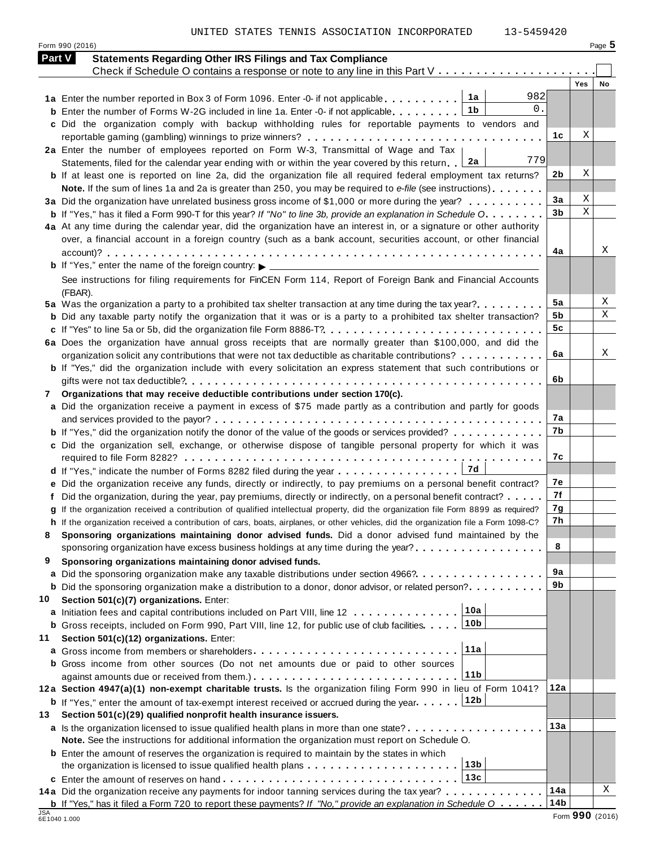UNITED STATES TENNIS ASSOCIATION INCORPORATED

Form <sup>990</sup> (2016) Page **5**

| 3-5459420 |
|-----------|
|-----------|

| <b>Part V</b>              | <b>Statements Regarding Other IRS Filings and Tax Compliance</b>                                                                                                                            |                |     |                 |
|----------------------------|---------------------------------------------------------------------------------------------------------------------------------------------------------------------------------------------|----------------|-----|-----------------|
|                            | Check if Schedule O contains a response or note to any line in this Part V                                                                                                                  |                |     |                 |
|                            |                                                                                                                                                                                             |                | Yes | No              |
|                            | 982<br>1a<br>0.                                                                                                                                                                             |                |     |                 |
|                            | 1b<br><b>b</b> Enter the number of Forms W-2G included in line 1a. Enter -0- if not applicable.                                                                                             |                |     |                 |
|                            | c Did the organization comply with backup withholding rules for reportable payments to vendors and                                                                                          | 1c             | Χ   |                 |
|                            | 2a Enter the number of employees reported on Form W-3, Transmittal of Wage and Tax                                                                                                          |                |     |                 |
|                            | 779<br>Statements, filed for the calendar year ending with or within the year covered by this return. 2a                                                                                    |                |     |                 |
|                            | b If at least one is reported on line 2a, did the organization file all required federal employment tax returns?                                                                            | 2 <sub>b</sub> | Χ   |                 |
|                            | Note. If the sum of lines 1a and 2a is greater than 250, you may be required to e-file (see instructions)                                                                                   |                |     |                 |
|                            | 3a Did the organization have unrelated business gross income of \$1,000 or more during the year?                                                                                            | 3a             | Χ   |                 |
|                            | <b>b</b> If "Yes," has it filed a Form 990-T for this year? If "No" to line 3b, provide an explanation in Schedule O.                                                                       | 3 <sub>b</sub> | X   |                 |
|                            | 4a At any time during the calendar year, did the organization have an interest in, or a signature or other authority                                                                        |                |     |                 |
|                            | over, a financial account in a foreign country (such as a bank account, securities account, or other financial                                                                              |                |     |                 |
|                            |                                                                                                                                                                                             | 4a             |     | X               |
|                            |                                                                                                                                                                                             |                |     |                 |
|                            | See instructions for filing requirements for FinCEN Form 114, Report of Foreign Bank and Financial Accounts                                                                                 |                |     |                 |
|                            | (FBAR).                                                                                                                                                                                     |                |     |                 |
|                            | 5a Was the organization a party to a prohibited tax shelter transaction at any time during the tax year?                                                                                    | 5a             |     | Χ               |
|                            | <b>b</b> Did any taxable party notify the organization that it was or is a party to a prohibited tax shelter transaction?                                                                   | 5b             |     | X               |
|                            |                                                                                                                                                                                             | 5c             |     |                 |
|                            | 6a Does the organization have annual gross receipts that are normally greater than \$100,000, and did the                                                                                   |                |     |                 |
|                            | organization solicit any contributions that were not tax deductible as charitable contributions?                                                                                            | 6a             |     | Χ               |
|                            | <b>b</b> If "Yes," did the organization include with every solicitation an express statement that such contributions or                                                                     | 6b             |     |                 |
|                            |                                                                                                                                                                                             |                |     |                 |
|                            | 7 Organizations that may receive deductible contributions under section 170(c).                                                                                                             |                |     |                 |
|                            | a Did the organization receive a payment in excess of \$75 made partly as a contribution and partly for goods                                                                               | 7a             |     |                 |
|                            | <b>b</b> If "Yes," did the organization notify the donor of the value of the goods or services provided?                                                                                    | 7b             |     |                 |
|                            | c Did the organization sell, exchange, or otherwise dispose of tangible personal property for which it was                                                                                  |                |     |                 |
|                            |                                                                                                                                                                                             | 7c             |     |                 |
|                            |                                                                                                                                                                                             |                |     |                 |
|                            | e Did the organization receive any funds, directly or indirectly, to pay premiums on a personal benefit contract?                                                                           | 7е             |     |                 |
|                            | f Did the organization, during the year, pay premiums, directly or indirectly, on a personal benefit contract?                                                                              | 7f             |     |                 |
|                            | g If the organization received a contribution of qualified intellectual property, did the organization file Form 8899 as required?                                                          | 7g             |     |                 |
|                            | h If the organization received a contribution of cars, boats, airplanes, or other vehicles, did the organization file a Form 1098-C?                                                        | 7h             |     |                 |
| 8                          | Sponsoring organizations maintaining donor advised funds. Did a donor advised fund maintained by the                                                                                        |                |     |                 |
|                            | sponsoring organization have excess business holdings at any time during the year?                                                                                                          | 8              |     |                 |
| 9                          | Sponsoring organizations maintaining donor advised funds.                                                                                                                                   |                |     |                 |
|                            | a Did the sponsoring organization make any taxable distributions under section 4966?                                                                                                        | <b>9a</b>      |     |                 |
|                            | <b>b</b> Did the sponsoring organization make a distribution to a donor, donor advisor, or related person?                                                                                  | 9b             |     |                 |
| 10                         | Section 501(c)(7) organizations. Enter:                                                                                                                                                     |                |     |                 |
|                            | 10a<br>a Initiation fees and capital contributions included on Part VIII, line 12                                                                                                           |                |     |                 |
|                            | 10b<br><b>b</b> Gross receipts, included on Form 990, Part VIII, line 12, for public use of club facilities.                                                                                |                |     |                 |
| 11                         | Section 501(c)(12) organizations. Enter:                                                                                                                                                    |                |     |                 |
|                            | 11a                                                                                                                                                                                         |                |     |                 |
|                            | <b>b</b> Gross income from other sources (Do not net amounts due or paid to other sources<br>11 <sub>b</sub>                                                                                |                |     |                 |
|                            |                                                                                                                                                                                             | 12a            |     |                 |
|                            | 12a Section 4947(a)(1) non-exempt charitable trusts. Is the organization filing Form 990 in lieu of Form 1041?                                                                              |                |     |                 |
|                            | <b>b</b> If "Yes," enter the amount of tax-exempt interest received or accrued during the year. 12b<br>Section 501(c)(29) qualified nonprofit health insurance issuers.                     |                |     |                 |
| 13                         |                                                                                                                                                                                             | 13a            |     |                 |
|                            | a Is the organization licensed to issue qualified health plans in more than one state?<br>Note. See the instructions for additional information the organization must report on Schedule O. |                |     |                 |
|                            | <b>b</b> Enter the amount of reserves the organization is required to maintain by the states in which                                                                                       |                |     |                 |
|                            | 13 <sub>b</sub>                                                                                                                                                                             |                |     |                 |
|                            | 13c<br>c Enter the amount of reserves on hand                                                                                                                                               |                |     |                 |
|                            | 14a Did the organization receive any payments for indoor tanning services during the tax year?                                                                                              | 14a            |     | Χ               |
|                            | <b>b</b> If "Yes," has it filed a Form 720 to report these payments? If "No," provide an explanation in Schedule $0 \ldots \ldots$                                                          | 14b            |     |                 |
| <b>JSA</b><br>6E1040 1.000 |                                                                                                                                                                                             |                |     | Form 990 (2016) |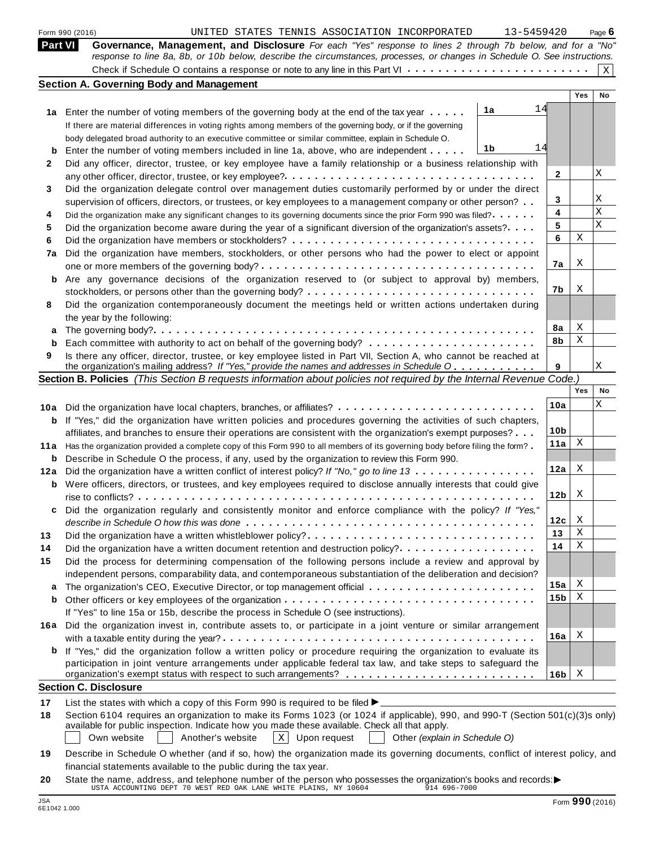|                | 13-5459420<br>UNITED STATES TENNIS ASSOCIATION INCORPORATED<br>Form 990 (2016)                                                                                                                                                          |                 |     | Page $6$    |
|----------------|-----------------------------------------------------------------------------------------------------------------------------------------------------------------------------------------------------------------------------------------|-----------------|-----|-------------|
| <b>Part VI</b> | Governance, Management, and Disclosure For each "Yes" response to lines 2 through 7b below, and for a "No"<br>response to line 8a, 8b, or 10b below, describe the circumstances, processes, or changes in Schedule O. See instructions. |                 |     |             |
|                |                                                                                                                                                                                                                                         |                 |     | $\mathbf X$ |
|                | <b>Section A. Governing Body and Management</b>                                                                                                                                                                                         |                 | Yes | No          |
|                |                                                                                                                                                                                                                                         |                 |     |             |
|                | 14<br>1a<br>1a Enter the number of voting members of the governing body at the end of the tax year                                                                                                                                      |                 |     |             |
|                | If there are material differences in voting rights among members of the governing body, or if the governing                                                                                                                             |                 |     |             |
|                | body delegated broad authority to an executive committee or similar committee, explain in Schedule O.                                                                                                                                   |                 |     |             |
| b              | 14<br>1b<br>Enter the number of voting members included in line 1a, above, who are independent                                                                                                                                          |                 |     |             |
| 2              | Did any officer, director, trustee, or key employee have a family relationship or a business relationship with                                                                                                                          |                 |     |             |
|                |                                                                                                                                                                                                                                         | 2               |     | Χ           |
| 3              | Did the organization delegate control over management duties customarily performed by or under the direct                                                                                                                               |                 |     |             |
|                | supervision of officers, directors, or trustees, or key employees to a management company or other person?                                                                                                                              | 3               |     | Χ           |
| 4              | Did the organization make any significant changes to its governing documents since the prior Form 990 was filed?                                                                                                                        | 4               |     | Х           |
| 5              | Did the organization become aware during the year of a significant diversion of the organization's assets?                                                                                                                              | 5               |     | Χ           |
| 6              |                                                                                                                                                                                                                                         | 6               | Χ   |             |
| 7a             | Did the organization have members, stockholders, or other persons who had the power to elect or appoint                                                                                                                                 |                 |     |             |
|                |                                                                                                                                                                                                                                         | 7a              | Χ   |             |
| b              | Are any governance decisions of the organization reserved to (or subject to approval by) members,                                                                                                                                       |                 |     |             |
|                |                                                                                                                                                                                                                                         | 7b              | X   |             |
| 8              | Did the organization contemporaneously document the meetings held or written actions undertaken during                                                                                                                                  |                 |     |             |
|                | the year by the following:                                                                                                                                                                                                              |                 |     |             |
| a              |                                                                                                                                                                                                                                         | 8а              | Χ   |             |
| b              |                                                                                                                                                                                                                                         | 8b              | Χ   |             |
| 9              | Is there any officer, director, trustee, or key employee listed in Part VII, Section A, who cannot be reached at                                                                                                                        |                 |     |             |
|                | the organization's mailing address? If "Yes," provide the names and addresses in Schedule O                                                                                                                                             | 9               |     | Χ           |
|                | Section B. Policies (This Section B requests information about policies not required by the Internal Revenue Code.)                                                                                                                     |                 |     |             |
|                |                                                                                                                                                                                                                                         |                 | Yes | No          |
| 10a            |                                                                                                                                                                                                                                         | 10a             |     | Χ           |
| b              | If "Yes," did the organization have written policies and procedures governing the activities of such chapters,                                                                                                                          |                 |     |             |
|                | affiliates, and branches to ensure their operations are consistent with the organization's exempt purposes?                                                                                                                             | 10 <sub>b</sub> |     |             |
| 11 a           | Has the organization provided a complete copy of this Form 990 to all members of its governing body before filing the form?                                                                                                             | 11a             | X   |             |
| b              | Describe in Schedule O the process, if any, used by the organization to review this Form 990.                                                                                                                                           |                 |     |             |
| 12a            | Did the organization have a written conflict of interest policy? If "No," go to line 13                                                                                                                                                 | 12a             | Χ   |             |
| b              | Were officers, directors, or trustees, and key employees required to disclose annually interests that could give                                                                                                                        |                 |     |             |
|                |                                                                                                                                                                                                                                         | 12 <sub>b</sub> | X   |             |
|                | Did the organization regularly and consistently monitor and enforce compliance with the policy? If "Yes,                                                                                                                                |                 |     |             |
|                |                                                                                                                                                                                                                                         | 12c             | X   |             |
|                |                                                                                                                                                                                                                                         | 13              | Χ   |             |
| 13             | Did the organization have a written whistleblower policy?                                                                                                                                                                               | 14              | Χ   |             |
| 14             | Did the organization have a written document retention and destruction policy?                                                                                                                                                          |                 |     |             |
| 15             | Did the process for determining compensation of the following persons include a review and approval by                                                                                                                                  |                 |     |             |
|                | independent persons, comparability data, and contemporaneous substantiation of the deliberation and decision?                                                                                                                           | 15a             | X   |             |
| а              |                                                                                                                                                                                                                                         |                 | X   |             |
| b              |                                                                                                                                                                                                                                         | 15b             |     |             |
|                | If "Yes" to line 15a or 15b, describe the process in Schedule O (see instructions).                                                                                                                                                     |                 |     |             |
|                | 16a Did the organization invest in, contribute assets to, or participate in a joint venture or similar arrangement                                                                                                                      |                 |     |             |
|                |                                                                                                                                                                                                                                         | 16a             | X   |             |
| b              | If "Yes," did the organization follow a written policy or procedure requiring the organization to evaluate its                                                                                                                          |                 |     |             |
|                | participation in joint venture arrangements under applicable federal tax law, and take steps to safeguard the                                                                                                                           |                 |     |             |
|                |                                                                                                                                                                                                                                         | 16 <sub>b</sub> | X   |             |
|                | <b>Section C. Disclosure</b>                                                                                                                                                                                                            |                 |     |             |
| 17             | List the states with which a copy of this Form 990 is required to be filed ▶.                                                                                                                                                           |                 |     |             |
| 18             | Section 6104 requires an organization to make its Forms 1023 (or 1024 if applicable), 990, and 990-T (Section 501(c)(3)s only)                                                                                                          |                 |     |             |
|                | available for public inspection. Indicate how you made these available. Check all that apply.                                                                                                                                           |                 |     |             |
|                | $\vert x \vert$<br>Own website<br>Another's website<br>Upon request<br>Other (explain in Schedule O)                                                                                                                                    |                 |     |             |
| 19             | Describe in Schedule O whether (and if so, how) the organization made its governing documents, conflict of interest policy, and                                                                                                         |                 |     |             |
|                | financial statements available to the public during the tax year.                                                                                                                                                                       |                 |     |             |
|                |                                                                                                                                                                                                                                         |                 |     |             |

**20** nnancial statements available to the public during the tax year.<br>State the name, address, and telephone number of the person who possesses the organization's books and records:<br><sup>14 696-7000</sup><br>914 696-7000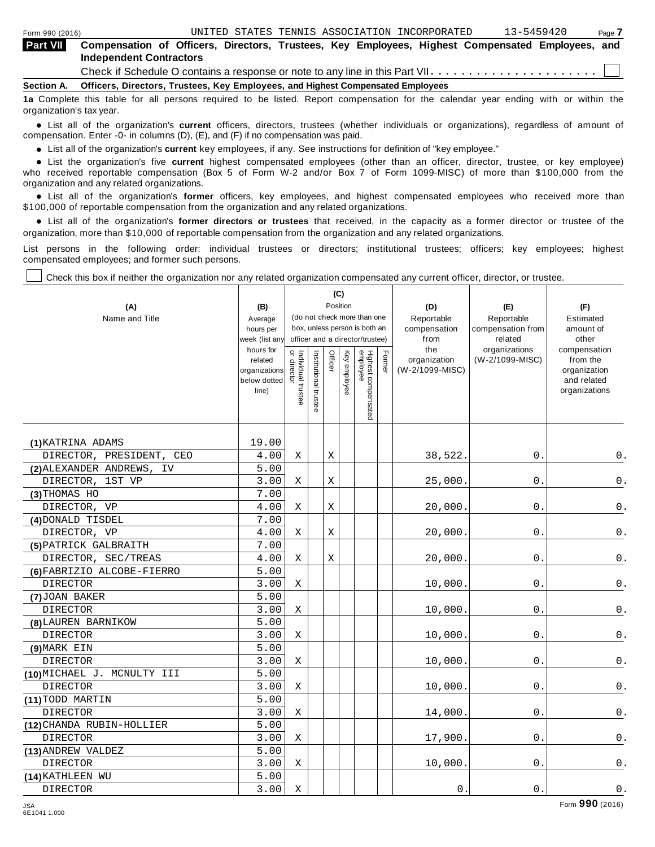| <b>Part VII</b> | Compensation of Officers, Directors, Trustees, Key Employees, Highest Compensated Employees, and<br><b>Independent Contractors</b> |
|-----------------|------------------------------------------------------------------------------------------------------------------------------------|
|                 | Check if Schedule O contains a response or note to any line in this Part VII                                                       |
| Section A.      | Officers, Directors, Trustees, Key Employees, and Highest Compensated Employees                                                    |
|                 | 1a Complete this table for all persons required to be listed. Report compensation for the calendar year ending with or within the  |

organization's tax year.

anization's lax year.<br>● List all of the organization's **current** officers, directors, trustees (whether individuals or organizations), regardless of amount of<br>nnensation Enter -0- in columns (D) (E) and (E) if no compensa compensation. Enter -0- in columns (D), (E), and (F) if no compensation was paid.

■ List all of the organization's **current** key employees, if any. See instructions for definition of "key employee."<br>■ List the experientials five event highert expressed employees (other than an efficer director of

**Example in the organization's current** key employees, if any. See instructions for definition of key employee.<br>• List the organization's five **current** highest compensated employees (other than an officer, director, trust who received reportable compensation (Box 5 of Form W-2 and/or Box 7 of Form 1099-MISC) of more than \$100,000 from the

organization and any related organizations.<br>• List all of the organization's **former** officers, key employees, and highest compensated employees who received more than<br>\$1.00.000 of reportable componention from the erganiza \$100,000 of reportable compensation from the organization and any related organizations.

% List all of the organization's **former directors or trustees** that received, in the capacity as a former director or trustee of the organization, more than \$10,000 of reportable compensation from the organization and any related organizations.

List persons in the following order: individual trustees or directors; institutional trustees; officers; key employees; highest compensated employees; and former such persons.

Check this box if neither the organization nor any related organization compensated any current officer, director, or trustee.

| (A)<br>Name and Title       | (B)<br>Average<br>hours per<br>week (list any<br>hours for<br>related<br>organizations<br>below dotted<br>line) | Individual trustee<br>or director | Institutional trustee | Officer | (C)<br>Position<br>Key employee | (do not check more than one<br>box, unless person is both an<br>officer and a director/trustee)<br>Highest compensated<br>employee | Former | (D)<br>Reportable<br>compensation<br>from<br>the<br>organization<br>(W-2/1099-MISC) | (E)<br>Reportable<br>compensation from<br>related<br>organizations<br>(W-2/1099-MISC) | (F)<br>Estimated<br>amount of<br>other<br>compensation<br>from the<br>organization<br>and related<br>organizations |
|-----------------------------|-----------------------------------------------------------------------------------------------------------------|-----------------------------------|-----------------------|---------|---------------------------------|------------------------------------------------------------------------------------------------------------------------------------|--------|-------------------------------------------------------------------------------------|---------------------------------------------------------------------------------------|--------------------------------------------------------------------------------------------------------------------|
| (1) KATRINA ADAMS           | 19.00                                                                                                           |                                   |                       |         |                                 |                                                                                                                                    |        |                                                                                     |                                                                                       |                                                                                                                    |
| DIRECTOR, PRESIDENT,<br>CEO | 4.00                                                                                                            | Χ                                 |                       | Χ       |                                 |                                                                                                                                    |        | 38,522.                                                                             | 0.                                                                                    | 0.                                                                                                                 |
| (2) ALEXANDER ANDREWS, IV   | 5.00                                                                                                            |                                   |                       |         |                                 |                                                                                                                                    |        |                                                                                     |                                                                                       |                                                                                                                    |
| DIRECTOR, 1ST VP            | 3.00                                                                                                            | Χ                                 |                       | Χ       |                                 |                                                                                                                                    |        | 25,000.                                                                             | 0.                                                                                    | 0.                                                                                                                 |
| (3) THOMAS HO               | 7.00                                                                                                            |                                   |                       |         |                                 |                                                                                                                                    |        |                                                                                     |                                                                                       |                                                                                                                    |
| DIRECTOR, VP                | 4.00                                                                                                            | Χ                                 |                       | Χ       |                                 |                                                                                                                                    |        | 20,000.                                                                             | $\boldsymbol{0}$ .                                                                    | $\mathsf 0$ .                                                                                                      |
| (4) DONALD TISDEL           | 7.00                                                                                                            |                                   |                       |         |                                 |                                                                                                                                    |        |                                                                                     |                                                                                       |                                                                                                                    |
| DIRECTOR, VP                | 4.00                                                                                                            | Χ                                 |                       | Χ       |                                 |                                                                                                                                    |        | 20,000.                                                                             | $0$ .                                                                                 | $\mathsf 0$ .                                                                                                      |
| (5) PATRICK GALBRAITH       | 7.00                                                                                                            |                                   |                       |         |                                 |                                                                                                                                    |        |                                                                                     |                                                                                       |                                                                                                                    |
| DIRECTOR, SEC/TREAS         | 4.00                                                                                                            | Χ                                 |                       | Χ       |                                 |                                                                                                                                    |        | 20,000.                                                                             | 0.                                                                                    | $\boldsymbol{0}$ .                                                                                                 |
| (6) FABRIZIO ALCOBE-FIERRO  | 5.00                                                                                                            |                                   |                       |         |                                 |                                                                                                                                    |        |                                                                                     |                                                                                       |                                                                                                                    |
| <b>DIRECTOR</b>             | 3.00                                                                                                            | Χ                                 |                       |         |                                 |                                                                                                                                    |        | 10,000.                                                                             | 0.                                                                                    | 0.                                                                                                                 |
| (7) JOAN BAKER              | 5.00                                                                                                            |                                   |                       |         |                                 |                                                                                                                                    |        |                                                                                     |                                                                                       |                                                                                                                    |
| <b>DIRECTOR</b>             | 3.00                                                                                                            | Χ                                 |                       |         |                                 |                                                                                                                                    |        | 10,000.                                                                             | 0.                                                                                    | $\mathsf 0$ .                                                                                                      |
| (8) LAUREN BARNIKOW         | 5.00                                                                                                            |                                   |                       |         |                                 |                                                                                                                                    |        |                                                                                     |                                                                                       |                                                                                                                    |
| DIRECTOR                    | 3.00                                                                                                            | Χ                                 |                       |         |                                 |                                                                                                                                    |        | 10,000.                                                                             | 0.                                                                                    | $\mathsf 0$ .                                                                                                      |
| (9) MARK EIN                | 5.00                                                                                                            |                                   |                       |         |                                 |                                                                                                                                    |        |                                                                                     |                                                                                       |                                                                                                                    |
| <b>DIRECTOR</b>             | 3.00                                                                                                            | Χ                                 |                       |         |                                 |                                                                                                                                    |        | 10,000.                                                                             | 0.                                                                                    | 0.                                                                                                                 |
| (10) MICHAEL J. MCNULTY III | 5.00                                                                                                            |                                   |                       |         |                                 |                                                                                                                                    |        |                                                                                     |                                                                                       |                                                                                                                    |
| <b>DIRECTOR</b>             | 3.00                                                                                                            | X                                 |                       |         |                                 |                                                                                                                                    |        | 10,000.                                                                             | 0.                                                                                    | 0.                                                                                                                 |
| (11) TODD MARTIN            | 5.00                                                                                                            |                                   |                       |         |                                 |                                                                                                                                    |        |                                                                                     |                                                                                       |                                                                                                                    |
| <b>DIRECTOR</b>             | 3.00                                                                                                            | Χ                                 |                       |         |                                 |                                                                                                                                    |        | 14,000.                                                                             | 0.                                                                                    | 0.                                                                                                                 |
| (12) CHANDA RUBIN-HOLLIER   | 5.00                                                                                                            |                                   |                       |         |                                 |                                                                                                                                    |        |                                                                                     |                                                                                       |                                                                                                                    |
| <b>DIRECTOR</b>             | 3.00                                                                                                            | Χ                                 |                       |         |                                 |                                                                                                                                    |        | 17,900.                                                                             | 0.                                                                                    | 0.                                                                                                                 |
| (13) ANDREW VALDEZ          | 5.00                                                                                                            |                                   |                       |         |                                 |                                                                                                                                    |        |                                                                                     |                                                                                       |                                                                                                                    |
| <b>DIRECTOR</b>             | 3.00                                                                                                            | Χ                                 |                       |         |                                 |                                                                                                                                    |        | 10,000.                                                                             | 0.                                                                                    | 0.                                                                                                                 |
| (14) KATHLEEN WU            | 5.00                                                                                                            |                                   |                       |         |                                 |                                                                                                                                    |        |                                                                                     |                                                                                       |                                                                                                                    |
| <b>DIRECTOR</b>             | 3.00                                                                                                            | Χ                                 |                       |         |                                 |                                                                                                                                    |        | 0.                                                                                  | 0.                                                                                    | $0$ .                                                                                                              |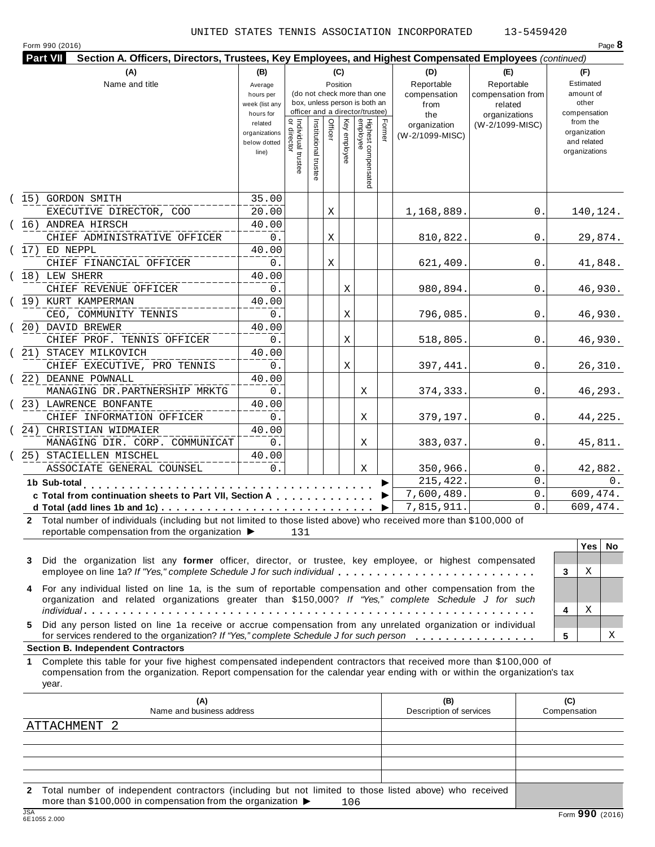|  | Form 990 (2016) |
|--|-----------------|

| Form 990 (2016)<br>Page $\epsilon$ |                                                                                                        |     |  |  |  |  |  |  |  |  |
|------------------------------------|--------------------------------------------------------------------------------------------------------|-----|--|--|--|--|--|--|--|--|
| Part VII                           | Section A. Officers, Directors, Trustees, Key Employees, and Highest Compensated Employees (continued) |     |  |  |  |  |  |  |  |  |
|                                    |                                                                                                        | (B) |  |  |  |  |  |  |  |  |

| (A)                                                                                                                                                                                        | (B)                                    |                                   |                       |         | (C)             |                                                                  |        | (D)                             | (E)                              | (F)                                          |
|--------------------------------------------------------------------------------------------------------------------------------------------------------------------------------------------|----------------------------------------|-----------------------------------|-----------------------|---------|-----------------|------------------------------------------------------------------|--------|---------------------------------|----------------------------------|----------------------------------------------|
| Name and title                                                                                                                                                                             | Average<br>hours per                   |                                   |                       |         | Position        | (do not check more than one                                      |        | Reportable<br>compensation      | Reportable<br>compensation from  | Estimated<br>amount of                       |
|                                                                                                                                                                                            | week (list any                         |                                   |                       |         |                 | box, unless person is both an<br>officer and a director/trustee) |        | from                            | related                          | other                                        |
|                                                                                                                                                                                            | hours for<br>related                   |                                   |                       |         |                 |                                                                  |        | the                             | organizations<br>(W-2/1099-MISC) | compensation<br>from the                     |
|                                                                                                                                                                                            | organizations<br>below dotted<br>line) | Individual trustee<br>or director | Institutional trustee | Officer | Key<br>employee | Highest compensated<br>employee                                  | Former | organization<br>(W-2/1099-MISC) |                                  | organization<br>and related<br>organizations |
|                                                                                                                                                                                            |                                        |                                   |                       |         |                 |                                                                  |        |                                 |                                  |                                              |
| (15) GORDON SMITH                                                                                                                                                                          | 35.00                                  |                                   |                       |         |                 |                                                                  |        |                                 |                                  |                                              |
| EXECUTIVE DIRECTOR, COO                                                                                                                                                                    | 20.00                                  |                                   |                       | Χ       |                 |                                                                  |        | 1,168,889.                      | 0.                               | 140,124.                                     |
| (16) ANDREA HIRSCH                                                                                                                                                                         | 40.00                                  |                                   |                       |         |                 |                                                                  |        |                                 |                                  |                                              |
| CHIEF ADMINISTRATIVE OFFICER                                                                                                                                                               | 0.                                     |                                   |                       | Χ       |                 |                                                                  |        | 810,822.                        | 0.                               | 29,874.                                      |
| $(17)$ ED NEPPL                                                                                                                                                                            | 40.00                                  |                                   |                       |         |                 |                                                                  |        |                                 |                                  |                                              |
| CHIEF FINANCIAL OFFICER                                                                                                                                                                    | 0.                                     |                                   |                       | Χ       |                 |                                                                  |        | 621,409.                        | $\mathbf{0}$ .                   | 41,848.                                      |
| $(18)$ LEW SHERR                                                                                                                                                                           | 40.00                                  |                                   |                       |         |                 |                                                                  |        |                                 |                                  |                                              |
| CHIEF REVENUE OFFICER                                                                                                                                                                      | 0.                                     |                                   |                       |         | Χ               |                                                                  |        | 980,894.                        | 0.                               | 46,930.                                      |
| (19) KURT KAMPERMAN                                                                                                                                                                        | 40.00                                  |                                   |                       |         |                 |                                                                  |        |                                 |                                  |                                              |
| CEO, COMMUNITY TENNIS                                                                                                                                                                      | 0.                                     |                                   |                       |         | Χ               |                                                                  |        | 796,085.                        | $\overline{0}$ .                 | 46,930.                                      |
| (20) DAVID BREWER                                                                                                                                                                          | 40.00                                  |                                   |                       |         |                 |                                                                  |        |                                 |                                  |                                              |
| CHIEF PROF. TENNIS OFFICER                                                                                                                                                                 | 0.                                     |                                   |                       |         | Χ               |                                                                  |        | 518,805.                        | 0.                               | 46,930.                                      |
| (21) STACEY MILKOVICH                                                                                                                                                                      | 40.00                                  |                                   |                       |         |                 |                                                                  |        |                                 |                                  |                                              |
| CHIEF EXECUTIVE, PRO TENNIS                                                                                                                                                                | 0.                                     |                                   |                       |         | Χ               |                                                                  |        | 397,441.                        | 0.                               | 26,310.                                      |
| (22) DEANNE POWNALL                                                                                                                                                                        | 40.00                                  |                                   |                       |         |                 |                                                                  |        |                                 |                                  |                                              |
| MANAGING DR. PARTNERSHIP MRKTG                                                                                                                                                             | $0$ .                                  |                                   |                       |         |                 | Χ                                                                |        | 374, 333.                       | 0.                               | 46,293.                                      |
| (23) LAWRENCE BONFANTE                                                                                                                                                                     | 40.00                                  |                                   |                       |         |                 |                                                                  |        |                                 |                                  |                                              |
| CHIEF INFORMATION OFFICER                                                                                                                                                                  | 0.                                     |                                   |                       |         |                 | Χ                                                                |        | 379,197.                        | $0$ .                            | 44,225.                                      |
| (24) CHRISTIAN WIDMAIER                                                                                                                                                                    | 40.00                                  |                                   |                       |         |                 |                                                                  |        |                                 |                                  |                                              |
| MANAGING DIR. CORP. COMMUNICAT                                                                                                                                                             | $0$ .                                  |                                   |                       |         |                 | Χ                                                                |        | 383,037.                        | 0.                               | 45,811.                                      |
| (25) STACIELLEN MISCHEL                                                                                                                                                                    | 40.00                                  |                                   |                       |         |                 |                                                                  |        |                                 |                                  |                                              |
| ASSOCIATE GENERAL COUNSEL                                                                                                                                                                  | 0.                                     |                                   |                       |         |                 | X                                                                |        | 350,966.                        | 0.                               | 42,882.                                      |
| 1b Sub-total                                                                                                                                                                               |                                        |                                   |                       |         |                 |                                                                  |        | 215,422.                        | $0$ .                            | $0$ .                                        |
| c Total from continuation sheets to Part VII, Section A                                                                                                                                    |                                        |                                   |                       |         |                 |                                                                  |        | 7,600,489.                      | $\mathbf{0}$ .                   | 609,474.                                     |
|                                                                                                                                                                                            |                                        |                                   |                       |         |                 |                                                                  |        | 7,815,911.                      | $\Omega$ .                       | 609,474.                                     |
| 2 Total number of individuals (including but not limited to those listed above) who received more than \$100,000 of<br>reportable compensation from the organization $\blacktriangleright$ |                                        | 131                               |                       |         |                 |                                                                  |        |                                 |                                  |                                              |

|                                                                                                                                                                                                                        | res | No |
|------------------------------------------------------------------------------------------------------------------------------------------------------------------------------------------------------------------------|-----|----|
| 3 Did the organization list any former officer, director, or trustee, key employee, or highest compensated<br>employee on line 1a? If "Yes," complete Schedule J for such individual                                   |     |    |
| 4 For any individual listed on line 1a, is the sum of reportable compensation and other compensation from the<br>organization and related organizations greater than \$150,000? If "Yes," complete Schedule J for such |     |    |
|                                                                                                                                                                                                                        |     |    |
| 5 Did any person listed on line 1a receive or accrue compensation from any unrelated organization or individual                                                                                                        |     |    |
| for services rendered to the organization? If "Yes," complete Schedule J for such person                                                                                                                               |     | X  |
|                                                                                                                                                                                                                        |     |    |

# **Section B. Independent Contractors**

**1** Complete this table for your five highest compensated independent contractors that received more than \$100,000 of compensation from the organization. Report compensation for the calendar year ending with or within the organization's tax year.

| (A)<br>Name and business address                                                                                                                                                            | (B)<br>Description of services | (C)<br>Compensation |
|---------------------------------------------------------------------------------------------------------------------------------------------------------------------------------------------|--------------------------------|---------------------|
| ATTACHMENT 2                                                                                                                                                                                |                                |                     |
|                                                                                                                                                                                             |                                |                     |
|                                                                                                                                                                                             |                                |                     |
|                                                                                                                                                                                             |                                |                     |
|                                                                                                                                                                                             |                                |                     |
| Total number of independent contractors (including but not limited to those listed above) who received<br>$2^{\circ}$<br>more than \$100,000 in compensation from the organization ▶<br>106 |                                |                     |
| ICA                                                                                                                                                                                         |                                | $\sim$              |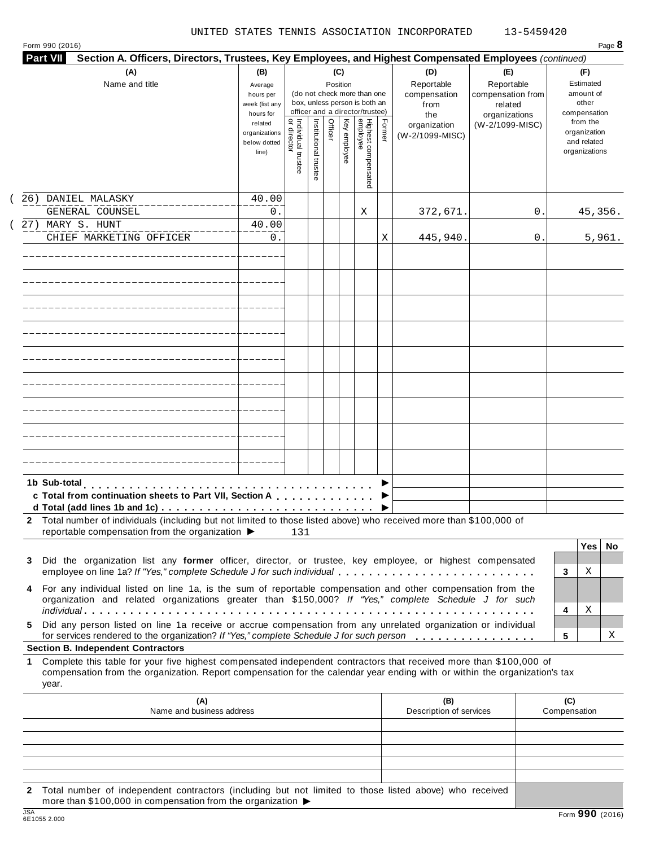| (A)                                                                                                                                                                                                                       | (B)                                                            |                                |                       | (C)      |                                                                                    |        | (D)                                                                                      | (E)                                        | (F)                                                                      |
|---------------------------------------------------------------------------------------------------------------------------------------------------------------------------------------------------------------------------|----------------------------------------------------------------|--------------------------------|-----------------------|----------|------------------------------------------------------------------------------------|--------|------------------------------------------------------------------------------------------|--------------------------------------------|--------------------------------------------------------------------------|
| Name and title                                                                                                                                                                                                            | Average<br>hours per<br>week (list any                         |                                |                       | Position | (do not check more than one<br>box, unless person is both an                       |        | Reportable<br>compensation<br>from                                                       | Reportable<br>compensation from<br>related | Estimated<br>amount of<br>other                                          |
|                                                                                                                                                                                                                           | hours for<br>related<br>organizations<br>below dotted<br>line) | Individual trustee<br>director | Institutional trustee | Officer  | officer and a director/trustee)<br>Highest compensated<br>employee<br>Key employee | Former | the<br>organization<br>(W-2/1099-MISC)                                                   | organizations<br>(W-2/1099-MISC)           | compensation<br>from the<br>organization<br>and related<br>organizations |
| 26) DANIEL MALASKY                                                                                                                                                                                                        | 40.00                                                          |                                |                       |          |                                                                                    |        |                                                                                          |                                            |                                                                          |
| GENERAL COUNSEL                                                                                                                                                                                                           | 0.                                                             |                                |                       |          | Χ                                                                                  |        | 372,671.                                                                                 | 0                                          | 45,356.                                                                  |
| 27) MARY S. HUNT<br>CHIEF MARKETING OFFICER                                                                                                                                                                               | 40.00<br>0.                                                    |                                |                       |          |                                                                                    | Χ      | 445,940.                                                                                 | 0                                          | 5,961.                                                                   |
|                                                                                                                                                                                                                           |                                                                |                                |                       |          |                                                                                    |        |                                                                                          |                                            |                                                                          |
|                                                                                                                                                                                                                           |                                                                |                                |                       |          |                                                                                    |        |                                                                                          |                                            |                                                                          |
|                                                                                                                                                                                                                           |                                                                |                                |                       |          |                                                                                    |        |                                                                                          |                                            |                                                                          |
|                                                                                                                                                                                                                           |                                                                |                                |                       |          |                                                                                    |        |                                                                                          |                                            |                                                                          |
|                                                                                                                                                                                                                           |                                                                |                                |                       |          |                                                                                    |        |                                                                                          |                                            |                                                                          |
|                                                                                                                                                                                                                           |                                                                |                                |                       |          |                                                                                    |        |                                                                                          |                                            |                                                                          |
|                                                                                                                                                                                                                           |                                                                |                                |                       |          |                                                                                    |        |                                                                                          |                                            |                                                                          |
|                                                                                                                                                                                                                           |                                                                |                                |                       |          |                                                                                    |        |                                                                                          |                                            |                                                                          |
|                                                                                                                                                                                                                           |                                                                |                                |                       |          |                                                                                    |        |                                                                                          |                                            |                                                                          |
| 1b Sub-total<br>c Total from continuation sheets to Part VII, Section A<br>d Total (add lines 1b and 1c) $\cdots$ $\cdots$ $\cdots$ $\cdots$ $\cdots$ $\cdots$ $\cdots$ $\cdots$ $\cdots$ $\cdots$ $\cdots$               |                                                                |                                |                       |          |                                                                                    |        |                                                                                          |                                            |                                                                          |
| Total number of individuals (including but not limited to those listed above) who received more than \$100,000 of<br>2<br>reportable compensation from the organization $\blacktriangleright$                             |                                                                | 131                            |                       |          |                                                                                    |        |                                                                                          |                                            |                                                                          |
| Did the organization list any former officer, director, or trustee, key employee, or highest compensated<br>3<br>employee on line 1a? If "Yes," complete Schedule J for such individual                                   |                                                                |                                |                       |          |                                                                                    |        |                                                                                          |                                            | Yes<br>No<br>Χ<br>3                                                      |
| For any individual listed on line 1a, is the sum of reportable compensation and other compensation from the<br>4<br>organization and related organizations greater than \$150,000? If "Yes," complete Schedule J for such |                                                                |                                |                       |          |                                                                                    |        |                                                                                          |                                            | Χ<br>4                                                                   |
| Did any person listed on line 1a receive or accrue compensation from any unrelated organization or individual<br>5.                                                                                                       |                                                                |                                |                       |          |                                                                                    |        | for services rendered to the organization? If "Yes," complete Schedule J for such person |                                            | Χ                                                                        |

**1** Complete this table for your five highest compensated independent contractors that received more than \$100,000 of compensation from the organization. Report compensation for the calendar year ending with or within the organization's tax year.

|     | (A)<br>Name and business address                                                                                                                                                            | (B)<br>Description of services | (C)<br>Compensation |
|-----|---------------------------------------------------------------------------------------------------------------------------------------------------------------------------------------------|--------------------------------|---------------------|
|     |                                                                                                                                                                                             |                                |                     |
|     |                                                                                                                                                                                             |                                |                     |
|     |                                                                                                                                                                                             |                                |                     |
|     |                                                                                                                                                                                             |                                |                     |
|     |                                                                                                                                                                                             |                                |                     |
|     | 2 Total number of independent contractors (including but not limited to those listed above) who received<br>more than \$100,000 in compensation from the organization $\blacktriangleright$ |                                |                     |
| 10A |                                                                                                                                                                                             |                                | $\sim$              |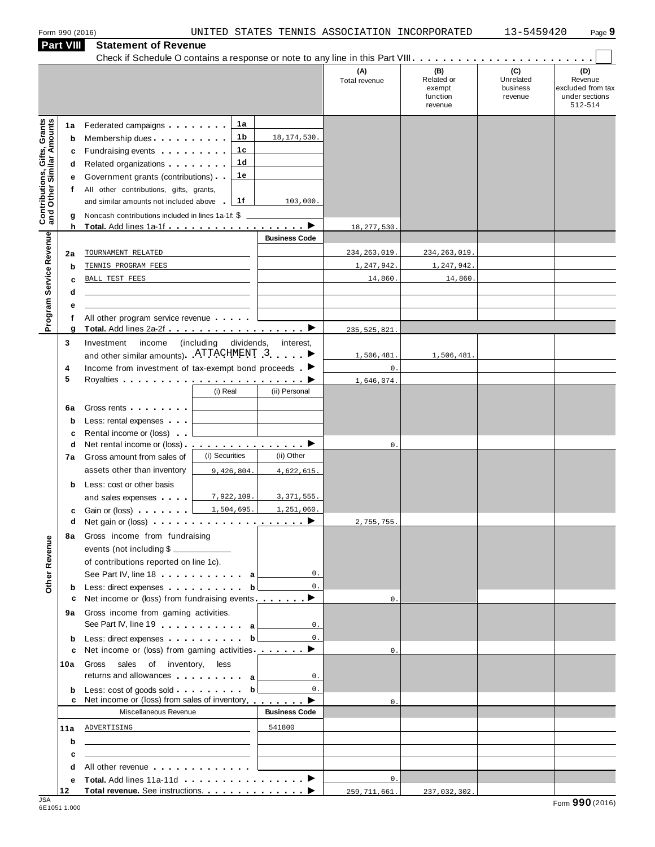| (C)<br>(B)<br>(D)<br>(A)<br>Unrelated<br>Related or<br>Revenue<br>Total revenue<br>business<br>excluded from tax<br>exempt<br>under sections<br>function<br>revenue<br>512-514<br>revenue<br><b>Contributions, Gifts, Grants</b><br>and Other Similar Amounts<br>1a<br>Federated campaigns<br>1a<br>1b<br>18, 174, 530.<br>Membership dues<br>b<br>1 <sub>c</sub><br>Fundraising events <b>Fundraising</b><br>c<br>1 <sub>d</sub><br>Related organizations <b>and the set of the set of the set of the set of the set of the set of the set of the set of the set of the set of the set of the set of the set of the set of the set of the set of the set of the set </b><br>d<br>1e<br>Government grants (contributions)<br>е<br>All other contributions, gifts, grants,<br>f<br>1f<br>and similar amounts not included above<br>103,000.<br>Noncash contributions included in lines 1a-1f: \$<br>g<br>h<br>18, 277, 530<br>Program Service Revenue<br><b>Business Code</b><br>TOURNAMENT RELATED<br>234, 263, 019<br>234, 263, 019<br>2a<br>1,247,942.<br>1,247,942.<br>TENNIS PROGRAM FEES<br>b<br>14,860<br>14,860.<br>BALL TEST FEES<br>c<br>d<br>е<br>All other program service revenue<br>f<br>g<br>235, 525, 821<br>income<br>3<br>Investment<br>(including)<br>dividends,<br>interest,<br>and other similar amounts). ATTACHMENT 3<br>1,506,481.<br>1,506,481.<br>Income from investment of tax-exempt bond proceeds $\blacksquare$<br>$\mathsf{0}$ .<br>4<br>5<br>Royalties <b>Department of the Contract Contract Contract Contract Contract Contract Contract Contract Contract Contract Contract Contract Contract Contract Contract Contract Contract Contract Contract Contract Contract Cont</b><br>1,646,074.<br>(ii) Personal<br>(i) Real<br>Gross rents <b>Container and Container</b><br>6а<br>Less: rental expenses<br>b<br>Rental income or (loss)<br>c<br><u>.</u> . ><br>Net rental income or (loss)<br>d<br>0.<br>(i) Securities<br>(ii) Other<br>Gross amount from sales of<br>7а<br>assets other than inventory<br>9,426,804.<br>4,622,615.<br>Less: cost or other basis<br>b<br>7,922,109.<br>3, 371, 555.<br>and sales expenses <b>and</b> sales expenses<br>1,504,695.<br>1,251,060.<br>Gain or (loss) <b>comparison</b><br>с<br>►<br>2,755,755.<br>Gross income from fundraising<br>8а<br>Other Revenue<br>events (not including \$<br>of contributions reported on line 1c).<br>0.<br>See Part IV, line 18 a<br>$0$ .<br>Less: direct expenses by the set of the basic of the basic set of the basic set of the basic set of the basic set of the basic set of the basic set of the basic set of the basic set of the basic set of the basic set of the<br>b<br>Net income or (loss) from fundraising events ________<br>c<br>$\mathbf{0}$ .<br>Gross income from gaming activities.<br>9а<br>See Part IV, line 19 and the Lines of Allen and Allen and Allen and Allen and Allen and Allen and Allen and Allen<br>0.<br>Less: direct expenses b<br>$0$ .<br>b<br>Net income or (loss) from gaming activities ________ ▶<br>$\mathbf{0}$ .<br>c<br>Gross<br>sales of inventory,<br>less<br>10a<br>returns and allowances and allowances<br>0.<br>Less: cost of goods sold $\ldots$ , $\ldots$ , $\mathbf{b}$<br>$0$ .<br>b<br>Net income or (loss) from sales of inventory $\qquad \qquad \blacktriangleright$<br>c<br>$\mathbf{0}$ .<br>Miscellaneous Revenue<br><b>Business Code</b><br>ADVERTISING<br>541800<br>11a<br><u> 1989 - Johann Barbara, martin amerikan basar dan berasal dalam basar dalam basar dalam basar dalam basar dala</u><br>b<br><u> 1989 - Johann Harry Barn, mars and de Branch and de Branch and de Branch and de Branch and de Branch and de B</u><br>c<br>the control of the control of the control of the control of the control of<br>All other revenue entitled and a series of the series of the series of the series of the series of the series<br>d<br>$0$ .<br>е<br>12<br>259, 711, 661.<br>237,032,302. |  | <b>Part VIII</b> | <b>Statement of Revenue</b> |  |  |  |
|------------------------------------------------------------------------------------------------------------------------------------------------------------------------------------------------------------------------------------------------------------------------------------------------------------------------------------------------------------------------------------------------------------------------------------------------------------------------------------------------------------------------------------------------------------------------------------------------------------------------------------------------------------------------------------------------------------------------------------------------------------------------------------------------------------------------------------------------------------------------------------------------------------------------------------------------------------------------------------------------------------------------------------------------------------------------------------------------------------------------------------------------------------------------------------------------------------------------------------------------------------------------------------------------------------------------------------------------------------------------------------------------------------------------------------------------------------------------------------------------------------------------------------------------------------------------------------------------------------------------------------------------------------------------------------------------------------------------------------------------------------------------------------------------------------------------------------------------------------------------------------------------------------------------------------------------------------------------------------------------------------------------------------------------------------------------------------------------------------------------------------------------------------------------------------------------------------------------------------------------------------------------------------------------------------------------------------------------------------------------------------------------------------------------------------------------------------------------------------------------------------------------------------------------------------------------------------------------------------------------------------------------------------------------------------------------------------------------------------------------------------------------------------------------------------------------------------------------------------------------------------------------------------------------------------------------------------------------------------------------------------------------------------------------------------------------------------------------------------------------------------------------------------------------------------------------------------------------------------------------------------------------------------------------------------------------------------------------------------------------------------------------------------------------------------------------------------------------------------------------------------------------------------------------------------------------------------------------------------------------------------------------------------------------------------------------------------------------------------------------------------------------------------------------------------------------------------------------------------------------------------------------------------------------------------------------------------------------------|--|------------------|-----------------------------|--|--|--|
|                                                                                                                                                                                                                                                                                                                                                                                                                                                                                                                                                                                                                                                                                                                                                                                                                                                                                                                                                                                                                                                                                                                                                                                                                                                                                                                                                                                                                                                                                                                                                                                                                                                                                                                                                                                                                                                                                                                                                                                                                                                                                                                                                                                                                                                                                                                                                                                                                                                                                                                                                                                                                                                                                                                                                                                                                                                                                                                                                                                                                                                                                                                                                                                                                                                                                                                                                                                                                                                                                                                                                                                                                                                                                                                                                                                                                                                                                                                                                                              |  |                  |                             |  |  |  |
|                                                                                                                                                                                                                                                                                                                                                                                                                                                                                                                                                                                                                                                                                                                                                                                                                                                                                                                                                                                                                                                                                                                                                                                                                                                                                                                                                                                                                                                                                                                                                                                                                                                                                                                                                                                                                                                                                                                                                                                                                                                                                                                                                                                                                                                                                                                                                                                                                                                                                                                                                                                                                                                                                                                                                                                                                                                                                                                                                                                                                                                                                                                                                                                                                                                                                                                                                                                                                                                                                                                                                                                                                                                                                                                                                                                                                                                                                                                                                                              |  |                  |                             |  |  |  |
|                                                                                                                                                                                                                                                                                                                                                                                                                                                                                                                                                                                                                                                                                                                                                                                                                                                                                                                                                                                                                                                                                                                                                                                                                                                                                                                                                                                                                                                                                                                                                                                                                                                                                                                                                                                                                                                                                                                                                                                                                                                                                                                                                                                                                                                                                                                                                                                                                                                                                                                                                                                                                                                                                                                                                                                                                                                                                                                                                                                                                                                                                                                                                                                                                                                                                                                                                                                                                                                                                                                                                                                                                                                                                                                                                                                                                                                                                                                                                                              |  |                  |                             |  |  |  |
|                                                                                                                                                                                                                                                                                                                                                                                                                                                                                                                                                                                                                                                                                                                                                                                                                                                                                                                                                                                                                                                                                                                                                                                                                                                                                                                                                                                                                                                                                                                                                                                                                                                                                                                                                                                                                                                                                                                                                                                                                                                                                                                                                                                                                                                                                                                                                                                                                                                                                                                                                                                                                                                                                                                                                                                                                                                                                                                                                                                                                                                                                                                                                                                                                                                                                                                                                                                                                                                                                                                                                                                                                                                                                                                                                                                                                                                                                                                                                                              |  |                  |                             |  |  |  |
|                                                                                                                                                                                                                                                                                                                                                                                                                                                                                                                                                                                                                                                                                                                                                                                                                                                                                                                                                                                                                                                                                                                                                                                                                                                                                                                                                                                                                                                                                                                                                                                                                                                                                                                                                                                                                                                                                                                                                                                                                                                                                                                                                                                                                                                                                                                                                                                                                                                                                                                                                                                                                                                                                                                                                                                                                                                                                                                                                                                                                                                                                                                                                                                                                                                                                                                                                                                                                                                                                                                                                                                                                                                                                                                                                                                                                                                                                                                                                                              |  |                  |                             |  |  |  |
|                                                                                                                                                                                                                                                                                                                                                                                                                                                                                                                                                                                                                                                                                                                                                                                                                                                                                                                                                                                                                                                                                                                                                                                                                                                                                                                                                                                                                                                                                                                                                                                                                                                                                                                                                                                                                                                                                                                                                                                                                                                                                                                                                                                                                                                                                                                                                                                                                                                                                                                                                                                                                                                                                                                                                                                                                                                                                                                                                                                                                                                                                                                                                                                                                                                                                                                                                                                                                                                                                                                                                                                                                                                                                                                                                                                                                                                                                                                                                                              |  |                  |                             |  |  |  |
|                                                                                                                                                                                                                                                                                                                                                                                                                                                                                                                                                                                                                                                                                                                                                                                                                                                                                                                                                                                                                                                                                                                                                                                                                                                                                                                                                                                                                                                                                                                                                                                                                                                                                                                                                                                                                                                                                                                                                                                                                                                                                                                                                                                                                                                                                                                                                                                                                                                                                                                                                                                                                                                                                                                                                                                                                                                                                                                                                                                                                                                                                                                                                                                                                                                                                                                                                                                                                                                                                                                                                                                                                                                                                                                                                                                                                                                                                                                                                                              |  |                  |                             |  |  |  |
|                                                                                                                                                                                                                                                                                                                                                                                                                                                                                                                                                                                                                                                                                                                                                                                                                                                                                                                                                                                                                                                                                                                                                                                                                                                                                                                                                                                                                                                                                                                                                                                                                                                                                                                                                                                                                                                                                                                                                                                                                                                                                                                                                                                                                                                                                                                                                                                                                                                                                                                                                                                                                                                                                                                                                                                                                                                                                                                                                                                                                                                                                                                                                                                                                                                                                                                                                                                                                                                                                                                                                                                                                                                                                                                                                                                                                                                                                                                                                                              |  |                  |                             |  |  |  |
|                                                                                                                                                                                                                                                                                                                                                                                                                                                                                                                                                                                                                                                                                                                                                                                                                                                                                                                                                                                                                                                                                                                                                                                                                                                                                                                                                                                                                                                                                                                                                                                                                                                                                                                                                                                                                                                                                                                                                                                                                                                                                                                                                                                                                                                                                                                                                                                                                                                                                                                                                                                                                                                                                                                                                                                                                                                                                                                                                                                                                                                                                                                                                                                                                                                                                                                                                                                                                                                                                                                                                                                                                                                                                                                                                                                                                                                                                                                                                                              |  |                  |                             |  |  |  |
|                                                                                                                                                                                                                                                                                                                                                                                                                                                                                                                                                                                                                                                                                                                                                                                                                                                                                                                                                                                                                                                                                                                                                                                                                                                                                                                                                                                                                                                                                                                                                                                                                                                                                                                                                                                                                                                                                                                                                                                                                                                                                                                                                                                                                                                                                                                                                                                                                                                                                                                                                                                                                                                                                                                                                                                                                                                                                                                                                                                                                                                                                                                                                                                                                                                                                                                                                                                                                                                                                                                                                                                                                                                                                                                                                                                                                                                                                                                                                                              |  |                  |                             |  |  |  |
|                                                                                                                                                                                                                                                                                                                                                                                                                                                                                                                                                                                                                                                                                                                                                                                                                                                                                                                                                                                                                                                                                                                                                                                                                                                                                                                                                                                                                                                                                                                                                                                                                                                                                                                                                                                                                                                                                                                                                                                                                                                                                                                                                                                                                                                                                                                                                                                                                                                                                                                                                                                                                                                                                                                                                                                                                                                                                                                                                                                                                                                                                                                                                                                                                                                                                                                                                                                                                                                                                                                                                                                                                                                                                                                                                                                                                                                                                                                                                                              |  |                  |                             |  |  |  |
|                                                                                                                                                                                                                                                                                                                                                                                                                                                                                                                                                                                                                                                                                                                                                                                                                                                                                                                                                                                                                                                                                                                                                                                                                                                                                                                                                                                                                                                                                                                                                                                                                                                                                                                                                                                                                                                                                                                                                                                                                                                                                                                                                                                                                                                                                                                                                                                                                                                                                                                                                                                                                                                                                                                                                                                                                                                                                                                                                                                                                                                                                                                                                                                                                                                                                                                                                                                                                                                                                                                                                                                                                                                                                                                                                                                                                                                                                                                                                                              |  |                  |                             |  |  |  |
|                                                                                                                                                                                                                                                                                                                                                                                                                                                                                                                                                                                                                                                                                                                                                                                                                                                                                                                                                                                                                                                                                                                                                                                                                                                                                                                                                                                                                                                                                                                                                                                                                                                                                                                                                                                                                                                                                                                                                                                                                                                                                                                                                                                                                                                                                                                                                                                                                                                                                                                                                                                                                                                                                                                                                                                                                                                                                                                                                                                                                                                                                                                                                                                                                                                                                                                                                                                                                                                                                                                                                                                                                                                                                                                                                                                                                                                                                                                                                                              |  |                  |                             |  |  |  |
|                                                                                                                                                                                                                                                                                                                                                                                                                                                                                                                                                                                                                                                                                                                                                                                                                                                                                                                                                                                                                                                                                                                                                                                                                                                                                                                                                                                                                                                                                                                                                                                                                                                                                                                                                                                                                                                                                                                                                                                                                                                                                                                                                                                                                                                                                                                                                                                                                                                                                                                                                                                                                                                                                                                                                                                                                                                                                                                                                                                                                                                                                                                                                                                                                                                                                                                                                                                                                                                                                                                                                                                                                                                                                                                                                                                                                                                                                                                                                                              |  |                  |                             |  |  |  |
|                                                                                                                                                                                                                                                                                                                                                                                                                                                                                                                                                                                                                                                                                                                                                                                                                                                                                                                                                                                                                                                                                                                                                                                                                                                                                                                                                                                                                                                                                                                                                                                                                                                                                                                                                                                                                                                                                                                                                                                                                                                                                                                                                                                                                                                                                                                                                                                                                                                                                                                                                                                                                                                                                                                                                                                                                                                                                                                                                                                                                                                                                                                                                                                                                                                                                                                                                                                                                                                                                                                                                                                                                                                                                                                                                                                                                                                                                                                                                                              |  |                  |                             |  |  |  |
|                                                                                                                                                                                                                                                                                                                                                                                                                                                                                                                                                                                                                                                                                                                                                                                                                                                                                                                                                                                                                                                                                                                                                                                                                                                                                                                                                                                                                                                                                                                                                                                                                                                                                                                                                                                                                                                                                                                                                                                                                                                                                                                                                                                                                                                                                                                                                                                                                                                                                                                                                                                                                                                                                                                                                                                                                                                                                                                                                                                                                                                                                                                                                                                                                                                                                                                                                                                                                                                                                                                                                                                                                                                                                                                                                                                                                                                                                                                                                                              |  |                  |                             |  |  |  |
|                                                                                                                                                                                                                                                                                                                                                                                                                                                                                                                                                                                                                                                                                                                                                                                                                                                                                                                                                                                                                                                                                                                                                                                                                                                                                                                                                                                                                                                                                                                                                                                                                                                                                                                                                                                                                                                                                                                                                                                                                                                                                                                                                                                                                                                                                                                                                                                                                                                                                                                                                                                                                                                                                                                                                                                                                                                                                                                                                                                                                                                                                                                                                                                                                                                                                                                                                                                                                                                                                                                                                                                                                                                                                                                                                                                                                                                                                                                                                                              |  |                  |                             |  |  |  |
|                                                                                                                                                                                                                                                                                                                                                                                                                                                                                                                                                                                                                                                                                                                                                                                                                                                                                                                                                                                                                                                                                                                                                                                                                                                                                                                                                                                                                                                                                                                                                                                                                                                                                                                                                                                                                                                                                                                                                                                                                                                                                                                                                                                                                                                                                                                                                                                                                                                                                                                                                                                                                                                                                                                                                                                                                                                                                                                                                                                                                                                                                                                                                                                                                                                                                                                                                                                                                                                                                                                                                                                                                                                                                                                                                                                                                                                                                                                                                                              |  |                  |                             |  |  |  |
|                                                                                                                                                                                                                                                                                                                                                                                                                                                                                                                                                                                                                                                                                                                                                                                                                                                                                                                                                                                                                                                                                                                                                                                                                                                                                                                                                                                                                                                                                                                                                                                                                                                                                                                                                                                                                                                                                                                                                                                                                                                                                                                                                                                                                                                                                                                                                                                                                                                                                                                                                                                                                                                                                                                                                                                                                                                                                                                                                                                                                                                                                                                                                                                                                                                                                                                                                                                                                                                                                                                                                                                                                                                                                                                                                                                                                                                                                                                                                                              |  |                  |                             |  |  |  |
|                                                                                                                                                                                                                                                                                                                                                                                                                                                                                                                                                                                                                                                                                                                                                                                                                                                                                                                                                                                                                                                                                                                                                                                                                                                                                                                                                                                                                                                                                                                                                                                                                                                                                                                                                                                                                                                                                                                                                                                                                                                                                                                                                                                                                                                                                                                                                                                                                                                                                                                                                                                                                                                                                                                                                                                                                                                                                                                                                                                                                                                                                                                                                                                                                                                                                                                                                                                                                                                                                                                                                                                                                                                                                                                                                                                                                                                                                                                                                                              |  |                  |                             |  |  |  |
|                                                                                                                                                                                                                                                                                                                                                                                                                                                                                                                                                                                                                                                                                                                                                                                                                                                                                                                                                                                                                                                                                                                                                                                                                                                                                                                                                                                                                                                                                                                                                                                                                                                                                                                                                                                                                                                                                                                                                                                                                                                                                                                                                                                                                                                                                                                                                                                                                                                                                                                                                                                                                                                                                                                                                                                                                                                                                                                                                                                                                                                                                                                                                                                                                                                                                                                                                                                                                                                                                                                                                                                                                                                                                                                                                                                                                                                                                                                                                                              |  |                  |                             |  |  |  |
|                                                                                                                                                                                                                                                                                                                                                                                                                                                                                                                                                                                                                                                                                                                                                                                                                                                                                                                                                                                                                                                                                                                                                                                                                                                                                                                                                                                                                                                                                                                                                                                                                                                                                                                                                                                                                                                                                                                                                                                                                                                                                                                                                                                                                                                                                                                                                                                                                                                                                                                                                                                                                                                                                                                                                                                                                                                                                                                                                                                                                                                                                                                                                                                                                                                                                                                                                                                                                                                                                                                                                                                                                                                                                                                                                                                                                                                                                                                                                                              |  |                  |                             |  |  |  |
|                                                                                                                                                                                                                                                                                                                                                                                                                                                                                                                                                                                                                                                                                                                                                                                                                                                                                                                                                                                                                                                                                                                                                                                                                                                                                                                                                                                                                                                                                                                                                                                                                                                                                                                                                                                                                                                                                                                                                                                                                                                                                                                                                                                                                                                                                                                                                                                                                                                                                                                                                                                                                                                                                                                                                                                                                                                                                                                                                                                                                                                                                                                                                                                                                                                                                                                                                                                                                                                                                                                                                                                                                                                                                                                                                                                                                                                                                                                                                                              |  |                  |                             |  |  |  |
|                                                                                                                                                                                                                                                                                                                                                                                                                                                                                                                                                                                                                                                                                                                                                                                                                                                                                                                                                                                                                                                                                                                                                                                                                                                                                                                                                                                                                                                                                                                                                                                                                                                                                                                                                                                                                                                                                                                                                                                                                                                                                                                                                                                                                                                                                                                                                                                                                                                                                                                                                                                                                                                                                                                                                                                                                                                                                                                                                                                                                                                                                                                                                                                                                                                                                                                                                                                                                                                                                                                                                                                                                                                                                                                                                                                                                                                                                                                                                                              |  |                  |                             |  |  |  |
|                                                                                                                                                                                                                                                                                                                                                                                                                                                                                                                                                                                                                                                                                                                                                                                                                                                                                                                                                                                                                                                                                                                                                                                                                                                                                                                                                                                                                                                                                                                                                                                                                                                                                                                                                                                                                                                                                                                                                                                                                                                                                                                                                                                                                                                                                                                                                                                                                                                                                                                                                                                                                                                                                                                                                                                                                                                                                                                                                                                                                                                                                                                                                                                                                                                                                                                                                                                                                                                                                                                                                                                                                                                                                                                                                                                                                                                                                                                                                                              |  |                  |                             |  |  |  |
|                                                                                                                                                                                                                                                                                                                                                                                                                                                                                                                                                                                                                                                                                                                                                                                                                                                                                                                                                                                                                                                                                                                                                                                                                                                                                                                                                                                                                                                                                                                                                                                                                                                                                                                                                                                                                                                                                                                                                                                                                                                                                                                                                                                                                                                                                                                                                                                                                                                                                                                                                                                                                                                                                                                                                                                                                                                                                                                                                                                                                                                                                                                                                                                                                                                                                                                                                                                                                                                                                                                                                                                                                                                                                                                                                                                                                                                                                                                                                                              |  |                  |                             |  |  |  |
|                                                                                                                                                                                                                                                                                                                                                                                                                                                                                                                                                                                                                                                                                                                                                                                                                                                                                                                                                                                                                                                                                                                                                                                                                                                                                                                                                                                                                                                                                                                                                                                                                                                                                                                                                                                                                                                                                                                                                                                                                                                                                                                                                                                                                                                                                                                                                                                                                                                                                                                                                                                                                                                                                                                                                                                                                                                                                                                                                                                                                                                                                                                                                                                                                                                                                                                                                                                                                                                                                                                                                                                                                                                                                                                                                                                                                                                                                                                                                                              |  |                  |                             |  |  |  |
|                                                                                                                                                                                                                                                                                                                                                                                                                                                                                                                                                                                                                                                                                                                                                                                                                                                                                                                                                                                                                                                                                                                                                                                                                                                                                                                                                                                                                                                                                                                                                                                                                                                                                                                                                                                                                                                                                                                                                                                                                                                                                                                                                                                                                                                                                                                                                                                                                                                                                                                                                                                                                                                                                                                                                                                                                                                                                                                                                                                                                                                                                                                                                                                                                                                                                                                                                                                                                                                                                                                                                                                                                                                                                                                                                                                                                                                                                                                                                                              |  |                  |                             |  |  |  |
|                                                                                                                                                                                                                                                                                                                                                                                                                                                                                                                                                                                                                                                                                                                                                                                                                                                                                                                                                                                                                                                                                                                                                                                                                                                                                                                                                                                                                                                                                                                                                                                                                                                                                                                                                                                                                                                                                                                                                                                                                                                                                                                                                                                                                                                                                                                                                                                                                                                                                                                                                                                                                                                                                                                                                                                                                                                                                                                                                                                                                                                                                                                                                                                                                                                                                                                                                                                                                                                                                                                                                                                                                                                                                                                                                                                                                                                                                                                                                                              |  |                  |                             |  |  |  |
|                                                                                                                                                                                                                                                                                                                                                                                                                                                                                                                                                                                                                                                                                                                                                                                                                                                                                                                                                                                                                                                                                                                                                                                                                                                                                                                                                                                                                                                                                                                                                                                                                                                                                                                                                                                                                                                                                                                                                                                                                                                                                                                                                                                                                                                                                                                                                                                                                                                                                                                                                                                                                                                                                                                                                                                                                                                                                                                                                                                                                                                                                                                                                                                                                                                                                                                                                                                                                                                                                                                                                                                                                                                                                                                                                                                                                                                                                                                                                                              |  |                  |                             |  |  |  |
|                                                                                                                                                                                                                                                                                                                                                                                                                                                                                                                                                                                                                                                                                                                                                                                                                                                                                                                                                                                                                                                                                                                                                                                                                                                                                                                                                                                                                                                                                                                                                                                                                                                                                                                                                                                                                                                                                                                                                                                                                                                                                                                                                                                                                                                                                                                                                                                                                                                                                                                                                                                                                                                                                                                                                                                                                                                                                                                                                                                                                                                                                                                                                                                                                                                                                                                                                                                                                                                                                                                                                                                                                                                                                                                                                                                                                                                                                                                                                                              |  |                  |                             |  |  |  |
|                                                                                                                                                                                                                                                                                                                                                                                                                                                                                                                                                                                                                                                                                                                                                                                                                                                                                                                                                                                                                                                                                                                                                                                                                                                                                                                                                                                                                                                                                                                                                                                                                                                                                                                                                                                                                                                                                                                                                                                                                                                                                                                                                                                                                                                                                                                                                                                                                                                                                                                                                                                                                                                                                                                                                                                                                                                                                                                                                                                                                                                                                                                                                                                                                                                                                                                                                                                                                                                                                                                                                                                                                                                                                                                                                                                                                                                                                                                                                                              |  |                  |                             |  |  |  |
|                                                                                                                                                                                                                                                                                                                                                                                                                                                                                                                                                                                                                                                                                                                                                                                                                                                                                                                                                                                                                                                                                                                                                                                                                                                                                                                                                                                                                                                                                                                                                                                                                                                                                                                                                                                                                                                                                                                                                                                                                                                                                                                                                                                                                                                                                                                                                                                                                                                                                                                                                                                                                                                                                                                                                                                                                                                                                                                                                                                                                                                                                                                                                                                                                                                                                                                                                                                                                                                                                                                                                                                                                                                                                                                                                                                                                                                                                                                                                                              |  |                  |                             |  |  |  |
|                                                                                                                                                                                                                                                                                                                                                                                                                                                                                                                                                                                                                                                                                                                                                                                                                                                                                                                                                                                                                                                                                                                                                                                                                                                                                                                                                                                                                                                                                                                                                                                                                                                                                                                                                                                                                                                                                                                                                                                                                                                                                                                                                                                                                                                                                                                                                                                                                                                                                                                                                                                                                                                                                                                                                                                                                                                                                                                                                                                                                                                                                                                                                                                                                                                                                                                                                                                                                                                                                                                                                                                                                                                                                                                                                                                                                                                                                                                                                                              |  |                  |                             |  |  |  |
|                                                                                                                                                                                                                                                                                                                                                                                                                                                                                                                                                                                                                                                                                                                                                                                                                                                                                                                                                                                                                                                                                                                                                                                                                                                                                                                                                                                                                                                                                                                                                                                                                                                                                                                                                                                                                                                                                                                                                                                                                                                                                                                                                                                                                                                                                                                                                                                                                                                                                                                                                                                                                                                                                                                                                                                                                                                                                                                                                                                                                                                                                                                                                                                                                                                                                                                                                                                                                                                                                                                                                                                                                                                                                                                                                                                                                                                                                                                                                                              |  |                  |                             |  |  |  |
|                                                                                                                                                                                                                                                                                                                                                                                                                                                                                                                                                                                                                                                                                                                                                                                                                                                                                                                                                                                                                                                                                                                                                                                                                                                                                                                                                                                                                                                                                                                                                                                                                                                                                                                                                                                                                                                                                                                                                                                                                                                                                                                                                                                                                                                                                                                                                                                                                                                                                                                                                                                                                                                                                                                                                                                                                                                                                                                                                                                                                                                                                                                                                                                                                                                                                                                                                                                                                                                                                                                                                                                                                                                                                                                                                                                                                                                                                                                                                                              |  |                  |                             |  |  |  |
|                                                                                                                                                                                                                                                                                                                                                                                                                                                                                                                                                                                                                                                                                                                                                                                                                                                                                                                                                                                                                                                                                                                                                                                                                                                                                                                                                                                                                                                                                                                                                                                                                                                                                                                                                                                                                                                                                                                                                                                                                                                                                                                                                                                                                                                                                                                                                                                                                                                                                                                                                                                                                                                                                                                                                                                                                                                                                                                                                                                                                                                                                                                                                                                                                                                                                                                                                                                                                                                                                                                                                                                                                                                                                                                                                                                                                                                                                                                                                                              |  |                  |                             |  |  |  |
|                                                                                                                                                                                                                                                                                                                                                                                                                                                                                                                                                                                                                                                                                                                                                                                                                                                                                                                                                                                                                                                                                                                                                                                                                                                                                                                                                                                                                                                                                                                                                                                                                                                                                                                                                                                                                                                                                                                                                                                                                                                                                                                                                                                                                                                                                                                                                                                                                                                                                                                                                                                                                                                                                                                                                                                                                                                                                                                                                                                                                                                                                                                                                                                                                                                                                                                                                                                                                                                                                                                                                                                                                                                                                                                                                                                                                                                                                                                                                                              |  |                  |                             |  |  |  |
|                                                                                                                                                                                                                                                                                                                                                                                                                                                                                                                                                                                                                                                                                                                                                                                                                                                                                                                                                                                                                                                                                                                                                                                                                                                                                                                                                                                                                                                                                                                                                                                                                                                                                                                                                                                                                                                                                                                                                                                                                                                                                                                                                                                                                                                                                                                                                                                                                                                                                                                                                                                                                                                                                                                                                                                                                                                                                                                                                                                                                                                                                                                                                                                                                                                                                                                                                                                                                                                                                                                                                                                                                                                                                                                                                                                                                                                                                                                                                                              |  |                  |                             |  |  |  |
|                                                                                                                                                                                                                                                                                                                                                                                                                                                                                                                                                                                                                                                                                                                                                                                                                                                                                                                                                                                                                                                                                                                                                                                                                                                                                                                                                                                                                                                                                                                                                                                                                                                                                                                                                                                                                                                                                                                                                                                                                                                                                                                                                                                                                                                                                                                                                                                                                                                                                                                                                                                                                                                                                                                                                                                                                                                                                                                                                                                                                                                                                                                                                                                                                                                                                                                                                                                                                                                                                                                                                                                                                                                                                                                                                                                                                                                                                                                                                                              |  |                  |                             |  |  |  |
|                                                                                                                                                                                                                                                                                                                                                                                                                                                                                                                                                                                                                                                                                                                                                                                                                                                                                                                                                                                                                                                                                                                                                                                                                                                                                                                                                                                                                                                                                                                                                                                                                                                                                                                                                                                                                                                                                                                                                                                                                                                                                                                                                                                                                                                                                                                                                                                                                                                                                                                                                                                                                                                                                                                                                                                                                                                                                                                                                                                                                                                                                                                                                                                                                                                                                                                                                                                                                                                                                                                                                                                                                                                                                                                                                                                                                                                                                                                                                                              |  |                  |                             |  |  |  |
|                                                                                                                                                                                                                                                                                                                                                                                                                                                                                                                                                                                                                                                                                                                                                                                                                                                                                                                                                                                                                                                                                                                                                                                                                                                                                                                                                                                                                                                                                                                                                                                                                                                                                                                                                                                                                                                                                                                                                                                                                                                                                                                                                                                                                                                                                                                                                                                                                                                                                                                                                                                                                                                                                                                                                                                                                                                                                                                                                                                                                                                                                                                                                                                                                                                                                                                                                                                                                                                                                                                                                                                                                                                                                                                                                                                                                                                                                                                                                                              |  |                  |                             |  |  |  |
|                                                                                                                                                                                                                                                                                                                                                                                                                                                                                                                                                                                                                                                                                                                                                                                                                                                                                                                                                                                                                                                                                                                                                                                                                                                                                                                                                                                                                                                                                                                                                                                                                                                                                                                                                                                                                                                                                                                                                                                                                                                                                                                                                                                                                                                                                                                                                                                                                                                                                                                                                                                                                                                                                                                                                                                                                                                                                                                                                                                                                                                                                                                                                                                                                                                                                                                                                                                                                                                                                                                                                                                                                                                                                                                                                                                                                                                                                                                                                                              |  |                  |                             |  |  |  |
|                                                                                                                                                                                                                                                                                                                                                                                                                                                                                                                                                                                                                                                                                                                                                                                                                                                                                                                                                                                                                                                                                                                                                                                                                                                                                                                                                                                                                                                                                                                                                                                                                                                                                                                                                                                                                                                                                                                                                                                                                                                                                                                                                                                                                                                                                                                                                                                                                                                                                                                                                                                                                                                                                                                                                                                                                                                                                                                                                                                                                                                                                                                                                                                                                                                                                                                                                                                                                                                                                                                                                                                                                                                                                                                                                                                                                                                                                                                                                                              |  |                  |                             |  |  |  |
|                                                                                                                                                                                                                                                                                                                                                                                                                                                                                                                                                                                                                                                                                                                                                                                                                                                                                                                                                                                                                                                                                                                                                                                                                                                                                                                                                                                                                                                                                                                                                                                                                                                                                                                                                                                                                                                                                                                                                                                                                                                                                                                                                                                                                                                                                                                                                                                                                                                                                                                                                                                                                                                                                                                                                                                                                                                                                                                                                                                                                                                                                                                                                                                                                                                                                                                                                                                                                                                                                                                                                                                                                                                                                                                                                                                                                                                                                                                                                                              |  |                  |                             |  |  |  |
|                                                                                                                                                                                                                                                                                                                                                                                                                                                                                                                                                                                                                                                                                                                                                                                                                                                                                                                                                                                                                                                                                                                                                                                                                                                                                                                                                                                                                                                                                                                                                                                                                                                                                                                                                                                                                                                                                                                                                                                                                                                                                                                                                                                                                                                                                                                                                                                                                                                                                                                                                                                                                                                                                                                                                                                                                                                                                                                                                                                                                                                                                                                                                                                                                                                                                                                                                                                                                                                                                                                                                                                                                                                                                                                                                                                                                                                                                                                                                                              |  |                  |                             |  |  |  |
|                                                                                                                                                                                                                                                                                                                                                                                                                                                                                                                                                                                                                                                                                                                                                                                                                                                                                                                                                                                                                                                                                                                                                                                                                                                                                                                                                                                                                                                                                                                                                                                                                                                                                                                                                                                                                                                                                                                                                                                                                                                                                                                                                                                                                                                                                                                                                                                                                                                                                                                                                                                                                                                                                                                                                                                                                                                                                                                                                                                                                                                                                                                                                                                                                                                                                                                                                                                                                                                                                                                                                                                                                                                                                                                                                                                                                                                                                                                                                                              |  |                  |                             |  |  |  |
|                                                                                                                                                                                                                                                                                                                                                                                                                                                                                                                                                                                                                                                                                                                                                                                                                                                                                                                                                                                                                                                                                                                                                                                                                                                                                                                                                                                                                                                                                                                                                                                                                                                                                                                                                                                                                                                                                                                                                                                                                                                                                                                                                                                                                                                                                                                                                                                                                                                                                                                                                                                                                                                                                                                                                                                                                                                                                                                                                                                                                                                                                                                                                                                                                                                                                                                                                                                                                                                                                                                                                                                                                                                                                                                                                                                                                                                                                                                                                                              |  |                  |                             |  |  |  |
|                                                                                                                                                                                                                                                                                                                                                                                                                                                                                                                                                                                                                                                                                                                                                                                                                                                                                                                                                                                                                                                                                                                                                                                                                                                                                                                                                                                                                                                                                                                                                                                                                                                                                                                                                                                                                                                                                                                                                                                                                                                                                                                                                                                                                                                                                                                                                                                                                                                                                                                                                                                                                                                                                                                                                                                                                                                                                                                                                                                                                                                                                                                                                                                                                                                                                                                                                                                                                                                                                                                                                                                                                                                                                                                                                                                                                                                                                                                                                                              |  |                  |                             |  |  |  |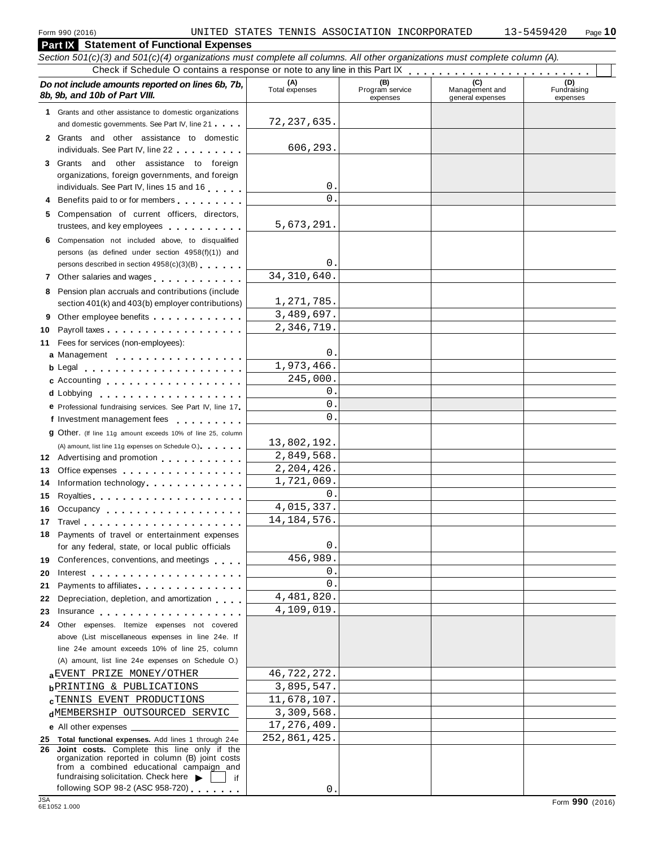| Section 501(c)(3) and 501(c)(4) organizations must complete all columns. All other organizations must complete column (A).                                                                                                                |                       |                                    |                                    |                                |
|-------------------------------------------------------------------------------------------------------------------------------------------------------------------------------------------------------------------------------------------|-----------------------|------------------------------------|------------------------------------|--------------------------------|
|                                                                                                                                                                                                                                           |                       |                                    |                                    |                                |
| Do not include amounts reported on lines 6b, 7b,<br>8b, 9b, and 10b of Part VIII.                                                                                                                                                         | (A)<br>Total expenses | (B)<br>Program service<br>expenses | Management and<br>general expenses | (D)<br>Fundraising<br>expenses |
| 1 Grants and other assistance to domestic organizations                                                                                                                                                                                   |                       |                                    |                                    |                                |
| and domestic governments. See Part IV, line 21                                                                                                                                                                                            | 72,237,635.           |                                    |                                    |                                |
| 2 Grants and other assistance to domestic<br>individuals. See Part IV, line 22                                                                                                                                                            | 606,293.              |                                    |                                    |                                |
| 3 Grants and other assistance to foreign                                                                                                                                                                                                  |                       |                                    |                                    |                                |
| organizations, foreign governments, and foreign                                                                                                                                                                                           |                       |                                    |                                    |                                |
| individuals. See Part IV, lines 15 and 16                                                                                                                                                                                                 | $\mathbf 0$ .         |                                    |                                    |                                |
| Benefits paid to or for members                                                                                                                                                                                                           | $\Omega$ .            |                                    |                                    |                                |
| 5 Compensation of current officers, directors,<br>trustees, and key employees expressed and the set of the set of the set of the set of the set of the set of the                                                                         | 5,673,291.            |                                    |                                    |                                |
| 6 Compensation not included above, to disqualified                                                                                                                                                                                        |                       |                                    |                                    |                                |
| persons (as defined under section 4958(f)(1)) and                                                                                                                                                                                         |                       |                                    |                                    |                                |
| persons described in section 4958(c)(3)(B)                                                                                                                                                                                                | $\mathbf{0}$ .        |                                    |                                    |                                |
|                                                                                                                                                                                                                                           | 34, 310, 640.         |                                    |                                    |                                |
| 8 Pension plan accruals and contributions (include                                                                                                                                                                                        |                       |                                    |                                    |                                |
| section 401(k) and 403(b) employer contributions)                                                                                                                                                                                         | 1,271,785.            |                                    |                                    |                                |
| Other employee benefits                                                                                                                                                                                                                   | 3,489,697.            |                                    |                                    |                                |
| Payroll taxes<br>10                                                                                                                                                                                                                       | 2,346,719.            |                                    |                                    |                                |
| 11 Fees for services (non-employees):                                                                                                                                                                                                     |                       |                                    |                                    |                                |
| a Management                                                                                                                                                                                                                              | 0.                    |                                    |                                    |                                |
| <b>b</b> Legal <b>experience in the contract of the contract of the contract of the contract of the contract of the contract of the contract of the contract of the contract of the contract of the contract of the contract of the c</b> | 1,973,466.            |                                    |                                    |                                |
| c Accounting                                                                                                                                                                                                                              | 245,000.              |                                    |                                    |                                |
|                                                                                                                                                                                                                                           | 0.                    |                                    |                                    |                                |
| e Professional fundraising services. See Part IV, line 17                                                                                                                                                                                 | $\mathsf{O}$ .        |                                    |                                    |                                |
| f Investment management fees                                                                                                                                                                                                              | $\Omega$ .            |                                    |                                    |                                |
| <b>g</b> Other. (If line 11g amount exceeds 10% of line 25, column                                                                                                                                                                        |                       |                                    |                                    |                                |
| (A) amount, list line 11g expenses on Schedule O.).                                                                                                                                                                                       | 13,802,192.           |                                    |                                    |                                |
| 12 Advertising and promotion                                                                                                                                                                                                              | 2,849,568.            |                                    |                                    |                                |
| Office expenses extensive and the set of the set of the set of the set of the set of the set of the set of the<br>13                                                                                                                      | 2,204,426.            |                                    |                                    |                                |
| Information technology<br>14                                                                                                                                                                                                              | 1,721,069.            |                                    |                                    |                                |
| 15                                                                                                                                                                                                                                        | 0.                    |                                    |                                    |                                |
| Occupancy experience and the contract of the contract of the contract of the contract of the contract of the contract of the contract of the contract of the contract of the contract of the contract of the contract of the c<br>16      | 4,015,337.            |                                    |                                    |                                |
|                                                                                                                                                                                                                                           | 14, 184, 576.         |                                    |                                    |                                |
| 18 Payments of travel or entertainment expenses                                                                                                                                                                                           |                       |                                    |                                    |                                |
| for any federal, state, or local public officials                                                                                                                                                                                         | 0.                    |                                    |                                    |                                |
| 19 Conferences, conventions, and meetings                                                                                                                                                                                                 | 456,989.              |                                    |                                    |                                |
| 20<br>Interest $\ldots$ , $\ldots$ , $\ldots$ , $\ldots$ , $\ldots$ , $\ldots$ , $\ldots$                                                                                                                                                 | 0.                    |                                    |                                    |                                |
| Payments to affiliates<br>21                                                                                                                                                                                                              | $\Omega$ .            |                                    |                                    |                                |
| Depreciation, depletion, and amortization<br>22                                                                                                                                                                                           | 4,481,820.            |                                    |                                    |                                |
| 23                                                                                                                                                                                                                                        | 4,109,019.            |                                    |                                    |                                |
| Other expenses. Itemize expenses not covered<br>24                                                                                                                                                                                        |                       |                                    |                                    |                                |
| above (List miscellaneous expenses in line 24e. If                                                                                                                                                                                        |                       |                                    |                                    |                                |
| line 24e amount exceeds 10% of line 25, column                                                                                                                                                                                            |                       |                                    |                                    |                                |
| (A) amount, list line 24e expenses on Schedule O.)                                                                                                                                                                                        |                       |                                    |                                    |                                |
| aEVENT PRIZE MONEY/OTHER                                                                                                                                                                                                                  | 46,722,272.           |                                    |                                    |                                |
| <b>b</b> PRINTING & PUBLICATIONS                                                                                                                                                                                                          | 3,895,547.            |                                    |                                    |                                |
| <b>CTENNIS EVENT PRODUCTIONS</b>                                                                                                                                                                                                          | 11,678,107.           |                                    |                                    |                                |
| dMEMBERSHIP OUTSOURCED SERVIC                                                                                                                                                                                                             | 3,309,568.            |                                    |                                    |                                |
|                                                                                                                                                                                                                                           | 17,276,409.           |                                    |                                    |                                |
| 25 Total functional expenses. Add lines 1 through 24e                                                                                                                                                                                     | 252,861,425.          |                                    |                                    |                                |
| 26 Joint costs. Complete this line only if the<br>organization reported in column (B) joint costs<br>from a combined educational campaign and<br>fundraising solicitation. Check here $\blacktriangleright$<br>if                         |                       |                                    |                                    |                                |
| following SOP 98-2 (ASC 958-720)                                                                                                                                                                                                          | $\mathsf{O}$ .        |                                    |                                    |                                |
| <b>JSA</b>                                                                                                                                                                                                                                |                       |                                    |                                    | Form 990 (2016)                |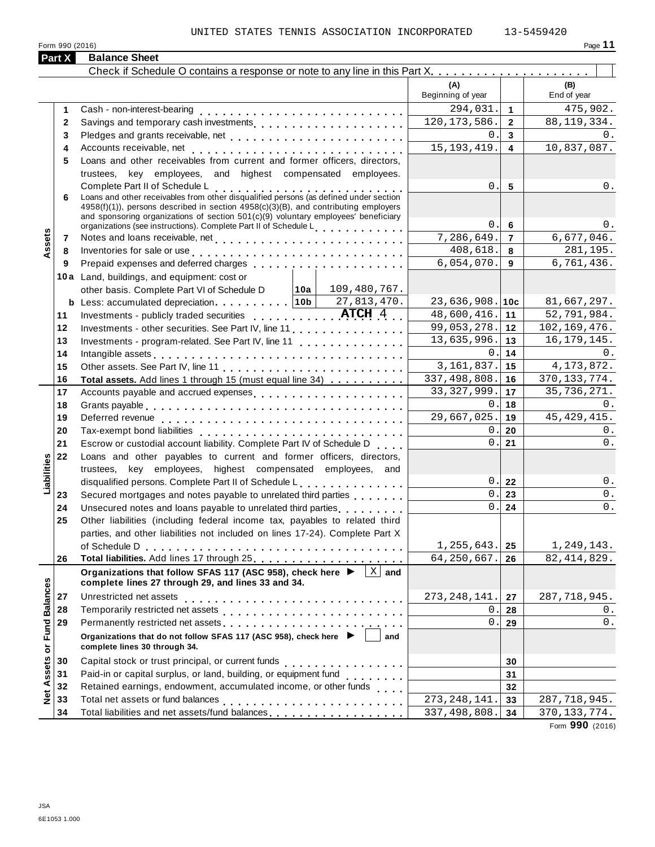|                      | Part X       | <b>Balance Sheet</b>                                                                                                                                                                                                                                                                                                                             |                          |                         |                     |
|----------------------|--------------|--------------------------------------------------------------------------------------------------------------------------------------------------------------------------------------------------------------------------------------------------------------------------------------------------------------------------------------------------|--------------------------|-------------------------|---------------------|
|                      |              |                                                                                                                                                                                                                                                                                                                                                  |                          |                         |                     |
|                      |              |                                                                                                                                                                                                                                                                                                                                                  | (A)<br>Beginning of year |                         | (B)<br>End of year  |
|                      | 1            |                                                                                                                                                                                                                                                                                                                                                  | 294,031.                 | $\mathbf{1}$            | 475,902.            |
|                      | $\mathbf{2}$ |                                                                                                                                                                                                                                                                                                                                                  | 120, 173, 586.           | $\overline{2}$          | 88, 119, 334.       |
|                      | 3            |                                                                                                                                                                                                                                                                                                                                                  | $\Omega$                 | $\mathbf{3}$            | 0.                  |
|                      | 4            |                                                                                                                                                                                                                                                                                                                                                  | 15, 193, 419.            | $\overline{\mathbf{4}}$ | 10,837,087.         |
|                      | 5            | Loans and other receivables from current and former officers, directors,                                                                                                                                                                                                                                                                         |                          |                         |                     |
|                      |              | trustees, key employees, and highest compensated employees.                                                                                                                                                                                                                                                                                      |                          |                         |                     |
|                      |              | Complete Part II of Schedule L<br>Loans and other receivables from other disqualified persons (as defined under section                                                                                                                                                                                                                          | $\overline{0}$ .         | $5\phantom{.0}$         | 0.                  |
|                      | 6            | 4958(f)(1)), persons described in section 4958(c)(3)(B), and contributing employers<br>and sponsoring organizations of section 501(c)(9) voluntary employees' beneficiary                                                                                                                                                                        |                          |                         |                     |
|                      |              | organizations (see instructions). Complete Part II of Schedule Letter Part 1                                                                                                                                                                                                                                                                     | 0.<br>7,286,649.         | 6<br>$\overline{7}$     | $0$ .<br>6,677,046. |
| Assets               | 7            |                                                                                                                                                                                                                                                                                                                                                  | 408,618.                 |                         | 281,195.            |
|                      | 8            | Inventories for sale or use enterpreteral resources in the set of the set of the set of the set of the set of the set of the set of the set of the set of the set of the set of the set of the set of the set of the set of th<br>Prepaid expenses and deferred charges [1] [1] [1] Prepaid expenses and deferred charges [1] [1] [1] [1] [1] [1 | 6,054,070.               | 8<br>9                  | 6,761,436.          |
|                      | 9            |                                                                                                                                                                                                                                                                                                                                                  |                          |                         |                     |
|                      |              | 10a Land, buildings, and equipment: cost or<br>other basis. Complete Part VI of Schedule D   10a   109, 480, 767.                                                                                                                                                                                                                                |                          |                         |                     |
|                      |              |                                                                                                                                                                                                                                                                                                                                                  | $23,636,908.$ 10c        |                         | 81,667,297.         |
|                      | 11           | Investments - publicly traded securities ATCH 4                                                                                                                                                                                                                                                                                                  | 48,600,416.              | 11                      | 52,791,984.         |
|                      | 12           | Investments - other securities. See Part IV, line 11                                                                                                                                                                                                                                                                                             | 99,053,278.              | 12                      | 102,169,476.        |
|                      | 13           | Investments - program-related. See Part IV, line 11                                                                                                                                                                                                                                                                                              | 13,635,996.              | 13                      | 16, 179, 145.       |
|                      | 14           | Intangible assets enterpreteration of the contract of the contract of the contract of the contract of the contract of the contract of the contract of the contract of the contract of the contract of the contract of the cont                                                                                                                   | 0                        | 14                      | 0.                  |
|                      | 15           |                                                                                                                                                                                                                                                                                                                                                  | 3, 161, 837.             | 15                      | 4, 173, 872.        |
|                      | 16           | Total assets. Add lines 1 through 15 (must equal line 34)                                                                                                                                                                                                                                                                                        | 337,498,808.             | 16                      | 370, 133, 774.      |
|                      | 17           | Accounts payable and accrued expenses entitled and accrued with the set of the set of the set of the set of the                                                                                                                                                                                                                                  | 33, 327, 999.            | 17                      | 35,736,271.         |
|                      | 18           |                                                                                                                                                                                                                                                                                                                                                  | 0.                       | 18                      | 0.                  |
|                      | 19           |                                                                                                                                                                                                                                                                                                                                                  | 29,667,025.              | 19                      | 45, 429, 415.       |
|                      | 20           | Tax-exempt bond liabilities                                                                                                                                                                                                                                                                                                                      | 0.                       | 20                      | 0.                  |
|                      | 21           | Escrow or custodial account liability. Complete Part IV of Schedule D.                                                                                                                                                                                                                                                                           | 0.                       | 21                      | $0$ .               |
|                      | 22           | Loans and other payables to current and former officers, directors,                                                                                                                                                                                                                                                                              |                          |                         |                     |
| Liabilities          |              | trustees, key employees, highest compensated employees, and                                                                                                                                                                                                                                                                                      |                          |                         |                     |
|                      |              | disqualified persons. Complete Part II of Schedule L.                                                                                                                                                                                                                                                                                            | 0.1                      | 22                      | $0$ .               |
|                      | 23           | Secured mortgages and notes payable to unrelated third parties                                                                                                                                                                                                                                                                                   | $\mathbf{0}$ .           | 23                      | 0.                  |
|                      | 24           | Unsecured notes and loans payable to unrelated third parties [1, 1, 1, 1, 1, 1]                                                                                                                                                                                                                                                                  | 0.                       | 24                      | $0$ .               |
|                      | 25           | Other liabilities (including federal income tax, payables to related third                                                                                                                                                                                                                                                                       |                          |                         |                     |
|                      |              | parties, and other liabilities not included on lines 17-24). Complete Part X                                                                                                                                                                                                                                                                     |                          |                         |                     |
|                      |              |                                                                                                                                                                                                                                                                                                                                                  | 1, 255, 643.             | 25                      | 1,249,143.          |
|                      | 26           |                                                                                                                                                                                                                                                                                                                                                  | 64,250,667.              | 26                      | 82, 414, 829.       |
|                      |              | $\overline{X}$ and<br>Organizations that follow SFAS 117 (ASC 958), check here ▶<br>complete lines 27 through 29, and lines 33 and 34.                                                                                                                                                                                                           |                          |                         |                     |
|                      | 27           |                                                                                                                                                                                                                                                                                                                                                  | 273, 248, 141.           | 27                      | 287, 718, 945.      |
|                      | 28           |                                                                                                                                                                                                                                                                                                                                                  | 0                        | 28                      | 0.                  |
|                      | 29           | Permanently restricted net assets<br>included: increased: increased: increased: increased: increased: increased: increased: increased: increased: increased: increased: increased: increased: increased: increased: increased: i                                                                                                                 | 0.                       | 29                      | $\mathsf 0$ .       |
| <b>Fund Balances</b> |              | Organizations that do not follow SFAS 117 (ASC 958), check here<br>and<br>complete lines 30 through 34.                                                                                                                                                                                                                                          |                          |                         |                     |
|                      | 30           |                                                                                                                                                                                                                                                                                                                                                  |                          | 30                      |                     |
| Net Assets or        | 31           | Paid-in or capital surplus, or land, building, or equipment fund<br>                                                                                                                                                                                                                                                                             |                          | 31                      |                     |
|                      | 32           | Retained earnings, endowment, accumulated income, or other funds                                                                                                                                                                                                                                                                                 |                          | 32                      |                     |
|                      | 33           |                                                                                                                                                                                                                                                                                                                                                  | 273, 248, 141            | 33                      | 287,718,945.        |
|                      | 34           | Total liabilities and net assets/fund balances                                                                                                                                                                                                                                                                                                   | 337, 498, 808.           | 34                      | 370, 133, 774.      |

Form **990** (2016)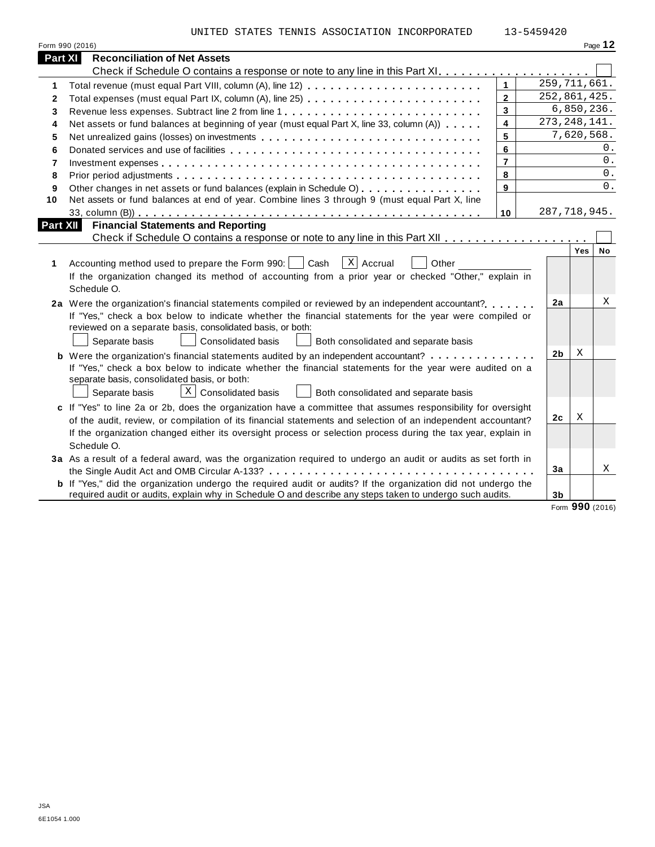UNITED STATES TENNIS ASSOCIATION INCORPORATED 13-5459420

|                 | Form 990 (2016)                                                                                                                                                                                                                                                                                                                                            |                |                |                |                  | Page 12 |  |
|-----------------|------------------------------------------------------------------------------------------------------------------------------------------------------------------------------------------------------------------------------------------------------------------------------------------------------------------------------------------------------------|----------------|----------------|----------------|------------------|---------|--|
| <b>Part XI</b>  | <b>Reconciliation of Net Assets</b>                                                                                                                                                                                                                                                                                                                        |                |                |                |                  |         |  |
|                 |                                                                                                                                                                                                                                                                                                                                                            |                |                |                |                  |         |  |
| 1               | Total revenue (must equal Part VIII, column (A), line 12)                                                                                                                                                                                                                                                                                                  | $\mathbf{1}$   |                | 259, 711, 661. |                  |         |  |
| $\mathbf{2}$    |                                                                                                                                                                                                                                                                                                                                                            | $\overline{2}$ |                | 252,861,425.   |                  |         |  |
| 3               | Revenue less expenses. Subtract line 2 from line 1                                                                                                                                                                                                                                                                                                         | 3              |                |                | 6,850,236.       |         |  |
| 4               | Net assets or fund balances at beginning of year (must equal Part X, line 33, column (A))                                                                                                                                                                                                                                                                  | 4              | 273, 248, 141. |                |                  |         |  |
| 5               | Net unrealized gains (losses) on investments                                                                                                                                                                                                                                                                                                               | 5              |                |                | 7,620,568.       |         |  |
| 6               |                                                                                                                                                                                                                                                                                                                                                            | 6              |                |                |                  | 0.      |  |
| $\overline{7}$  |                                                                                                                                                                                                                                                                                                                                                            | $\overline{7}$ |                |                |                  | $0$ .   |  |
| 8               |                                                                                                                                                                                                                                                                                                                                                            | 8              |                |                |                  | 0.      |  |
| 9               | Other changes in net assets or fund balances (explain in Schedule O)                                                                                                                                                                                                                                                                                       | 9              |                |                |                  | 0.      |  |
| 10              | Net assets or fund balances at end of year. Combine lines 3 through 9 (must equal Part X, line                                                                                                                                                                                                                                                             |                |                |                |                  |         |  |
|                 |                                                                                                                                                                                                                                                                                                                                                            | 10             |                | 287,718,945.   |                  |         |  |
| <b>Part XII</b> | <b>Financial Statements and Reporting</b>                                                                                                                                                                                                                                                                                                                  |                |                |                |                  |         |  |
|                 |                                                                                                                                                                                                                                                                                                                                                            |                |                |                | Yes <sup> </sup> |         |  |
| 1               | $X$ Accrual<br>Accounting method used to prepare the Form 990:     Cash<br>Other<br>If the organization changed its method of accounting from a prior year or checked "Other," explain in<br>Schedule O.                                                                                                                                                   |                |                |                |                  |         |  |
|                 | 2a Were the organization's financial statements compiled or reviewed by an independent accountant?<br>If "Yes," check a box below to indicate whether the financial statements for the year were compiled or<br>reviewed on a separate basis, consolidated basis, or both:<br>Separate basis<br>Consolidated basis<br>Both consolidated and separate basis |                |                | 2a             |                  | X       |  |
|                 | <b>b</b> Were the organization's financial statements audited by an independent accountant?                                                                                                                                                                                                                                                                |                |                | 2 <sub>b</sub> | X                |         |  |
|                 | If "Yes," check a box below to indicate whether the financial statements for the year were audited on a<br>separate basis, consolidated basis, or both:<br>$X$ Consolidated basis<br>Both consolidated and separate basis<br>Separate basis                                                                                                                |                |                |                |                  |         |  |
|                 | c If "Yes" to line 2a or 2b, does the organization have a committee that assumes responsibility for oversight                                                                                                                                                                                                                                              |                |                |                | X                |         |  |
|                 | of the audit, review, or compilation of its financial statements and selection of an independent accountant?                                                                                                                                                                                                                                               |                |                | 2c             |                  |         |  |
|                 | If the organization changed either its oversight process or selection process during the tax year, explain in<br>Schedule O.                                                                                                                                                                                                                               |                |                |                |                  |         |  |
|                 | 3a As a result of a federal award, was the organization required to undergo an audit or audits as set forth in                                                                                                                                                                                                                                             |                |                |                |                  |         |  |
|                 |                                                                                                                                                                                                                                                                                                                                                            |                |                | 3a             |                  | Χ       |  |
|                 | <b>b</b> If "Yes," did the organization undergo the required audit or audits? If the organization did not undergo the<br>required audit or audits, explain why in Schedule O and describe any steps taken to undergo such audits.                                                                                                                          |                |                | 3 <sub>b</sub> |                  |         |  |
|                 |                                                                                                                                                                                                                                                                                                                                                            |                |                |                |                  |         |  |

Form **990** (2016)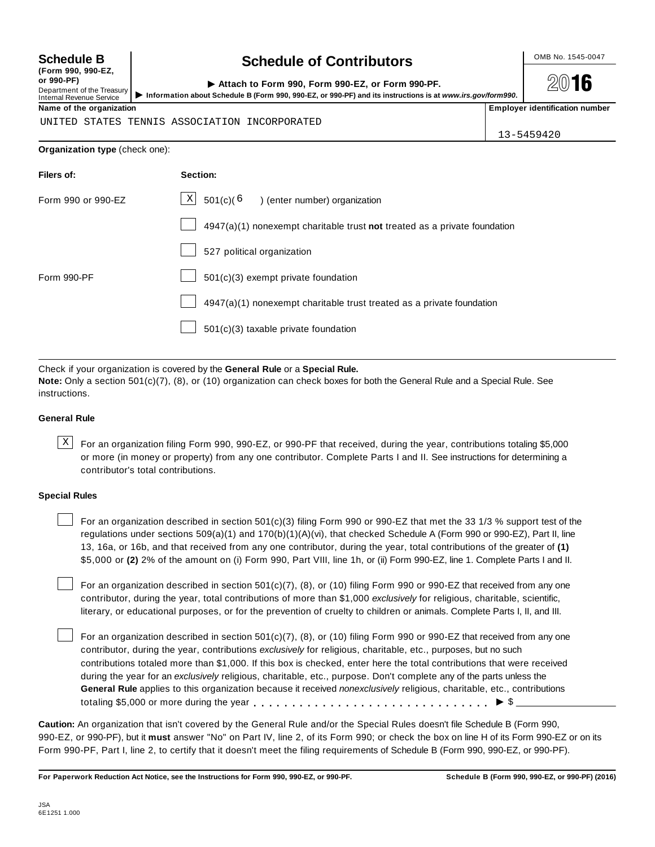**(Form 990, 990-EZ, or 990-PF)** Department of the Treasury<br>Internal Revenue Service

# **Schedule B chedule of Contributors**

**2016** 

| or 990-PF)<br>Department of the Treasury<br>Internal Revenue Service | Attach to Form 990, Form 990-EZ, or Form 990-PF.<br>Information about Schedule B (Form 990, 990-EZ, or 990-PF) and its instructions is at www.irs.gov/form990. | $20$ 16                               |
|----------------------------------------------------------------------|----------------------------------------------------------------------------------------------------------------------------------------------------------------|---------------------------------------|
| Name of the organization                                             |                                                                                                                                                                | <b>Employer identification number</b> |

UNITED STATES TENNIS ASSOCIATION INCORPORATED

13-5459420

## **Organization type** (check one):

| Filers of:         | Section:                                                                    |
|--------------------|-----------------------------------------------------------------------------|
| Form 990 or 990-EZ | $\boxed{\text{X}}$ 501(c)( <sup>6</sup> ) (enter number) organization       |
|                    | $4947(a)(1)$ nonexempt charitable trust not treated as a private foundation |
|                    | 527 political organization                                                  |
| Form 990-PF        | 501(c)(3) exempt private foundation                                         |
|                    | 4947(a)(1) nonexempt charitable trust treated as a private foundation       |
|                    | 501(c)(3) taxable private foundation                                        |
|                    |                                                                             |

Check if your organization is covered by the **General Rule** or a **Special Rule.**

**Note:** Only a section 501(c)(7), (8), or (10) organization can check boxes for both the General Rule and a Special Rule. See instructions.

# **General Rule**

 $\text{X}$  For an organization filing Form 990, 990-EZ, or 990-PF that received, during the year, contributions totaling \$5,000 or more (in money or property) from any one contributor. Complete Parts I and II. See instructions for determining a contributor's total contributions.

# **Special Rules**

For an organization described in section 501(c)(3) filing Form 990 or 990-EZ that met the 33 1/3 % support test of the regulations under sections 509(a)(1) and 170(b)(1)(A)(vi), that checked Schedule A (Form 990 or 990-EZ), Part II, line 13, 16a, or 16b, and that received from any one contributor, during the year, total contributions of the greater of **(1)** \$5,000 or **(2)** 2% of the amount on (i) Form 990, Part VIII, line 1h, or (ii) Form 990-EZ, line 1. Complete Parts I and II.

For an organization described in section 501(c)(7), (8), or (10) filing Form 990 or 990-EZ that received from any one contributor, during the year, total contributions of more than \$1,000 *exclusively* for religious, charitable, scientific, literary, or educational purposes, or for the prevention of cruelty to children or animals. Complete Parts I, II, and III.

For an organization described in section 501(c)(7), (8), or (10) filing Form 990 or 990-EZ that received from any one contributor, during the year, contributions *exclusively* for religious, charitable, etc., purposes, but no such contributions totaled more than \$1,000. If this box is checked, enter here the total contributions that were received during the year for an *exclusively* religious, charitable, etc., purpose. Don't complete any of the parts unless the **General Rule** applies to this organization because it received *nonexclusively* religious, charitable, etc., contributions totaling \$5,000 or more during the year m m m m m m m m m m m m m m m m m m m m m m m m m m m m m m m I \$

**Caution:** An organization that isn't covered by the General Rule and/or the Special Rules doesn't file Schedule B (Form 990, 990-EZ, or 990-PF), but it **must** answer "No" on Part IV, line 2, of its Form 990; or check the box on line H of its Form 990-EZ or on its Form 990-PF, Part I, line 2, to certify that it doesn't meet the filing requirements of Schedule B (Form 990, 990-EZ, or 990-PF).

For Paperwork Reduction Act Notice, see the Instructions for Form 990, 990-EZ, or 990-PF. Schedule B (Form 990, 990-EZ, or 990-PF) (2016)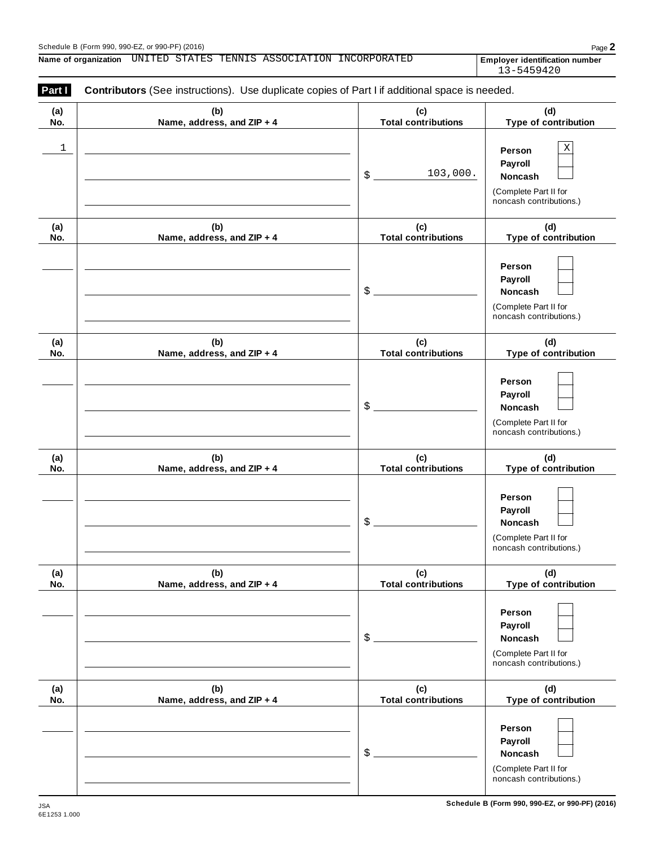# Schedule <sup>B</sup> (Form 990, 990-EZ, or 990-PF) (2016) Page **2**

**Name of organization Employer identification number** UNITED STATES TENNIS ASSOCIATION INCORPORATED

13-5459420

| (a)        | (b)                               | (c)                               | (d)                                                         |
|------------|-----------------------------------|-----------------------------------|-------------------------------------------------------------|
| No.        | Name, address, and ZIP + 4        | <b>Total contributions</b>        | Type of contribution                                        |
| 1          |                                   | 103,000.<br>\$                    | Χ<br>Person<br>Payroll<br>Noncash                           |
|            |                                   |                                   | (Complete Part II for<br>noncash contributions.)            |
| (a)<br>No. | (b)<br>Name, address, and ZIP + 4 | (c)<br><b>Total contributions</b> | (d)<br>Type of contribution                                 |
|            |                                   | \$                                | Person<br>Payroll<br>Noncash                                |
|            |                                   |                                   | (Complete Part II for<br>noncash contributions.)            |
| (a)<br>No. | (b)<br>Name, address, and ZIP + 4 | (c)<br><b>Total contributions</b> | (d)<br>Type of contribution                                 |
|            |                                   | \$                                | Person<br>Payroll<br>Noncash                                |
|            |                                   |                                   | (Complete Part II for<br>noncash contributions.)            |
| (a)<br>No. | (b)<br>Name, address, and ZIP + 4 | (c)<br><b>Total contributions</b> | (d)<br>Type of contribution                                 |
|            |                                   | \$                                | Person<br>Payroll<br>Noncash                                |
|            |                                   |                                   | (Complete Part II for<br>noncash contributions.)            |
| (a)<br>No. | (b)<br>Name, address, and ZIP + 4 | (c)<br><b>Total contributions</b> | (d)<br>Type of contribution                                 |
|            |                                   | \$                                | Person<br>Payroll<br><b>Noncash</b>                         |
|            |                                   |                                   | (Complete Part II for<br>noncash contributions.)            |
| (a)<br>No. | (b)<br>Name, address, and ZIP + 4 | (c)<br><b>Total contributions</b> | (d)<br>Type of contribution                                 |
|            |                                   |                                   | Person<br>Payroll                                           |
|            |                                   | \$                                | Noncash<br>(Complete Part II for<br>noncash contributions.) |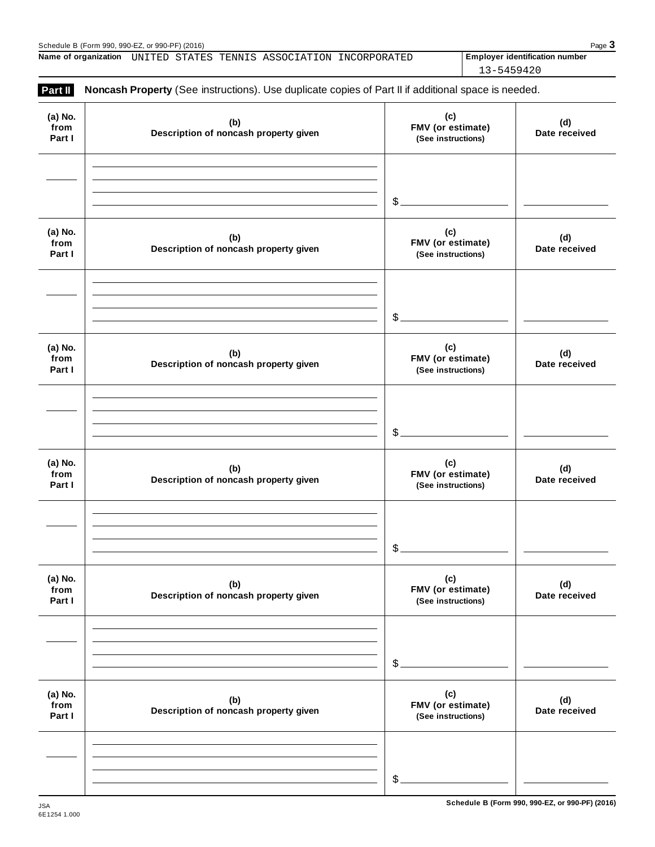|  |  | <b>Name of organization</b> UNITED STATES TENNIS ASSOCIATION INCORPORATED | <b>Employer identification number</b> |
|--|--|---------------------------------------------------------------------------|---------------------------------------|
|  |  |                                                                           | 13-5459420                            |

| Part II                   | Noncash Property (See instructions). Use duplicate copies of Part II if additional space is needed. |                                                |                      |
|---------------------------|-----------------------------------------------------------------------------------------------------|------------------------------------------------|----------------------|
| (a) No.<br>from<br>Part I | (b)<br>Description of noncash property given                                                        | (c)<br>FMV (or estimate)<br>(See instructions) | (d)<br>Date received |
|                           |                                                                                                     | $\mathcal{L}_{-}$                              |                      |
| (a) No.<br>from<br>Part I | (b)<br>Description of noncash property given                                                        | (c)<br>FMV (or estimate)<br>(See instructions) | (d)<br>Date received |
|                           |                                                                                                     | $\mathcal{S}_{-}$                              |                      |
| (a) No.<br>from<br>Part I | (b)<br>Description of noncash property given                                                        | (c)<br>FMV (or estimate)<br>(See instructions) | (d)<br>Date received |
|                           |                                                                                                     | $\mathcal{S}_{-}$                              |                      |
| (a) No.<br>from<br>Part I | (b)<br>Description of noncash property given                                                        | (c)<br>FMV (or estimate)<br>(See instructions) | (d)<br>Date received |
|                           |                                                                                                     | \$                                             |                      |
| (a) No.<br>from<br>Part I | (b)<br>Description of noncash property given                                                        | (c)<br>FMV (or estimate)<br>(See instructions) | (d)<br>Date received |
|                           |                                                                                                     | $\mathcal{L}_{-}$                              |                      |
| (a) No.<br>from<br>Part I | (b)<br>Description of noncash property given                                                        | (c)<br>FMV (or estimate)<br>(See instructions) | (d)<br>Date received |
|                           |                                                                                                     | $\mathcal{L}_{-}$                              |                      |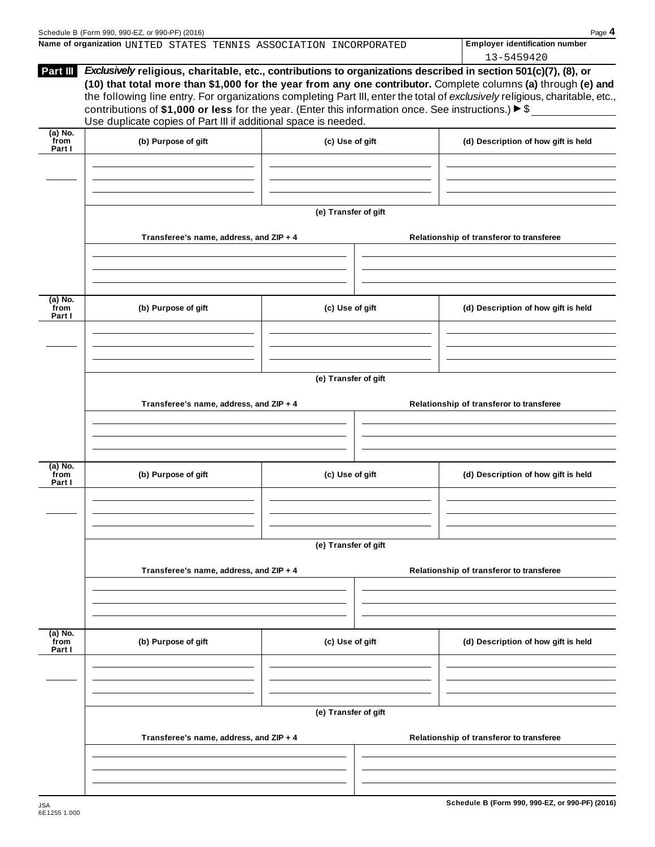|                     |                                                                                                                                                                          | エンニンキンプエム                                                                                                                                                                                                                                                                                                                                                                                                                                                                                                                                                                                                                                                                                                                              |
|---------------------|--------------------------------------------------------------------------------------------------------------------------------------------------------------------------|----------------------------------------------------------------------------------------------------------------------------------------------------------------------------------------------------------------------------------------------------------------------------------------------------------------------------------------------------------------------------------------------------------------------------------------------------------------------------------------------------------------------------------------------------------------------------------------------------------------------------------------------------------------------------------------------------------------------------------------|
| (b) Purpose of gift |                                                                                                                                                                          | (d) Description of how gift is held                                                                                                                                                                                                                                                                                                                                                                                                                                                                                                                                                                                                                                                                                                    |
|                     |                                                                                                                                                                          |                                                                                                                                                                                                                                                                                                                                                                                                                                                                                                                                                                                                                                                                                                                                        |
|                     |                                                                                                                                                                          |                                                                                                                                                                                                                                                                                                                                                                                                                                                                                                                                                                                                                                                                                                                                        |
|                     |                                                                                                                                                                          | Relationship of transferor to transferee                                                                                                                                                                                                                                                                                                                                                                                                                                                                                                                                                                                                                                                                                               |
|                     |                                                                                                                                                                          |                                                                                                                                                                                                                                                                                                                                                                                                                                                                                                                                                                                                                                                                                                                                        |
| (b) Purpose of gift |                                                                                                                                                                          | (d) Description of how gift is held                                                                                                                                                                                                                                                                                                                                                                                                                                                                                                                                                                                                                                                                                                    |
|                     |                                                                                                                                                                          |                                                                                                                                                                                                                                                                                                                                                                                                                                                                                                                                                                                                                                                                                                                                        |
|                     |                                                                                                                                                                          | Relationship of transferor to transferee                                                                                                                                                                                                                                                                                                                                                                                                                                                                                                                                                                                                                                                                                               |
| (b) Purpose of gift |                                                                                                                                                                          | (d) Description of how gift is held                                                                                                                                                                                                                                                                                                                                                                                                                                                                                                                                                                                                                                                                                                    |
|                     |                                                                                                                                                                          |                                                                                                                                                                                                                                                                                                                                                                                                                                                                                                                                                                                                                                                                                                                                        |
|                     |                                                                                                                                                                          |                                                                                                                                                                                                                                                                                                                                                                                                                                                                                                                                                                                                                                                                                                                                        |
|                     |                                                                                                                                                                          | Relationship of transferor to transferee                                                                                                                                                                                                                                                                                                                                                                                                                                                                                                                                                                                                                                                                                               |
| (b) Purpose of gift |                                                                                                                                                                          | (d) Description of how gift is held                                                                                                                                                                                                                                                                                                                                                                                                                                                                                                                                                                                                                                                                                                    |
|                     |                                                                                                                                                                          |                                                                                                                                                                                                                                                                                                                                                                                                                                                                                                                                                                                                                                                                                                                                        |
|                     |                                                                                                                                                                          |                                                                                                                                                                                                                                                                                                                                                                                                                                                                                                                                                                                                                                                                                                                                        |
|                     |                                                                                                                                                                          | Relationship of transferor to transferee                                                                                                                                                                                                                                                                                                                                                                                                                                                                                                                                                                                                                                                                                               |
|                     |                                                                                                                                                                          |                                                                                                                                                                                                                                                                                                                                                                                                                                                                                                                                                                                                                                                                                                                                        |
|                     | Transferee's name, address, and ZIP + 4<br>Transferee's name, address, and ZIP + 4<br>Transferee's name, address, and ZIP + 4<br>Transferee's name, address, and ZIP + 4 | Exclusively religious, charitable, etc., contributions to organizations described in section 501(c)(7), (8), or<br>(10) that total more than \$1,000 for the year from any one contributor. Complete columns (a) through (e) and<br>the following line entry. For organizations completing Part III, enter the total of exclusively religious, charitable, etc.,<br>contributions of \$1,000 or less for the year. (Enter this information once. See instructions.) $\triangleright$ \$<br>Use duplicate copies of Part III if additional space is needed.<br>(c) Use of gift<br>(e) Transfer of gift<br>(c) Use of gift<br>(e) Transfer of gift<br>(c) Use of gift<br>(e) Transfer of gift<br>(c) Use of gift<br>(e) Transfer of gift |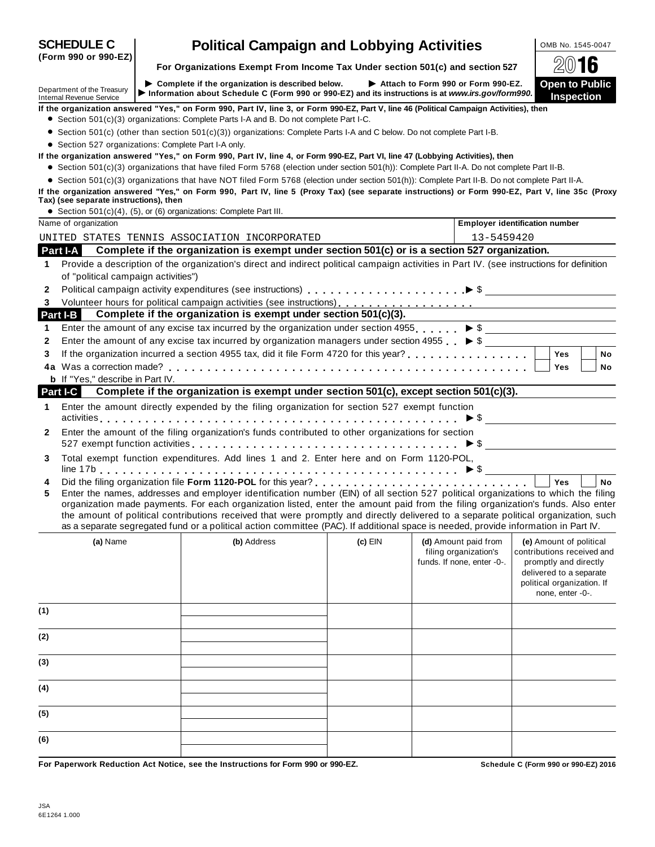|              | <b>SCHEDULE C</b>                                                                                     |  | <b>Political Campaign and Lobbying Activities</b>                                                                                                                                                                                                                                                                                                                                                                                                                                                                                                    |           |  |                                                     | OMB No. 1545-0047                                                                                                                |           |
|--------------|-------------------------------------------------------------------------------------------------------|--|------------------------------------------------------------------------------------------------------------------------------------------------------------------------------------------------------------------------------------------------------------------------------------------------------------------------------------------------------------------------------------------------------------------------------------------------------------------------------------------------------------------------------------------------------|-----------|--|-----------------------------------------------------|----------------------------------------------------------------------------------------------------------------------------------|-----------|
|              | (Form 990 or 990-EZ)<br>For Organizations Exempt From Income Tax Under section 501(c) and section 527 |  |                                                                                                                                                                                                                                                                                                                                                                                                                                                                                                                                                      |           |  |                                                     | 2016                                                                                                                             |           |
|              | Department of the Treasury<br><b>Internal Revenue Service</b>                                         |  | $\triangleright$ Complete if the organization is described below.<br>Information about Schedule C (Form 990 or 990-EZ) and its instructions is at www.irs.gov/form990.                                                                                                                                                                                                                                                                                                                                                                               |           |  | Attach to Form 990 or Form 990-EZ.                  | Open to Public<br><b>Inspection</b>                                                                                              |           |
|              |                                                                                                       |  | If the organization answered "Yes," on Form 990, Part IV, line 3, or Form 990-EZ, Part V, line 46 (Political Campaign Activities), then<br>• Section 501(c)(3) organizations: Complete Parts I-A and B. Do not complete Part I-C.                                                                                                                                                                                                                                                                                                                    |           |  |                                                     |                                                                                                                                  |           |
|              |                                                                                                       |  | • Section 501(c) (other than section 501(c)(3)) organizations: Complete Parts I-A and C below. Do not complete Part I-B.                                                                                                                                                                                                                                                                                                                                                                                                                             |           |  |                                                     |                                                                                                                                  |           |
|              | • Section 527 organizations: Complete Part I-A only.                                                  |  |                                                                                                                                                                                                                                                                                                                                                                                                                                                                                                                                                      |           |  |                                                     |                                                                                                                                  |           |
|              |                                                                                                       |  | If the organization answered "Yes," on Form 990, Part IV, line 4, or Form 990-EZ, Part VI, line 47 (Lobbying Activities), then                                                                                                                                                                                                                                                                                                                                                                                                                       |           |  |                                                     |                                                                                                                                  |           |
|              |                                                                                                       |  | • Section 501(c)(3) organizations that have filed Form 5768 (election under section 501(h)): Complete Part II-A. Do not complete Part II-B.                                                                                                                                                                                                                                                                                                                                                                                                          |           |  |                                                     |                                                                                                                                  |           |
|              |                                                                                                       |  | • Section 501(c)(3) organizations that have NOT filed Form 5768 (election under section 501(h)): Complete Part II-B. Do not complete Part II-A.                                                                                                                                                                                                                                                                                                                                                                                                      |           |  |                                                     |                                                                                                                                  |           |
|              | Tax) (see separate instructions), then                                                                |  | If the organization answered "Yes," on Form 990, Part IV, line 5 (Proxy Tax) (see separate instructions) or Form 990-EZ, Part V, line 35c (Proxy                                                                                                                                                                                                                                                                                                                                                                                                     |           |  |                                                     |                                                                                                                                  |           |
|              |                                                                                                       |  | • Section 501(c)(4), (5), or (6) organizations: Complete Part III.                                                                                                                                                                                                                                                                                                                                                                                                                                                                                   |           |  |                                                     |                                                                                                                                  |           |
|              | Name of organization                                                                                  |  |                                                                                                                                                                                                                                                                                                                                                                                                                                                                                                                                                      |           |  | <b>Employer identification number</b>               |                                                                                                                                  |           |
|              |                                                                                                       |  | UNITED STATES TENNIS ASSOCIATION INCORPORATED                                                                                                                                                                                                                                                                                                                                                                                                                                                                                                        |           |  | 13-5459420                                          |                                                                                                                                  |           |
|              | Part I-A                                                                                              |  | Complete if the organization is exempt under section 501(c) or is a section 527 organization.                                                                                                                                                                                                                                                                                                                                                                                                                                                        |           |  |                                                     |                                                                                                                                  |           |
| $\mathbf 1$  |                                                                                                       |  | Provide a description of the organization's direct and indirect political campaign activities in Part IV. (see instructions for definition                                                                                                                                                                                                                                                                                                                                                                                                           |           |  |                                                     |                                                                                                                                  |           |
|              | of "political campaign activities")                                                                   |  |                                                                                                                                                                                                                                                                                                                                                                                                                                                                                                                                                      |           |  |                                                     |                                                                                                                                  |           |
| 2            |                                                                                                       |  |                                                                                                                                                                                                                                                                                                                                                                                                                                                                                                                                                      |           |  |                                                     |                                                                                                                                  |           |
| 3.           |                                                                                                       |  | Volunteer hours for political campaign activities (see instructions)<br>expansion of the content of the content of the content of the content of the content of the content of the content of the content of the content of the                                                                                                                                                                                                                                                                                                                      |           |  |                                                     |                                                                                                                                  |           |
| Part I-B     |                                                                                                       |  | Complete if the organization is exempt under section 501(c)(3).                                                                                                                                                                                                                                                                                                                                                                                                                                                                                      |           |  |                                                     |                                                                                                                                  |           |
| 1.           |                                                                                                       |  | Enter the amount of any excise tax incurred by the organization under section $4955$ $\triangleright$ \$                                                                                                                                                                                                                                                                                                                                                                                                                                             |           |  |                                                     |                                                                                                                                  |           |
| 2            |                                                                                                       |  | Enter the amount of any excise tax incurred by organization managers under section 4955 $\triangleright$ \$                                                                                                                                                                                                                                                                                                                                                                                                                                          |           |  |                                                     |                                                                                                                                  |           |
| 3            |                                                                                                       |  |                                                                                                                                                                                                                                                                                                                                                                                                                                                                                                                                                      |           |  |                                                     | <b>Yes</b>                                                                                                                       | No        |
|              |                                                                                                       |  |                                                                                                                                                                                                                                                                                                                                                                                                                                                                                                                                                      |           |  |                                                     | Yes                                                                                                                              | No        |
|              | <b>b</b> If "Yes," describe in Part IV.                                                               |  | Complete if the organization is exempt under section 501(c), except section 501(c)(3).                                                                                                                                                                                                                                                                                                                                                                                                                                                               |           |  |                                                     |                                                                                                                                  |           |
| Part I-C     |                                                                                                       |  |                                                                                                                                                                                                                                                                                                                                                                                                                                                                                                                                                      |           |  |                                                     |                                                                                                                                  |           |
| 1.           |                                                                                                       |  | Enter the amount directly expended by the filing organization for section 527 exempt function                                                                                                                                                                                                                                                                                                                                                                                                                                                        |           |  |                                                     |                                                                                                                                  |           |
|              |                                                                                                       |  | Enter the amount of the filing organization's funds contributed to other organizations for section                                                                                                                                                                                                                                                                                                                                                                                                                                                   |           |  |                                                     |                                                                                                                                  |           |
| $\mathbf{2}$ |                                                                                                       |  | 527 exempt function activities $\ldots \ldots \ldots \ldots \ldots \ldots \ldots \ldots \ldots \ldots \ldots \blacktriangleright \$                                                                                                                                                                                                                                                                                                                                                                                                                  |           |  |                                                     |                                                                                                                                  |           |
| 3            |                                                                                                       |  | Total exempt function expenditures. Add lines 1 and 2. Enter here and on Form 1120-POL,                                                                                                                                                                                                                                                                                                                                                                                                                                                              |           |  |                                                     |                                                                                                                                  |           |
| 4<br>5       |                                                                                                       |  | Enter the names, addresses and employer identification number (EIN) of all section 527 political organizations to which the filing<br>organization made payments. For each organization listed, enter the amount paid from the filing organization's funds. Also enter<br>the amount of political contributions received that were promptly and directly delivered to a separate political organization, such<br>as a separate segregated fund or a political action committee (PAC). If additional space is needed, provide information in Part IV. |           |  |                                                     | <b>Yes</b>                                                                                                                       | <b>No</b> |
|              | (a) Name                                                                                              |  | (b) Address                                                                                                                                                                                                                                                                                                                                                                                                                                                                                                                                          | $(c)$ EIN |  | (d) Amount paid from                                | (e) Amount of political                                                                                                          |           |
|              |                                                                                                       |  |                                                                                                                                                                                                                                                                                                                                                                                                                                                                                                                                                      |           |  | filing organization's<br>funds. If none, enter -0-. | contributions received and<br>promptly and directly<br>delivered to a separate<br>political organization. If<br>none, enter -0-. |           |
| (1)          |                                                                                                       |  |                                                                                                                                                                                                                                                                                                                                                                                                                                                                                                                                                      |           |  |                                                     |                                                                                                                                  |           |
| (2)          |                                                                                                       |  |                                                                                                                                                                                                                                                                                                                                                                                                                                                                                                                                                      |           |  |                                                     |                                                                                                                                  |           |
| (3)          |                                                                                                       |  |                                                                                                                                                                                                                                                                                                                                                                                                                                                                                                                                                      |           |  |                                                     |                                                                                                                                  |           |
| (4)          |                                                                                                       |  |                                                                                                                                                                                                                                                                                                                                                                                                                                                                                                                                                      |           |  |                                                     |                                                                                                                                  |           |
| (5)          |                                                                                                       |  |                                                                                                                                                                                                                                                                                                                                                                                                                                                                                                                                                      |           |  |                                                     |                                                                                                                                  |           |
| (6)          |                                                                                                       |  |                                                                                                                                                                                                                                                                                                                                                                                                                                                                                                                                                      |           |  |                                                     |                                                                                                                                  |           |
|              |                                                                                                       |  |                                                                                                                                                                                                                                                                                                                                                                                                                                                                                                                                                      |           |  |                                                     |                                                                                                                                  |           |

For Paperwork Reduction Act Notice, see the Instructions for Form 990 or 990-EZ. Schedule C (Form 990 or 990-EZ) 2016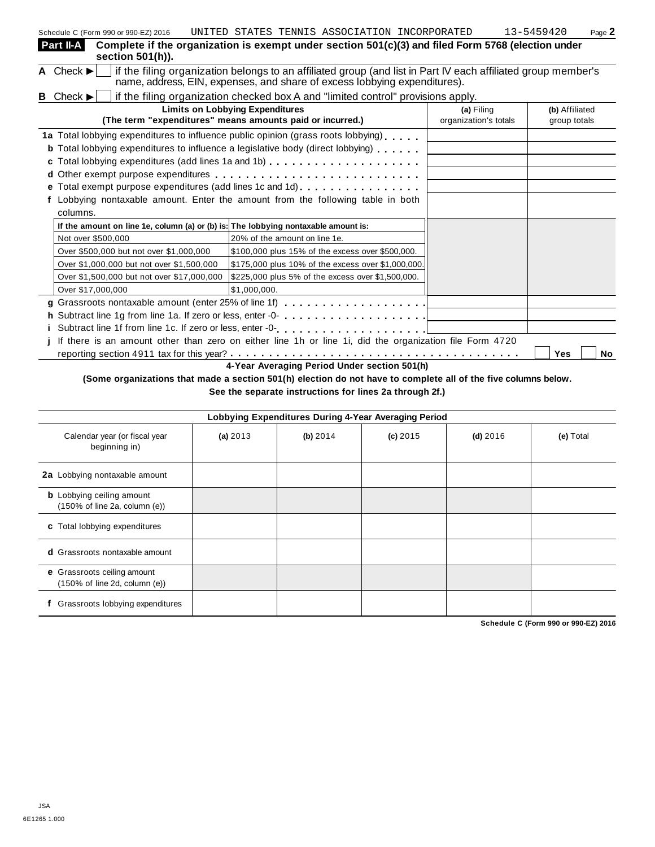| Schedule C (Form 990 or 990-EZ) 2016                                                                                                                                                                                        | UNITED STATES TENNIS ASSOCIATION INCORPORATED      |  |                       | 13-5459420     | Page 2 |
|-----------------------------------------------------------------------------------------------------------------------------------------------------------------------------------------------------------------------------|----------------------------------------------------|--|-----------------------|----------------|--------|
| Part II-A<br>Complete if the organization is exempt under section 501(c)(3) and filed Form 5768 (election under<br>section 501(h)).                                                                                         |                                                    |  |                       |                |        |
| if the filing organization belongs to an affiliated group (and list in Part IV each affiliated group member's<br>A Check $\blacktriangleright$<br>name, address, EIN, expenses, and share of excess lobbying expenditures). |                                                    |  |                       |                |        |
| if the filing organization checked box A and "limited control" provisions apply.<br><b>B</b> Check $\blacktriangleright$                                                                                                    |                                                    |  |                       |                |        |
|                                                                                                                                                                                                                             | <b>Limits on Lobbying Expenditures</b>             |  | (a) Filing            | (b) Affiliated |        |
| (The term "expenditures" means amounts paid or incurred.)                                                                                                                                                                   |                                                    |  | organization's totals | group totals   |        |
| 1a Total lobbying expenditures to influence public opinion (grass roots lobbying)                                                                                                                                           |                                                    |  |                       |                |        |
| <b>b</b> Total lobbying expenditures to influence a legislative body (direct lobbying)                                                                                                                                      |                                                    |  |                       |                |        |
|                                                                                                                                                                                                                             |                                                    |  |                       |                |        |
|                                                                                                                                                                                                                             |                                                    |  |                       |                |        |
|                                                                                                                                                                                                                             |                                                    |  |                       |                |        |
| f Lobbying nontaxable amount. Enter the amount from the following table in both                                                                                                                                             |                                                    |  |                       |                |        |
| columns.                                                                                                                                                                                                                    |                                                    |  |                       |                |        |
| If the amount on line 1e, column (a) or (b) is: The lobbying nontaxable amount is:                                                                                                                                          |                                                    |  |                       |                |        |
| Not over \$500,000                                                                                                                                                                                                          | 20% of the amount on line 1e.                      |  |                       |                |        |
| Over \$500,000 but not over \$1,000,000                                                                                                                                                                                     | \$100,000 plus 15% of the excess over \$500,000.   |  |                       |                |        |
| Over \$1,000,000 but not over \$1,500,000                                                                                                                                                                                   | \$175,000 plus 10% of the excess over \$1,000,000. |  |                       |                |        |
| Over \$1,500,000 but not over \$17,000,000                                                                                                                                                                                  | \$225,000 plus 5% of the excess over \$1,500,000.  |  |                       |                |        |
| Over \$17,000,000                                                                                                                                                                                                           | \$1,000,000.                                       |  |                       |                |        |
| g Grassroots nontaxable amount (enter 25% of line 1f)                                                                                                                                                                       |                                                    |  |                       |                |        |
|                                                                                                                                                                                                                             |                                                    |  |                       |                |        |
| i Subtract line 1f from line 1c. If zero or less, enter -0-<br>and an anti-and and annumeration of the 1c. If $\sim$                                                                                                        |                                                    |  |                       |                |        |
| j If there is an amount other than zero on either line 1h or line 1i, did the organization file Form 4720                                                                                                                   |                                                    |  |                       |                |        |
|                                                                                                                                                                                                                             |                                                    |  |                       | Yes            | No     |
|                                                                                                                                                                                                                             | 4-Year Averaging Period Under section 501(h)       |  |                       |                |        |

(Some organizations that made a section 501(h) election do not have to complete all of the five columns below. **See the separate instructions for lines 2a through 2f.)**

| Lobbying Expenditures During 4-Year Averaging Period              |            |          |            |            |           |  |  |
|-------------------------------------------------------------------|------------|----------|------------|------------|-----------|--|--|
| Calendar year (or fiscal year<br>beginning in)                    | (a) $2013$ | (b) 2014 | $(c)$ 2015 | $(d)$ 2016 | (e) Total |  |  |
| 2a Lobbying nontaxable amount                                     |            |          |            |            |           |  |  |
| <b>b</b> Lobbying ceiling amount<br>(150% of line 2a, column (e)) |            |          |            |            |           |  |  |
| c Total lobbying expenditures                                     |            |          |            |            |           |  |  |
| <b>d</b> Grassroots nontaxable amount                             |            |          |            |            |           |  |  |
| e Grassroots ceiling amount<br>(150% of line 2d, column (e))      |            |          |            |            |           |  |  |
| Grassroots lobbying expenditures                                  |            |          |            |            |           |  |  |

**Schedule C (Form 990 or 990-EZ) 2016**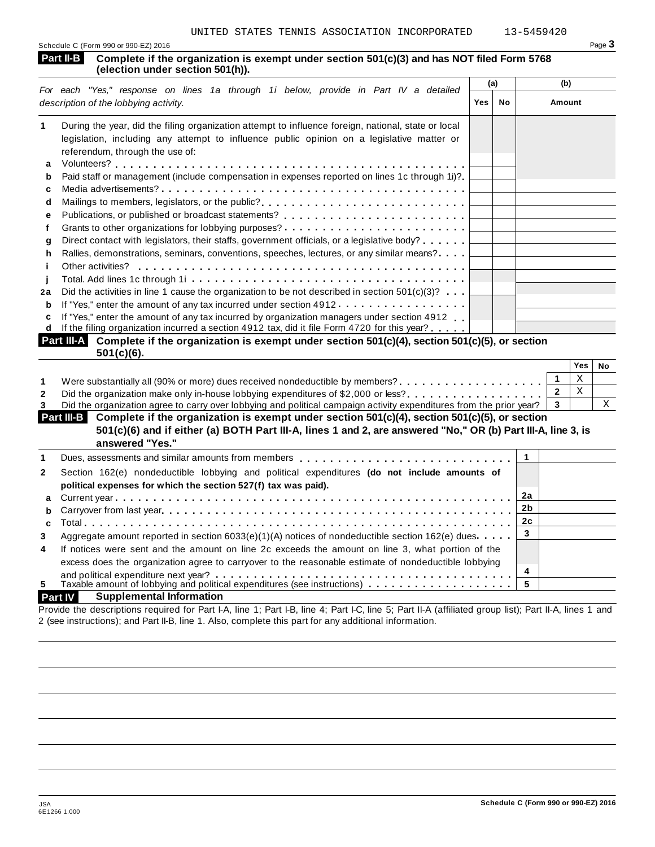| Schedule C (Form 990 or 990-EZ) 2016 | $P$ aqe $\bullet$ |
|--------------------------------------|-------------------|
|                                      |                   |

| <b>Part II-B</b> I | Complete if the organization is exempt under section 501(c)(3) and has NOT filed Form 5768 |  |
|--------------------|--------------------------------------------------------------------------------------------|--|
|                    | (election under section 501(h)).                                                           |  |

|    | For each "Yes," response on lines 1a through 1i below, provide in Part IV a detailed                |     | (a)       | (b)    |  |
|----|-----------------------------------------------------------------------------------------------------|-----|-----------|--------|--|
|    | description of the lobbying activity.                                                               | Yes | <b>No</b> | Amount |  |
| 1  | During the year, did the filing organization attempt to influence foreign, national, state or local |     |           |        |  |
|    | legislation, including any attempt to influence public opinion on a legislative matter or           |     |           |        |  |
|    | referendum, through the use of:                                                                     |     |           |        |  |
| a  |                                                                                                     |     |           |        |  |
| b  | Paid staff or management (include compensation in expenses reported on lines 1c through 1i)?        |     |           |        |  |
| c  |                                                                                                     |     |           |        |  |
| d  | Mailings to members, legislators, or the public?                                                    |     |           |        |  |
| е  |                                                                                                     |     |           |        |  |
|    |                                                                                                     |     |           |        |  |
| a  | Direct contact with legislators, their staffs, government officials, or a legislative body?         |     |           |        |  |
| h. | Rallies, demonstrations, seminars, conventions, speeches, lectures, or any similar means?           |     |           |        |  |
|    | Other activities?                                                                                   |     |           |        |  |
|    |                                                                                                     |     |           |        |  |
| 2a | Did the activities in line 1 cause the organization to be not described in section $501(c)(3)$ ?    |     |           |        |  |
| b  | If "Yes," enter the amount of any tax incurred under section $4912$                                 |     |           |        |  |
| c  | If "Yes," enter the amount of any tax incurred by organization managers under section 4912          |     |           |        |  |
| d  | If the filing organization incurred a section 4912 tax, did it file Form 4720 for this year?        |     |           |        |  |

| Part III-A Complete if the organization is exempt under section 501(c)(4), section 501(c)(5), or section |  |
|----------------------------------------------------------------------------------------------------------|--|
| $501(c)(6)$ .                                                                                            |  |

|                                                                                                                               | Yes | No |
|-------------------------------------------------------------------------------------------------------------------------------|-----|----|
| Were substantially all (90% or more) dues received nondeductible by members?<br>                                              |     |    |
| Did the organization make only in-house lobbying expenditures of \$2,000 or less?                                             |     |    |
| Did the organization agree to carry over lobbying and political campaign activity expenditures from the prior year? $\vert$ 3 |     |    |

| Part III-B Complete if the organization is exempt under section 501(c)(4), section 501(c)(5), or section<br>501(c)(6) and if either (a) BOTH Part III-A, lines 1 and 2, are answered "No," OR (b) Part III-A, line 3, is |  |  |
|--------------------------------------------------------------------------------------------------------------------------------------------------------------------------------------------------------------------------|--|--|
| answered "Yes."                                                                                                                                                                                                          |  |  |
| Dues, assessments and similar amounts from members $\ldots$ , , , , , , , ,                                                                                                                                              |  |  |

|                | Dues, assessments and similar amounts from members q and and all $\alpha$ , $\alpha$ , $\alpha$ , $\alpha$ , $\alpha$ , $\alpha$ , $\alpha$ , $\alpha$ , $\alpha$ , $\alpha$ , $\alpha$ , $\alpha$ |    |  |
|----------------|----------------------------------------------------------------------------------------------------------------------------------------------------------------------------------------------------|----|--|
| $\mathbf{2}$   | Section 162(e) nondeductible lobbying and political expenditures (do not include amounts of                                                                                                        |    |  |
|                | political expenses for which the section 527(f) tax was paid).                                                                                                                                     |    |  |
|                |                                                                                                                                                                                                    |    |  |
|                |                                                                                                                                                                                                    |    |  |
|                |                                                                                                                                                                                                    | 2c |  |
| 3              | Aggregate amount reported in section 6033(e)(1)(A) notices of nondeductible section 162(e) dues                                                                                                    |    |  |
| $\overline{4}$ | If notices were sent and the amount on line 2c exceeds the amount on line 3, what portion of the                                                                                                   |    |  |
|                | excess does the organization agree to carryover to the reasonable estimate of nondeductible lobbying                                                                                               |    |  |
|                | and political expenditure next year? $\ldots \ldots \ldots \ldots \ldots \ldots \ldots \ldots \ldots \ldots \ldots \ldots \ldots$                                                                  | 4  |  |
| 5.             | Taxable amount of lobbying and political expenditures (see instructions) $\ldots \ldots \ldots \ldots$                                                                                             |    |  |

# **Part IV Supplemental Information**

Provide the descriptions required for Part I-A, line 1; Part I-B, line 4; Part I-C, line 5; Part II-A (affiliated group list); Part II-A, lines 1 and 2 (see instructions); and Part II-B, line 1. Also, complete this part for any additional information.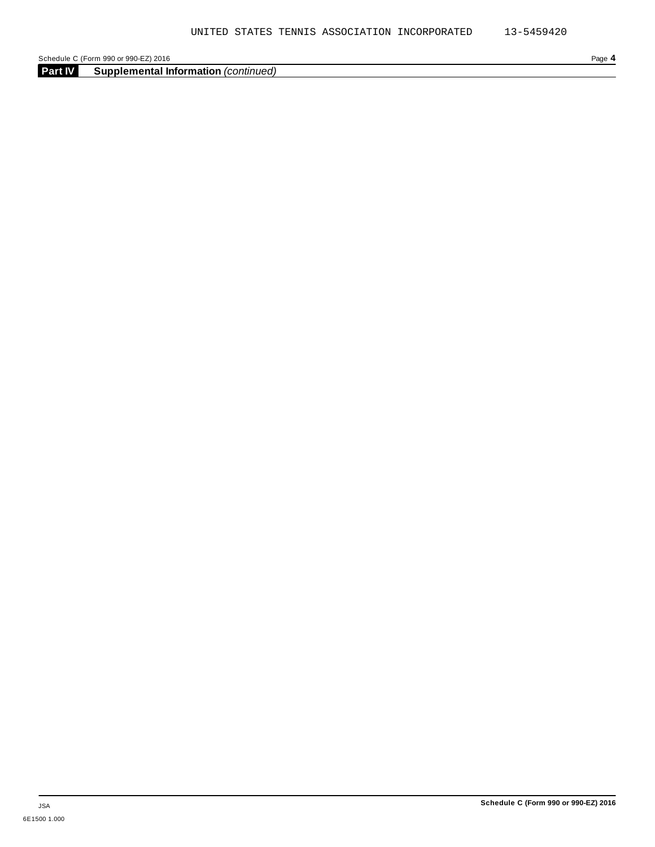Schedule C (Form 990 or 990-EZ) 2016 Page 4<br> **Part IV Supplemental Information** (continued) **Supplemental Information** *(continued)*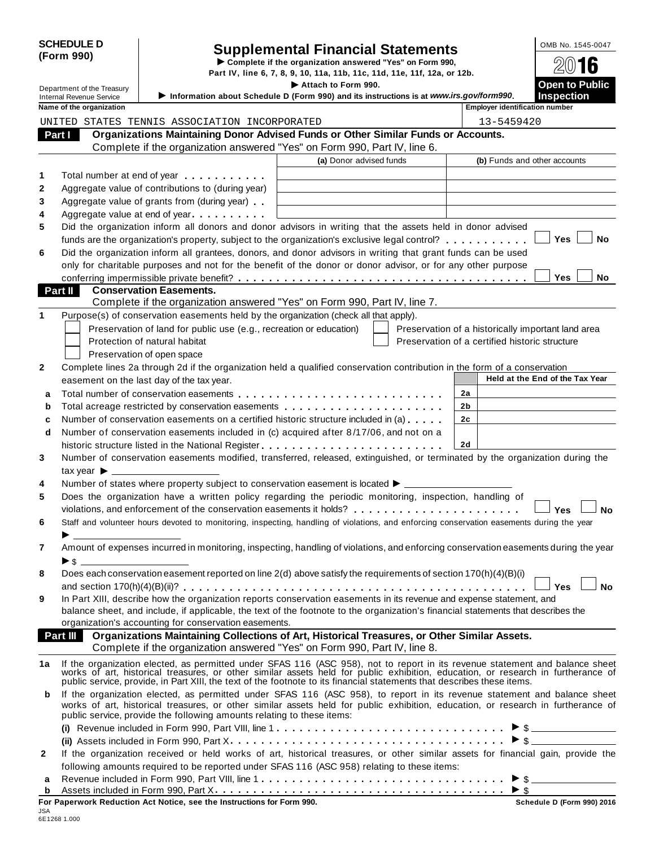|              | <b>SCHEDULE D</b><br>(Form 990)<br>Department of the Treasury |                                                                                                   | <b>Supplemental Financial Statements</b><br>Complete if the organization answered "Yes" on Form 990,<br>Part IV, line 6, 7, 8, 9, 10, 11a, 11b, 11c, 11d, 11e, 11f, 12a, or 12b.<br>Attach to Form 990.                        |                                                    | OMB No. 1545-0047<br>16<br><b>Open to Public</b> |
|--------------|---------------------------------------------------------------|---------------------------------------------------------------------------------------------------|--------------------------------------------------------------------------------------------------------------------------------------------------------------------------------------------------------------------------------|----------------------------------------------------|--------------------------------------------------|
|              | <b>Internal Revenue Service</b>                               |                                                                                                   | Information about Schedule D (Form 990) and its instructions is at www.irs.gov/form990.                                                                                                                                        |                                                    | <b>Inspection</b>                                |
|              | Name of the organization                                      |                                                                                                   |                                                                                                                                                                                                                                | <b>Employer identification number</b>              |                                                  |
|              |                                                               | UNITED STATES TENNIS ASSOCIATION INCORPORATED                                                     | Organizations Maintaining Donor Advised Funds or Other Similar Funds or Accounts.                                                                                                                                              | 13-5459420                                         |                                                  |
|              | Part I                                                        |                                                                                                   | Complete if the organization answered "Yes" on Form 990, Part IV, line 6.                                                                                                                                                      |                                                    |                                                  |
|              |                                                               |                                                                                                   | (a) Donor advised funds                                                                                                                                                                                                        |                                                    | (b) Funds and other accounts                     |
|              |                                                               |                                                                                                   |                                                                                                                                                                                                                                |                                                    |                                                  |
| 1            |                                                               | Total number at end of year <b>that is a structure of the structure</b>                           |                                                                                                                                                                                                                                |                                                    |                                                  |
| 2            |                                                               | Aggregate value of contributions to (during year)                                                 |                                                                                                                                                                                                                                |                                                    |                                                  |
| 3            |                                                               | Aggregate value of grants from (during year)                                                      |                                                                                                                                                                                                                                |                                                    |                                                  |
| 4<br>5       |                                                               | Aggregate value at end of year example.                                                           |                                                                                                                                                                                                                                |                                                    |                                                  |
|              |                                                               |                                                                                                   | Did the organization inform all donors and donor advisors in writing that the assets held in donor advised<br>funds are the organization's property, subject to the organization's exclusive legal control?                    |                                                    | No<br>Yes                                        |
| 6            |                                                               |                                                                                                   | Did the organization inform all grantees, donors, and donor advisors in writing that grant funds can be used                                                                                                                   |                                                    |                                                  |
|              |                                                               |                                                                                                   | only for charitable purposes and not for the benefit of the donor or donor advisor, or for any other purpose                                                                                                                   |                                                    |                                                  |
|              |                                                               |                                                                                                   |                                                                                                                                                                                                                                |                                                    | No<br><b>Yes</b>                                 |
|              | Part II                                                       | <b>Conservation Easements.</b>                                                                    |                                                                                                                                                                                                                                |                                                    |                                                  |
|              |                                                               |                                                                                                   | Complete if the organization answered "Yes" on Form 990, Part IV, line 7.                                                                                                                                                      |                                                    |                                                  |
| 1            |                                                               |                                                                                                   | Purpose(s) of conservation easements held by the organization (check all that apply).                                                                                                                                          |                                                    |                                                  |
|              |                                                               | Preservation of land for public use (e.g., recreation or education)                               |                                                                                                                                                                                                                                | Preservation of a historically important land area |                                                  |
|              |                                                               | Protection of natural habitat                                                                     |                                                                                                                                                                                                                                | Preservation of a certified historic structure     |                                                  |
|              |                                                               | Preservation of open space                                                                        |                                                                                                                                                                                                                                |                                                    |                                                  |
| 2            |                                                               |                                                                                                   | Complete lines 2a through 2d if the organization held a qualified conservation contribution in the form of a conservation                                                                                                      |                                                    |                                                  |
|              |                                                               | easement on the last day of the tax year.                                                         |                                                                                                                                                                                                                                |                                                    | Held at the End of the Tax Year                  |
| a            |                                                               |                                                                                                   |                                                                                                                                                                                                                                | 2a                                                 |                                                  |
| b            |                                                               |                                                                                                   | Total acreage restricted by conservation easements                                                                                                                                                                             | 2b                                                 |                                                  |
| c            |                                                               |                                                                                                   | Number of conservation easements on a certified historic structure included in (a)                                                                                                                                             | 2c                                                 |                                                  |
| d            |                                                               |                                                                                                   | Number of conservation easements included in (c) acquired after 8/17/06, and not on a                                                                                                                                          |                                                    |                                                  |
|              |                                                               |                                                                                                   | historic structure listed in the National Register                                                                                                                                                                             | 2d                                                 |                                                  |
| 3            |                                                               |                                                                                                   | Number of conservation easements modified, transferred, released, extinguished, or terminated by the organization during the                                                                                                   |                                                    |                                                  |
|              | tax year $\blacktriangleright$ $\_\_$                         |                                                                                                   |                                                                                                                                                                                                                                |                                                    |                                                  |
| 4            |                                                               | Number of states where property subject to conservation easement is located $\blacktriangleright$ |                                                                                                                                                                                                                                |                                                    |                                                  |
| 5            |                                                               |                                                                                                   | Does the organization have a written policy regarding the periodic monitoring, inspection, handling of                                                                                                                         |                                                    |                                                  |
|              |                                                               |                                                                                                   | violations, and enforcement of the conservation easements it holds? $\ldots \ldots \ldots \ldots \ldots \ldots$                                                                                                                |                                                    |                                                  |
| 6            |                                                               |                                                                                                   | Staff and volunteer hours devoted to monitoring, inspecting, handling of violations, and enforcing conservation easements during the year                                                                                      |                                                    |                                                  |
|              |                                                               |                                                                                                   |                                                                                                                                                                                                                                |                                                    |                                                  |
| 7            |                                                               |                                                                                                   | Amount of expenses incurred in monitoring, inspecting, handling of violations, and enforcing conservation easements during the year                                                                                            |                                                    |                                                  |
| 8            | $\blacktriangleright$ \$                                      |                                                                                                   | Does each conservation easement reported on line 2(d) above satisfy the requirements of section 170(h)(4)(B)(i)                                                                                                                |                                                    |                                                  |
|              |                                                               |                                                                                                   |                                                                                                                                                                                                                                |                                                    | J Yes∶<br><b>No</b>                              |
| 9            |                                                               |                                                                                                   | In Part XIII, describe how the organization reports conservation easements in its revenue and expense statement, and                                                                                                           |                                                    |                                                  |
|              |                                                               |                                                                                                   | balance sheet, and include, if applicable, the text of the footnote to the organization's financial statements that describes the                                                                                              |                                                    |                                                  |
|              |                                                               | organization's accounting for conservation easements.                                             |                                                                                                                                                                                                                                |                                                    |                                                  |
|              | <b>Part III</b>                                               |                                                                                                   | Organizations Maintaining Collections of Art, Historical Treasures, or Other Similar Assets.                                                                                                                                   |                                                    |                                                  |
|              |                                                               |                                                                                                   | Complete if the organization answered "Yes" on Form 990, Part IV, line 8.                                                                                                                                                      |                                                    |                                                  |
| 1a           |                                                               |                                                                                                   | If the organization elected, as permitted under SFAS 116 (ASC 958), not to report in its revenue statement and balance sheet works of art, historical treasures, or other similar assets held for public exhibition, education |                                                    |                                                  |
|              |                                                               |                                                                                                   | If the organization elected, as permitted under SFAS 116 (ASC 958), to report in its revenue statement and balance sheet                                                                                                       |                                                    |                                                  |
| b            |                                                               | public service, provide the following amounts relating to these items:                            | works of art, historical treasures, or other similar assets held for public exhibition, education, or research in furtherance of                                                                                               |                                                    |                                                  |
|              |                                                               |                                                                                                   |                                                                                                                                                                                                                                |                                                    | $\triangleright$ \$                              |
|              |                                                               |                                                                                                   |                                                                                                                                                                                                                                |                                                    |                                                  |
| $\mathbf{2}$ |                                                               |                                                                                                   | If the organization received or held works of art, historical treasures, or other similar assets for financial gain, provide the                                                                                               |                                                    |                                                  |
|              |                                                               |                                                                                                   | following amounts required to be reported under SFAS 116 (ASC 958) relating to these items:                                                                                                                                    |                                                    |                                                  |
| a            |                                                               |                                                                                                   |                                                                                                                                                                                                                                |                                                    |                                                  |
| b            |                                                               |                                                                                                   |                                                                                                                                                                                                                                |                                                    |                                                  |

|  |  | For Paperwork Reduction Act Notice, see the Instructions for Form 99 |  |
|--|--|----------------------------------------------------------------------|--|
|  |  |                                                                      |  |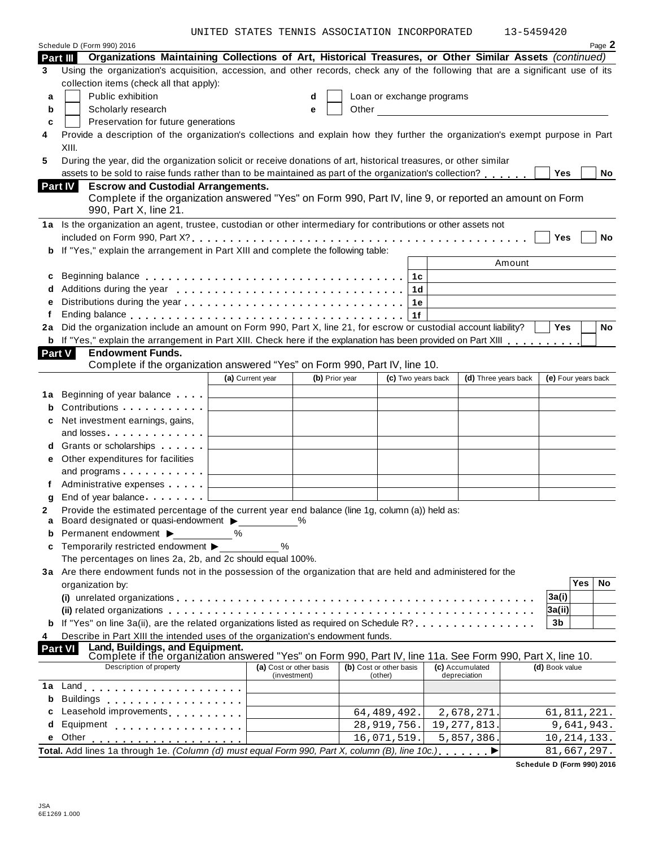UNITED STATES TENNIS ASSOCIATION INCORPORATED 13-5459420

|                     | Schedule D (Form 990) 2016                                                                                                                                                                                                     |                                              |                         |                         |                           |                            |                     |              | Page 2 |
|---------------------|--------------------------------------------------------------------------------------------------------------------------------------------------------------------------------------------------------------------------------|----------------------------------------------|-------------------------|-------------------------|---------------------------|----------------------------|---------------------|--------------|--------|
|                     | Organizations Maintaining Collections of Art, Historical Treasures, or Other Similar Assets (continued)<br>Part III                                                                                                            |                                              |                         |                         |                           |                            |                     |              |        |
| 3                   | Using the organization's acquisition, accession, and other records, check any of the following that are a significant use of its                                                                                               |                                              |                         |                         |                           |                            |                     |              |        |
|                     | collection items (check all that apply):                                                                                                                                                                                       |                                              |                         |                         |                           |                            |                     |              |        |
| a                   | Public exhibition                                                                                                                                                                                                              |                                              | d                       |                         | Loan or exchange programs |                            |                     |              |        |
| b                   | Scholarly research                                                                                                                                                                                                             |                                              | е                       |                         |                           | Other <u>Communication</u> |                     |              |        |
| c                   | Preservation for future generations                                                                                                                                                                                            |                                              |                         |                         |                           |                            |                     |              |        |
| 4                   | Provide a description of the organization's collections and explain how they further the organization's exempt purpose in Part<br>XIII.                                                                                        |                                              |                         |                         |                           |                            |                     |              |        |
| 5                   | During the year, did the organization solicit or receive donations of art, historical treasures, or other similar                                                                                                              |                                              |                         |                         |                           |                            |                     |              |        |
|                     | assets to be sold to raise funds rather than to be maintained as part of the organization's collection?                                                                                                                        |                                              |                         |                         |                           |                            | Yes                 |              | No     |
|                     | <b>Escrow and Custodial Arrangements.</b><br><b>Part IV</b>                                                                                                                                                                    |                                              |                         |                         |                           |                            |                     |              |        |
|                     | Complete if the organization answered "Yes" on Form 990, Part IV, line 9, or reported an amount on Form                                                                                                                        |                                              |                         |                         |                           |                            |                     |              |        |
|                     | 990, Part X, line 21.                                                                                                                                                                                                          |                                              |                         |                         |                           |                            |                     |              |        |
|                     | 1a Is the organization an agent, trustee, custodian or other intermediary for contributions or other assets not                                                                                                                |                                              |                         |                         |                           |                            |                     |              |        |
|                     |                                                                                                                                                                                                                                |                                              |                         |                         |                           |                            | Yes                 |              | No     |
| b                   | If "Yes," explain the arrangement in Part XIII and complete the following table:                                                                                                                                               |                                              |                         |                         |                           |                            |                     |              |        |
|                     |                                                                                                                                                                                                                                |                                              |                         |                         |                           | Amount                     |                     |              |        |
| c                   |                                                                                                                                                                                                                                |                                              |                         |                         | 1 <sub>c</sub>            |                            |                     |              |        |
|                     | Additions during the year end contained a series and contained a series and a series are a series and a series                                                                                                                 |                                              |                         |                         | 1d                        |                            |                     |              |        |
| е                   |                                                                                                                                                                                                                                |                                              |                         |                         | 1е                        |                            |                     |              |        |
| f                   | Ending balance enterprised and the service of the service of the service of the service of the service of the                                                                                                                  |                                              |                         |                         | 1f                        |                            |                     |              |        |
| 2a                  | Did the organization include an amount on Form 990, Part X, line 21, for escrow or custodial account liability?                                                                                                                |                                              |                         |                         |                           |                            | <b>Yes</b>          |              | No     |
|                     | <b>b</b> If "Yes," explain the arrangement in Part XIII. Check here if the explanation has been provided on Part XIII                                                                                                          |                                              |                         |                         |                           |                            |                     |              |        |
| <b>Part V</b>       | <b>Endowment Funds.</b>                                                                                                                                                                                                        |                                              |                         |                         |                           |                            |                     |              |        |
|                     | Complete if the organization answered "Yes" on Form 990, Part IV, line 10.                                                                                                                                                     |                                              |                         |                         |                           |                            |                     |              |        |
|                     |                                                                                                                                                                                                                                | (a) Current year                             | (b) Prior year          |                         | (c) Two years back        | (d) Three years back       | (e) Four years back |              |        |
| 1а                  | Beginning of year balance entitled                                                                                                                                                                                             |                                              |                         |                         |                           |                            |                     |              |        |
| b                   | Contributions                                                                                                                                                                                                                  |                                              |                         |                         |                           |                            |                     |              |        |
|                     | Net investment earnings, gains,                                                                                                                                                                                                |                                              |                         |                         |                           |                            |                     |              |        |
| c                   | and losses and the state of the state of the state of the state of the state of the state of the state of the state of the state of the state of the state of the state of the state of the state of the state of the state of |                                              |                         |                         |                           |                            |                     |              |        |
|                     |                                                                                                                                                                                                                                |                                              |                         |                         |                           |                            |                     |              |        |
| d                   | Grants or scholarships                                                                                                                                                                                                         |                                              |                         |                         |                           |                            |                     |              |        |
| е                   | Other expenditures for facilities                                                                                                                                                                                              |                                              |                         |                         |                           |                            |                     |              |        |
|                     | and programs $\ldots$                                                                                                                                                                                                          | the control of the control of the control of |                         |                         |                           |                            |                     |              |        |
| f                   | Administrative expenses                                                                                                                                                                                                        |                                              |                         |                         |                           |                            |                     |              |        |
| a                   | End of year balance                                                                                                                                                                                                            |                                              |                         |                         |                           |                            |                     |              |        |
| 2<br>a              | Provide the estimated percentage of the current year end balance (line 1g, column (a)) held as:<br>Board designated or quasi-endowment ▶                                                                                       |                                              |                         |                         |                           |                            |                     |              |        |
|                     | Permanent endowment ▶                                                                                                                                                                                                          | %                                            |                         |                         |                           |                            |                     |              |        |
| c                   | Temporarily restricted endowment ▶                                                                                                                                                                                             | %                                            |                         |                         |                           |                            |                     |              |        |
|                     | The percentages on lines 2a, 2b, and 2c should equal 100%.                                                                                                                                                                     |                                              |                         |                         |                           |                            |                     |              |        |
|                     | 3a Are there endowment funds not in the possession of the organization that are held and administered for the                                                                                                                  |                                              |                         |                         |                           |                            |                     |              |        |
|                     | organization by:                                                                                                                                                                                                               |                                              |                         |                         |                           |                            |                     | $\bar{Y}$ es | No     |
|                     |                                                                                                                                                                                                                                |                                              |                         |                         |                           |                            | 3a(i)               |              |        |
|                     |                                                                                                                                                                                                                                |                                              |                         |                         |                           |                            | 3a(ii)              |              |        |
|                     | <b>b</b> If "Yes" on line 3a(ii), are the related organizations listed as required on Schedule R?                                                                                                                              |                                              |                         |                         |                           |                            | 3b                  |              |        |
|                     |                                                                                                                                                                                                                                |                                              |                         |                         |                           |                            |                     |              |        |
| 4<br><b>Part VI</b> | Describe in Part XIII the intended uses of the organization's endowment funds.                                                                                                                                                 |                                              |                         |                         |                           |                            |                     |              |        |
|                     | Land, Buildings, and Equipment.<br>Complete if the organization answered "Yes" on Form 990, Part IV, line 11a. See Form 990, Part X, line 10.                                                                                  |                                              |                         |                         |                           |                            |                     |              |        |
|                     | Description of property                                                                                                                                                                                                        |                                              | (a) Cost or other basis | (b) Cost or other basis |                           | (c) Accumulated            | (d) Book value      |              |        |
| 1a                  |                                                                                                                                                                                                                                |                                              | (investment)            | (other)                 |                           | depreciation               |                     |              |        |
| b                   | <b>Buildings</b>                                                                                                                                                                                                               |                                              |                         |                         |                           |                            |                     |              |        |
|                     | .<br>Leasehold improvements                                                                                                                                                                                                    |                                              |                         | 64, 489, 492.           |                           | 2,678,271.                 | 61,811,221.         |              |        |
| d                   | Equipment                                                                                                                                                                                                                      |                                              |                         |                         |                           | 19, 277, 813.              |                     |              |        |
|                     | .<br>Other                                                                                                                                                                                                                     |                                              |                         | 28,919,756.             |                           |                            |                     | 9,641,943.   |        |
| е                   |                                                                                                                                                                                                                                |                                              |                         | 16,071,519.             |                           | 5,857,386.                 | 10, 214, 133.       |              |        |
|                     | Total. Add lines 1a through 1e. (Column (d) must equal Form 990, Part X, column (B), line 10c.)                                                                                                                                |                                              |                         |                         |                           |                            | 81,667,297.         |              |        |

**Schedule D (Form 990) 2016**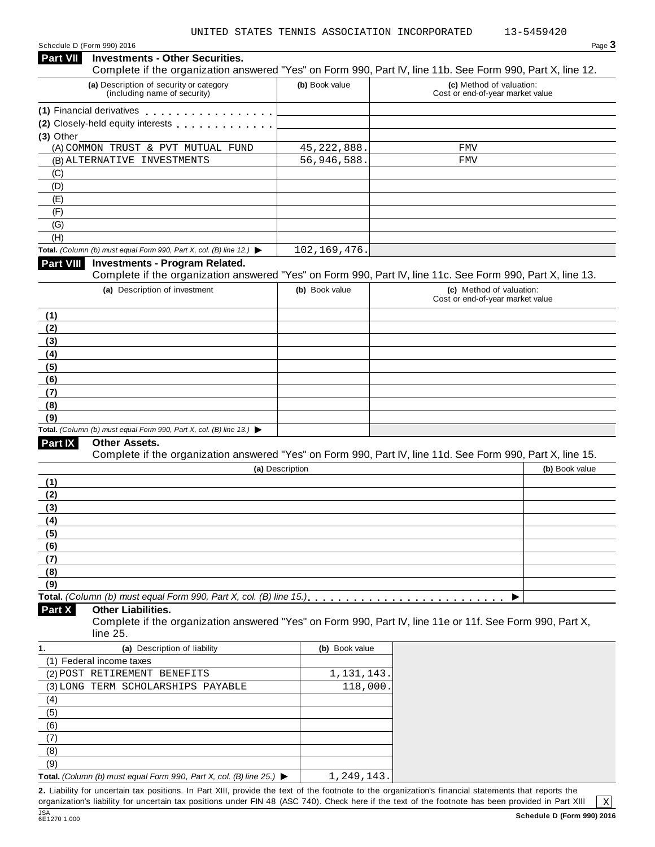| (a) Description of security or category                                                                                         | (b) Book value  | Complete if the organization answered "Yes" on Form 990, Part IV, line 11b. See Form 990, Part X, line 12.<br>(c) Method of valuation: |
|---------------------------------------------------------------------------------------------------------------------------------|-----------------|----------------------------------------------------------------------------------------------------------------------------------------|
| (including name of security)                                                                                                    |                 | Cost or end-of-year market value                                                                                                       |
| (1) Financial derivatives <b>All Accords</b> Financial derivatives                                                              |                 |                                                                                                                                        |
| (2) Closely-held equity interests                                                                                               |                 |                                                                                                                                        |
| $(3)$ Other                                                                                                                     |                 |                                                                                                                                        |
| (A) COMMON TRUST & PVT MUTUAL FUND                                                                                              | 45, 222, 888.   | FMV                                                                                                                                    |
| (B) ALTERNATIVE INVESTMENTS                                                                                                     | 56,946,588.     | FMV                                                                                                                                    |
| (C)                                                                                                                             |                 |                                                                                                                                        |
| (D)                                                                                                                             |                 |                                                                                                                                        |
| (E)                                                                                                                             |                 |                                                                                                                                        |
| (F)                                                                                                                             |                 |                                                                                                                                        |
| (G)                                                                                                                             |                 |                                                                                                                                        |
| (H)                                                                                                                             |                 |                                                                                                                                        |
| Total. (Column (b) must equal Form 990, Part X, col. (B) line 12.) $\blacktriangleright$                                        | 102, 169, 476.  |                                                                                                                                        |
| <b>Part VIII</b><br><b>Investments - Program Related.</b>                                                                       |                 |                                                                                                                                        |
|                                                                                                                                 |                 | Complete if the organization answered "Yes" on Form 990, Part IV, line 11c. See Form 990, Part X, line 13.                             |
| (a) Description of investment                                                                                                   | (b) Book value  | (c) Method of valuation:<br>Cost or end-of-year market value                                                                           |
| (1)                                                                                                                             |                 |                                                                                                                                        |
| (2)                                                                                                                             |                 |                                                                                                                                        |
| (3)                                                                                                                             |                 |                                                                                                                                        |
|                                                                                                                                 |                 |                                                                                                                                        |
| (4)                                                                                                                             |                 |                                                                                                                                        |
| (5)                                                                                                                             |                 |                                                                                                                                        |
|                                                                                                                                 |                 |                                                                                                                                        |
| (6)<br>(7)                                                                                                                      |                 |                                                                                                                                        |
|                                                                                                                                 |                 |                                                                                                                                        |
|                                                                                                                                 |                 |                                                                                                                                        |
|                                                                                                                                 |                 |                                                                                                                                        |
| Other Assets.                                                                                                                   |                 |                                                                                                                                        |
|                                                                                                                                 | (a) Description | Complete if the organization answered "Yes" on Form 990, Part IV, line 11d. See Form 990, Part X, line 15.<br>(b) Book value           |
| (8)<br>(9)<br>Total. (Column (b) must equal Form 990, Part X, col. (B) line 13.) $\blacktriangleright$<br><b>Part IX</b><br>(1) |                 |                                                                                                                                        |
| (2)                                                                                                                             |                 |                                                                                                                                        |
|                                                                                                                                 |                 |                                                                                                                                        |
|                                                                                                                                 |                 |                                                                                                                                        |
|                                                                                                                                 |                 |                                                                                                                                        |
|                                                                                                                                 |                 |                                                                                                                                        |
|                                                                                                                                 |                 |                                                                                                                                        |
| (3)<br>(4)<br>(5)<br>(6)<br>(7)<br>(8)                                                                                          |                 |                                                                                                                                        |

Complete if the organization answered "Yes" on Form 990, Part IV, line 11e or 11f. See Form 990, Part X, line 25.

| (a) Description of liability<br>1.                                                              | (b) Book value |
|-------------------------------------------------------------------------------------------------|----------------|
| (1) Federal income taxes                                                                        |                |
| (2) POST RETIREMENT BENEFITS                                                                    | 1,131,143.     |
| (3) LONG TERM SCHOLARSHIPS PAYABLE                                                              | 118,000.       |
| (4)                                                                                             |                |
| (5)                                                                                             |                |
| (6)                                                                                             |                |
|                                                                                                 |                |
| (8)                                                                                             |                |
| (9)                                                                                             |                |
| <b>Total.</b> (Column (b) must equal Form 990, Part X, col. (B) line 25.) $\blacktriangleright$ | 1,249,143.     |

<u>(</u>9)<br>Total. *(Column (b) must equal Form 990, Part X, col. (B) line 25.)* ▶ │ │ │ *1,* 249, 143. │<br>2. Liability for uncertain tax positions. In Part XIII, provide the text of the footnote to the organization's financial organization's liability for uncertain tax positions under FIN 48 (ASC 740). Check here if the text of the footnote has been provided in Part XIII

JSA<br>6E1270 1.000

 $\sqrt{X}$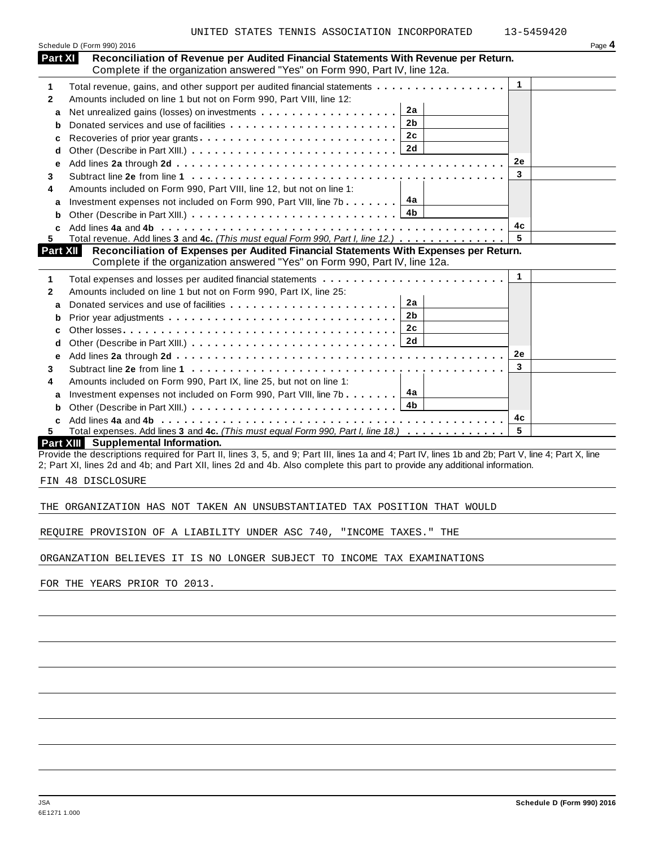|                | Schedule D (Form 990) 2016                                                                                                                                                                                                                                                       |              | Page 4 |
|----------------|----------------------------------------------------------------------------------------------------------------------------------------------------------------------------------------------------------------------------------------------------------------------------------|--------------|--------|
| <b>Part XI</b> | Reconciliation of Revenue per Audited Financial Statements With Revenue per Return.<br>Complete if the organization answered "Yes" on Form 990, Part IV, line 12a.                                                                                                               |              |        |
| 1              | Total revenue, gains, and other support per audited financial statements                                                                                                                                                                                                         | $\mathbf{1}$ |        |
| $\mathbf{2}$   | Amounts included on line 1 but not on Form 990, Part VIII, line 12:                                                                                                                                                                                                              |              |        |
| a              | 2a                                                                                                                                                                                                                                                                               |              |        |
| b              | 2b<br>Donated services and use of facilities                                                                                                                                                                                                                                     |              |        |
| c              | 2c<br>Recoveries of prior year grants                                                                                                                                                                                                                                            |              |        |
| d              | 2d                                                                                                                                                                                                                                                                               |              |        |
| е              |                                                                                                                                                                                                                                                                                  | <b>2e</b>    |        |
| 3              |                                                                                                                                                                                                                                                                                  | 3            |        |
| 4              | Amounts included on Form 990, Part VIII, line 12, but not on line 1:                                                                                                                                                                                                             |              |        |
| a              | 4a<br>Investment expenses not included on Form 990, Part VIII, line 7b                                                                                                                                                                                                           |              |        |
| b              |                                                                                                                                                                                                                                                                                  |              |        |
| C              |                                                                                                                                                                                                                                                                                  | 4c           |        |
| 5.             | Total revenue. Add lines 3 and 4c. (This must equal Form 990, Part I, line 12.)                                                                                                                                                                                                  | 5            |        |
| Part XII       | Reconciliation of Expenses per Audited Financial Statements With Expenses per Return.                                                                                                                                                                                            |              |        |
|                | Complete if the organization answered "Yes" on Form 990, Part IV, line 12a.                                                                                                                                                                                                      |              |        |
| 1              | Total expenses and losses per audited financial statements                                                                                                                                                                                                                       | $\mathbf{1}$ |        |
| $\mathbf{2}$   | Amounts included on line 1 but not on Form 990, Part IX, line 25:                                                                                                                                                                                                                |              |        |
| a              | 2a                                                                                                                                                                                                                                                                               |              |        |
| b              | 2b                                                                                                                                                                                                                                                                               |              |        |
| c              | 2 <sub>c</sub>                                                                                                                                                                                                                                                                   |              |        |
| d              | 2d                                                                                                                                                                                                                                                                               |              |        |
| е              |                                                                                                                                                                                                                                                                                  | <b>2e</b>    |        |
| 3              |                                                                                                                                                                                                                                                                                  | 3            |        |
| 4              | Amounts included on Form 990, Part IX, line 25, but not on line 1:                                                                                                                                                                                                               |              |        |
| a              | 4а<br>Investment expenses not included on Form 990, Part VIII, line 7b                                                                                                                                                                                                           |              |        |
| b              |                                                                                                                                                                                                                                                                                  |              |        |
| C              |                                                                                                                                                                                                                                                                                  | 4с           |        |
| 5              | Total expenses. Add lines 3 and 4c. (This must equal Form 990, Part I, line 18.)                                                                                                                                                                                                 | 5            |        |
|                | Part XIII Supplemental Information.                                                                                                                                                                                                                                              |              |        |
|                | Provide the descriptions required for Part II, lines 3, 5, and 9; Part III, lines 1a and 4; Part IV, lines 1b and 2b; Part V, line 4; Part X, line<br>2; Part XI, lines 2d and 4b; and Part XII, lines 2d and 4b. Also complete this part to provide any additional information. |              |        |
|                | FIN 48 DISCLOSURE                                                                                                                                                                                                                                                                |              |        |
|                |                                                                                                                                                                                                                                                                                  |              |        |
|                | THE ORGANIZATION HAS NOT TAKEN AN UNSUBSTANTIATED TAX POSITION THAT WOULD                                                                                                                                                                                                        |              |        |
|                | REQUIRE PROVISION OF A LIABILITY UNDER ASC 740, "INCOME TAXES." THE                                                                                                                                                                                                              |              |        |
|                | ORGANZATION BELIEVES IT IS NO LONGER SUBJECT TO INCOME TAX EXAMINATIONS                                                                                                                                                                                                          |              |        |
|                |                                                                                                                                                                                                                                                                                  |              |        |
|                | FOR THE YEARS PRIOR TO 2013.                                                                                                                                                                                                                                                     |              |        |
|                |                                                                                                                                                                                                                                                                                  |              |        |
|                |                                                                                                                                                                                                                                                                                  |              |        |
|                |                                                                                                                                                                                                                                                                                  |              |        |
|                |                                                                                                                                                                                                                                                                                  |              |        |
|                |                                                                                                                                                                                                                                                                                  |              |        |
|                |                                                                                                                                                                                                                                                                                  |              |        |
|                |                                                                                                                                                                                                                                                                                  |              |        |
|                |                                                                                                                                                                                                                                                                                  |              |        |
|                |                                                                                                                                                                                                                                                                                  |              |        |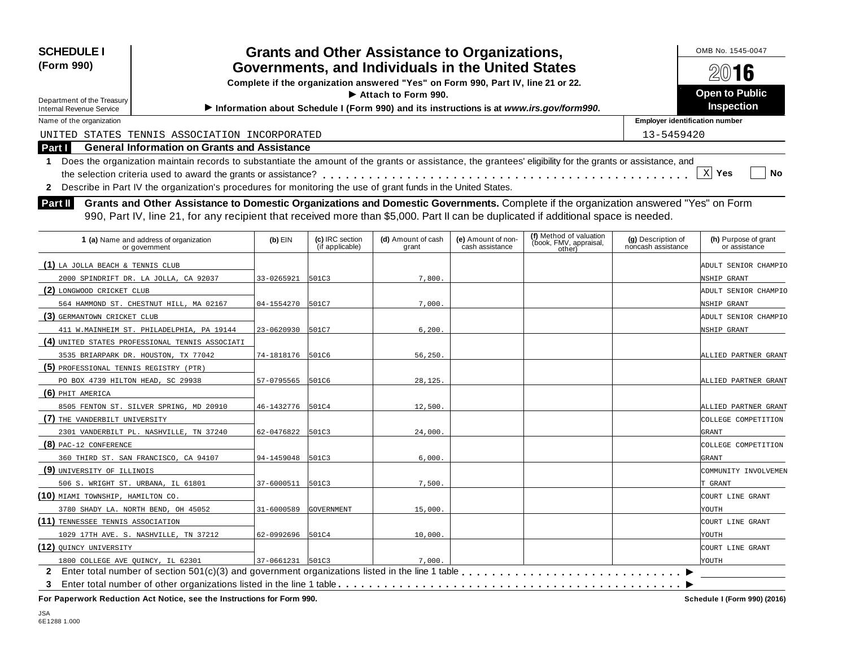| <b>SCHEDULE I</b>                                                                                                                                                                                                                                                                                                                                                                                                                                                                                                                                                          | <b>Grants and Other Assistance to Organizations,</b> |                                    |                                                                                         |                                       |                                                             |                                          | OMB No. 1545-0047                     |  |
|----------------------------------------------------------------------------------------------------------------------------------------------------------------------------------------------------------------------------------------------------------------------------------------------------------------------------------------------------------------------------------------------------------------------------------------------------------------------------------------------------------------------------------------------------------------------------|------------------------------------------------------|------------------------------------|-----------------------------------------------------------------------------------------|---------------------------------------|-------------------------------------------------------------|------------------------------------------|---------------------------------------|--|
| (Form 990)<br>Governments, and Individuals in the United States                                                                                                                                                                                                                                                                                                                                                                                                                                                                                                            |                                                      |                                    |                                                                                         |                                       |                                                             |                                          | 2016                                  |  |
|                                                                                                                                                                                                                                                                                                                                                                                                                                                                                                                                                                            |                                                      |                                    | Complete if the organization answered "Yes" on Form 990, Part IV, line 21 or 22.        |                                       |                                                             |                                          |                                       |  |
| Department of the Treasury                                                                                                                                                                                                                                                                                                                                                                                                                                                                                                                                                 |                                                      |                                    | Attach to Form 990.                                                                     |                                       |                                                             |                                          | <b>Open to Public</b>                 |  |
| <b>Internal Revenue Service</b>                                                                                                                                                                                                                                                                                                                                                                                                                                                                                                                                            |                                                      |                                    | Information about Schedule I (Form 990) and its instructions is at www.irs.gov/form990. |                                       |                                                             |                                          | Inspection                            |  |
| Name of the organization                                                                                                                                                                                                                                                                                                                                                                                                                                                                                                                                                   |                                                      |                                    |                                                                                         |                                       |                                                             | <b>Employer identification number</b>    |                                       |  |
| UNITED STATES TENNIS ASSOCIATION INCORPORATED                                                                                                                                                                                                                                                                                                                                                                                                                                                                                                                              |                                                      |                                    |                                                                                         |                                       |                                                             | 13-5459420                               |                                       |  |
| <b>General Information on Grants and Assistance</b><br>Part I                                                                                                                                                                                                                                                                                                                                                                                                                                                                                                              |                                                      |                                    |                                                                                         |                                       |                                                             |                                          |                                       |  |
| Does the organization maintain records to substantiate the amount of the grants or assistance, the grantees' eligibility for the grants or assistance, and<br>1<br>2 Describe in Part IV the organization's procedures for monitoring the use of grant funds in the United States.<br>Grants and Other Assistance to Domestic Organizations and Domestic Governments. Complete if the organization answered "Yes" on Form<br>Part II<br>990, Part IV, line 21, for any recipient that received more than \$5,000. Part II can be duplicated if additional space is needed. |                                                      |                                    |                                                                                         |                                       |                                                             |                                          | $X$ Yes<br><b>No</b>                  |  |
| 1 (a) Name and address of organization<br>or government                                                                                                                                                                                                                                                                                                                                                                                                                                                                                                                    | $(b)$ EIN                                            | (c) IRC section<br>(if applicable) | (d) Amount of cash<br>grant                                                             | (e) Amount of non-<br>cash assistance | (f) Method of valuation<br>(book, FMV, appraisal,<br>other) | (g) Description of<br>noncash assistance | (h) Purpose of grant<br>or assistance |  |
| (1) LA JOLLA BEACH & TENNIS CLUB                                                                                                                                                                                                                                                                                                                                                                                                                                                                                                                                           |                                                      |                                    |                                                                                         |                                       |                                                             |                                          | ADULT SENIOR CHAMPIO                  |  |
| 2000 SPINDRIFT DR. LA JOLLA, CA 92037                                                                                                                                                                                                                                                                                                                                                                                                                                                                                                                                      | 33-0265921                                           | 501C3                              | 7,800                                                                                   |                                       |                                                             |                                          | NSHIP GRANT                           |  |
| (2) LONGWOOD CRICKET CLUB                                                                                                                                                                                                                                                                                                                                                                                                                                                                                                                                                  |                                                      |                                    |                                                                                         |                                       |                                                             |                                          | ADULT SENIOR CHAMPIO                  |  |
| 564 HAMMOND ST. CHESTNUT HILL, MA 02167                                                                                                                                                                                                                                                                                                                                                                                                                                                                                                                                    | 04-1554270                                           | 501C7                              | 7,000.                                                                                  |                                       |                                                             |                                          | NSHIP GRANT                           |  |
| (3) GERMANTOWN CRICKET CLUB                                                                                                                                                                                                                                                                                                                                                                                                                                                                                                                                                |                                                      |                                    |                                                                                         |                                       |                                                             |                                          | ADULT SENIOR CHAMPIO                  |  |
| 411 W.MAINHEIM ST. PHILADELPHIA, PA 19144                                                                                                                                                                                                                                                                                                                                                                                                                                                                                                                                  | 23-0620930                                           | 501C7                              | 6, 200.                                                                                 |                                       |                                                             |                                          | NSHIP GRANT                           |  |
| (4) UNITED STATES PROFESSIONAL TENNIS ASSOCIATI                                                                                                                                                                                                                                                                                                                                                                                                                                                                                                                            |                                                      |                                    |                                                                                         |                                       |                                                             |                                          |                                       |  |
| 3535 BRIARPARK DR. HOUSTON, TX 77042                                                                                                                                                                                                                                                                                                                                                                                                                                                                                                                                       | 74-1818176                                           | 501C6                              | 56,250.                                                                                 |                                       |                                                             |                                          | ALLIED PARTNER GRANT                  |  |
| (5) PROFESSIONAL TENNIS REGISTRY (PTR)                                                                                                                                                                                                                                                                                                                                                                                                                                                                                                                                     |                                                      |                                    |                                                                                         |                                       |                                                             |                                          |                                       |  |
| PO BOX 4739 HILTON HEAD, SC 29938                                                                                                                                                                                                                                                                                                                                                                                                                                                                                                                                          | 57-0795565                                           | 501C6                              | 28,125                                                                                  |                                       |                                                             |                                          | ALLIED PARTNER GRANT                  |  |
| $(6)$ PHIT AMERICA                                                                                                                                                                                                                                                                                                                                                                                                                                                                                                                                                         |                                                      |                                    |                                                                                         |                                       |                                                             |                                          |                                       |  |
| 8505 FENTON ST. SILVER SPRING, MD 20910                                                                                                                                                                                                                                                                                                                                                                                                                                                                                                                                    | 46-1432776 501C4                                     |                                    | 12,500                                                                                  |                                       |                                                             |                                          | ALLIED PARTNER GRANT                  |  |
| (7) THE VANDERBILT UNIVERSITY                                                                                                                                                                                                                                                                                                                                                                                                                                                                                                                                              |                                                      |                                    |                                                                                         |                                       |                                                             |                                          | COLLEGE COMPETITION                   |  |
| 2301 VANDERBILT PL. NASHVILLE, TN 37240                                                                                                                                                                                                                                                                                                                                                                                                                                                                                                                                    | 62-0476822                                           | 501C3                              | 24,000                                                                                  |                                       |                                                             |                                          | GRANT                                 |  |
| $(8)$ PAC-12 CONFERENCE                                                                                                                                                                                                                                                                                                                                                                                                                                                                                                                                                    |                                                      |                                    |                                                                                         |                                       |                                                             |                                          | COLLEGE COMPETITION                   |  |
| 360 THIRD ST. SAN FRANCISCO, CA 94107                                                                                                                                                                                                                                                                                                                                                                                                                                                                                                                                      | 94-1459048                                           | 501C3                              | 6,000.                                                                                  |                                       |                                                             |                                          | GRANT                                 |  |
| (9) UNIVERSITY OF ILLINOIS                                                                                                                                                                                                                                                                                                                                                                                                                                                                                                                                                 |                                                      |                                    |                                                                                         |                                       |                                                             |                                          | COMMUNITY INVOLVEMEN                  |  |
| 506 S. WRIGHT ST. URBANA, IL 61801                                                                                                                                                                                                                                                                                                                                                                                                                                                                                                                                         | 37-6000511                                           | 501C3                              | 7,500                                                                                   |                                       |                                                             |                                          | T GRANT                               |  |
| (10) MIAMI TOWNSHIP, HAMILTON CO.                                                                                                                                                                                                                                                                                                                                                                                                                                                                                                                                          |                                                      |                                    |                                                                                         |                                       |                                                             |                                          | COURT LINE GRANT                      |  |

**(11)** TENNESSEE TENNIS ASSOCIATION COURT LINE GRANT

QUINCY UNIVERSITY COURT LINE GRANT

3780 SHADY LA. NORTH BEND, OH 45052 31-6000589 GOVERNMENT 15,000. 33.360 SHADY LA. WOUTH

1029 17TH AVE. S. NASHVILLE, TN 37212 62-0992696 501C4 10,000. 1

1800 COLLEGE AVE QUINCY, IL 62301 (27-0661231 SOLC3 (28) And government organizations listed in the line 1 table **manufations**  $\frac{1}{2}$  Enter total number of section 501(c)(3) and government organizations listed in the li

1800 COLLEGE AVE QUINCY, IL 62301 37-0661231 501C3 7,000.

**(12)**

I **3** Enter total number of other organizations listed in the line 1 table m m m m m m m m m m m m m m m m m m m m m m m m m m m m m m m m m m m m m m m m m m m m m **For Paperwork Reduction Act Notice, see the Instructions for Form 990. Schedule I (Form 990) (2016)**

I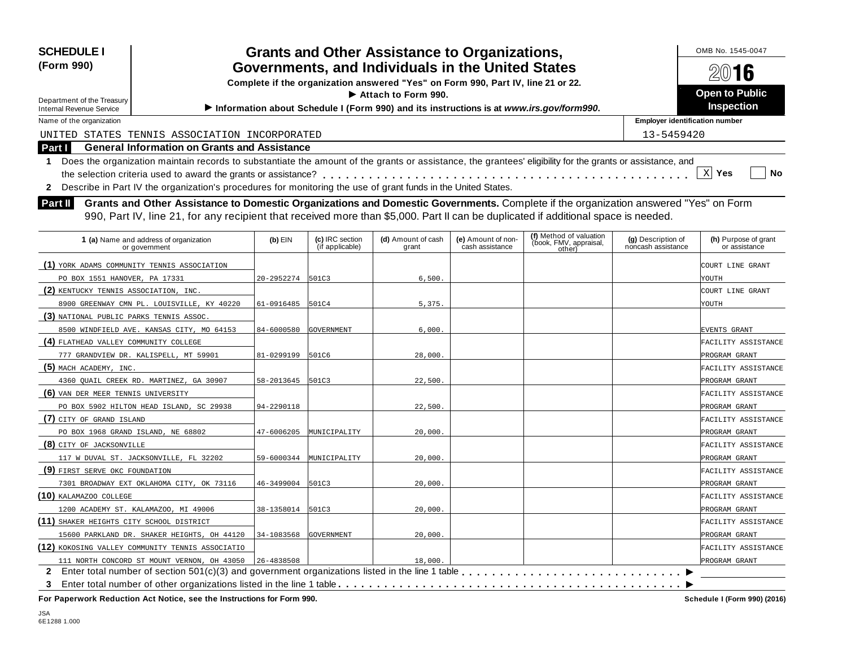| <b>SCHEDULE I</b>                                                                                                                                            |                                                   |                                    | <b>Grants and Other Assistance to Organizations,</b>                                    |                                       |                                                             |                                          | OMB No. 1545-0047                     |
|--------------------------------------------------------------------------------------------------------------------------------------------------------------|---------------------------------------------------|------------------------------------|-----------------------------------------------------------------------------------------|---------------------------------------|-------------------------------------------------------------|------------------------------------------|---------------------------------------|
| (Form 990)                                                                                                                                                   | Governments, and Individuals in the United States |                                    | 2016                                                                                    |                                       |                                                             |                                          |                                       |
|                                                                                                                                                              |                                                   |                                    | Complete if the organization answered "Yes" on Form 990, Part IV, line 21 or 22.        |                                       |                                                             |                                          |                                       |
|                                                                                                                                                              |                                                   |                                    | <b>Open to Public</b>                                                                   |                                       |                                                             |                                          |                                       |
| Department of the Treasury<br><b>Internal Revenue Service</b>                                                                                                |                                                   |                                    | Information about Schedule I (Form 990) and its instructions is at www.irs.gov/form990. |                                       |                                                             |                                          | Inspection                            |
| Name of the organization                                                                                                                                     |                                                   |                                    |                                                                                         |                                       |                                                             | <b>Employer identification number</b>    |                                       |
| UNITED STATES TENNIS ASSOCIATION INCORPORATED                                                                                                                |                                                   |                                    |                                                                                         |                                       |                                                             | 13-5459420                               |                                       |
| <b>General Information on Grants and Assistance</b><br>Part I                                                                                                |                                                   |                                    |                                                                                         |                                       |                                                             |                                          |                                       |
| 1 Does the organization maintain records to substantiate the amount of the grants or assistance, the grantees' eligibility for the grants or assistance, and |                                                   |                                    |                                                                                         |                                       |                                                             |                                          |                                       |
|                                                                                                                                                              |                                                   |                                    |                                                                                         |                                       |                                                             |                                          | $X$ Yes<br><b>No</b>                  |
| 2 Describe in Part IV the organization's procedures for monitoring the use of grant funds in the United States.                                              |                                                   |                                    |                                                                                         |                                       |                                                             |                                          |                                       |
| Grants and Other Assistance to Domestic Organizations and Domestic Governments. Complete if the organization answered "Yes" on Form<br>Part II               |                                                   |                                    |                                                                                         |                                       |                                                             |                                          |                                       |
| 990, Part IV, line 21, for any recipient that received more than \$5,000. Part II can be duplicated if additional space is needed.                           |                                                   |                                    |                                                                                         |                                       |                                                             |                                          |                                       |
|                                                                                                                                                              |                                                   |                                    |                                                                                         |                                       |                                                             |                                          |                                       |
| 1 (a) Name and address of organization<br>or government                                                                                                      | $(b)$ EIN                                         | (c) IRC section<br>(if applicable) | (d) Amount of cash<br>grant                                                             | (e) Amount of non-<br>cash assistance | (f) Method of valuation<br>(book, FMV, appraisal,<br>other) | (g) Description of<br>noncash assistance | (h) Purpose of grant<br>or assistance |
| (1) YORK ADAMS COMMUNITY TENNIS ASSOCIATION                                                                                                                  |                                                   |                                    |                                                                                         |                                       |                                                             |                                          | COURT LINE GRANT                      |
| PO BOX 1551 HANOVER, PA 17331                                                                                                                                | 20-2952274 501C3                                  |                                    | 6,500                                                                                   |                                       |                                                             |                                          | YOUTH                                 |
| (2) KENTUCKY TENNIS ASSOCIATION, INC.                                                                                                                        |                                                   |                                    |                                                                                         |                                       |                                                             |                                          | COURT LINE GRANT                      |
| 8900 GREENWAY CMN PL. LOUISVILLE, KY 40220                                                                                                                   | 61-0916485 501C4                                  |                                    | 5,375                                                                                   |                                       |                                                             |                                          | YOUTH                                 |
| (3) NATIONAL PUBLIC PARKS TENNIS ASSOC.                                                                                                                      |                                                   |                                    |                                                                                         |                                       |                                                             |                                          |                                       |
| 8500 WINDFIELD AVE. KANSAS CITY, MO 64153                                                                                                                    | 84-6000580                                        | <b>GOVERNMENT</b>                  | 6,000.                                                                                  |                                       |                                                             |                                          | <b>EVENTS GRANT</b>                   |
| (4) FLATHEAD VALLEY COMMUNITY COLLEGE                                                                                                                        |                                                   |                                    |                                                                                         |                                       |                                                             |                                          | FACILITY ASSISTANCE                   |
| 777 GRANDVIEW DR. KALISPELL, MT 59901                                                                                                                        | 81-0299199                                        | 501C6                              | 28,000                                                                                  |                                       |                                                             |                                          | PROGRAM GRANT                         |
| $(5)$ MACH ACADEMY, INC.                                                                                                                                     |                                                   |                                    |                                                                                         |                                       |                                                             |                                          | FACILITY ASSISTANCE                   |
| 4360 QUAIL CREEK RD. MARTINEZ, GA 30907                                                                                                                      | 58-2013645 501C3                                  |                                    | 22,500.                                                                                 |                                       |                                                             |                                          | PROGRAM GRANT                         |
| (6) VAN DER MEER TENNIS UNIVERSITY                                                                                                                           |                                                   |                                    |                                                                                         |                                       |                                                             |                                          | FACILITY ASSISTANCE                   |
| PO BOX 5902 HILTON HEAD ISLAND, SC 29938                                                                                                                     | 94-2290118                                        |                                    | 22,500                                                                                  |                                       |                                                             |                                          | PROGRAM GRANT                         |
| (7) CITY OF GRAND ISLAND                                                                                                                                     |                                                   |                                    |                                                                                         |                                       |                                                             |                                          | FACILITY ASSISTANCE                   |
| PO BOX 1968 GRAND ISLAND, NE 68802                                                                                                                           | 47-6006205                                        | MUNICIPALITY                       | 20,000                                                                                  |                                       |                                                             |                                          | PROGRAM GRANT                         |
| (8) CITY OF JACKSONVILLE                                                                                                                                     |                                                   |                                    |                                                                                         |                                       |                                                             |                                          | FACILITY ASSISTANCE                   |
| 117 W DUVAL ST. JACKSONVILLE, FL 32202                                                                                                                       | 59-6000344                                        | MUNICIPALITY                       | 20,000.                                                                                 |                                       |                                                             |                                          | PROGRAM GRANT                         |
| (9) FIRST SERVE OKC FOUNDATION                                                                                                                               |                                                   |                                    |                                                                                         |                                       |                                                             |                                          | FACILITY ASSISTANCE                   |
| 7301 BROADWAY EXT OKLAHOMA CITY, OK 73116                                                                                                                    | 46-3499004 501C3                                  |                                    | 20,000.                                                                                 |                                       |                                                             |                                          | PROGRAM GRANT                         |
| $(10)$ kalamazoo college                                                                                                                                     |                                                   |                                    |                                                                                         |                                       |                                                             |                                          | FACILITY ASSISTANCE                   |
| 1200 ACADEMY ST. KALAMAZOO, MI 49006                                                                                                                         | 38-1358014 501C3                                  |                                    | 20,000                                                                                  |                                       |                                                             |                                          | PROGRAM GRANT                         |
| (11) SHAKER HEIGHTS CITY SCHOOL DISTRICT                                                                                                                     |                                                   |                                    |                                                                                         |                                       |                                                             |                                          | FACILITY ASSISTANCE                   |
| 15600 PARKLAND DR. SHAKER HEIGHTS, OH 44120                                                                                                                  | 34-1083568                                        | <b>GOVERNMENT</b>                  | 20,000                                                                                  |                                       |                                                             |                                          | PROGRAM GRANT                         |
| (12) KOKOSING VALLEY COMMUNITY TENNIS ASSOCIATIO                                                                                                             |                                                   |                                    |                                                                                         |                                       |                                                             |                                          | FACILITY ASSISTANCE                   |

I **2** Enter total number of section 501(c)(3) and government organizations listed in the line 1 table m m m m m m m m m m m m m m m m m m m m m m m m m m m m m I **3** Enter total number of other organizations listed in the line 1 table m m m m m m m m m m m m m m m m m m m m m m m m m m m m m m m m m m m m m m m m m m m m m 111 NORTH CONCORD ST MOUNT VERNON, OH 43050 26-4838508 2000 18,000. 18,000.

**For Paperwork Reduction Act Notice, see the Instructions for Form 990. Schedule I (Form 990) (2016)**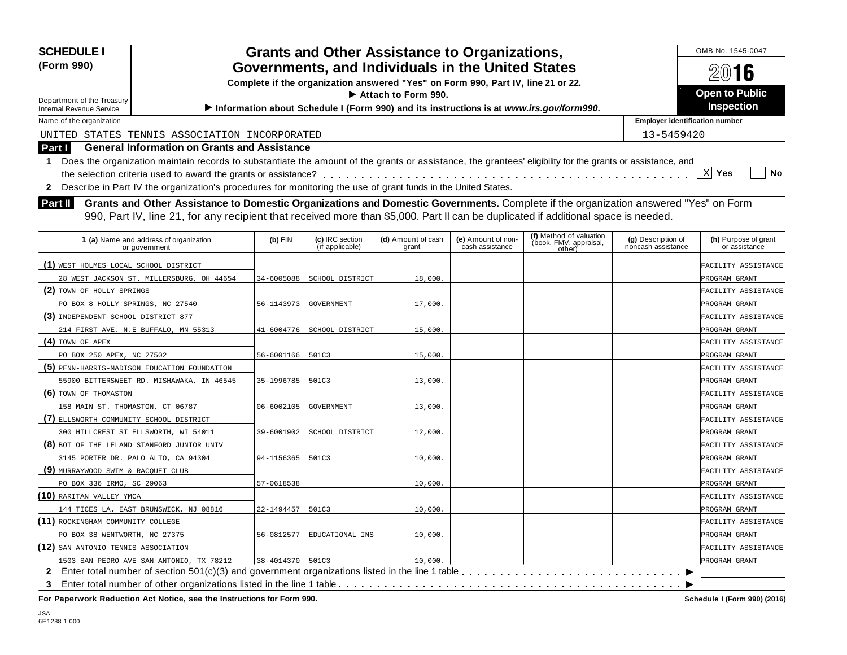| <b>SCHEDULE I</b>                                                                                                                                                                                                                                                                            |                  |                                    | <b>Grants and Other Assistance to Organizations,</b>                             |                                       |                                                                                         |                                          | OMB No. 1545-0047                     |  |  |
|----------------------------------------------------------------------------------------------------------------------------------------------------------------------------------------------------------------------------------------------------------------------------------------------|------------------|------------------------------------|----------------------------------------------------------------------------------|---------------------------------------|-----------------------------------------------------------------------------------------|------------------------------------------|---------------------------------------|--|--|
| (Form 990)                                                                                                                                                                                                                                                                                   |                  |                                    | Governments, and Individuals in the United States                                |                                       |                                                                                         | 2016                                     |                                       |  |  |
|                                                                                                                                                                                                                                                                                              |                  |                                    | Complete if the organization answered "Yes" on Form 990, Part IV, line 21 or 22. |                                       |                                                                                         |                                          |                                       |  |  |
| Department of the Treasury                                                                                                                                                                                                                                                                   |                  |                                    | Attach to Form 990.                                                              |                                       |                                                                                         |                                          | <b>Open to Public</b><br>Inspection   |  |  |
| <b>Internal Revenue Service</b>                                                                                                                                                                                                                                                              |                  |                                    |                                                                                  |                                       | Information about Schedule I (Form 990) and its instructions is at www.irs.gov/form990. | <b>Employer identification number</b>    |                                       |  |  |
| Name of the organization                                                                                                                                                                                                                                                                     |                  |                                    |                                                                                  |                                       |                                                                                         |                                          |                                       |  |  |
| UNITED STATES TENNIS ASSOCIATION INCORPORATED                                                                                                                                                                                                                                                |                  |                                    |                                                                                  |                                       |                                                                                         | 13-5459420                               |                                       |  |  |
| <b>General Information on Grants and Assistance</b><br>Part I                                                                                                                                                                                                                                |                  |                                    |                                                                                  |                                       |                                                                                         |                                          |                                       |  |  |
| Does the organization maintain records to substantiate the amount of the grants or assistance, the grantees' eligibility for the grants or assistance, and<br>$\mathbf 1$<br>2 Describe in Part IV the organization's procedures for monitoring the use of grant funds in the United States. |                  |                                    |                                                                                  |                                       |                                                                                         |                                          | $X$ Yes<br>No                         |  |  |
| Grants and Other Assistance to Domestic Organizations and Domestic Governments. Complete if the organization answered "Yes" on Form<br>Part II<br>990, Part IV, line 21, for any recipient that received more than \$5,000. Part II can be duplicated if additional space is needed.         |                  |                                    |                                                                                  |                                       |                                                                                         |                                          |                                       |  |  |
| 1 (a) Name and address of organization<br>or government                                                                                                                                                                                                                                      | $(b)$ EIN        | (c) IRC section<br>(if applicable) | (d) Amount of cash<br>grant                                                      | (e) Amount of non-<br>cash assistance | (f) Method of valuation<br>(book, FMV, appraisal,<br>other)                             | (g) Description of<br>noncash assistance | (h) Purpose of grant<br>or assistance |  |  |
| (1) WEST HOLMES LOCAL SCHOOL DISTRICT                                                                                                                                                                                                                                                        |                  |                                    |                                                                                  |                                       |                                                                                         |                                          | FACILITY ASSISTANCE                   |  |  |
| 28 WEST JACKSON ST. MILLERSBURG, OH 44654                                                                                                                                                                                                                                                    | 34-6005088       | SCHOOL DISTRICT                    | 18,000.                                                                          |                                       |                                                                                         |                                          | PROGRAM GRANT                         |  |  |
| (2) TOWN OF HOLLY SPRINGS                                                                                                                                                                                                                                                                    |                  |                                    |                                                                                  |                                       |                                                                                         |                                          | FACILITY ASSISTANCE                   |  |  |
| PO BOX 8 HOLLY SPRINGS, NC 27540                                                                                                                                                                                                                                                             | 56-1143973       | GOVERNMENT                         | 17,000.                                                                          |                                       |                                                                                         |                                          | PROGRAM GRANT                         |  |  |
| (3) INDEPENDENT SCHOOL DISTRICT 877                                                                                                                                                                                                                                                          |                  |                                    |                                                                                  |                                       |                                                                                         |                                          | FACILITY ASSISTANCE                   |  |  |
| 214 FIRST AVE. N.E BUFFALO, MN 55313                                                                                                                                                                                                                                                         | 41-6004776       | SCHOOL DISTRICT                    | 15,000.                                                                          |                                       |                                                                                         |                                          | PROGRAM GRANT                         |  |  |
| $(4)$ TOWN OF APEX                                                                                                                                                                                                                                                                           |                  |                                    |                                                                                  |                                       |                                                                                         |                                          | FACILITY ASSISTANCE                   |  |  |
| PO BOX 250 APEX, NC 27502                                                                                                                                                                                                                                                                    | 56-6001166 501C3 |                                    | 15,000                                                                           |                                       |                                                                                         |                                          | PROGRAM GRANT                         |  |  |
| (5) PENN-HARRIS-MADISON EDUCATION FOUNDATION                                                                                                                                                                                                                                                 |                  |                                    |                                                                                  |                                       |                                                                                         |                                          | FACILITY ASSISTANCE                   |  |  |
| 55900 BITTERSWEET RD. MISHAWAKA, IN 46545                                                                                                                                                                                                                                                    | 35-1996785 501C3 |                                    | 13,000                                                                           |                                       |                                                                                         |                                          | PROGRAM GRANT                         |  |  |
| (6) TOWN OF THOMASTON                                                                                                                                                                                                                                                                        |                  |                                    |                                                                                  |                                       |                                                                                         |                                          | FACILITY ASSISTANCE                   |  |  |
| 158 MAIN ST. THOMASTON, CT 06787                                                                                                                                                                                                                                                             | 06-6002105       | GOVERNMENT                         | 13,000.                                                                          |                                       |                                                                                         |                                          | PROGRAM GRANT                         |  |  |
| (7) ELLSWORTH COMMUNITY SCHOOL DISTRICT                                                                                                                                                                                                                                                      |                  |                                    |                                                                                  |                                       |                                                                                         |                                          | FACILITY ASSISTANCE                   |  |  |
| 300 HILLCREST ST ELLSWORTH, WI 54011                                                                                                                                                                                                                                                         | 39-6001902       | SCHOOL DISTRICT                    | 12,000.                                                                          |                                       |                                                                                         |                                          | PROGRAM GRANT                         |  |  |
| (8) BOT OF THE LELAND STANFORD JUNIOR UNIV                                                                                                                                                                                                                                                   |                  |                                    |                                                                                  |                                       |                                                                                         |                                          | FACILITY ASSISTANCE                   |  |  |
| 3145 PORTER DR. PALO ALTO, CA 94304                                                                                                                                                                                                                                                          | 94-1156365 501C3 |                                    | 10,000.                                                                          |                                       |                                                                                         |                                          | PROGRAM GRANT                         |  |  |
| (9) MURRAYWOOD SWIM & RACQUET CLUB                                                                                                                                                                                                                                                           |                  |                                    |                                                                                  |                                       |                                                                                         |                                          | FACILITY ASSISTANCE                   |  |  |
| PO BOX 336 IRMO, SC 29063                                                                                                                                                                                                                                                                    | 57-0618538       |                                    | 10,000.                                                                          |                                       |                                                                                         |                                          | PROGRAM GRANT                         |  |  |
| $(10)$ raritan valley ymca                                                                                                                                                                                                                                                                   |                  |                                    |                                                                                  |                                       |                                                                                         |                                          | FACILITY ASSISTANCE                   |  |  |
| 144 TICES LA. EAST BRUNSWICK, NJ 08816                                                                                                                                                                                                                                                       | 22-1494457       | 501C3                              | 10,000.                                                                          |                                       |                                                                                         |                                          | PROGRAM GRANT                         |  |  |
| (11) ROCKINGHAM COMMUNITY COLLEGE                                                                                                                                                                                                                                                            |                  |                                    |                                                                                  |                                       |                                                                                         |                                          | FACILITY ASSISTANCE                   |  |  |
| PO BOX 38 WENTWORTH, NC 27375                                                                                                                                                                                                                                                                |                  | 56-0812577 EDUCATIONAL INS         | 10,000.                                                                          |                                       |                                                                                         |                                          | PROGRAM GRANT                         |  |  |

**(12)** SAN ANTONIO TENNIS ASSOCIATION FACILITY ASSISTANCE

I **3** Enter total number of other organizations listed in the line 1 table m m m m m m m m m m m m m m m m m m m m m m m m m m m m m m m m m m m m m m m m m m m m m <u>2</u> ISO3 SAN PEDRO AVE SAN ANTONIO, TX 78212 138-4014370 SOLC3 10.000 COMPUT D,000. 1503 SAN PEDRO AVE SAN ANTONIO, TX 78212 38-4014370 501C3 10,000.

**For Paperwork Reduction Act Notice, see the Instructions for Form 990. Schedule I (Form 990) (2016)**

PROGRAM GRANT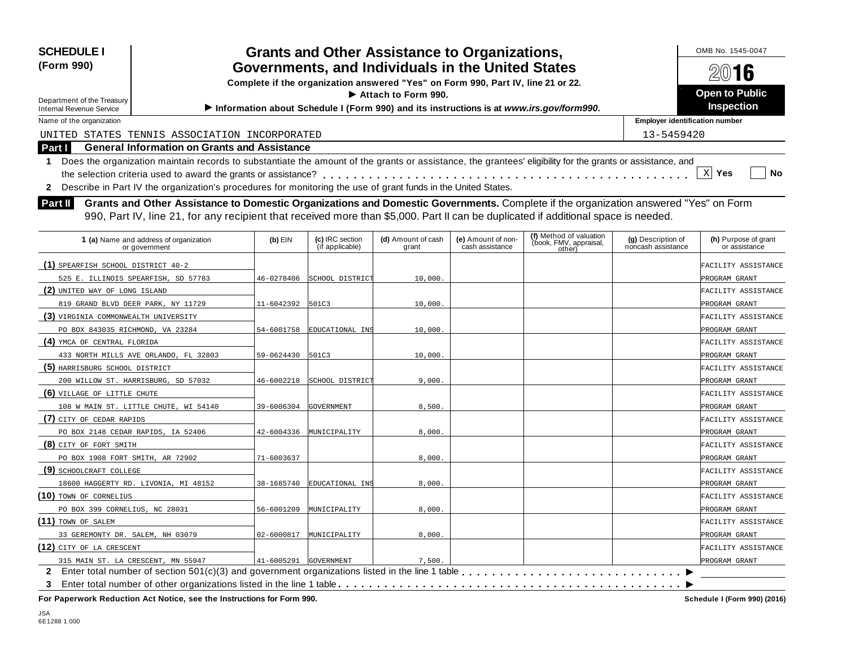| <b>SCHEDULE I</b>                                                                                                                                                                                                                                                                                                                                                                                                                                                                                                                                                       |                                                                                         |                                    | <b>Grants and Other Assistance to Organizations,</b> |                                       |                                                             |                                          | OMB No. 1545-0047                     |  |  |
|-------------------------------------------------------------------------------------------------------------------------------------------------------------------------------------------------------------------------------------------------------------------------------------------------------------------------------------------------------------------------------------------------------------------------------------------------------------------------------------------------------------------------------------------------------------------------|-----------------------------------------------------------------------------------------|------------------------------------|------------------------------------------------------|---------------------------------------|-------------------------------------------------------------|------------------------------------------|---------------------------------------|--|--|
| (Form 990)                                                                                                                                                                                                                                                                                                                                                                                                                                                                                                                                                              |                                                                                         |                                    | Governments, and Individuals in the United States    |                                       |                                                             | 2016                                     |                                       |  |  |
|                                                                                                                                                                                                                                                                                                                                                                                                                                                                                                                                                                         | Complete if the organization answered "Yes" on Form 990, Part IV, line 21 or 22.        |                                    |                                                      |                                       |                                                             |                                          |                                       |  |  |
| Department of the Treasury                                                                                                                                                                                                                                                                                                                                                                                                                                                                                                                                              |                                                                                         |                                    | Attach to Form 990.                                  |                                       |                                                             |                                          | <b>Open to Public</b>                 |  |  |
| <b>Internal Revenue Service</b>                                                                                                                                                                                                                                                                                                                                                                                                                                                                                                                                         | Information about Schedule I (Form 990) and its instructions is at www.irs.gov/form990. |                                    |                                                      |                                       |                                                             |                                          | Inspection                            |  |  |
| Name of the organization                                                                                                                                                                                                                                                                                                                                                                                                                                                                                                                                                |                                                                                         |                                    |                                                      |                                       |                                                             | <b>Employer identification number</b>    |                                       |  |  |
| UNITED STATES TENNIS ASSOCIATION INCORPORATED                                                                                                                                                                                                                                                                                                                                                                                                                                                                                                                           |                                                                                         |                                    |                                                      |                                       |                                                             | 13-5459420                               |                                       |  |  |
| <b>General Information on Grants and Assistance</b><br>Part I                                                                                                                                                                                                                                                                                                                                                                                                                                                                                                           |                                                                                         |                                    |                                                      |                                       |                                                             |                                          |                                       |  |  |
| 1 Does the organization maintain records to substantiate the amount of the grants or assistance, the grantees' eligibility for the grants or assistance, and<br>2 Describe in Part IV the organization's procedures for monitoring the use of grant funds in the United States.<br>Grants and Other Assistance to Domestic Organizations and Domestic Governments. Complete if the organization answered "Yes" on Form<br>Part II<br>990, Part IV, line 21, for any recipient that received more than \$5,000. Part II can be duplicated if additional space is needed. |                                                                                         |                                    |                                                      |                                       |                                                             |                                          | $X$ Yes<br>No                         |  |  |
| 1 (a) Name and address of organization<br>or government                                                                                                                                                                                                                                                                                                                                                                                                                                                                                                                 | $(b)$ EIN                                                                               | (c) IRC section<br>(if applicable) | (d) Amount of cash<br>grant                          | (e) Amount of non-<br>cash assistance | (f) Method of valuation<br>(book, FMV, appraisal,<br>other) | (g) Description of<br>noncash assistance | (h) Purpose of grant<br>or assistance |  |  |
| $(1)$ SPEARFISH SCHOOL DISTRICT 40-2                                                                                                                                                                                                                                                                                                                                                                                                                                                                                                                                    |                                                                                         |                                    |                                                      |                                       |                                                             |                                          | FACILITY ASSISTANCE                   |  |  |
| 525 E. ILLINOIS SPEARFISH, SD 57783                                                                                                                                                                                                                                                                                                                                                                                                                                                                                                                                     | 46-0278406                                                                              | SCHOOL DISTRICT                    | 10,000.                                              |                                       |                                                             |                                          | PROGRAM GRANT                         |  |  |
| (2) UNITED WAY OF LONG ISLAND                                                                                                                                                                                                                                                                                                                                                                                                                                                                                                                                           |                                                                                         |                                    |                                                      |                                       |                                                             |                                          | FACILITY ASSISTANCE                   |  |  |
| 819 GRAND BLVD DEER PARK, NY 11729                                                                                                                                                                                                                                                                                                                                                                                                                                                                                                                                      | 11-6042392 501C3                                                                        |                                    | 10,000.                                              |                                       |                                                             |                                          | PROGRAM GRANT                         |  |  |
| (3) VIRGINIA COMMONWEALTH UNIVERSITY                                                                                                                                                                                                                                                                                                                                                                                                                                                                                                                                    |                                                                                         |                                    |                                                      |                                       |                                                             |                                          | FACILITY ASSISTANCE                   |  |  |
| PO BOX 843035 RICHMOND, VA 23284                                                                                                                                                                                                                                                                                                                                                                                                                                                                                                                                        | 54-6001758                                                                              | EDUCATIONAL INS                    | 10,000.                                              |                                       |                                                             |                                          | PROGRAM GRANT                         |  |  |
| (4) YMCA OF CENTRAL FLORIDA                                                                                                                                                                                                                                                                                                                                                                                                                                                                                                                                             |                                                                                         |                                    |                                                      |                                       |                                                             |                                          | FACILITY ASSISTANCE                   |  |  |
| 433 NORTH MILLS AVE ORLANDO, FL 32803                                                                                                                                                                                                                                                                                                                                                                                                                                                                                                                                   | 59-0624430                                                                              | 501C3                              | 10,000                                               |                                       |                                                             |                                          | PROGRAM GRANT                         |  |  |
| (5) HARRISBURG SCHOOL DISTRICT                                                                                                                                                                                                                                                                                                                                                                                                                                                                                                                                          |                                                                                         |                                    |                                                      |                                       |                                                             |                                          | FACILITY ASSISTANCE                   |  |  |
| 200 WILLOW ST. HARRISBURG, SD 57032                                                                                                                                                                                                                                                                                                                                                                                                                                                                                                                                     | 46-6002218                                                                              | SCHOOL DISTRICT                    | 9,000.                                               |                                       |                                                             |                                          | PROGRAM GRANT                         |  |  |
| (6) VILLAGE OF LITTLE CHUTE                                                                                                                                                                                                                                                                                                                                                                                                                                                                                                                                             |                                                                                         |                                    |                                                      |                                       |                                                             |                                          | FACILITY ASSISTANCE                   |  |  |
| 108 W MAIN ST. LITTLE CHUTE, WI 54140                                                                                                                                                                                                                                                                                                                                                                                                                                                                                                                                   | 39-6006304 GOVERNMENT                                                                   |                                    | 8,500                                                |                                       |                                                             |                                          | PROGRAM GRANT                         |  |  |
| (7) CITY OF CEDAR RAPIDS                                                                                                                                                                                                                                                                                                                                                                                                                                                                                                                                                |                                                                                         |                                    |                                                      |                                       |                                                             |                                          | FACILITY ASSISTANCE                   |  |  |
| PO BOX 2148 CEDAR RAPIDS, IA 52406                                                                                                                                                                                                                                                                                                                                                                                                                                                                                                                                      |                                                                                         | 42-6004336 MUNICIPALITY            | 8,000.                                               |                                       |                                                             |                                          | PROGRAM GRANT                         |  |  |
| (8) CITY OF FORT SMITH                                                                                                                                                                                                                                                                                                                                                                                                                                                                                                                                                  |                                                                                         |                                    |                                                      |                                       |                                                             |                                          | FACILITY ASSISTANCE                   |  |  |
| PO BOX 1908 FORT SMITH, AR 72902                                                                                                                                                                                                                                                                                                                                                                                                                                                                                                                                        | 71-6003637                                                                              |                                    | 8,000.                                               |                                       |                                                             |                                          | PROGRAM GRANT                         |  |  |
| (9) SCHOOLCRAFT COLLEGE                                                                                                                                                                                                                                                                                                                                                                                                                                                                                                                                                 |                                                                                         |                                    |                                                      |                                       |                                                             |                                          | FACILITY ASSISTANCE                   |  |  |
| 18600 HAGGERTY RD. LIVONIA, MI 48152                                                                                                                                                                                                                                                                                                                                                                                                                                                                                                                                    | 38-1685740                                                                              | EDUCATIONAL INS                    | 8,000.                                               |                                       |                                                             |                                          | PROGRAM GRANT                         |  |  |
| $(10)$ TOWN OF CORNELIUS                                                                                                                                                                                                                                                                                                                                                                                                                                                                                                                                                |                                                                                         |                                    |                                                      |                                       |                                                             |                                          | FACILITY ASSISTANCE                   |  |  |
| PO BOX 399 CORNELIUS, NC 28031                                                                                                                                                                                                                                                                                                                                                                                                                                                                                                                                          | 56-6001209                                                                              | MUNICIPALITY                       | 8,000                                                |                                       |                                                             |                                          | PROGRAM GRANT                         |  |  |
| $(11)$ town of Salem                                                                                                                                                                                                                                                                                                                                                                                                                                                                                                                                                    |                                                                                         |                                    |                                                      |                                       |                                                             |                                          | FACILITY ASSISTANCE                   |  |  |
| 33 GEREMONTY DR. SALEM, NH 03079                                                                                                                                                                                                                                                                                                                                                                                                                                                                                                                                        |                                                                                         | 02-6000817 MUNICIPALITY            | 8,000                                                |                                       |                                                             |                                          | PROGRAM GRANT                         |  |  |

PROGRAM GRANT I **3** Enter total number of other organizations listed in the line 1 table m m m m m m m m m m m m m m m m m m m m m m m m m m m m m m m m m m m m m m m m m m m m m **2** Enter total number of section 501(c)(3) and government organizations listed in the line 1 table m m m m m m m m m m m m m m m m m m m m m m m m m m m m m 315 MAIN ST. LA CRESCENT, MN 55947  $41-6005291$  GOVERNMENT 7,500.

**(12)** CITY OF LA CRESCENT FACILITY ASSISTANCE

**For Paperwork Reduction Act Notice, see the Instructions for Form 990. Schedule I (Form 990) (2016)**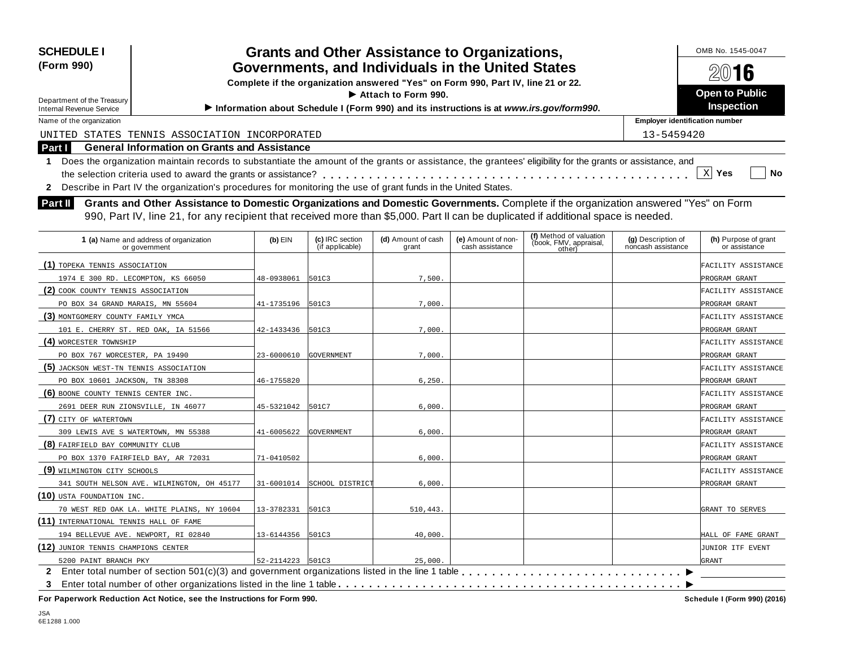| <b>SCHEDULE I</b><br>(Form 990)<br>Department of the Treasury<br><b>Internal Revenue Service</b> | <b>Grants and Other Assistance to Organizations,</b><br>Governments, and Individuals in the United States<br>Complete if the organization answered "Yes" on Form 990, Part IV, line 21 or 22.<br>Attach to Form 990.<br>Information about Schedule I (Form 990) and its instructions is at www.irs.gov/form990. | OMB No. 1545-0047<br>2016<br><b>Open to Public</b><br><b>Inspection</b> |
|--------------------------------------------------------------------------------------------------|-----------------------------------------------------------------------------------------------------------------------------------------------------------------------------------------------------------------------------------------------------------------------------------------------------------------|-------------------------------------------------------------------------|
| Name of the organization                                                                         |                                                                                                                                                                                                                                                                                                                 | <b>Employer identification number</b>                                   |
|                                                                                                  | UNITED STATES TENNIS ASSOCIATION INCORPORATED                                                                                                                                                                                                                                                                   | 13-5459420                                                              |
| Part I                                                                                           | <b>General Information on Grants and Assistance</b>                                                                                                                                                                                                                                                             |                                                                         |
|                                                                                                  | 1 Does the organization maintain records to substantiate the amount of the grants or assistance, the grantees' eligibility for the grants or assistance, and<br>2 Describe in Part IV the organization's procedures for monitoring the use of grant funds in the United States.                                 | $\mathbf{x}$<br><b>Yes</b><br>No                                        |
| Part II                                                                                          | Grants and Other Assistance to Domestic Organizations and Domestic Governments. Complete if the organization answered "Yes" on Form<br>990, Part IV, line 21, for any recipient that received more than \$5,000. Part II can be duplicated if additional space is needed.                                       |                                                                         |

| 1 (a) Name and address of organization<br>or government | $(b)$ EIN             | (c) IRC section<br>(if applicable) | (d) Amount of cash<br>grant | (e) Amount of non-<br>cash assistance | (f) Method of valuation<br>(book, FMV, appraisal,<br>other) | (g) Description of<br>noncash assistance | (h) Purpose of grant<br>or assistance |
|---------------------------------------------------------|-----------------------|------------------------------------|-----------------------------|---------------------------------------|-------------------------------------------------------------|------------------------------------------|---------------------------------------|
| (1) TOPEKA TENNIS ASSOCIATION                           |                       |                                    |                             |                                       |                                                             |                                          | FACILITY ASSISTANCE                   |
| 1974 E 300 RD. LECOMPTON, KS 66050                      | 48-0938061            | 1501C3                             | 7,500                       |                                       |                                                             |                                          | PROGRAM GRANT                         |
| (2) COOK COUNTY TENNIS ASSOCIATION                      |                       |                                    |                             |                                       |                                                             |                                          | FACILITY ASSISTANCE                   |
| PO BOX 34 GRAND MARAIS, MN 55604                        | 41-1735196 501C3      |                                    | 7,000                       |                                       |                                                             |                                          | PROGRAM GRANT                         |
| (3) MONTGOMERY COUNTY FAMILY YMCA                       |                       |                                    |                             |                                       |                                                             |                                          | FACILITY ASSISTANCE                   |
| 101 E. CHERRY ST. RED OAK, IA 51566                     | 42-1433436            | 501C3                              | 7,000                       |                                       |                                                             |                                          | PROGRAM GRANT                         |
| (4) WORCESTER TOWNSHIP                                  |                       |                                    |                             |                                       |                                                             |                                          | FACILITY ASSISTANCE                   |
| PO BOX 767 WORCESTER, PA 19490                          | 23-6000610 GOVERNMENT |                                    | 7,000                       |                                       |                                                             |                                          | PROGRAM GRANT                         |
| (5) JACKSON WEST-TN TENNIS ASSOCIATION                  |                       |                                    |                             |                                       |                                                             |                                          | FACILITY ASSISTANCE                   |
| PO BOX 10601 JACKSON, TN 38308                          | 46-1755820            |                                    | 6,250.                      |                                       |                                                             |                                          | PROGRAM GRANT                         |
| (6) BOONE COUNTY TENNIS CENTER INC.                     |                       |                                    |                             |                                       |                                                             |                                          | FACILITY ASSISTANCE                   |
| 2691 DEER RUN ZIONSVILLE, IN 46077                      | 45-5321042 501C7      |                                    | 6.000                       |                                       |                                                             |                                          | PROGRAM GRANT                         |
| (7) CITY OF WATERTOWN                                   |                       |                                    |                             |                                       |                                                             |                                          | FACILITY ASSISTANCE                   |
| 309 LEWIS AVE S WATERTOWN, MN 55388                     | 41-6005622            | GOVERNMENT                         | 6,000                       |                                       |                                                             |                                          | PROGRAM GRANT                         |
| (8) FAIRFIELD BAY COMMUNITY CLUB                        |                       |                                    |                             |                                       |                                                             |                                          | FACILITY ASSISTANCE                   |
| PO BOX 1370 FAIRFIELD BAY, AR 72031                     | 71-0410502            |                                    | 6,000                       |                                       |                                                             |                                          | PROGRAM GRANT                         |
| (9) WILMINGTON CITY SCHOOLS                             |                       |                                    |                             |                                       |                                                             |                                          | FACILITY ASSISTANCE                   |
| 341 SOUTH NELSON AVE. WILMINGTON, OH 45177              |                       | 31-6001014 SCHOOL DISTRICT         | 6,000                       |                                       |                                                             |                                          | PROGRAM GRANT                         |
| (10) USTA FOUNDATION INC.                               |                       |                                    |                             |                                       |                                                             |                                          |                                       |
| 70 WEST RED OAK LA. WHITE PLAINS, NY 10604              | 13-3782331            | 501C3                              | 510,443.                    |                                       |                                                             |                                          | GRANT TO SERVES                       |
| (11) INTERNATIONAL TENNIS HALL OF FAME                  |                       |                                    |                             |                                       |                                                             |                                          |                                       |
| 194 BELLEVUE AVE. NEWPORT, RI 02840                     | 13-6144356 501C3      |                                    | 40,000.                     |                                       |                                                             |                                          | HALL OF FAME GRANT                    |
| (12) JUNIOR TENNIS CHAMPIONS CENTER                     |                       |                                    |                             |                                       |                                                             |                                          | JUNIOR ITF EVENT                      |
| 5200 PAINT BRANCH PKY                                   | 52-2114223 501C3      |                                    | 25,000                      |                                       |                                                             |                                          | GRANT                                 |
|                                                         |                       |                                    |                             |                                       |                                                             |                                          |                                       |
| 3                                                       |                       |                                    |                             |                                       |                                                             |                                          |                                       |

**For Paperwork Reduction Act Notice, see the Instructions for Form 990. Schedule I (Form 990) (2016)**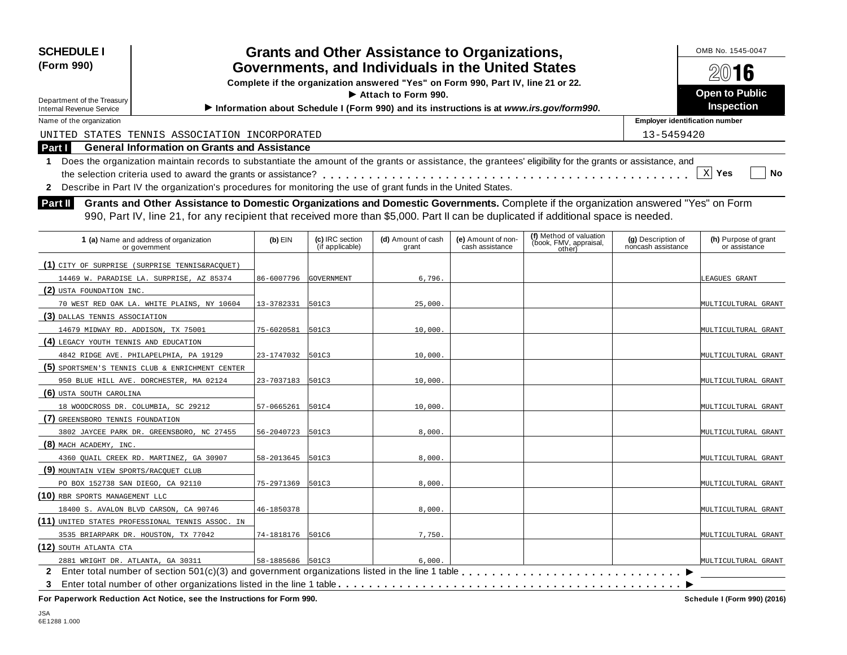| <b>SCHEDULE I</b><br>(Form 990)                                        | OMB No. 1545-0047<br>2016                                                                                                                                  |                  |                                    |                                                                                         |                                       |                                                             |                                          |                                       |  |  |
|------------------------------------------------------------------------|------------------------------------------------------------------------------------------------------------------------------------------------------------|------------------|------------------------------------|-----------------------------------------------------------------------------------------|---------------------------------------|-------------------------------------------------------------|------------------------------------------|---------------------------------------|--|--|
|                                                                        |                                                                                                                                                            |                  |                                    | Complete if the organization answered "Yes" on Form 990, Part IV, line 21 or 22.        |                                       |                                                             |                                          |                                       |  |  |
| Department of the Treasury                                             |                                                                                                                                                            |                  |                                    | $\blacktriangleright$ Attach to Form 990.                                               |                                       |                                                             |                                          | <b>Open to Public</b>                 |  |  |
| <b>Internal Revenue Service</b>                                        |                                                                                                                                                            |                  |                                    | Information about Schedule I (Form 990) and its instructions is at www.irs.gov/form990. |                                       |                                                             |                                          | <b>Inspection</b>                     |  |  |
| Name of the organization                                               |                                                                                                                                                            |                  |                                    |                                                                                         |                                       |                                                             | <b>Employer identification number</b>    |                                       |  |  |
|                                                                        | UNITED STATES TENNIS ASSOCIATION INCORPORATED                                                                                                              |                  |                                    |                                                                                         |                                       |                                                             | 13-5459420                               |                                       |  |  |
| Part I                                                                 | <b>General Information on Grants and Assistance</b>                                                                                                        |                  |                                    |                                                                                         |                                       |                                                             |                                          |                                       |  |  |
| 1                                                                      | Does the organization maintain records to substantiate the amount of the grants or assistance, the grantees' eligibility for the grants or assistance, and |                  |                                    |                                                                                         |                                       |                                                             |                                          |                                       |  |  |
|                                                                        |                                                                                                                                                            |                  |                                    |                                                                                         |                                       |                                                             |                                          | $X$ Yes<br>No                         |  |  |
|                                                                        | 2 Describe in Part IV the organization's procedures for monitoring the use of grant funds in the United States.                                            |                  |                                    |                                                                                         |                                       |                                                             |                                          |                                       |  |  |
| Part II                                                                | Grants and Other Assistance to Domestic Organizations and Domestic Governments. Complete if the organization answered "Yes" on Form                        |                  |                                    |                                                                                         |                                       |                                                             |                                          |                                       |  |  |
|                                                                        | 990, Part IV, line 21, for any recipient that received more than \$5,000. Part II can be duplicated if additional space is needed.                         |                  |                                    |                                                                                         |                                       |                                                             |                                          |                                       |  |  |
|                                                                        |                                                                                                                                                            |                  |                                    |                                                                                         |                                       |                                                             |                                          |                                       |  |  |
|                                                                        | 1 (a) Name and address of organization<br>or government                                                                                                    | $(b)$ EIN        | (c) IRC section<br>(if applicable) | (d) Amount of cash<br>grant                                                             | (e) Amount of non-<br>cash assistance | (f) Method of valuation<br>(book, FMV, appraisal,<br>other) | (g) Description of<br>noncash assistance | (h) Purpose of grant<br>or assistance |  |  |
| (1) CITY OF SURPRISE (SURPRISE TENNIS&RACQUET)                         |                                                                                                                                                            |                  |                                    |                                                                                         |                                       |                                                             |                                          |                                       |  |  |
|                                                                        | 14469 W. PARADISE LA. SURPRISE, AZ 85374                                                                                                                   | 86-6007796       | GOVERNMENT                         | 6,796.                                                                                  |                                       |                                                             |                                          | LEAGUES GRANT                         |  |  |
| (2) USTA FOUNDATION INC.                                               |                                                                                                                                                            |                  |                                    |                                                                                         |                                       |                                                             |                                          |                                       |  |  |
|                                                                        | 70 WEST RED OAK LA. WHITE PLAINS, NY 10604                                                                                                                 | 13-3782331       | 501C3                              | 25,000                                                                                  |                                       |                                                             |                                          | MULTICULTURAL GRANT                   |  |  |
| (3) DALLAS TENNIS ASSOCIATION                                          |                                                                                                                                                            |                  |                                    |                                                                                         |                                       |                                                             |                                          |                                       |  |  |
| 14679 MIDWAY RD. ADDISON, TX 75001                                     |                                                                                                                                                            | 75-6020581       | 501C3                              | 10,000                                                                                  |                                       |                                                             |                                          | MULTICULTURAL GRANT                   |  |  |
| (4) LEGACY YOUTH TENNIS AND EDUCATION                                  |                                                                                                                                                            |                  |                                    |                                                                                         |                                       |                                                             |                                          |                                       |  |  |
| 4842 RIDGE AVE. PHILAPELPHIA, PA 19129                                 |                                                                                                                                                            | 23-1747032       | 501C3                              | 10,000                                                                                  |                                       |                                                             |                                          | MULTICULTURAL GRANT                   |  |  |
| (5) SPORTSMEN'S TENNIS CLUB & ENRICHMENT CENTER                        |                                                                                                                                                            |                  |                                    |                                                                                         |                                       |                                                             |                                          |                                       |  |  |
| 950 BLUE HILL AVE. DORCHESTER, MA 02124                                |                                                                                                                                                            | 23-7037183       | 501C3                              | 10,000                                                                                  |                                       |                                                             |                                          | MULTICULTURAL GRANT                   |  |  |
| (6) USTA SOUTH CAROLINA                                                |                                                                                                                                                            |                  |                                    |                                                                                         |                                       |                                                             |                                          |                                       |  |  |
| 18 WOODCROSS DR. COLUMBIA, SC 29212                                    |                                                                                                                                                            | 57-0665261       | 501C4                              | 10,000                                                                                  |                                       |                                                             |                                          | MULTICULTURAL GRANT                   |  |  |
| (7) GREENSBORO TENNIS FOUNDATION                                       |                                                                                                                                                            |                  |                                    |                                                                                         |                                       |                                                             |                                          |                                       |  |  |
|                                                                        | 3802 JAYCEE PARK DR. GREENSBORO, NC 27455                                                                                                                  | 56-2040723       | 501C3                              | 8,000                                                                                   |                                       |                                                             |                                          | MULTICULTURAL GRANT                   |  |  |
| (8) MACH ACADEMY, INC.                                                 |                                                                                                                                                            |                  |                                    |                                                                                         |                                       |                                                             |                                          |                                       |  |  |
| 4360 OUAIL CREEK RD. MARTINEZ, GA 30907                                |                                                                                                                                                            | 58-2013645       | 501C3                              | 8,000                                                                                   |                                       |                                                             |                                          | MULTICULTURAL GRANT                   |  |  |
| (9) MOUNTAIN VIEW SPORTS/RACQUET CLUB                                  |                                                                                                                                                            |                  |                                    |                                                                                         |                                       |                                                             |                                          |                                       |  |  |
| PO BOX 152738 SAN DIEGO, CA 92110                                      |                                                                                                                                                            | 75-2971369       | 501C3                              | 8,000.                                                                                  |                                       |                                                             |                                          | MULTICULTURAL GRANT                   |  |  |
| (10) RBR SPORTS MANAGEMENT LLC                                         |                                                                                                                                                            |                  |                                    |                                                                                         |                                       |                                                             |                                          |                                       |  |  |
| 18400 S. AVALON BLVD CARSON, CA 90746                                  |                                                                                                                                                            | 46-1850378       |                                    | 8,000.                                                                                  |                                       |                                                             |                                          | MULTICULTURAL GRANT                   |  |  |
| (11) UNITED STATES PROFESSIONAL TENNIS ASSOC. IN                       |                                                                                                                                                            |                  |                                    |                                                                                         |                                       |                                                             |                                          |                                       |  |  |
| 3535 BRIARPARK DR. HOUSTON, TX 77042                                   |                                                                                                                                                            | 74-1818176 501C6 |                                    | 7,750.                                                                                  |                                       |                                                             |                                          | MULTICULTURAL GRANT                   |  |  |
| (12) SOUTH ATLANTA CTA                                                 |                                                                                                                                                            |                  |                                    |                                                                                         |                                       |                                                             |                                          |                                       |  |  |
| 2881 WRIGHT DR. ATLANTA, GA 30311                                      |                                                                                                                                                            | 58-1885686 501C3 |                                    | 6,000.                                                                                  |                                       |                                                             |                                          | MULTICULTURAL GRANT                   |  |  |
| $\mathbf{2}$                                                           |                                                                                                                                                            |                  |                                    |                                                                                         |                                       |                                                             |                                          |                                       |  |  |
| 3                                                                      |                                                                                                                                                            |                  |                                    |                                                                                         |                                       |                                                             |                                          |                                       |  |  |
| For Paperwork Reduction Act Notice, see the Instructions for Form 990. |                                                                                                                                                            |                  |                                    |                                                                                         |                                       |                                                             |                                          | Schedule I (Form 990) (2016)          |  |  |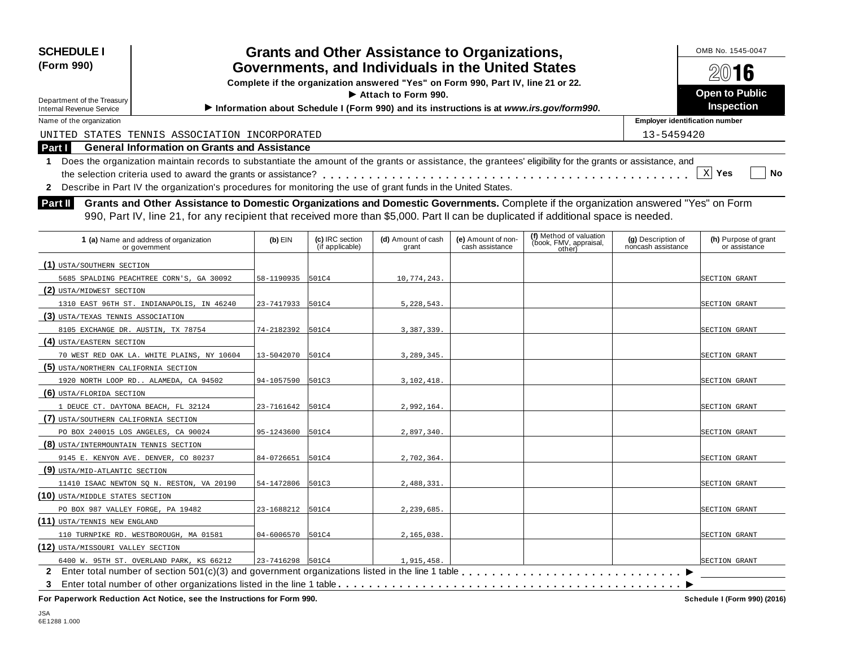| <b>SCHEDULE I</b>                                                                                                                                            |                  |                                    | <b>Grants and Other Assistance to Organizations,</b>                             |                                       |                                                                                         |                                          | OMB No. 1545-0047                     |  |  |
|--------------------------------------------------------------------------------------------------------------------------------------------------------------|------------------|------------------------------------|----------------------------------------------------------------------------------|---------------------------------------|-----------------------------------------------------------------------------------------|------------------------------------------|---------------------------------------|--|--|
| (Form 990)                                                                                                                                                   |                  |                                    | Governments, and Individuals in the United States                                |                                       |                                                                                         | 2016                                     |                                       |  |  |
|                                                                                                                                                              |                  |                                    | Complete if the organization answered "Yes" on Form 990, Part IV, line 21 or 22. |                                       |                                                                                         |                                          |                                       |  |  |
| Department of the Treasury                                                                                                                                   |                  |                                    | Attach to Form 990.                                                              |                                       |                                                                                         |                                          | <b>Open to Public</b>                 |  |  |
| <b>Internal Revenue Service</b>                                                                                                                              |                  |                                    |                                                                                  |                                       | Information about Schedule I (Form 990) and its instructions is at www.irs.gov/form990. |                                          | Inspection                            |  |  |
| Name of the organization                                                                                                                                     |                  |                                    |                                                                                  |                                       |                                                                                         | <b>Employer identification number</b>    |                                       |  |  |
| UNITED STATES TENNIS ASSOCIATION INCORPORATED                                                                                                                |                  |                                    |                                                                                  |                                       |                                                                                         | 13-5459420                               |                                       |  |  |
| Part I<br><b>General Information on Grants and Assistance</b>                                                                                                |                  |                                    |                                                                                  |                                       |                                                                                         |                                          |                                       |  |  |
| 1 Does the organization maintain records to substantiate the amount of the grants or assistance, the grantees' eligibility for the grants or assistance, and |                  |                                    |                                                                                  |                                       |                                                                                         |                                          |                                       |  |  |
|                                                                                                                                                              |                  |                                    |                                                                                  |                                       |                                                                                         |                                          | $X$ Yes<br>No                         |  |  |
| 2 Describe in Part IV the organization's procedures for monitoring the use of grant funds in the United States.                                              |                  |                                    |                                                                                  |                                       |                                                                                         |                                          |                                       |  |  |
| Grants and Other Assistance to Domestic Organizations and Domestic Governments. Complete if the organization answered "Yes" on Form<br>Part II               |                  |                                    |                                                                                  |                                       |                                                                                         |                                          |                                       |  |  |
| 990, Part IV, line 21, for any recipient that received more than \$5,000. Part II can be duplicated if additional space is needed.                           |                  |                                    |                                                                                  |                                       |                                                                                         |                                          |                                       |  |  |
|                                                                                                                                                              |                  |                                    |                                                                                  |                                       |                                                                                         |                                          |                                       |  |  |
| 1 (a) Name and address of organization<br>or government                                                                                                      | $(b)$ EIN        | (c) IRC section<br>(if applicable) | (d) Amount of cash<br>grant                                                      | (e) Amount of non-<br>cash assistance | (f) Method of valuation<br>(book, FMV, appraisal,                                       | (g) Description of<br>noncash assistance | (h) Purpose of grant<br>or assistance |  |  |
|                                                                                                                                                              |                  |                                    |                                                                                  |                                       | other)                                                                                  |                                          |                                       |  |  |
| (1) USTA/SOUTHERN SECTION                                                                                                                                    |                  |                                    |                                                                                  |                                       |                                                                                         |                                          |                                       |  |  |
| 5685 SPALDING PEACHTREE CORN'S, GA 30092                                                                                                                     | 58-1190935 501C4 |                                    | 10,774,243                                                                       |                                       |                                                                                         |                                          | <b>SECTION GRANT</b>                  |  |  |
| (2) USTA/MIDWEST SECTION                                                                                                                                     |                  |                                    |                                                                                  |                                       |                                                                                         |                                          |                                       |  |  |
| 1310 EAST 96TH ST. INDIANAPOLIS, IN 46240                                                                                                                    | 23-7417933 501C4 |                                    | 5,228,543.                                                                       |                                       |                                                                                         |                                          | SECTION GRANT                         |  |  |
| (3) USTA/TEXAS TENNIS ASSOCIATION                                                                                                                            |                  |                                    |                                                                                  |                                       |                                                                                         |                                          |                                       |  |  |
| 8105 EXCHANGE DR. AUSTIN, TX 78754                                                                                                                           | 74-2182392 501C4 |                                    | 3,387,339.                                                                       |                                       |                                                                                         |                                          | SECTION GRANT                         |  |  |
| (4) USTA/EASTERN SECTION                                                                                                                                     |                  |                                    |                                                                                  |                                       |                                                                                         |                                          |                                       |  |  |
| 70 WEST RED OAK LA. WHITE PLAINS, NY 10604                                                                                                                   | 13-5042070 501C4 |                                    | 3,289,345.                                                                       |                                       |                                                                                         |                                          | SECTION GRANT                         |  |  |
| (5) USTA/NORTHERN CALIFORNIA SECTION                                                                                                                         |                  |                                    |                                                                                  |                                       |                                                                                         |                                          |                                       |  |  |
| 1920 NORTH LOOP RD ALAMEDA, CA 94502                                                                                                                         | 94-1057590 501C3 |                                    | 3,102,418.                                                                       |                                       |                                                                                         |                                          | SECTION GRANT                         |  |  |
| (6) USTA/FLORIDA SECTION                                                                                                                                     |                  |                                    |                                                                                  |                                       |                                                                                         |                                          |                                       |  |  |
| 1 DEUCE CT. DAYTONA BEACH, FL 32124                                                                                                                          | 23-7161642 501C4 |                                    | 2,992,164.                                                                       |                                       |                                                                                         |                                          | SECTION GRANT                         |  |  |
| (7) USTA/SOUTHERN CALIFORNIA SECTION                                                                                                                         |                  |                                    |                                                                                  |                                       |                                                                                         |                                          |                                       |  |  |
| PO BOX 240015 LOS ANGELES, CA 90024                                                                                                                          | 95-1243600       | 501C4                              | 2,897,340.                                                                       |                                       |                                                                                         |                                          | SECTION GRANT                         |  |  |
| (8) USTA/INTERMOUNTAIN TENNIS SECTION                                                                                                                        |                  |                                    |                                                                                  |                                       |                                                                                         |                                          |                                       |  |  |
| 9145 E. KENYON AVE. DENVER, CO 80237                                                                                                                         | 84-0726651       | 501C4                              | 2,702,364.                                                                       |                                       |                                                                                         |                                          | SECTION GRANT                         |  |  |
| (9) USTA/MID-ATLANTIC SECTION                                                                                                                                |                  |                                    |                                                                                  |                                       |                                                                                         |                                          |                                       |  |  |
| 11410 ISAAC NEWTON SQ N. RESTON, VA 20190                                                                                                                    | 54-1472806 501C3 |                                    | 2,488,331.                                                                       |                                       |                                                                                         |                                          | <b>SECTION GRANT</b>                  |  |  |
| (10) USTA/MIDDLE STATES SECTION                                                                                                                              |                  |                                    |                                                                                  |                                       |                                                                                         |                                          |                                       |  |  |
| PO BOX 987 VALLEY FORGE, PA 19482                                                                                                                            | 23-1688212 501C4 |                                    | 2,239,685.                                                                       |                                       |                                                                                         |                                          | SECTION GRANT                         |  |  |
| (11) USTA/TENNIS NEW ENGLAND                                                                                                                                 |                  |                                    |                                                                                  |                                       |                                                                                         |                                          |                                       |  |  |
| 110 TURNPIKE RD. WESTBOROUGH, MA 01581                                                                                                                       | 04-6006570       | 501C4                              | 2,165,038.                                                                       |                                       |                                                                                         |                                          | SECTION GRANT                         |  |  |

I **3** Enter total number of other organizations listed in the line 1 table m m m m m m m m m m m m m m m m m m m m m m m m m m m m m m m m m m m m m m m m m m m m m **2** Enter total number of section 501(c)(3) and government organizations listed in the line 1 table m m m m m m m m m m m m m m m m m m m m m m m m m m m m m 6400 W. 95TH ST. OVERLAND PARK, KS 66212 23-7416298 501C4 1,915,458.

**For Paperwork Reduction Act Notice, see the Instructions for Form 990. Schedule I (Form 990) (2016)**

SECTION GRANT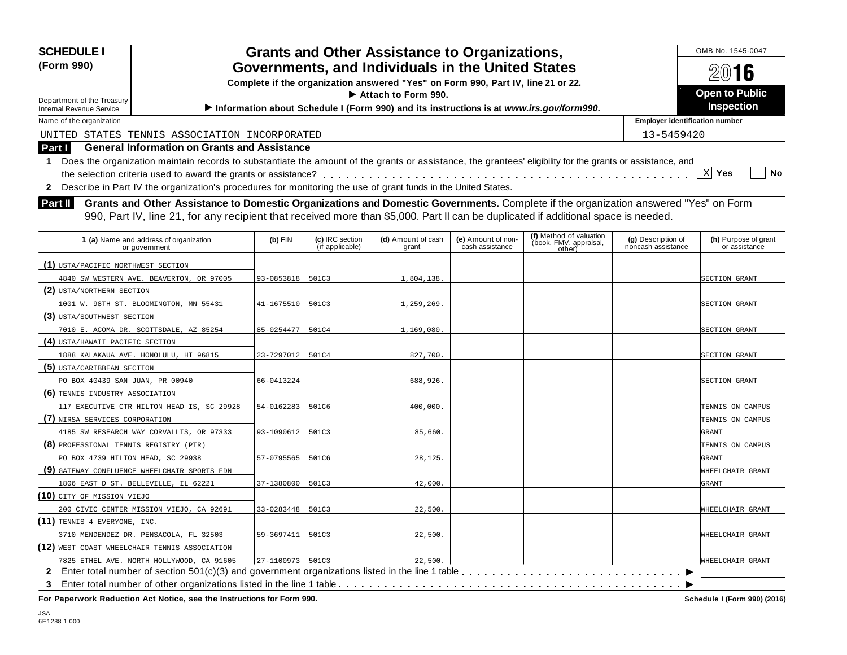| <b>SCHEDULE I</b>                                                                                                                                            |                  |                                    | <b>Grants and Other Assistance to Organizations,</b>                                    |                                       |                                                             |                                          | OMB No. 1545-0047                     |  |  |
|--------------------------------------------------------------------------------------------------------------------------------------------------------------|------------------|------------------------------------|-----------------------------------------------------------------------------------------|---------------------------------------|-------------------------------------------------------------|------------------------------------------|---------------------------------------|--|--|
| (Form 990)                                                                                                                                                   |                  |                                    | Governments, and Individuals in the United States                                       |                                       |                                                             | 2016                                     |                                       |  |  |
|                                                                                                                                                              |                  |                                    | Complete if the organization answered "Yes" on Form 990, Part IV, line 21 or 22.        |                                       |                                                             |                                          |                                       |  |  |
| Department of the Treasury                                                                                                                                   |                  |                                    | Attach to Form 990.                                                                     |                                       |                                                             |                                          | <b>Open to Public</b>                 |  |  |
| <b>Internal Revenue Service</b>                                                                                                                              |                  |                                    | Information about Schedule I (Form 990) and its instructions is at www.irs.gov/form990. |                                       |                                                             | Inspection                               |                                       |  |  |
| Name of the organization                                                                                                                                     |                  |                                    |                                                                                         |                                       |                                                             | <b>Employer identification number</b>    |                                       |  |  |
| UNITED STATES TENNIS ASSOCIATION INCORPORATED                                                                                                                |                  |                                    |                                                                                         |                                       |                                                             | 13-5459420                               |                                       |  |  |
| Part I<br><b>General Information on Grants and Assistance</b>                                                                                                |                  |                                    |                                                                                         |                                       |                                                             |                                          |                                       |  |  |
| 1 Does the organization maintain records to substantiate the amount of the grants or assistance, the grantees' eligibility for the grants or assistance, and |                  |                                    |                                                                                         |                                       |                                                             |                                          |                                       |  |  |
|                                                                                                                                                              |                  |                                    |                                                                                         |                                       |                                                             |                                          | $X$ Yes<br><b>No</b>                  |  |  |
| Describe in Part IV the organization's procedures for monitoring the use of grant funds in the United States.<br>$\mathbf{2}$                                |                  |                                    |                                                                                         |                                       |                                                             |                                          |                                       |  |  |
| <b>Part II</b><br>Grants and Other Assistance to Domestic Organizations and Domestic Governments. Complete if the organization answered "Yes" on Form        |                  |                                    |                                                                                         |                                       |                                                             |                                          |                                       |  |  |
| 990, Part IV, line 21, for any recipient that received more than \$5,000. Part II can be duplicated if additional space is needed.                           |                  |                                    |                                                                                         |                                       |                                                             |                                          |                                       |  |  |
|                                                                                                                                                              |                  |                                    |                                                                                         |                                       |                                                             |                                          |                                       |  |  |
| 1 (a) Name and address of organization<br>or government                                                                                                      | $(b)$ EIN        | (c) IRC section<br>(if applicable) | (d) Amount of cash<br>grant                                                             | (e) Amount of non-<br>cash assistance | (f) Method of valuation<br>(book, FMV, appraisal,<br>other) | (g) Description of<br>noncash assistance | (h) Purpose of grant<br>or assistance |  |  |
| (1) USTA/PACIFIC NORTHWEST SECTION                                                                                                                           |                  |                                    |                                                                                         |                                       |                                                             |                                          |                                       |  |  |
| 4840 SW WESTERN AVE. BEAVERTON, OR 97005                                                                                                                     | 93-0853818 501C3 |                                    | 1,804,138.                                                                              |                                       |                                                             |                                          | SECTION GRANT                         |  |  |
| (2) USTA/NORTHERN SECTION                                                                                                                                    |                  |                                    |                                                                                         |                                       |                                                             |                                          |                                       |  |  |
| 1001 W. 98TH ST. BLOOMINGTON, MN 55431                                                                                                                       | 41-1675510 501C3 |                                    | 1,259,269.                                                                              |                                       |                                                             |                                          | SECTION GRANT                         |  |  |
| (3) USTA/SOUTHWEST SECTION                                                                                                                                   |                  |                                    |                                                                                         |                                       |                                                             |                                          |                                       |  |  |
| 7010 E. ACOMA DR. SCOTTSDALE, AZ 85254                                                                                                                       | 85-0254477       | 501C4                              | 1,169,080.                                                                              |                                       |                                                             |                                          | SECTION GRANT                         |  |  |
| (4) USTA/HAWAII PACIFIC SECTION                                                                                                                              |                  |                                    |                                                                                         |                                       |                                                             |                                          |                                       |  |  |
| 1888 KALAKAUA AVE. HONOLULU, HI 96815                                                                                                                        | 23-7297012 501C4 |                                    | 827,700.                                                                                |                                       |                                                             |                                          | SECTION GRANT                         |  |  |
| (5) USTA/CARIBBEAN SECTION                                                                                                                                   |                  |                                    |                                                                                         |                                       |                                                             |                                          |                                       |  |  |
| PO BOX 40439 SAN JUAN, PR 00940                                                                                                                              | 66-0413224       |                                    | 688,926.                                                                                |                                       |                                                             |                                          | SECTION GRANT                         |  |  |
| (6) TENNIS INDUSTRY ASSOCIATION                                                                                                                              |                  |                                    |                                                                                         |                                       |                                                             |                                          |                                       |  |  |
| 117 EXECUTIVE CTR HILTON HEAD IS, SC 29928                                                                                                                   | 54-0162283 501C6 |                                    | 400,000.                                                                                |                                       |                                                             |                                          | TENNIS ON CAMPUS                      |  |  |
| (7) NIRSA SERVICES CORPORATION                                                                                                                               |                  |                                    |                                                                                         |                                       |                                                             |                                          | TENNIS ON CAMPUS                      |  |  |
| 4185 SW RESEARCH WAY CORVALLIS, OR 97333                                                                                                                     | 93-1090612 501C3 |                                    | 85,660.                                                                                 |                                       |                                                             |                                          | <b>GRANT</b>                          |  |  |
| (8) PROFESSIONAL TENNIS REGISTRY (PTR)                                                                                                                       |                  |                                    |                                                                                         |                                       |                                                             |                                          | TENNIS ON CAMPUS                      |  |  |
| PO BOX 4739 HILTON HEAD, SC 29938                                                                                                                            | 57-0795565       | 501C6                              | 28,125.                                                                                 |                                       |                                                             |                                          | <b>GRANT</b>                          |  |  |
| (9) GATEWAY CONFLUENCE WHEELCHAIR SPORTS FDN                                                                                                                 |                  |                                    |                                                                                         |                                       |                                                             |                                          | WHEELCHAIR GRANT                      |  |  |
| 1806 EAST D ST. BELLEVILLE, IL 62221                                                                                                                         | 37-1380800 501C3 |                                    | 42,000.                                                                                 |                                       |                                                             |                                          | GRANT                                 |  |  |

200 CIVIC CENTER MISSION VIEJO, CA 92691 33-0283448 501C3 22,500. 22,500.

3710 MENDENDEZ DR. PENSACOLA, FL 32503 59-3697411 501C3 22,500. 22,500.

<sup>7825</sup> ETHEL AVE. NORTH HOLLYWOOD, CA 91605 27-1100973 501C3 22,500. 22,500. 22,500. 22,500. 22,500. 22,500. 22,500. 2<br>**2** Enter total number of section 501(c)(3) and government organizations listed in the line 1 table . .

I **3** Enter total number of other organizations listed in the line 1 table m m m m m m m m m m m m m m m m m m m m m m m m m m m m m m m m m m m m m m m m m m m m m **For Paperwork Reduction Act Notice, see the Instructions for Form 990. Schedule I (Form 990) (2016)**

7825 ETHEL AVE. NORTH HOLLYWOOD, CA 91605 27-1100973 501C3 22,500.

WHEELCHAIR GRANT

**(10)** CITY OF MISSION VIEJO

**(11)** TENNIS 4 EVERYONE, INC.

**(12)** WEST COAST WHEELCHAIR TENNIS ASSOCIATION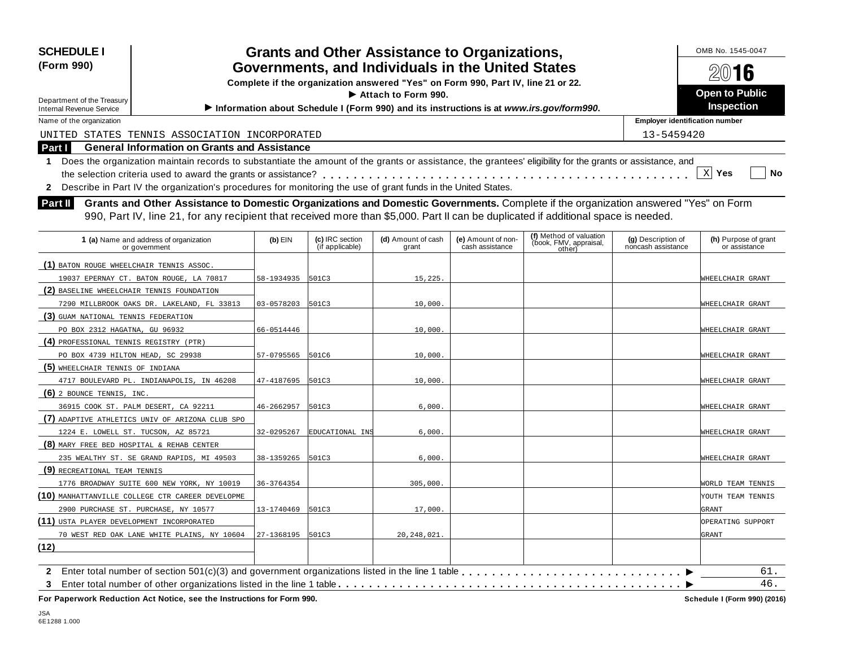| <b>SCHEDULE I</b>                                                                                                                                                                                                                                                                    |                  |                                    | <b>Grants and Other Assistance to Organizations,</b>                             |                                       |                                                                                         |                                          | OMB No. 1545-0047                     |
|--------------------------------------------------------------------------------------------------------------------------------------------------------------------------------------------------------------------------------------------------------------------------------------|------------------|------------------------------------|----------------------------------------------------------------------------------|---------------------------------------|-----------------------------------------------------------------------------------------|------------------------------------------|---------------------------------------|
| (Form 990)                                                                                                                                                                                                                                                                           |                  |                                    | Governments, and Individuals in the United States                                |                                       |                                                                                         |                                          | 2016                                  |
|                                                                                                                                                                                                                                                                                      |                  |                                    | Complete if the organization answered "Yes" on Form 990, Part IV, line 21 or 22. |                                       |                                                                                         |                                          |                                       |
| Department of the Treasury                                                                                                                                                                                                                                                           |                  |                                    | Attach to Form 990.                                                              |                                       |                                                                                         |                                          | <b>Open to Public</b>                 |
| <b>Internal Revenue Service</b>                                                                                                                                                                                                                                                      |                  |                                    |                                                                                  |                                       | Information about Schedule I (Form 990) and its instructions is at www.irs.gov/form990. |                                          | Inspection                            |
| Name of the organization                                                                                                                                                                                                                                                             |                  |                                    |                                                                                  |                                       |                                                                                         | <b>Employer identification number</b>    |                                       |
| UNITED STATES TENNIS ASSOCIATION INCORPORATED                                                                                                                                                                                                                                        |                  |                                    |                                                                                  |                                       |                                                                                         | 13-5459420                               |                                       |
| Part I<br><b>General Information on Grants and Assistance</b>                                                                                                                                                                                                                        |                  |                                    |                                                                                  |                                       |                                                                                         |                                          |                                       |
| Does the organization maintain records to substantiate the amount of the grants or assistance, the grantees' eligibility for the grants or assistance, and<br>$\mathbf{1}$                                                                                                           |                  |                                    |                                                                                  |                                       |                                                                                         |                                          | $X$ Yes<br>No                         |
| 2 Describe in Part IV the organization's procedures for monitoring the use of grant funds in the United States.                                                                                                                                                                      |                  |                                    |                                                                                  |                                       |                                                                                         |                                          |                                       |
| Part II<br>Grants and Other Assistance to Domestic Organizations and Domestic Governments. Complete if the organization answered "Yes" on Form<br>990, Part IV, line 21, for any recipient that received more than \$5,000. Part II can be duplicated if additional space is needed. |                  |                                    |                                                                                  |                                       |                                                                                         |                                          |                                       |
| 1 (a) Name and address of organization<br>or government                                                                                                                                                                                                                              | $(b)$ EIN        | (c) IRC section<br>(if applicable) | (d) Amount of cash<br>grant                                                      | (e) Amount of non-<br>cash assistance | (f) Method of valuation<br>(book, FMV, appraisal,<br>other)                             | (g) Description of<br>noncash assistance | (h) Purpose of grant<br>or assistance |
| (1) BATON ROUGE WHEELCHAIR TENNIS ASSOC.                                                                                                                                                                                                                                             |                  |                                    |                                                                                  |                                       |                                                                                         |                                          |                                       |
| 19037 EPERNAY CT. BATON ROUGE, LA 70817                                                                                                                                                                                                                                              | 58-1934935       | 501C3                              | 15,225.                                                                          |                                       |                                                                                         |                                          | WHEELCHAIR GRANT                      |
| (2) BASELINE WHEELCHAIR TENNIS FOUNDATION                                                                                                                                                                                                                                            |                  |                                    |                                                                                  |                                       |                                                                                         |                                          |                                       |
| 7290 MILLBROOK OAKS DR. LAKELAND, FL 33813                                                                                                                                                                                                                                           | 03-0578203 501C3 |                                    | 10,000.                                                                          |                                       |                                                                                         |                                          | WHEELCHAIR GRANT                      |
| (3) GUAM NATIONAL TENNIS FEDERATION                                                                                                                                                                                                                                                  |                  |                                    |                                                                                  |                                       |                                                                                         |                                          |                                       |
| PO BOX 2312 HAGATNA, GU 96932                                                                                                                                                                                                                                                        | 66-0514446       |                                    | 10,000.                                                                          |                                       |                                                                                         |                                          | WHEELCHAIR GRANT                      |
| (4) PROFESSIONAL TENNIS REGISTRY (PTR)                                                                                                                                                                                                                                               |                  |                                    |                                                                                  |                                       |                                                                                         |                                          |                                       |
| PO BOX 4739 HILTON HEAD, SC 29938                                                                                                                                                                                                                                                    | 57-0795565       | 501C6                              | 10,000.                                                                          |                                       |                                                                                         |                                          | WHEELCHAIR GRANT                      |
| (5) WHEELCHAIR TENNIS OF INDIANA                                                                                                                                                                                                                                                     |                  |                                    |                                                                                  |                                       |                                                                                         |                                          |                                       |
| 4717 BOULEVARD PL. INDIANAPOLIS, IN 46208                                                                                                                                                                                                                                            | 47-4187695       | 501C3                              | 10,000.                                                                          |                                       |                                                                                         |                                          | WHEELCHAIR GRANT                      |
| $(6)$ 2 BOUNCE TENNIS, INC.                                                                                                                                                                                                                                                          |                  |                                    |                                                                                  |                                       |                                                                                         |                                          |                                       |
| 36915 COOK ST. PALM DESERT, CA 92211                                                                                                                                                                                                                                                 | 46-2662957       | 501C3                              | 6,000.                                                                           |                                       |                                                                                         |                                          | WHEELCHAIR GRANT                      |
| (7) ADAPTIVE ATHLETICS UNIV OF ARIZONA CLUB SPO                                                                                                                                                                                                                                      |                  |                                    |                                                                                  |                                       |                                                                                         |                                          |                                       |
| 1224 E. LOWELL ST. TUCSON, AZ 85721                                                                                                                                                                                                                                                  | 32-0295267       | EDUCATIONAL INS                    | 6,000.                                                                           |                                       |                                                                                         |                                          | WHEELCHAIR GRANT                      |
| (8) MARY FREE BED HOSPITAL & REHAB CENTER                                                                                                                                                                                                                                            |                  |                                    |                                                                                  |                                       |                                                                                         |                                          |                                       |
| 235 WEALTHY ST. SE GRAND RAPIDS, MI 49503                                                                                                                                                                                                                                            | 38-1359265 501C3 |                                    | 6,000.                                                                           |                                       |                                                                                         |                                          | WHEELCHAIR GRANT                      |
| (9) RECREATIONAL TEAM TENNIS                                                                                                                                                                                                                                                         |                  |                                    |                                                                                  |                                       |                                                                                         |                                          |                                       |
| 1776 BROADWAY SUITE 600 NEW YORK, NY 10019                                                                                                                                                                                                                                           | 36-3764354       |                                    | 305,000.                                                                         |                                       |                                                                                         |                                          | WORLD TEAM TENNIS                     |
| (10) MANHATTANVILLE COLLEGE CTR CAREER DEVELOPME                                                                                                                                                                                                                                     |                  |                                    |                                                                                  |                                       |                                                                                         |                                          | YOUTH TEAM TENNIS                     |
| 2900 PURCHASE ST. PURCHASE, NY 10577                                                                                                                                                                                                                                                 | 13-1740469 501C3 |                                    | 17.000.                                                                          |                                       |                                                                                         |                                          | GRANT                                 |
| (11) USTA PLAYER DEVELOPMENT INCORPORATED                                                                                                                                                                                                                                            |                  |                                    |                                                                                  |                                       |                                                                                         |                                          | OPERATING SUPPORT                     |
| 70 WEST RED OAK LANE WHITE PLAINS, NY 10604                                                                                                                                                                                                                                          | 27-1368195       | 501C3                              | 20, 248, 021.                                                                    |                                       |                                                                                         |                                          | GRANT                                 |
| (12)                                                                                                                                                                                                                                                                                 |                  |                                    |                                                                                  |                                       |                                                                                         |                                          |                                       |
|                                                                                                                                                                                                                                                                                      |                  |                                    |                                                                                  |                                       |                                                                                         |                                          | 61.                                   |
| $\mathbf{2}$<br>3                                                                                                                                                                                                                                                                    |                  |                                    |                                                                                  |                                       |                                                                                         |                                          | 46.                                   |
| For Paperwork Reduction Act Notice, see the Instructions for Form 990.                                                                                                                                                                                                               |                  |                                    |                                                                                  |                                       |                                                                                         |                                          | Schedule I (Form 990) (2016)          |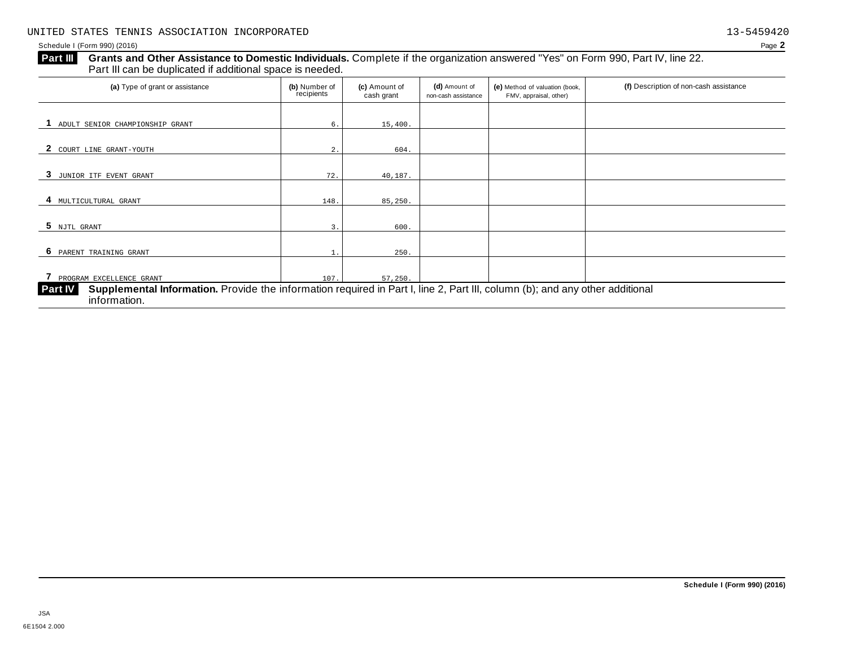#### Schedule I (Form 990) (2016) Page **2**

# Grants and Other Assistance to Domestic Individuals. Complete if the organization answered "Yes" on Form 990, Part IV, line 22. **Part III** Grants and Other Assistance to Domestic Individuals<br>Part III can be duplicated if additional space is needed.

| (a) Type of grant or assistance                                                                                                                                | (b) Number of<br>recipients | (c) Amount of<br>cash grant | (d) Amount of<br>non-cash assistance | (e) Method of valuation (book,<br>FMV, appraisal, other) | (f) Description of non-cash assistance |
|----------------------------------------------------------------------------------------------------------------------------------------------------------------|-----------------------------|-----------------------------|--------------------------------------|----------------------------------------------------------|----------------------------------------|
| ADULT SENIOR CHAMPIONSHIP GRANT                                                                                                                                |                             |                             |                                      |                                                          |                                        |
|                                                                                                                                                                | 6.                          | 15,400.                     |                                      |                                                          |                                        |
| COURT LINE GRANT-YOUTH                                                                                                                                         | 2.                          | 604.                        |                                      |                                                          |                                        |
| 3<br>JUNIOR ITF EVENT GRANT                                                                                                                                    | 72.                         | 40,187.                     |                                      |                                                          |                                        |
|                                                                                                                                                                |                             |                             |                                      |                                                          |                                        |
| 4<br>MULTICULTURAL GRANT                                                                                                                                       | 148.                        | 85,250.                     |                                      |                                                          |                                        |
| 5 NJTL GRANT                                                                                                                                                   | 3.                          | 600.                        |                                      |                                                          |                                        |
| - 6<br>PARENT TRAINING GRANT                                                                                                                                   |                             | 250.                        |                                      |                                                          |                                        |
| PROGRAM EXCELLENCE GRANT                                                                                                                                       | 107.                        | 57,250.                     |                                      |                                                          |                                        |
| Supplemental Information. Provide the information required in Part I, line 2, Part III, column (b); and any other additional<br><b>Part IV</b><br>information. |                             |                             |                                      |                                                          |                                        |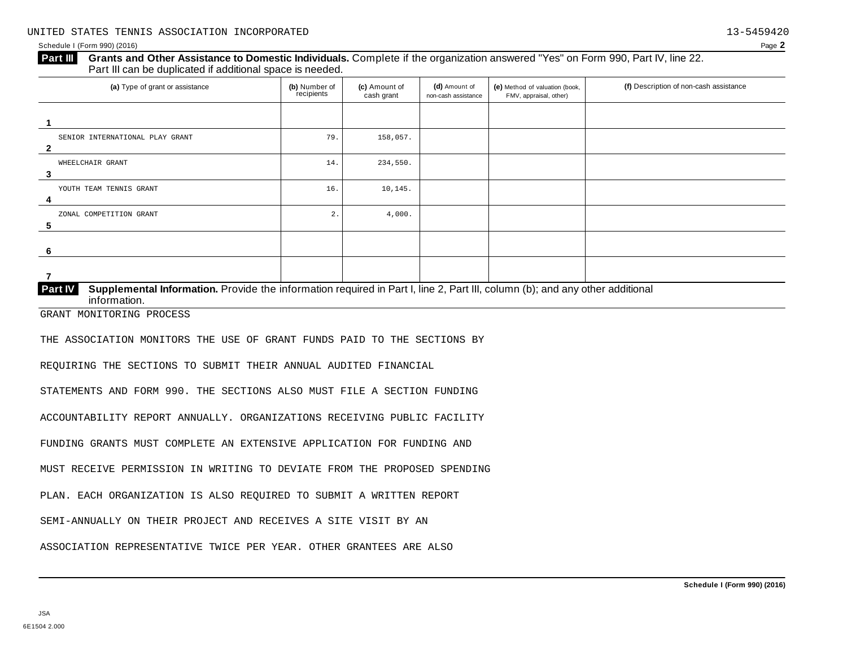#### Schedule I (Form 990) (2016) Page **2**

## **Grants and Other Assistance to Domestic Individuals.** Complete ifthe organization answered "Yes" on Form 990, Part IV, line 22. **Part III** Grants and Other Assistance to Domestic Individuals<br>Part III can be duplicated if additional space is needed.

| (a) Type of grant or assistance                                                                                                         | (b) Number of<br>recipients | (c) Amount of<br>cash grant | (d) Amount of<br>non-cash assistance | (e) Method of valuation (book,<br>FMV, appraisal, other) | (f) Description of non-cash assistance |
|-----------------------------------------------------------------------------------------------------------------------------------------|-----------------------------|-----------------------------|--------------------------------------|----------------------------------------------------------|----------------------------------------|
|                                                                                                                                         |                             |                             |                                      |                                                          |                                        |
| SENIOR INTERNATIONAL PLAY GRANT<br>$\mathbf{2}$                                                                                         | 79.                         | 158,057.                    |                                      |                                                          |                                        |
| WHEELCHAIR GRANT<br>3                                                                                                                   | 14.                         | 234,550.                    |                                      |                                                          |                                        |
| YOUTH TEAM TENNIS GRANT<br>4                                                                                                            | 16.                         | 10, 145.                    |                                      |                                                          |                                        |
| ZONAL COMPETITION GRANT<br>5                                                                                                            | 2.                          | 4,000.                      |                                      |                                                          |                                        |
| 6                                                                                                                                       |                             |                             |                                      |                                                          |                                        |
| 7                                                                                                                                       |                             |                             |                                      |                                                          |                                        |
| Supplemental Information. Provide the information required in Part I, line 2, Part III, column (b); and any other additional<br>Part IV |                             |                             |                                      |                                                          |                                        |

 $information$ .

GRANT MONITORING PROCESS

THE ASSOCIATION MONITORS THE USE OF GRANT FUNDS PAID TO THE SECTIONS BY

REQUIRING THE SECTIONS TO SUBMIT THEIR ANNUAL AUDITED FINANCIAL

STATEMENTS AND FORM 990. THE SECTIONS ALSO MUST FILE A SECTION FUNDING

ACCOUNTABILITY REPORT ANNUALLY. ORGANIZATIONS RECEIVING PUBLIC FACILITY

FUNDING GRANTS MUST COMPLETE AN EXTENSIVE APPLICATION FOR FUNDING AND

MUST RECEIVE PERMISSION IN WRITING TO DEVIATE FROM THE PROPOSED SPENDING

PLAN. EACH ORGANIZATION IS ALSO REQUIRED TO SUBMIT A WRITTEN REPORT

SEMI-ANNUALLY ON THEIR PROJECT AND RECEIVES A SITE VISIT BY AN

ASSOCIATION REPRESENTATIVE TWICE PER YEAR. OTHER GRANTEES ARE ALSO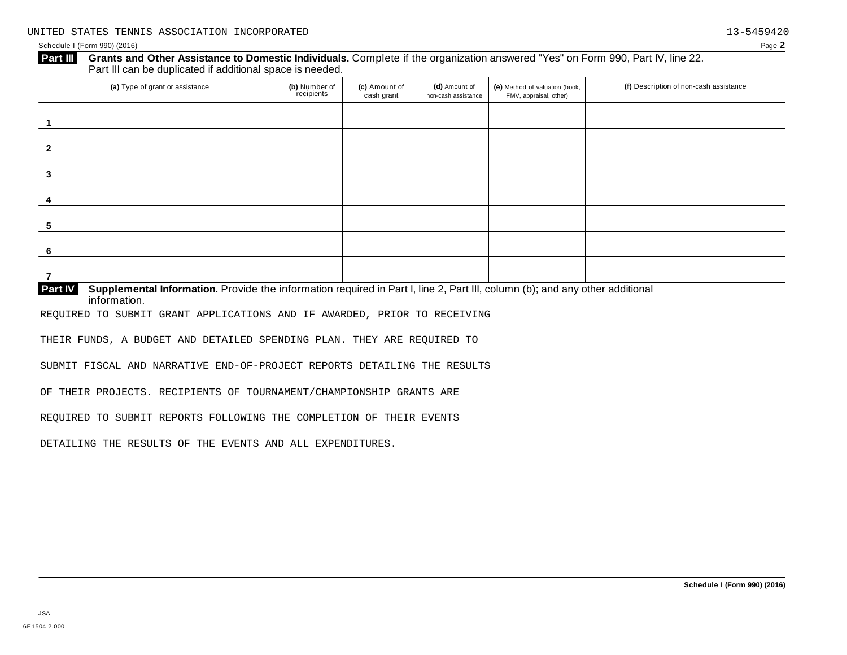#### Schedule I (Form 990) (2016) Page **2**

# **Grants and Other Assistance to Domestic Individuals.** Complete ifthe organization answered "Yes" on Form 990, Part IV, line 22. **Part III** Grants and Other Assistance to Domestic Individuals<br>Part III can be duplicated if additional space is needed.

| (a) Type of grant or assistance                                                                                                    | (b) Number of<br>recipients | (c) Amount of<br>cash grant | (d) Amount of<br>non-cash assistance | (e) Method of valuation (book,<br>FMV, appraisal, other) | (f) Description of non-cash assistance |
|------------------------------------------------------------------------------------------------------------------------------------|-----------------------------|-----------------------------|--------------------------------------|----------------------------------------------------------|----------------------------------------|
|                                                                                                                                    |                             |                             |                                      |                                                          |                                        |
| $\mathbf{c}$                                                                                                                       |                             |                             |                                      |                                                          |                                        |
| 3                                                                                                                                  |                             |                             |                                      |                                                          |                                        |
|                                                                                                                                    |                             |                             |                                      |                                                          |                                        |
| 5                                                                                                                                  |                             |                             |                                      |                                                          |                                        |
| 6                                                                                                                                  |                             |                             |                                      |                                                          |                                        |
| 7                                                                                                                                  |                             |                             |                                      |                                                          |                                        |
| Dent IV Currelemental Information Devide the information required in Dent Lline O. Dent III, actuary (b), and any other additional |                             |                             |                                      |                                                          |                                        |

**Supplemental Information.** Provide the information required in Part I, line 2, Part III, column (b); and any other additional information. **Part IV**

REQUIRED TO SUBMIT GRANT APPLICATIONS AND IF AWARDED, PRIOR TO RECEIVING

THEIR FUNDS, A BUDGET AND DETAILED SPENDING PLAN. THEY ARE REQUIRED TO

SUBMIT FISCAL AND NARRATIVE END-OF-PROJECT REPORTS DETAILING THE RESULTS

OF THEIR PROJECTS. RECIPIENTS OF TOURNAMENT/CHAMPIONSHIP GRANTS ARE

REQUIRED TO SUBMIT REPORTS FOLLOWING THE COMPLETION OF THEIR EVENTS

DETAILING THE RESULTS OF THE EVENTS AND ALL EXPENDITURES.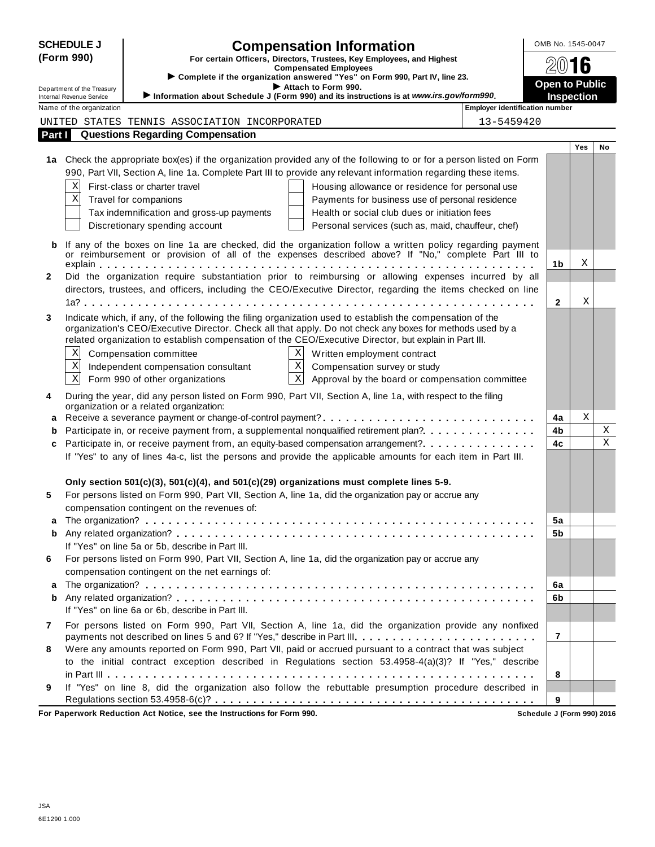|              | <b>SCHEDULE J</b>                                    | <b>Compensation Information</b>                                                                                                                                                                                     | OMB No. 1545-0047     |            |    |
|--------------|------------------------------------------------------|---------------------------------------------------------------------------------------------------------------------------------------------------------------------------------------------------------------------|-----------------------|------------|----|
|              | (Form 990)                                           | For certain Officers, Directors, Trustees, Key Employees, and Highest                                                                                                                                               |                       |            |    |
|              |                                                      | <b>Compensated Employees</b><br>Complete if the organization answered "Yes" on Form 990, Part IV, line 23.                                                                                                          | 2016                  |            |    |
|              | Department of the Treasury                           | Attach to Form 990.                                                                                                                                                                                                 | <b>Open to Public</b> |            |    |
|              | Internal Revenue Service<br>Name of the organization | Information about Schedule J (Form 990) and its instructions is at www.irs.gov/form990.<br><b>Employer identification number</b>                                                                                    | <b>Inspection</b>     |            |    |
|              |                                                      | 13-5459420<br>UNITED STATES TENNIS ASSOCIATION INCORPORATED                                                                                                                                                         |                       |            |    |
| Part I       |                                                      | <b>Questions Regarding Compensation</b>                                                                                                                                                                             |                       |            |    |
|              |                                                      |                                                                                                                                                                                                                     |                       | <b>Yes</b> | No |
|              |                                                      | 1a Check the appropriate box(es) if the organization provided any of the following to or for a person listed on Form                                                                                                |                       |            |    |
|              |                                                      | 990, Part VII, Section A, line 1a. Complete Part III to provide any relevant information regarding these items.                                                                                                     |                       |            |    |
|              | Χ                                                    | First-class or charter travel<br>Housing allowance or residence for personal use                                                                                                                                    |                       |            |    |
|              | Χ                                                    | Payments for business use of personal residence<br>Travel for companions                                                                                                                                            |                       |            |    |
|              |                                                      | Health or social club dues or initiation fees<br>Tax indemnification and gross-up payments                                                                                                                          |                       |            |    |
|              |                                                      | Discretionary spending account<br>Personal services (such as, maid, chauffeur, chef)                                                                                                                                |                       |            |    |
| b            |                                                      | If any of the boxes on line 1a are checked, did the organization follow a written policy regarding payment                                                                                                          |                       |            |    |
|              |                                                      | or reimbursement or provision of all of the expenses described above? If "No," complete Part III to                                                                                                                 | 1b                    | Χ          |    |
| $\mathbf{2}$ |                                                      | Did the organization require substantiation prior to reimbursing or allowing expenses incurred by all                                                                                                               |                       |            |    |
|              |                                                      | directors, trustees, and officers, including the CEO/Executive Director, regarding the items checked on line                                                                                                        |                       |            |    |
|              |                                                      |                                                                                                                                                                                                                     | $\mathbf{2}$          | Χ          |    |
| 3            |                                                      | Indicate which, if any, of the following the filing organization used to establish the compensation of the                                                                                                          |                       |            |    |
|              |                                                      | organization's CEO/Executive Director. Check all that apply. Do not check any boxes for methods used by a<br>related organization to establish compensation of the CEO/Executive Director, but explain in Part III. |                       |            |    |
|              | Χ                                                    | X<br>Compensation committee<br>Written employment contract                                                                                                                                                          |                       |            |    |
|              | Χ                                                    | $\overline{\mathbf{x}}$<br>Compensation survey or study<br>Independent compensation consultant                                                                                                                      |                       |            |    |
|              | $\mathbf{x}$                                         | $\overline{\mathbf{x}}$<br>Form 990 of other organizations<br>Approval by the board or compensation committee                                                                                                       |                       |            |    |
| 4            |                                                      | During the year, did any person listed on Form 990, Part VII, Section A, line 1a, with respect to the filing                                                                                                        |                       |            |    |
|              |                                                      | organization or a related organization:                                                                                                                                                                             |                       |            |    |
| a            |                                                      |                                                                                                                                                                                                                     | 4a                    | Χ          |    |
| b            |                                                      | Participate in, or receive payment from, a supplemental nonqualified retirement plan?                                                                                                                               | 4b                    |            | Χ  |
| c            |                                                      | Participate in, or receive payment from, an equity-based compensation arrangement?                                                                                                                                  | 4c                    |            | X  |
|              |                                                      | If "Yes" to any of lines 4a-c, list the persons and provide the applicable amounts for each item in Part III.                                                                                                       |                       |            |    |
|              |                                                      | Only section 501(c)(3), 501(c)(4), and 501(c)(29) organizations must complete lines 5-9.                                                                                                                            |                       |            |    |
| 5            |                                                      | For persons listed on Form 990, Part VII, Section A, line 1a, did the organization pay or accrue any                                                                                                                |                       |            |    |
|              |                                                      | compensation contingent on the revenues of:                                                                                                                                                                         |                       |            |    |
| a            |                                                      |                                                                                                                                                                                                                     | 5a                    |            |    |
| b            |                                                      |                                                                                                                                                                                                                     | 5b                    |            |    |
|              |                                                      | If "Yes" on line 5a or 5b, describe in Part III.                                                                                                                                                                    |                       |            |    |
| 6            |                                                      | For persons listed on Form 990, Part VII, Section A, line 1a, did the organization pay or accrue any                                                                                                                |                       |            |    |
| a            |                                                      | compensation contingent on the net earnings of:                                                                                                                                                                     | 6a                    |            |    |
| b            |                                                      |                                                                                                                                                                                                                     | 6b                    |            |    |
|              |                                                      | If "Yes" on line 6a or 6b, describe in Part III.                                                                                                                                                                    |                       |            |    |
| 7            |                                                      | For persons listed on Form 990, Part VII, Section A, line 1a, did the organization provide any nonfixed                                                                                                             |                       |            |    |
|              |                                                      | payments not described on lines 5 and 6? If "Yes," describe in Part III.                                                                                                                                            | $\overline{7}$        |            |    |
| 8            |                                                      | Were any amounts reported on Form 990, Part VII, paid or accrued pursuant to a contract that was subject                                                                                                            |                       |            |    |
|              |                                                      | to the initial contract exception described in Regulations section 53.4958-4(a)(3)? If "Yes," describe                                                                                                              |                       |            |    |
|              |                                                      |                                                                                                                                                                                                                     | 8                     |            |    |
| 9            |                                                      | If "Yes" on line 8, did the organization also follow the rebuttable presumption procedure described in                                                                                                              |                       |            |    |
|              |                                                      | $\sim$ $\sim$ $\sim$ $\sim$                                                                                                                                                                                         | 9                     |            |    |

**For Paperwork Reduction Act Notice, see the Instructions for Form 990. Schedule J (Form 990) 2016**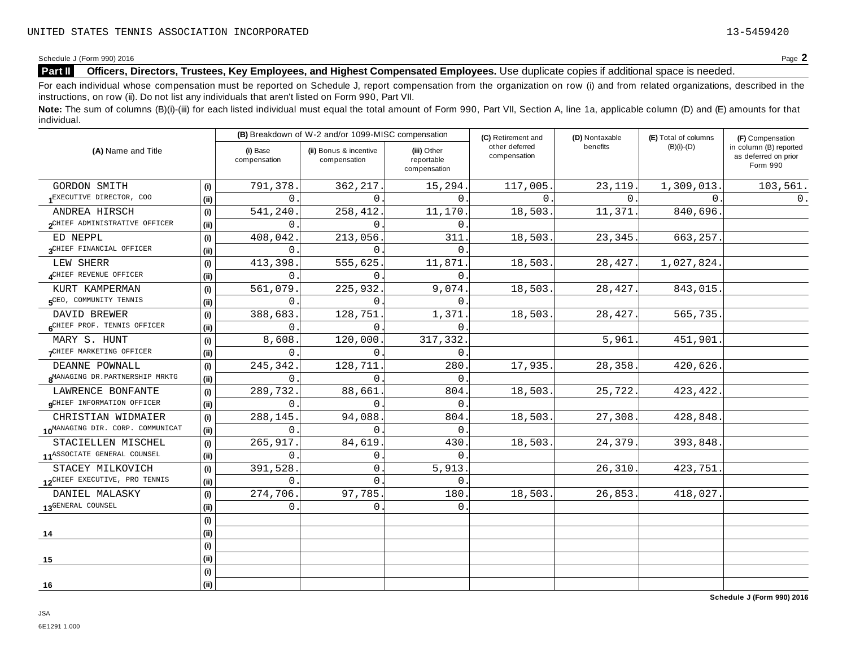Schedule <sup>J</sup> (Form 990) <sup>2016</sup> Page **2**

# **Part II Officers, Directors, Trustees, Key Employees, and Highest Compensated Employees.** Use duplicate copies ifadditional space is needed.

For each individual whose compensation must be reported on Schedule J, report compensation from the organization on row (i) and from related organizations, described in the instructions, on row (ii). Do not list any individuals that aren't listed on Form 990, Part VII.

Note: The sum of columns (B)(i)-(iii) for each listed individual must equal the total amount of Form 990, Part VII, Section A, line 1a, applicable column (D) and (E) amounts for that individual.

| (A) Name and Title                           |      |                          | (B) Breakdown of W-2 and/or 1099-MISC compensation |                                           | (C) Retirement and             | (D) Nontaxable | (E) Total of columns | (F) Compensation                                           |  |  |
|----------------------------------------------|------|--------------------------|----------------------------------------------------|-------------------------------------------|--------------------------------|----------------|----------------------|------------------------------------------------------------|--|--|
|                                              |      | (i) Base<br>compensation | (ii) Bonus & incentive<br>compensation             | (iii) Other<br>reportable<br>compensation | other deferred<br>compensation | benefits       | $(B)(i)-(D)$         | in column (B) reported<br>as deferred on prior<br>Form 990 |  |  |
| GORDON SMITH                                 | (i)  | 791,378                  | 362, 217.                                          | 15,294.                                   | 117,005                        | 23, 119.       | 1,309,013.           | 103,561.                                                   |  |  |
| EXECUTIVE DIRECTOR, COO                      | (ii) | $\Omega$                 | $\Omega$                                           | $\Omega$ .                                | $\Omega$ .                     | $\Omega$ .     | $\Omega$ .           | $0$ .                                                      |  |  |
| ANDREA HIRSCH                                | (i)  | 541,240                  | 258,412.                                           | 11,170                                    | 18,503.                        | 11,371.        | 840,696.             |                                                            |  |  |
| OCHIEF ADMINISTRATIVE OFFICER                | (ii) | 0                        | $\Omega$                                           | $\Omega$                                  |                                |                |                      |                                                            |  |  |
| ED NEPPL                                     | (i)  | 408,042                  | 213,056.                                           | 311                                       | 18,503.                        | 23,345.        | 663,257.             |                                                            |  |  |
| <b>QCHIEF FINANCIAL OFFICER</b>              | (ii) | $\Omega$                 | $\Omega$ .                                         | $\Omega$                                  |                                |                |                      |                                                            |  |  |
| LEW SHERR                                    | (i)  | 413,398                  | 555,625.                                           | 11,871                                    | 18,503                         | 28,427.        | 1,027,824.           |                                                            |  |  |
| CHIEF REVENUE OFFICER                        | (i)  | 0                        | $\Omega$ .                                         | $\mathbf{0}$ .                            |                                |                |                      |                                                            |  |  |
| KURT KAMPERMAN                               | (i)  | 561,079                  | 225,932.                                           | 9,074.                                    | 18,503                         | 28,427.        | 843,015.             |                                                            |  |  |
| <b>GCEO, COMMUNITY TENNIS</b>                | (ii) | $\mathbf{0}$ .           | $\Omega$ .                                         | $\mathbf 0$ .                             |                                |                |                      |                                                            |  |  |
| DAVID BREWER                                 | (i)  | 388,683                  | 128,751                                            | 1,371.                                    | 18,503                         | 28, 427.       | 565,735.             |                                                            |  |  |
| <b>GCHIEF PROF. TENNIS OFFICER</b>           | (i)  | 0                        | 0                                                  | 0                                         |                                |                |                      |                                                            |  |  |
| MARY S. HUNT                                 | (i)  | 8,608                    | 120,000.                                           | 317,332.                                  |                                | 5,961.         | 451,901.             |                                                            |  |  |
| CHIEF MARKETING OFFICER                      | (ii) | $\Omega$                 | $\Omega$                                           | $\Omega$                                  |                                |                |                      |                                                            |  |  |
| DEANNE POWNALL                               | (i)  | 245,342.                 | 128,711                                            | 280                                       | 17,935.                        | 28,358.        | 420,626.             |                                                            |  |  |
| 8MANAGING DR. PARTNERSHIP MRKTG              | (ii) | $\Omega$                 | $\Omega$                                           | $\overline{0}$                            |                                |                |                      |                                                            |  |  |
| LAWRENCE BONFANTE                            | (i)  | 289,732                  | 88,661                                             | 804                                       | 18,503.                        | 25,722.        | 423, 422.            |                                                            |  |  |
| <b>QCHIEF INFORMATION OFFICER</b>            | (i)  | $\Omega$                 | $\Omega$                                           | $\Omega$                                  |                                |                |                      |                                                            |  |  |
| CHRISTIAN WIDMAIER                           | (i)  | 288,145                  | 94,088.                                            | 804                                       | 18,503.                        | 27,308.        | 428,848.             |                                                            |  |  |
| 10 <sup>MANAGING</sup> DIR. CORP. COMMUNICAT | (i)  | $\Omega$                 | $\Omega$                                           | $\mathbf 0$ .                             |                                |                |                      |                                                            |  |  |
| STACIELLEN MISCHEL                           | (i)  | 265,917                  | 84,619                                             | 430                                       | 18,503.                        | 24,379.        | 393,848.             |                                                            |  |  |
| 11 <sup>ASSOCIATE</sup> GENERAL COUNSEL      | (i)  | $\Omega$                 | 0                                                  | $\Omega$                                  |                                |                |                      |                                                            |  |  |
| STACEY MILKOVICH                             | (i)  | 391,528                  | 0                                                  | 5,913.                                    |                                | 26,310.        | 423,751.             |                                                            |  |  |
| 12 <sup>CHIEF</sup> EXECUTIVE, PRO TENNIS    | (i)  | 0                        | $\mathbf{0}$ .                                     | 0                                         |                                |                |                      |                                                            |  |  |
| DANIEL MALASKY                               | (i)  | 274,706.                 | 97,785.                                            | 180                                       | 18,503                         | 26,853.        | 418,027.             |                                                            |  |  |
| 13 <sup>GENERAL</sup> COUNSEL                | (ii) | $\mathbf{0}$ .           | 0.                                                 | $\mathbf 0$ .                             |                                |                |                      |                                                            |  |  |
|                                              | (i)  |                          |                                                    |                                           |                                |                |                      |                                                            |  |  |
| 14                                           | (ii) |                          |                                                    |                                           |                                |                |                      |                                                            |  |  |
|                                              | (i)  |                          |                                                    |                                           |                                |                |                      |                                                            |  |  |
| 15                                           | (ii) |                          |                                                    |                                           |                                |                |                      |                                                            |  |  |
|                                              | (i)  |                          |                                                    |                                           |                                |                |                      |                                                            |  |  |
| 16                                           | (ii) |                          |                                                    |                                           |                                |                |                      |                                                            |  |  |

**Schedule J (Form 990) 2016**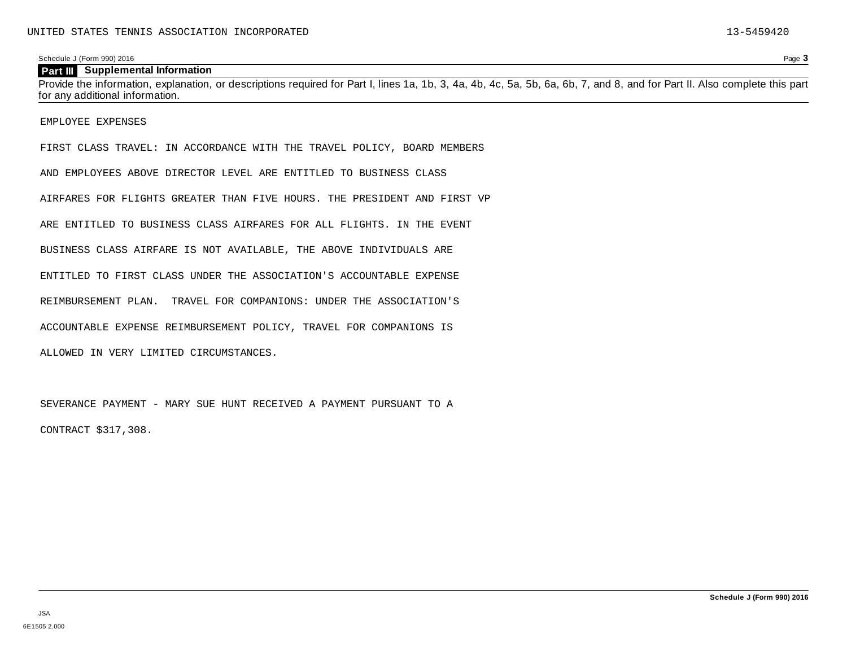### **Part III Supplemental Information**

Provide the information, explanation, or descriptions required for Part I, lines 1a, 1b, 3, 4a, 4b, 4c, 5a, 5b, 6a, 6b, 7, and 8, and for Part II. Also complete this part for any additional information.

EMPLOYEE EXPENSES

FIRST CLASS TRAVEL: IN ACCORDANCE WITH THE TRAVEL POLICY, BOARD MEMBERS

AND EMPLOYEES ABOVE DIRECTOR LEVEL ARE ENTITLED TO BUSINESS CLASS

AIRFARES FOR FLIGHTS GREATER THAN FIVE HOURS. THE PRESIDENT AND FIRST VP

ARE ENTITLED TO BUSINESS CLASS AIRFARES FOR ALL FLIGHTS. IN THE EVENT

BUSINESS CLASS AIRFARE IS NOT AVAILABLE, THE ABOVE INDIVIDUALS ARE

ENTITLED TO FIRST CLASS UNDER THE ASSOCIATION'S ACCOUNTABLE EXPENSE

REIMBURSEMENT PLAN. TRAVEL FOR COMPANIONS: UNDER THE ASSOCIATION'S

ACCOUNTABLE EXPENSE REIMBURSEMENT POLICY, TRAVEL FOR COMPANIONS IS

ALLOWED IN VERY LIMITED CIRCUMSTANCES.

SEVERANCE PAYMENT - MARY SUE HUNT RECEIVED A PAYMENT PURSUANT TO A

CONTRACT \$317,308.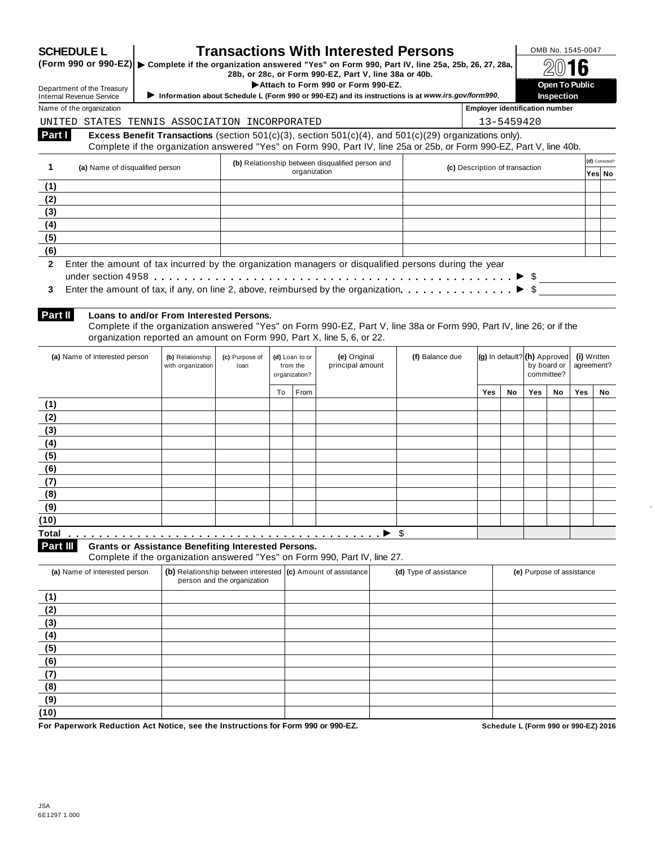|                                        | <b>SCHEDULE L</b><br>(Form 990 or 990-EZ)   ► Complete if the organization answered "Yes" on Form 990, Part IV, line 25a, 25b, 26, 27, 28a, |                   |                             |                | <b>Transactions With Interested Persons</b>                                                                                             |                        |                                       |    |                              | OMB No. 1545-0047                   |             |                |
|----------------------------------------|---------------------------------------------------------------------------------------------------------------------------------------------|-------------------|-----------------------------|----------------|-----------------------------------------------------------------------------------------------------------------------------------------|------------------------|---------------------------------------|----|------------------------------|-------------------------------------|-------------|----------------|
|                                        |                                                                                                                                             |                   |                             |                | 28b, or 28c, or Form 990-EZ, Part V, line 38a or 40b.                                                                                   |                        |                                       |    |                              |                                     | b           |                |
|                                        | Department of the Treasury                                                                                                                  |                   |                             |                | Attach to Form 990 or Form 990-EZ.<br>Information about Schedule L (Form 990 or 990-EZ) and its instructions is at www.irs.gov/form990. |                        |                                       |    |                              | Open To Public<br><b>Inspection</b> |             |                |
|                                        | <b>Internal Revenue Service</b><br>Name of the organization                                                                                 |                   |                             |                |                                                                                                                                         |                        | <b>Employer identification number</b> |    |                              |                                     |             |                |
|                                        | UNITED STATES TENNIS ASSOCIATION INCORPORATED                                                                                               |                   |                             |                |                                                                                                                                         |                        | 13-5459420                            |    |                              |                                     |             |                |
| Part I                                 |                                                                                                                                             |                   |                             |                | Excess Benefit Transactions (section $501(c)(3)$ , section $501(c)(4)$ , and $501(c)(29)$ organizations only).                          |                        |                                       |    |                              |                                     |             |                |
|                                        |                                                                                                                                             |                   |                             |                | Complete if the organization answered "Yes" on Form 990, Part IV, line 25a or 25b, or Form 990-EZ, Part V, line 40b.                    |                        |                                       |    |                              |                                     |             |                |
|                                        |                                                                                                                                             |                   |                             |                | (b) Relationship between disqualified person and                                                                                        |                        |                                       |    |                              |                                     |             | (d) Corrected? |
| 1                                      | (a) Name of disqualified person                                                                                                             |                   |                             | organization   |                                                                                                                                         |                        | (c) Description of transaction        |    |                              |                                     |             | Yes∣ No        |
| (1)                                    |                                                                                                                                             |                   |                             |                |                                                                                                                                         |                        |                                       |    |                              |                                     |             |                |
| (2)                                    |                                                                                                                                             |                   |                             |                |                                                                                                                                         |                        |                                       |    |                              |                                     |             |                |
| (3)                                    |                                                                                                                                             |                   |                             |                |                                                                                                                                         |                        |                                       |    |                              |                                     |             |                |
| (4)                                    |                                                                                                                                             |                   |                             |                |                                                                                                                                         |                        |                                       |    |                              |                                     |             |                |
| (5)<br>(6)                             |                                                                                                                                             |                   |                             |                |                                                                                                                                         |                        |                                       |    |                              |                                     |             |                |
| $\mathbf{2}$                           | Enter the amount of tax incurred by the organization managers or disqualified persons during the year                                       |                   |                             |                |                                                                                                                                         |                        |                                       |    |                              |                                     |             |                |
|                                        |                                                                                                                                             |                   |                             |                |                                                                                                                                         |                        |                                       |    |                              |                                     |             |                |
| 3                                      | Enter the amount of tax, if any, on line 2, above, reimbursed by the organization. $\ldots$ , $\ldots$ , $\ldots$                           |                   |                             |                |                                                                                                                                         |                        |                                       |    |                              |                                     |             |                |
|                                        |                                                                                                                                             |                   |                             |                |                                                                                                                                         |                        |                                       |    |                              |                                     |             |                |
| Part II                                | Loans to and/or From Interested Persons.                                                                                                    |                   |                             |                |                                                                                                                                         |                        |                                       |    |                              |                                     |             |                |
|                                        |                                                                                                                                             |                   |                             |                | Complete if the organization answered "Yes" on Form 990-EZ, Part V, line 38a or Form 990, Part IV, line 26; or if the                   |                        |                                       |    |                              |                                     |             |                |
|                                        | organization reported an amount on Form 990, Part X, line 5, 6, or 22.                                                                      |                   |                             |                |                                                                                                                                         |                        |                                       |    |                              |                                     |             |                |
|                                        | (a) Name of interested person                                                                                                               | (b) Relationship  | (c) Purpose of              | (d) Loan to or | (e) Original                                                                                                                            | (f) Balance due        |                                       |    | (g) In default? (h) Approved |                                     | (i) Written |                |
|                                        |                                                                                                                                             | with organization | loan                        | from the       | principal amount                                                                                                                        |                        |                                       |    | by board or                  |                                     | agreement?  |                |
|                                        |                                                                                                                                             |                   |                             | organization?  |                                                                                                                                         |                        |                                       |    | committee?                   |                                     |             |                |
|                                        |                                                                                                                                             |                   |                             | To<br>From     |                                                                                                                                         |                        | Yes                                   | No | Yes                          | No                                  | <b>Yes</b>  | No             |
| (1)                                    |                                                                                                                                             |                   |                             |                |                                                                                                                                         |                        |                                       |    |                              |                                     |             |                |
| (2)                                    |                                                                                                                                             |                   |                             |                |                                                                                                                                         |                        |                                       |    |                              |                                     |             |                |
| (3)                                    |                                                                                                                                             |                   |                             |                |                                                                                                                                         |                        |                                       |    |                              |                                     |             |                |
| (4)                                    |                                                                                                                                             |                   |                             |                |                                                                                                                                         |                        |                                       |    |                              |                                     |             |                |
| (5)                                    |                                                                                                                                             |                   |                             |                |                                                                                                                                         |                        |                                       |    |                              |                                     |             |                |
| (6)<br>(7)                             |                                                                                                                                             |                   |                             |                |                                                                                                                                         |                        |                                       |    |                              |                                     |             |                |
| (8)                                    |                                                                                                                                             |                   |                             |                |                                                                                                                                         |                        |                                       |    |                              |                                     |             |                |
| (9)                                    |                                                                                                                                             |                   |                             |                |                                                                                                                                         |                        |                                       |    |                              |                                     |             |                |
| (10)                                   |                                                                                                                                             |                   |                             |                |                                                                                                                                         |                        |                                       |    |                              |                                     |             |                |
| Total                                  |                                                                                                                                             |                   |                             |                | ▶∶                                                                                                                                      | -\$                    |                                       |    |                              |                                     |             |                |
| Part III                               | <b>Grants or Assistance Benefiting Interested Persons.</b>                                                                                  |                   |                             |                |                                                                                                                                         |                        |                                       |    |                              |                                     |             |                |
|                                        |                                                                                                                                             |                   |                             |                | Complete if the organization answered "Yes" on Form 990, Part IV, line 27.                                                              |                        |                                       |    |                              |                                     |             |                |
|                                        | (a) Name of interested person                                                                                                               |                   |                             |                | (b) Relationship between interested (c) Amount of assistance                                                                            | (d) Type of assistance |                                       |    | (e) Purpose of assistance    |                                     |             |                |
|                                        |                                                                                                                                             |                   | person and the organization |                |                                                                                                                                         |                        |                                       |    |                              |                                     |             |                |
|                                        |                                                                                                                                             |                   |                             |                |                                                                                                                                         |                        |                                       |    |                              |                                     |             |                |
|                                        |                                                                                                                                             |                   |                             |                |                                                                                                                                         |                        |                                       |    |                              |                                     |             |                |
|                                        |                                                                                                                                             |                   |                             |                |                                                                                                                                         |                        |                                       |    |                              |                                     |             |                |
|                                        |                                                                                                                                             |                   |                             |                |                                                                                                                                         |                        |                                       |    |                              |                                     |             |                |
|                                        |                                                                                                                                             |                   |                             |                |                                                                                                                                         |                        |                                       |    |                              |                                     |             |                |
|                                        |                                                                                                                                             |                   |                             |                |                                                                                                                                         |                        |                                       |    |                              |                                     |             |                |
| (1)<br>(2)<br>(3)<br>(4)<br>(5)<br>(6) |                                                                                                                                             |                   |                             |                |                                                                                                                                         |                        |                                       |    |                              |                                     |             |                |
| (7)                                    |                                                                                                                                             |                   |                             |                |                                                                                                                                         |                        |                                       |    |                              |                                     |             |                |
| (8)                                    |                                                                                                                                             |                   |                             |                |                                                                                                                                         |                        |                                       |    |                              |                                     |             |                |
| (9)<br>(10)                            |                                                                                                                                             |                   |                             |                |                                                                                                                                         |                        |                                       |    |                              |                                     |             |                |

 $\bar{\beta}$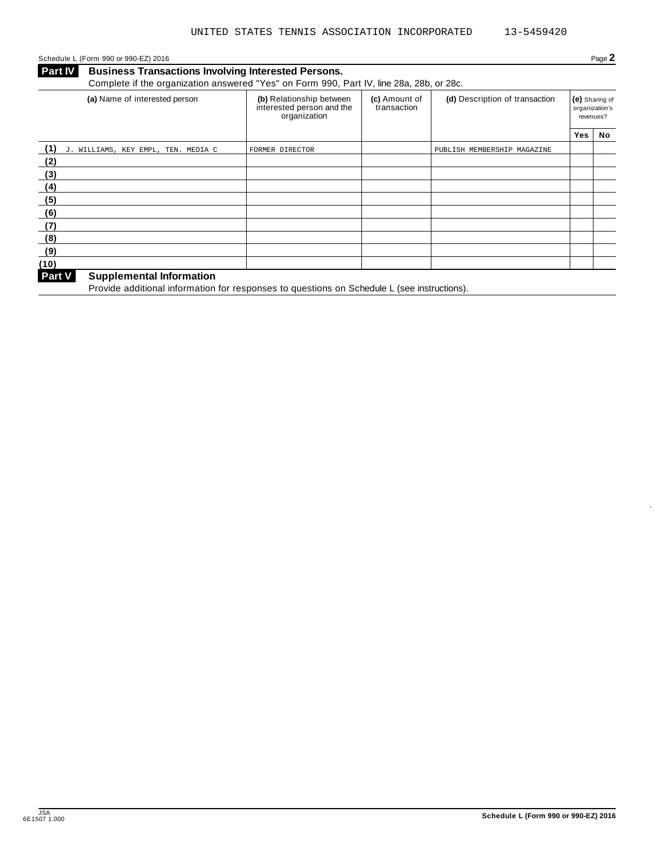Schedule <sup>L</sup> (Form <sup>990</sup> or 990-EZ) <sup>2016</sup> Page **2**

**Business Transactions Involving Interested Persons. Part IV Business Transactions Involving Interested Persons.**<br>Complete if the organization answered "Yes" on Form 990, Part IV, line 28a, 28b, or 28c.

| (a) Name of interested person              | (b) Relationship between<br>interested person and the<br>organization | (c) Amount of<br>transaction | (d) Description of transaction |     | (e) Sharing of<br>organization's<br>revenues? |  |
|--------------------------------------------|-----------------------------------------------------------------------|------------------------------|--------------------------------|-----|-----------------------------------------------|--|
|                                            |                                                                       |                              |                                | Yes | No                                            |  |
| (1)<br>J. WILLIAMS, KEY EMPL, TEN. MEDIA C | FORMER DIRECTOR                                                       |                              | PUBLISH MEMBERSHIP MAGAZINE    |     |                                               |  |
| (2)                                        |                                                                       |                              |                                |     |                                               |  |
| (3)                                        |                                                                       |                              |                                |     |                                               |  |
| (4)                                        |                                                                       |                              |                                |     |                                               |  |
| (5)                                        |                                                                       |                              |                                |     |                                               |  |
| (6)                                        |                                                                       |                              |                                |     |                                               |  |
| (7)                                        |                                                                       |                              |                                |     |                                               |  |
| (8)                                        |                                                                       |                              |                                |     |                                               |  |
| (9)                                        |                                                                       |                              |                                |     |                                               |  |
| (10)                                       |                                                                       |                              |                                |     |                                               |  |
| Part V<br><b>Supplemental Information</b>  |                                                                       |                              |                                |     |                                               |  |

**Part V** Supplemental information<br>Provide additional information for responses to questions on Schedule L (see instructions).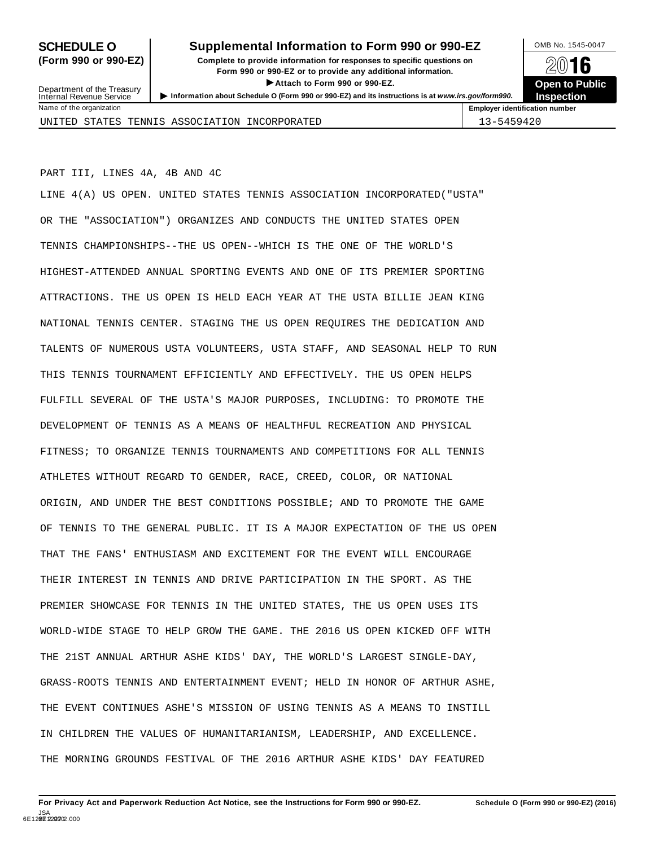# **SCHEDULE O** Supplemental Information to Form 990 or 990-EZ DMB No. 1545-0047

**(Form 990 or 990-EZ) Complete to provide information for responses to specific questions on** plete to provide information for responses to specific questions on  $\mathbb{Z}^{\square}$  **16 EXECUTE:** Attach to Form 990 or 990-EZ.<br>
Attach to Form 990 or 990-EZ.<br> **Company of the Company of the Company of the Company of the Company of the Company of the Company of the Company of the Company of the Company of th** > Attach to Form 990 or 990-EZ.<br>Information about Schedule O (Form 990 or 990-EZ) and its instructions is at www.irs.gov/form990. Inspection

**Inspection**

Department of the Treasury<br>Internal Revenue Service

| Name of the organization                      | <b>Employer identification number</b> |
|-----------------------------------------------|---------------------------------------|
| UNITED STATES TENNIS ASSOCIATION INCORPORATED | $1,3 - 5459420$                       |

PART III, LINES 4A, 4B AND 4C

LINE 4(A) US OPEN. UNITED STATES TENNIS ASSOCIATION INCORPORATED("USTA" OR THE "ASSOCIATION") ORGANIZES AND CONDUCTS THE UNITED STATES OPEN TENNIS CHAMPIONSHIPS--THE US OPEN--WHICH IS THE ONE OF THE WORLD'S HIGHEST-ATTENDED ANNUAL SPORTING EVENTS AND ONE OF ITS PREMIER SPORTING ATTRACTIONS. THE US OPEN IS HELD EACH YEAR AT THE USTA BILLIE JEAN KING NATIONAL TENNIS CENTER. STAGING THE US OPEN REQUIRES THE DEDICATION AND TALENTS OF NUMEROUS USTA VOLUNTEERS, USTA STAFF, AND SEASONAL HELP TO RUN THIS TENNIS TOURNAMENT EFFICIENTLY AND EFFECTIVELY. THE US OPEN HELPS FULFILL SEVERAL OF THE USTA'S MAJOR PURPOSES, INCLUDING: TO PROMOTE THE DEVELOPMENT OF TENNIS AS A MEANS OF HEALTHFUL RECREATION AND PHYSICAL FITNESS; TO ORGANIZE TENNIS TOURNAMENTS AND COMPETITIONS FOR ALL TENNIS ATHLETES WITHOUT REGARD TO GENDER, RACE, CREED, COLOR, OR NATIONAL ORIGIN, AND UNDER THE BEST CONDITIONS POSSIBLE; AND TO PROMOTE THE GAME OF TENNIS TO THE GENERAL PUBLIC. IT IS A MAJOR EXPECTATION OF THE US OPEN THAT THE FANS' ENTHUSIASM AND EXCITEMENT FOR THE EVENT WILL ENCOURAGE THEIR INTEREST IN TENNIS AND DRIVE PARTICIPATION IN THE SPORT. AS THE PREMIER SHOWCASE FOR TENNIS IN THE UNITED STATES, THE US OPEN USES ITS WORLD-WIDE STAGE TO HELP GROW THE GAME. THE 2016 US OPEN KICKED OFF WITH THE 21ST ANNUAL ARTHUR ASHE KIDS' DAY, THE WORLD'S LARGEST SINGLE-DAY, GRASS-ROOTS TENNIS AND ENTERTAINMENT EVENT; HELD IN HONOR OF ARTHUR ASHE, THE EVENT CONTINUES ASHE'S MISSION OF USING TENNIS AS A MEANS TO INSTILL IN CHILDREN THE VALUES OF HUMANITARIANISM, LEADERSHIP, AND EXCELLENCE. THE MORNING GROUNDS FESTIVAL OF THE 2016 ARTHUR ASHE KIDS' DAY FEATURED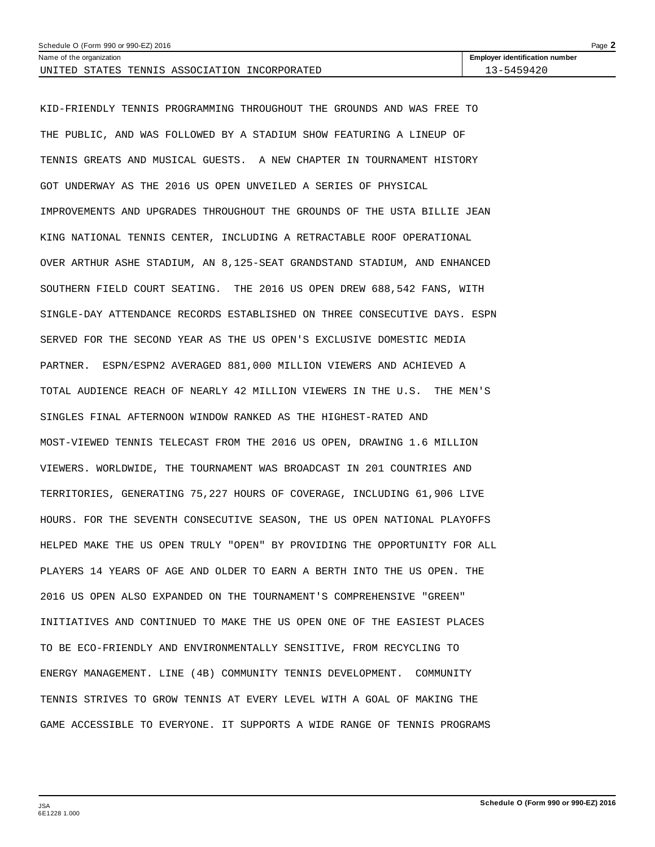| Page $\blacktriangle$<br>Schedule O (Form 990 or 990-EZ) 2016 |                                       |  |  |  |
|---------------------------------------------------------------|---------------------------------------|--|--|--|
| Name of the organization                                      | <b>Employer identification number</b> |  |  |  |
| STATES<br>TENNIS ASSOCIATION INCORPORATED<br>UNITED           | 3-5459420                             |  |  |  |

KID-FRIENDLY TENNIS PROGRAMMING THROUGHOUT THE GROUNDS AND WAS FREE TO THE PUBLIC, AND WAS FOLLOWED BY A STADIUM SHOW FEATURING A LINEUP OF TENNIS GREATS AND MUSICAL GUESTS. A NEW CHAPTER IN TOURNAMENT HISTORY GOT UNDERWAY AS THE 2016 US OPEN UNVEILED A SERIES OF PHYSICAL IMPROVEMENTS AND UPGRADES THROUGHOUT THE GROUNDS OF THE USTA BILLIE JEAN KING NATIONAL TENNIS CENTER, INCLUDING A RETRACTABLE ROOF OPERATIONAL OVER ARTHUR ASHE STADIUM, AN 8,125-SEAT GRANDSTAND STADIUM, AND ENHANCED SOUTHERN FIELD COURT SEATING. THE 2016 US OPEN DREW 688,542 FANS, WITH SINGLE-DAY ATTENDANCE RECORDS ESTABLISHED ON THREE CONSECUTIVE DAYS. ESPN SERVED FOR THE SECOND YEAR AS THE US OPEN'S EXCLUSIVE DOMESTIC MEDIA PARTNER. ESPN/ESPN2 AVERAGED 881,000 MILLION VIEWERS AND ACHIEVED A TOTAL AUDIENCE REACH OF NEARLY 42 MILLION VIEWERS IN THE U.S. THE MEN'S SINGLES FINAL AFTERNOON WINDOW RANKED AS THE HIGHEST-RATED AND MOST-VIEWED TENNIS TELECAST FROM THE 2016 US OPEN, DRAWING 1.6 MILLION VIEWERS. WORLDWIDE, THE TOURNAMENT WAS BROADCAST IN 201 COUNTRIES AND TERRITORIES, GENERATING 75,227 HOURS OF COVERAGE, INCLUDING 61,906 LIVE HOURS. FOR THE SEVENTH CONSECUTIVE SEASON, THE US OPEN NATIONAL PLAYOFFS HELPED MAKE THE US OPEN TRULY "OPEN" BY PROVIDING THE OPPORTUNITY FOR ALL PLAYERS 14 YEARS OF AGE AND OLDER TO EARN A BERTH INTO THE US OPEN. THE 2016 US OPEN ALSO EXPANDED ON THE TOURNAMENT'S COMPREHENSIVE "GREEN" INITIATIVES AND CONTINUED TO MAKE THE US OPEN ONE OF THE EASIEST PLACES TO BE ECO-FRIENDLY AND ENVIRONMENTALLY SENSITIVE, FROM RECYCLING TO ENERGY MANAGEMENT. LINE (4B) COMMUNITY TENNIS DEVELOPMENT. COMMUNITY TENNIS STRIVES TO GROW TENNIS AT EVERY LEVEL WITH A GOAL OF MAKING THE GAME ACCESSIBLE TO EVERYONE. IT SUPPORTS A WIDE RANGE OF TENNIS PROGRAMS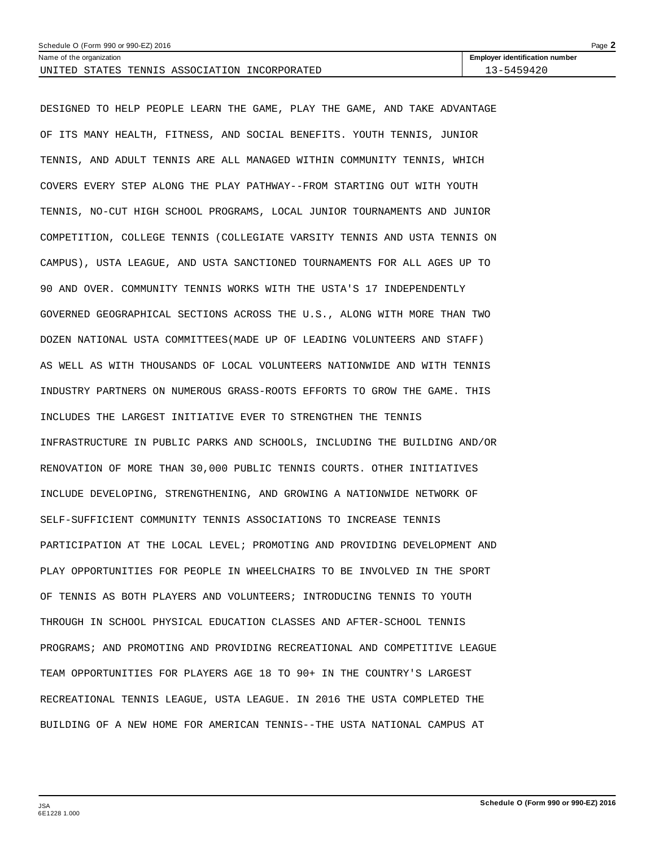| Page $\blacktriangle$<br>Schedule O (Form 990 or 990-EZ) 2016 |                                       |  |  |  |
|---------------------------------------------------------------|---------------------------------------|--|--|--|
| Name of the organization                                      | <b>Employer identification number</b> |  |  |  |
| STATES TENNIS ASSOCIATION INCORPORATED<br>UNITED              | 13-5459420                            |  |  |  |

DESIGNED TO HELP PEOPLE LEARN THE GAME, PLAY THE GAME, AND TAKE ADVANTAGE OF ITS MANY HEALTH, FITNESS, AND SOCIAL BENEFITS. YOUTH TENNIS, JUNIOR TENNIS, AND ADULT TENNIS ARE ALL MANAGED WITHIN COMMUNITY TENNIS, WHICH COVERS EVERY STEP ALONG THE PLAY PATHWAY--FROM STARTING OUT WITH YOUTH TENNIS, NO-CUT HIGH SCHOOL PROGRAMS, LOCAL JUNIOR TOURNAMENTS AND JUNIOR COMPETITION, COLLEGE TENNIS (COLLEGIATE VARSITY TENNIS AND USTA TENNIS ON CAMPUS), USTA LEAGUE, AND USTA SANCTIONED TOURNAMENTS FOR ALL AGES UP TO 90 AND OVER. COMMUNITY TENNIS WORKS WITH THE USTA'S 17 INDEPENDENTLY GOVERNED GEOGRAPHICAL SECTIONS ACROSS THE U.S., ALONG WITH MORE THAN TWO DOZEN NATIONAL USTA COMMITTEES(MADE UP OF LEADING VOLUNTEERS AND STAFF) AS WELL AS WITH THOUSANDS OF LOCAL VOLUNTEERS NATIONWIDE AND WITH TENNIS INDUSTRY PARTNERS ON NUMEROUS GRASS-ROOTS EFFORTS TO GROW THE GAME. THIS INCLUDES THE LARGEST INITIATIVE EVER TO STRENGTHEN THE TENNIS INFRASTRUCTURE IN PUBLIC PARKS AND SCHOOLS, INCLUDING THE BUILDING AND/OR RENOVATION OF MORE THAN 30,000 PUBLIC TENNIS COURTS. OTHER INITIATIVES INCLUDE DEVELOPING, STRENGTHENING, AND GROWING A NATIONWIDE NETWORK OF SELF-SUFFICIENT COMMUNITY TENNIS ASSOCIATIONS TO INCREASE TENNIS PARTICIPATION AT THE LOCAL LEVEL; PROMOTING AND PROVIDING DEVELOPMENT AND PLAY OPPORTUNITIES FOR PEOPLE IN WHEELCHAIRS TO BE INVOLVED IN THE SPORT OF TENNIS AS BOTH PLAYERS AND VOLUNTEERS; INTRODUCING TENNIS TO YOUTH THROUGH IN SCHOOL PHYSICAL EDUCATION CLASSES AND AFTER-SCHOOL TENNIS PROGRAMS; AND PROMOTING AND PROVIDING RECREATIONAL AND COMPETITIVE LEAGUE TEAM OPPORTUNITIES FOR PLAYERS AGE 18 TO 90+ IN THE COUNTRY'S LARGEST RECREATIONAL TENNIS LEAGUE, USTA LEAGUE. IN 2016 THE USTA COMPLETED THE BUILDING OF A NEW HOME FOR AMERICAN TENNIS--THE USTA NATIONAL CAMPUS AT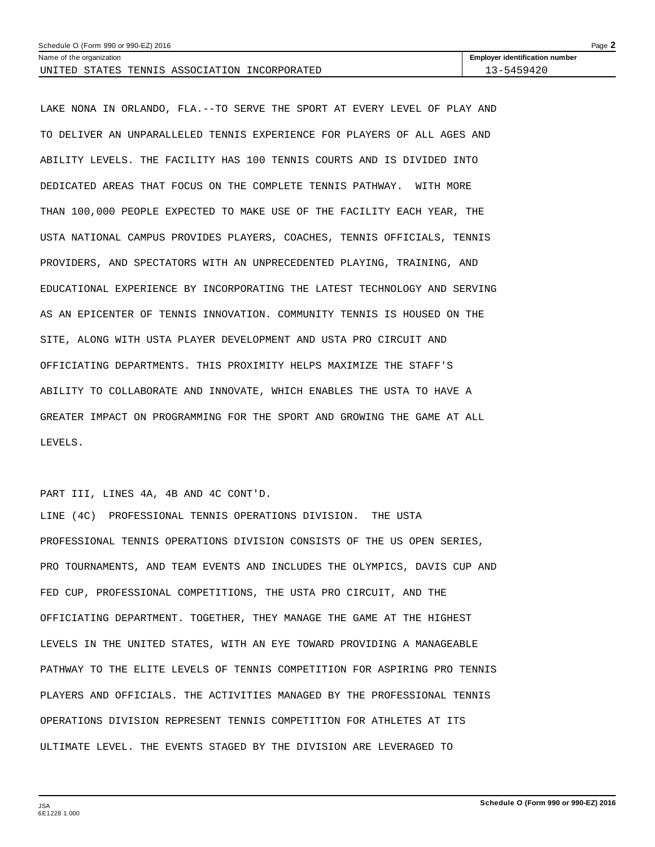| Schedule O (Form 990 or 990-EZ) 2016<br>Page $\blacktriangle$ |                                       |  |  |  |  |
|---------------------------------------------------------------|---------------------------------------|--|--|--|--|
| Name of the organization                                      | <b>Employer identification number</b> |  |  |  |  |
| UNITED STATES TENNIS ASSOCIATION INCORPORATED                 | 13–5459420                            |  |  |  |  |

LAKE NONA IN ORLANDO, FLA.--TO SERVE THE SPORT AT EVERY LEVEL OF PLAY AND TO DELIVER AN UNPARALLELED TENNIS EXPERIENCE FOR PLAYERS OF ALL AGES AND ABILITY LEVELS. THE FACILITY HAS 100 TENNIS COURTS AND IS DIVIDED INTO DEDICATED AREAS THAT FOCUS ON THE COMPLETE TENNIS PATHWAY. WITH MORE THAN 100,000 PEOPLE EXPECTED TO MAKE USE OF THE FACILITY EACH YEAR, THE USTA NATIONAL CAMPUS PROVIDES PLAYERS, COACHES, TENNIS OFFICIALS, TENNIS PROVIDERS, AND SPECTATORS WITH AN UNPRECEDENTED PLAYING, TRAINING, AND EDUCATIONAL EXPERIENCE BY INCORPORATING THE LATEST TECHNOLOGY AND SERVING AS AN EPICENTER OF TENNIS INNOVATION. COMMUNITY TENNIS IS HOUSED ON THE SITE, ALONG WITH USTA PLAYER DEVELOPMENT AND USTA PRO CIRCUIT AND OFFICIATING DEPARTMENTS. THIS PROXIMITY HELPS MAXIMIZE THE STAFF'S ABILITY TO COLLABORATE AND INNOVATE, WHICH ENABLES THE USTA TO HAVE A GREATER IMPACT ON PROGRAMMING FOR THE SPORT AND GROWING THE GAME AT ALL LEVELS.

PART III, LINES 4A, 4B AND 4C CONT'D.

LINE (4C) PROFESSIONAL TENNIS OPERATIONS DIVISION. THE USTA PROFESSIONAL TENNIS OPERATIONS DIVISION CONSISTS OF THE US OPEN SERIES, PRO TOURNAMENTS, AND TEAM EVENTS AND INCLUDES THE OLYMPICS, DAVIS CUP AND FED CUP, PROFESSIONAL COMPETITIONS, THE USTA PRO CIRCUIT, AND THE OFFICIATING DEPARTMENT. TOGETHER, THEY MANAGE THE GAME AT THE HIGHEST LEVELS IN THE UNITED STATES, WITH AN EYE TOWARD PROVIDING A MANAGEABLE PATHWAY TO THE ELITE LEVELS OF TENNIS COMPETITION FOR ASPIRING PRO TENNIS PLAYERS AND OFFICIALS. THE ACTIVITIES MANAGED BY THE PROFESSIONAL TENNIS OPERATIONS DIVISION REPRESENT TENNIS COMPETITION FOR ATHLETES AT ITS ULTIMATE LEVEL. THE EVENTS STAGED BY THE DIVISION ARE LEVERAGED TO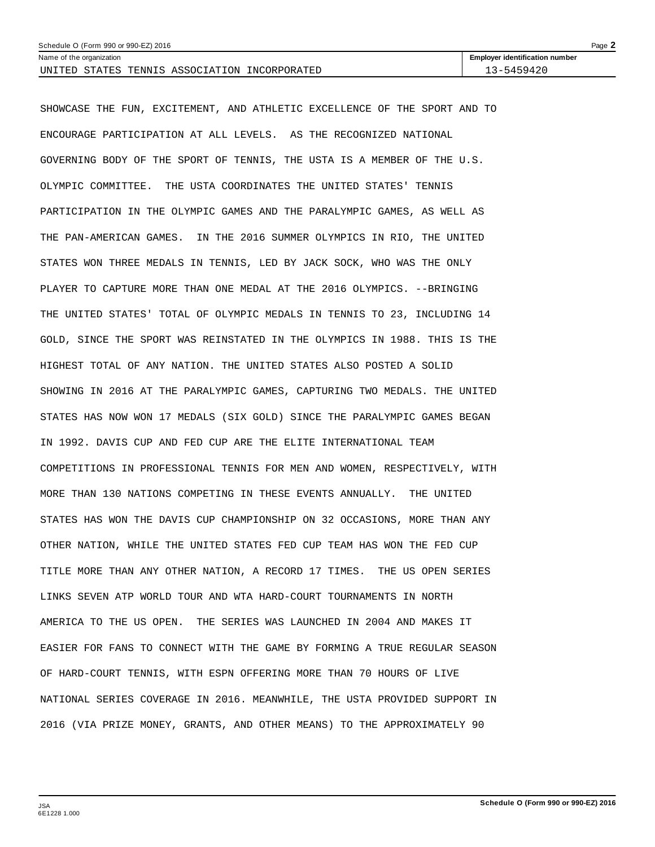| Schedule O (Form 990 or 990-EZ) 2016                   |                                       |  |  |  |
|--------------------------------------------------------|---------------------------------------|--|--|--|
| Name of the organization                               | <b>Employer identification number</b> |  |  |  |
| STATES<br>INCORPORATED<br>UNITED<br>TENNIS ASSOCIATION | 3-5459420                             |  |  |  |

SHOWCASE THE FUN, EXCITEMENT, AND ATHLETIC EXCELLENCE OF THE SPORT AND TO ENCOURAGE PARTICIPATION AT ALL LEVELS. AS THE RECOGNIZED NATIONAL GOVERNING BODY OF THE SPORT OF TENNIS, THE USTA IS A MEMBER OF THE U.S. OLYMPIC COMMITTEE. THE USTA COORDINATES THE UNITED STATES' TENNIS PARTICIPATION IN THE OLYMPIC GAMES AND THE PARALYMPIC GAMES, AS WELL AS THE PAN-AMERICAN GAMES. IN THE 2016 SUMMER OLYMPICS IN RIO, THE UNITED STATES WON THREE MEDALS IN TENNIS, LED BY JACK SOCK, WHO WAS THE ONLY PLAYER TO CAPTURE MORE THAN ONE MEDAL AT THE 2016 OLYMPICS. --BRINGING THE UNITED STATES' TOTAL OF OLYMPIC MEDALS IN TENNIS TO 23, INCLUDING 14 GOLD, SINCE THE SPORT WAS REINSTATED IN THE OLYMPICS IN 1988. THIS IS THE HIGHEST TOTAL OF ANY NATION. THE UNITED STATES ALSO POSTED A SOLID SHOWING IN 2016 AT THE PARALYMPIC GAMES, CAPTURING TWO MEDALS. THE UNITED STATES HAS NOW WON 17 MEDALS (SIX GOLD) SINCE THE PARALYMPIC GAMES BEGAN IN 1992. DAVIS CUP AND FED CUP ARE THE ELITE INTERNATIONAL TEAM COMPETITIONS IN PROFESSIONAL TENNIS FOR MEN AND WOMEN, RESPECTIVELY, WITH MORE THAN 130 NATIONS COMPETING IN THESE EVENTS ANNUALLY. THE UNITED STATES HAS WON THE DAVIS CUP CHAMPIONSHIP ON 32 OCCASIONS, MORE THAN ANY OTHER NATION, WHILE THE UNITED STATES FED CUP TEAM HAS WON THE FED CUP TITLE MORE THAN ANY OTHER NATION, A RECORD 17 TIMES. THE US OPEN SERIES LINKS SEVEN ATP WORLD TOUR AND WTA HARD-COURT TOURNAMENTS IN NORTH AMERICA TO THE US OPEN. THE SERIES WAS LAUNCHED IN 2004 AND MAKES IT EASIER FOR FANS TO CONNECT WITH THE GAME BY FORMING A TRUE REGULAR SEASON OF HARD-COURT TENNIS, WITH ESPN OFFERING MORE THAN 70 HOURS OF LIVE NATIONAL SERIES COVERAGE IN 2016. MEANWHILE, THE USTA PROVIDED SUPPORT IN 2016 (VIA PRIZE MONEY, GRANTS, AND OTHER MEANS) TO THE APPROXIMATELY 90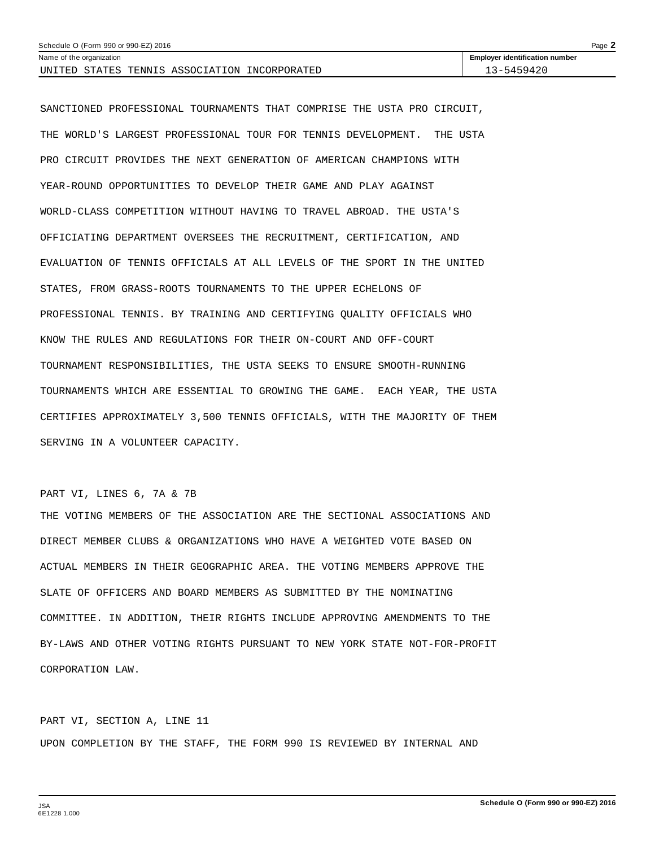| Schedule O (Form 990 or 990-EZ) 2016 |                          |  |  |                                        |                                       | Page $\blacktriangle$ |
|--------------------------------------|--------------------------|--|--|----------------------------------------|---------------------------------------|-----------------------|
|                                      | Name of the organization |  |  |                                        | <b>Employer identification number</b> |                       |
| UNITED                               |                          |  |  | STATES TENNIS ASSOCIATION INCORPORATED | -3-5459420                            |                       |

SANCTIONED PROFESSIONAL TOURNAMENTS THAT COMPRISE THE USTA PRO CIRCUIT, THE WORLD'S LARGEST PROFESSIONAL TOUR FOR TENNIS DEVELOPMENT. THE USTA PRO CIRCUIT PROVIDES THE NEXT GENERATION OF AMERICAN CHAMPIONS WITH YEAR-ROUND OPPORTUNITIES TO DEVELOP THEIR GAME AND PLAY AGAINST WORLD-CLASS COMPETITION WITHOUT HAVING TO TRAVEL ABROAD. THE USTA'S OFFICIATING DEPARTMENT OVERSEES THE RECRUITMENT, CERTIFICATION, AND EVALUATION OF TENNIS OFFICIALS AT ALL LEVELS OF THE SPORT IN THE UNITED STATES, FROM GRASS-ROOTS TOURNAMENTS TO THE UPPER ECHELONS OF PROFESSIONAL TENNIS. BY TRAINING AND CERTIFYING QUALITY OFFICIALS WHO KNOW THE RULES AND REGULATIONS FOR THEIR ON-COURT AND OFF-COURT TOURNAMENT RESPONSIBILITIES, THE USTA SEEKS TO ENSURE SMOOTH-RUNNING TOURNAMENTS WHICH ARE ESSENTIAL TO GROWING THE GAME. EACH YEAR, THE USTA CERTIFIES APPROXIMATELY 3,500 TENNIS OFFICIALS, WITH THE MAJORITY OF THEM SERVING IN A VOLUNTEER CAPACITY.

### PART VI, LINES 6, 7A & 7B

THE VOTING MEMBERS OF THE ASSOCIATION ARE THE SECTIONAL ASSOCIATIONS AND DIRECT MEMBER CLUBS & ORGANIZATIONS WHO HAVE A WEIGHTED VOTE BASED ON ACTUAL MEMBERS IN THEIR GEOGRAPHIC AREA. THE VOTING MEMBERS APPROVE THE SLATE OF OFFICERS AND BOARD MEMBERS AS SUBMITTED BY THE NOMINATING COMMITTEE. IN ADDITION, THEIR RIGHTS INCLUDE APPROVING AMENDMENTS TO THE BY-LAWS AND OTHER VOTING RIGHTS PURSUANT TO NEW YORK STATE NOT-FOR-PROFIT CORPORATION LAW.

PART VI, SECTION A, LINE 11 UPON COMPLETION BY THE STAFF, THE FORM 990 IS REVIEWED BY INTERNAL AND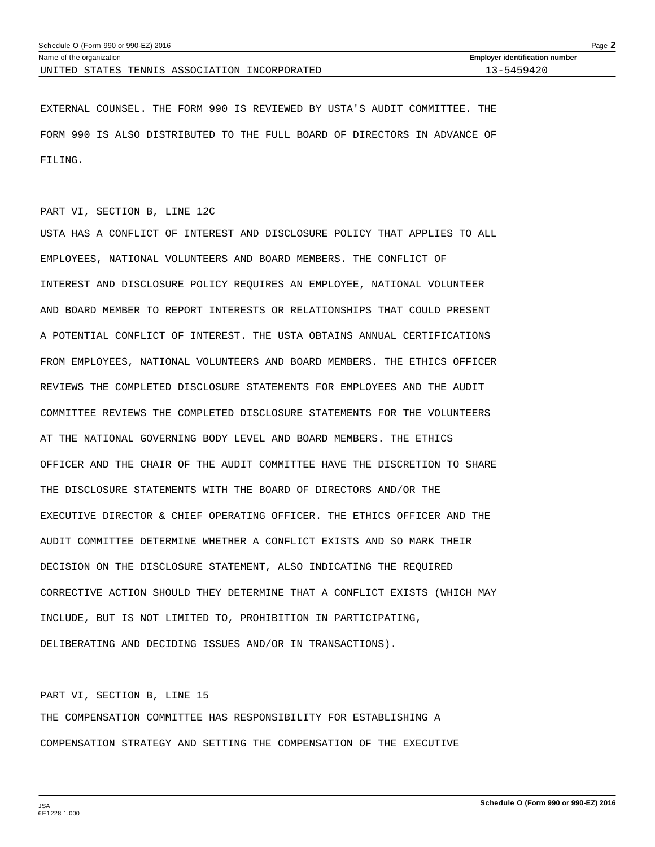| Schedule O (Form 990 or 990-EZ) 2016<br>Page $\blacktriangle$ |                                       |  |  |  |  |
|---------------------------------------------------------------|---------------------------------------|--|--|--|--|
| Name of the organization                                      | <b>Employer identification number</b> |  |  |  |  |
| STATES TENNIS ASSOCIATION INCORPORATED<br>UNITED              | 13-5459420                            |  |  |  |  |

EXTERNAL COUNSEL. THE FORM 990 IS REVIEWED BY USTA'S AUDIT COMMITTEE. THE FORM 990 IS ALSO DISTRIBUTED TO THE FULL BOARD OF DIRECTORS IN ADVANCE OF FILING.

### PART VI, SECTION B, LINE 12C

USTA HAS A CONFLICT OF INTEREST AND DISCLOSURE POLICY THAT APPLIES TO ALL EMPLOYEES, NATIONAL VOLUNTEERS AND BOARD MEMBERS. THE CONFLICT OF INTEREST AND DISCLOSURE POLICY REQUIRES AN EMPLOYEE, NATIONAL VOLUNTEER AND BOARD MEMBER TO REPORT INTERESTS OR RELATIONSHIPS THAT COULD PRESENT A POTENTIAL CONFLICT OF INTEREST. THE USTA OBTAINS ANNUAL CERTIFICATIONS FROM EMPLOYEES, NATIONAL VOLUNTEERS AND BOARD MEMBERS. THE ETHICS OFFICER REVIEWS THE COMPLETED DISCLOSURE STATEMENTS FOR EMPLOYEES AND THE AUDIT COMMITTEE REVIEWS THE COMPLETED DISCLOSURE STATEMENTS FOR THE VOLUNTEERS AT THE NATIONAL GOVERNING BODY LEVEL AND BOARD MEMBERS. THE ETHICS OFFICER AND THE CHAIR OF THE AUDIT COMMITTEE HAVE THE DISCRETION TO SHARE THE DISCLOSURE STATEMENTS WITH THE BOARD OF DIRECTORS AND/OR THE EXECUTIVE DIRECTOR & CHIEF OPERATING OFFICER. THE ETHICS OFFICER AND THE AUDIT COMMITTEE DETERMINE WHETHER A CONFLICT EXISTS AND SO MARK THEIR DECISION ON THE DISCLOSURE STATEMENT, ALSO INDICATING THE REQUIRED CORRECTIVE ACTION SHOULD THEY DETERMINE THAT A CONFLICT EXISTS (WHICH MAY INCLUDE, BUT IS NOT LIMITED TO, PROHIBITION IN PARTICIPATING, DELIBERATING AND DECIDING ISSUES AND/OR IN TRANSACTIONS).

# PART VI, SECTION B, LINE 15

THE COMPENSATION COMMITTEE HAS RESPONSIBILITY FOR ESTABLISHING A COMPENSATION STRATEGY AND SETTING THE COMPENSATION OF THE EXECUTIVE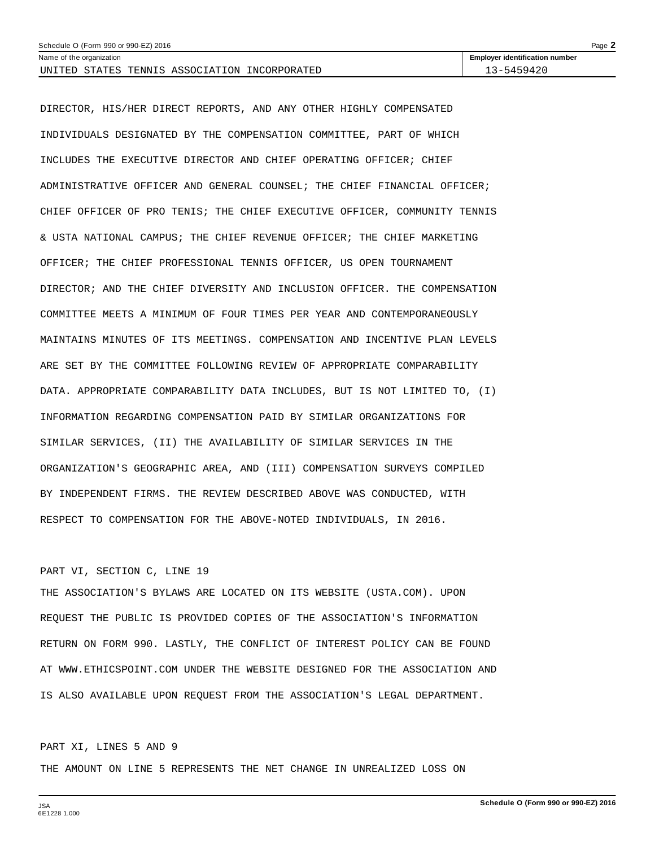| Page $\angle$<br>Schedule O (Form 990 or 990-EZ) 2016 |                                       |  |  |  |
|-------------------------------------------------------|---------------------------------------|--|--|--|
| Name of the organization                              | <b>Employer identification number</b> |  |  |  |
| UNITED STATES TENNIS ASSOCIATION INCORPORATED         | 13-5459420                            |  |  |  |

DIRECTOR, HIS/HER DIRECT REPORTS, AND ANY OTHER HIGHLY COMPENSATED INDIVIDUALS DESIGNATED BY THE COMPENSATION COMMITTEE, PART OF WHICH INCLUDES THE EXECUTIVE DIRECTOR AND CHIEF OPERATING OFFICER; CHIEF ADMINISTRATIVE OFFICER AND GENERAL COUNSEL; THE CHIEF FINANCIAL OFFICER; CHIEF OFFICER OF PRO TENIS; THE CHIEF EXECUTIVE OFFICER, COMMUNITY TENNIS & USTA NATIONAL CAMPUS; THE CHIEF REVENUE OFFICER; THE CHIEF MARKETING OFFICER; THE CHIEF PROFESSIONAL TENNIS OFFICER, US OPEN TOURNAMENT DIRECTOR; AND THE CHIEF DIVERSITY AND INCLUSION OFFICER. THE COMPENSATION COMMITTEE MEETS A MINIMUM OF FOUR TIMES PER YEAR AND CONTEMPORANEOUSLY MAINTAINS MINUTES OF ITS MEETINGS. COMPENSATION AND INCENTIVE PLAN LEVELS ARE SET BY THE COMMITTEE FOLLOWING REVIEW OF APPROPRIATE COMPARABILITY DATA. APPROPRIATE COMPARABILITY DATA INCLUDES, BUT IS NOT LIMITED TO, (I) INFORMATION REGARDING COMPENSATION PAID BY SIMILAR ORGANIZATIONS FOR SIMILAR SERVICES, (II) THE AVAILABILITY OF SIMILAR SERVICES IN THE ORGANIZATION'S GEOGRAPHIC AREA, AND (III) COMPENSATION SURVEYS COMPILED BY INDEPENDENT FIRMS. THE REVIEW DESCRIBED ABOVE WAS CONDUCTED, WITH RESPECT TO COMPENSATION FOR THE ABOVE-NOTED INDIVIDUALS, IN 2016.

# PART VI, SECTION C, LINE 19

THE ASSOCIATION'S BYLAWS ARE LOCATED ON ITS WEBSITE (USTA.COM). UPON REQUEST THE PUBLIC IS PROVIDED COPIES OF THE ASSOCIATION'S INFORMATION RETURN ON FORM 990. LASTLY, THE CONFLICT OF INTEREST POLICY CAN BE FOUND AT WWW.ETHICSPOINT.COM UNDER THE WEBSITE DESIGNED FOR THE ASSOCIATION AND IS ALSO AVAILABLE UPON REQUEST FROM THE ASSOCIATION'S LEGAL DEPARTMENT.

# PART XI, LINES 5 AND 9

THE AMOUNT ON LINE 5 REPRESENTS THE NET CHANGE IN UNREALIZED LOSS ON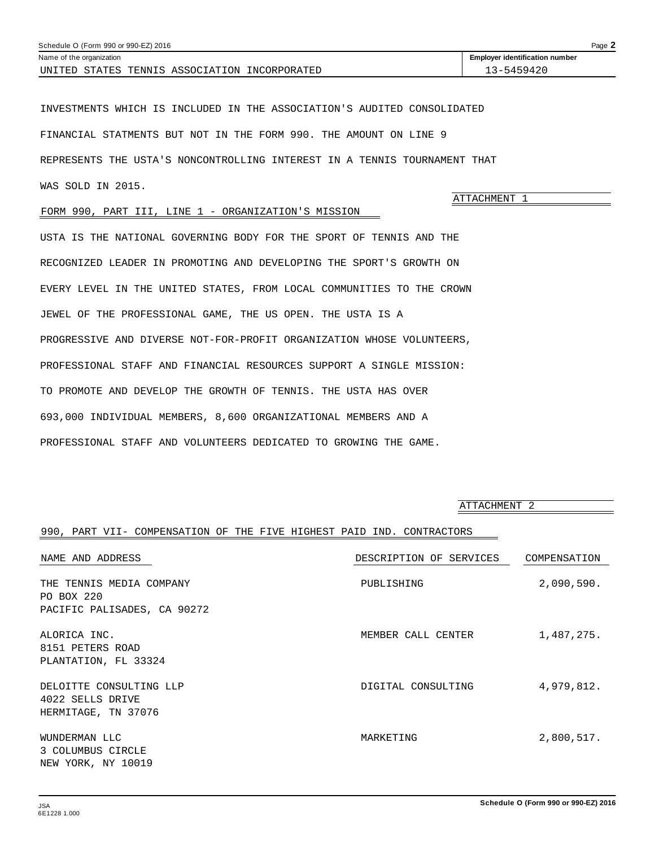<span id="page-51-0"></span>

| $P$ aqe $\blacktriangle$<br>Schedule O (Form 990 or 990-EZ) 2016 |                                       |  |  |  |  |
|------------------------------------------------------------------|---------------------------------------|--|--|--|--|
| Name of the organization                                         | <b>Employer identification number</b> |  |  |  |  |
| STATES TENNIS ASSOCIATION INCORPORATED<br>UNITED                 | 3-5459420                             |  |  |  |  |

INVESTMENTS WHICH IS INCLUDED IN THE ASSOCIATION'S AUDITED CONSOLIDATED FINANCIAL STATMENTS BUT NOT IN THE FORM 990. THE AMOUNT ON LINE 9 REPRESENTS THE USTA'S NONCONTROLLING INTEREST IN A TENNIS TOURNAMENT THAT WAS SOLD IN 2015.

## FORM 990, PART III, LINE 1 - ORGANIZATION'S MISSION

USTA IS THE NATIONAL GOVERNING BODY FOR THE SPORT OF TENNIS AND THE RECOGNIZED LEADER IN PROMOTING AND DEVELOPING THE SPORT'S GROWTH ON EVERY LEVEL IN THE UNITED STATES, FROM LOCAL COMMUNITIES TO THE CROWN JEWEL OF THE PROFESSIONAL GAME, THE US OPEN. THE USTA IS A PROGRESSIVE AND DIVERSE NOT-FOR-PROFIT ORGANIZATION WHOSE VOLUNTEERS, PROFESSIONAL STAFF AND FINANCIAL RESOURCES SUPPORT A SINGLE MISSION: TO PROMOTE AND DEVELOP THE GROWTH OF TENNIS. THE USTA HAS OVER 693,000 INDIVIDUAL MEMBERS, 8,600 ORGANIZATIONAL MEMBERS AND A PROFESSIONAL STAFF AND VOLUNTEERS DEDICATED TO GROWING THE GAME.

ATTACHMENT 2

ATTACHMENT 1

### 990, PART VII- COMPENSATION OF THE FIVE HIGHEST PAID IND. CONTRACTORS

| NAME AND ADDRESS                                                      | DESCRIPTION OF SERVICES | COMPENSATION |
|-----------------------------------------------------------------------|-------------------------|--------------|
| THE TENNIS MEDIA COMPANY<br>PO BOX 220<br>PACIFIC PALISADES, CA 90272 | PUBLISHING              | 2,090,590.   |
| ALORICA INC.<br>8151 PETERS ROAD<br>PLANTATION, FL 33324              | MEMBER CALL CENTER      | 1,487,275.   |
| DELOITTE CONSULTING LLP<br>4022 SELLS DRIVE<br>HERMITAGE, TN 37076    | DIGITAL CONSULTING      | 4,979,812.   |
| WUNDERMAN LLC<br>3 COLUMBUS CIRCLE<br>NEW YORK, NY 10019              | MARKETING               | 2,800,517.   |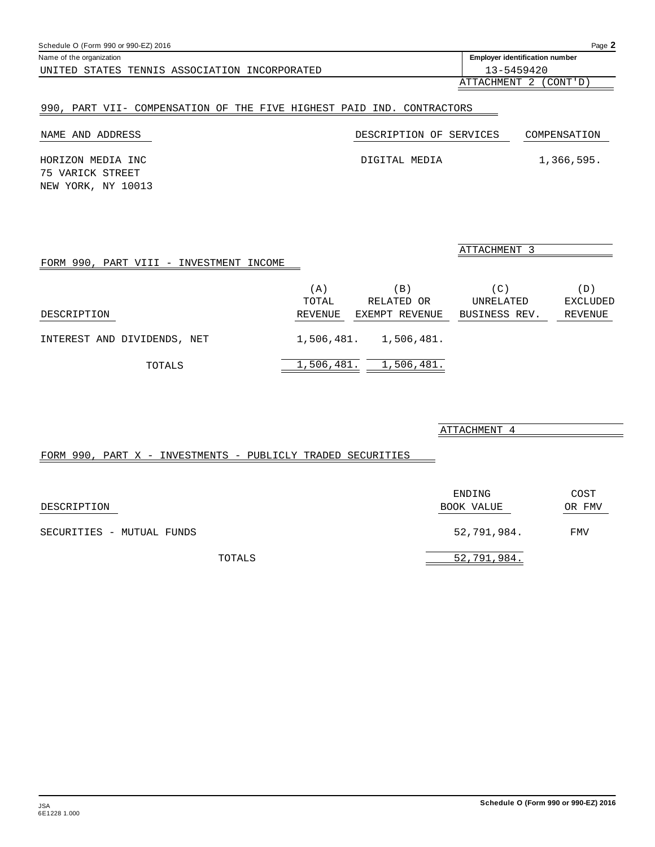<span id="page-52-0"></span>

| Schedule O (Form 990 or 990-EZ) 2016             |                                       | Page $\blacktriangle$ |
|--------------------------------------------------|---------------------------------------|-----------------------|
| Name of the organization                         | <b>Employer identification number</b> |                       |
| UNITED<br>STATES TENNIS ASSOCIATION INCORPORATED | 13-5459420                            |                       |
|                                                  |                                       |                       |

# ATTACHMENT 2 (CONT'D)

# 990, PART VII- COMPENSATION OF THE FIVE HIGHEST PAID IND. CONTRACTORS

| NAME AND ADDRESS                      | DESCRIPTION OF SERVICES | COMPENSATION |
|---------------------------------------|-------------------------|--------------|
| HORIZON MEDIA INC<br>75 VARICK STREET | DIGITAL MEDIA           | 1,366,595.   |
| NEW YORK, NY 10013                    |                         |              |

|                                         |            |                       | ATTACHMENT 3  |                 |
|-----------------------------------------|------------|-----------------------|---------------|-----------------|
| FORM 990, PART VIII - INVESTMENT INCOME |            |                       |               |                 |
|                                         | (A)        | $\Box$                | (C)           | (D)             |
|                                         | TOTAL      | RELATED OR            | UNRELATED     | <b>EXCLUDED</b> |
| DESCRIPTION                             | REVENUE    | EXEMPT REVENUE        | BUSINESS REV. | REVENUE         |
| INTEREST AND DIVIDENDS, NET             |            | 1,506,481. 1,506,481. |               |                 |
| TOTALS                                  | 1,506,481. | 1,506,481.            |               |                 |

| ATTACHMENT |  |
|------------|--|
|            |  |

# FORM 990, PART X - INVESTMENTS - PUBLICLY TRADED SECURITIES

| DESCRIPTION               | ENDING<br>BOOK VALUE | COST<br>OR FMV |
|---------------------------|----------------------|----------------|
| SECURITIES - MUTUAL FUNDS | 52,791,984.          | FMV            |
| TOTALS                    | 52,791,984.          |                |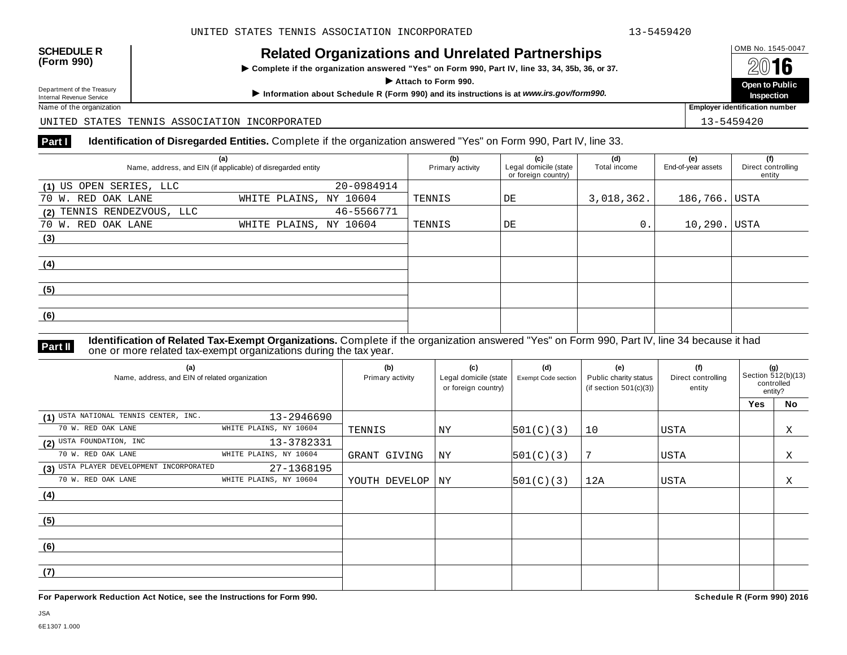# OMB No. 1545-0047 **SCHEDULE R (Form 990) Related Organizations and Unrelated Partnerships**

 $\triangleright$  Complete if the organization answered "Yes" on Form 990, Part IV, line 33, 34, 35b, 36, or 37.

Department of the Treasury<br>
Department of the Treasury Depart to Fublic<br>
Inspection<br>
Name of the organization<br>
Name of the organization

Department of the Treasury

UNITED STATES TENNIS ASSOCIATION INCORPORATED 13-5459420

# **Part I Identification of Disregarded Entities.** Complete if the organization answered "Yes" on Form 990, Part IV, line 33.

| (a)<br>Name, address, and EIN (if applicable) of disregarded entity | (b)<br>Primary activity | (c)<br>Legal domicile (state<br>or foreign country) | (d)<br>Total income | (e)<br>End-of-year assets | (f)<br>Direct controlling<br>entity |  |
|---------------------------------------------------------------------|-------------------------|-----------------------------------------------------|---------------------|---------------------------|-------------------------------------|--|
| (1) US OPEN SERIES, LLC                                             | 20-0984914              |                                                     |                     |                           |                                     |  |
| 70 W. RED OAK LANE                                                  | WHITE PLAINS, NY 10604  | TENNIS                                              | DE                  | 3,018,362.                | 186,766. USTA                       |  |
| (2) TENNIS RENDEZVOUS, LLC                                          | 46-5566771              |                                                     |                     |                           |                                     |  |
| 70 W. RED OAK LANE                                                  | WHITE PLAINS, NY 10604  | TENNIS                                              | DE                  | $0$ .                     | 10,290. USTA                        |  |
| (3)                                                                 |                         |                                                     |                     |                           |                                     |  |
|                                                                     |                         |                                                     |                     |                           |                                     |  |
| (4)                                                                 |                         |                                                     |                     |                           |                                     |  |
|                                                                     |                         |                                                     |                     |                           |                                     |  |
| (5)                                                                 |                         |                                                     |                     |                           |                                     |  |
|                                                                     |                         |                                                     |                     |                           |                                     |  |
| (6)                                                                 |                         |                                                     |                     |                           |                                     |  |
|                                                                     |                         |                                                     |                     |                           |                                     |  |

**Identification of Related Tax-Exempt Organizations.** Complete if the organization answered "Yes" on Form 990, Part IV, line 34 because it had **Part II** one or more related tax-exempt organizations during the tax year.

| (a)<br>Name, address, and EIN of related organization |                        | (b)<br>Primary activity | (c)<br>Legal domicile (state<br>or foreign country) | (d)<br>Exempt Code section | (e)<br>Public charity status<br>(if section $501(c)(3)$ ) | (f)<br>Direct controlling<br>entity | (g)<br>Section 512(b)(13)<br>controlled<br>entity? |    |
|-------------------------------------------------------|------------------------|-------------------------|-----------------------------------------------------|----------------------------|-----------------------------------------------------------|-------------------------------------|----------------------------------------------------|----|
|                                                       |                        |                         |                                                     |                            |                                                           |                                     | Yes                                                | No |
| (1) USTA NATIONAL TENNIS CENTER, INC.                 | 13-2946690             |                         |                                                     |                            |                                                           |                                     |                                                    |    |
| 70 W. RED OAK LANE                                    | WHITE PLAINS, NY 10604 | TENNIS                  | ΝY                                                  | 501(C)(3)                  | 10                                                        | <b>USTA</b>                         |                                                    | Χ  |
| (2) USTA FOUNDATION, INC                              | 13-3782331             |                         |                                                     |                            |                                                           |                                     |                                                    |    |
| 70 W. RED OAK LANE                                    | WHITE PLAINS, NY 10604 | GRANT GIVING            | NY                                                  | 501(C)(3)                  |                                                           | <b>USTA</b>                         |                                                    | Χ  |
| (3) USTA PLAYER DEVELOPMENT INCORPORATED              | 27-1368195             |                         |                                                     |                            |                                                           |                                     |                                                    |    |
| 70 W. RED OAK LANE                                    | WHITE PLAINS, NY 10604 | YOUTH DEVELOP           | NY                                                  | 501(C)(3)                  | 12A                                                       | USTA                                |                                                    | Χ  |
| (4)                                                   |                        |                         |                                                     |                            |                                                           |                                     |                                                    |    |
|                                                       |                        |                         |                                                     |                            |                                                           |                                     |                                                    |    |
| (5)                                                   |                        |                         |                                                     |                            |                                                           |                                     |                                                    |    |
|                                                       |                        |                         |                                                     |                            |                                                           |                                     |                                                    |    |
| (6)                                                   |                        |                         |                                                     |                            |                                                           |                                     |                                                    |    |
|                                                       |                        |                         |                                                     |                            |                                                           |                                     |                                                    |    |
| (7)                                                   |                        |                         |                                                     |                            |                                                           |                                     |                                                    |    |
|                                                       |                        |                         |                                                     |                            |                                                           |                                     |                                                    |    |

**For Paperwork Reduction Act Notice, see the Instructions for Form 990. Schedule R (Form 990) 2016**

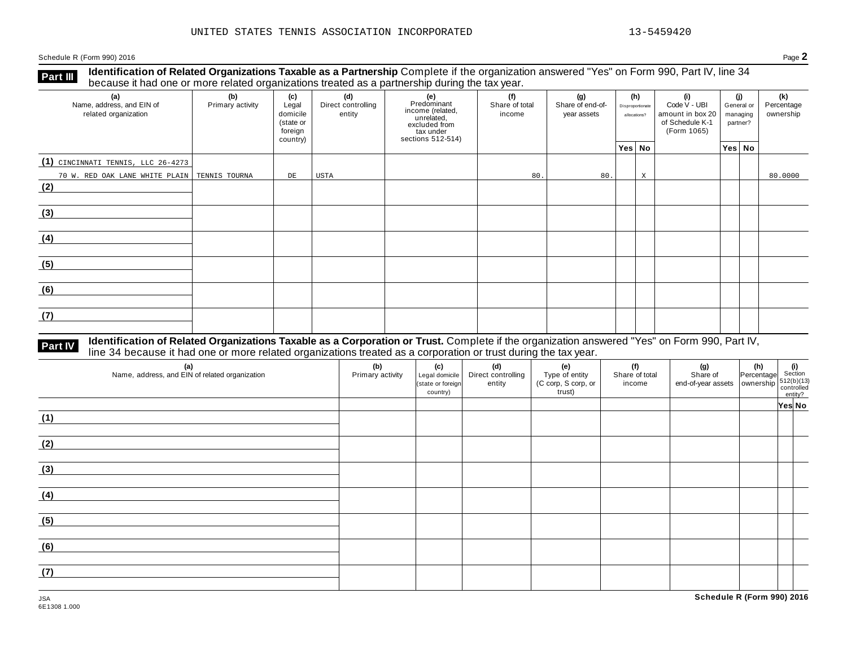Schedule <sup>R</sup> (Form 990) <sup>2016</sup> Page **2**

**Identification of Related Organizations Taxable as a Partnership** Complete if the organization answered "Yes" on Form 990, Part IV, line 34 **because it had one or more related organizations Taxable as a Partnership** Complete it the organization of Related organizations treated as a partnership during the tax year.

| (a)<br>Name, address, and EIN of<br>related organization | (b)<br>Primary activity | (c)<br>Legal<br>domicile<br>(state or<br>foreign<br>country) | (d)<br>Direct controlling<br>entity | (e)<br>Predominant<br>income (related,<br>unrelated,<br>excluded from<br>tax under<br>sections 512-514) | (f)<br>Share of total<br>income | (g)<br>Share of end-of-<br>year assets | Disproportionate<br>allocations? | (h) | (i)<br>Code V - UBI<br>amount in box 20<br>of Schedule K-1<br>(Form 1065) | (i)<br>General or<br>managing<br>partner? | (k)<br>Percentage<br>ownership |
|----------------------------------------------------------|-------------------------|--------------------------------------------------------------|-------------------------------------|---------------------------------------------------------------------------------------------------------|---------------------------------|----------------------------------------|----------------------------------|-----|---------------------------------------------------------------------------|-------------------------------------------|--------------------------------|
|                                                          |                         |                                                              |                                     |                                                                                                         |                                 |                                        | Yes No                           |     |                                                                           | Yes No                                    |                                |
| (1) CINCINNATI TENNIS, LLC 26-4273                       |                         |                                                              |                                     |                                                                                                         |                                 |                                        |                                  |     |                                                                           |                                           |                                |
| 70 W. RED OAK LANE WHITE PLAIN TENNIS TOURNA             |                         | DE                                                           | USTA                                |                                                                                                         | 80.                             | 80.                                    |                                  | X   |                                                                           |                                           | 80.0000                        |
| (2)                                                      |                         |                                                              |                                     |                                                                                                         |                                 |                                        |                                  |     |                                                                           |                                           |                                |
| (3)                                                      |                         |                                                              |                                     |                                                                                                         |                                 |                                        |                                  |     |                                                                           |                                           |                                |
| (4)                                                      |                         |                                                              |                                     |                                                                                                         |                                 |                                        |                                  |     |                                                                           |                                           |                                |
| (5)                                                      |                         |                                                              |                                     |                                                                                                         |                                 |                                        |                                  |     |                                                                           |                                           |                                |
| (6)                                                      |                         |                                                              |                                     |                                                                                                         |                                 |                                        |                                  |     |                                                                           |                                           |                                |
| (7)                                                      |                         |                                                              |                                     |                                                                                                         |                                 |                                        |                                  |     |                                                                           |                                           |                                |

# **Part IV** Identification of Related Organizations Taxable as a Corporation or Trust. Complete if the organization answered "Yes" on Form 990, Part IV,<br>line 34 because it had one or more related organizations treated as a c

| (a)<br>Name, address, and EIN of related organization | (b)<br>Primary activity | (c)<br>Legal domicile<br>(state or foreign<br>country) | (d)<br>Direct controlling<br>entity | (e)<br>Type of entity<br>(C corp, S corp, or<br>trust) | (f)<br>Share of total<br>income | (g) $\left\{\n\begin{array}{ccc}\n\text{(g)} & \text{(h)} & \text{(i)} \\ \text{Share of } & \text{Percentage} & \text{Section} \\ \text{end-of-year assets} & \text{ ownership} & \text{controlled} \\ \text{contribution} & \text{entity?} \\ \end{array}\n\right.$ |        |
|-------------------------------------------------------|-------------------------|--------------------------------------------------------|-------------------------------------|--------------------------------------------------------|---------------------------------|-----------------------------------------------------------------------------------------------------------------------------------------------------------------------------------------------------------------------------------------------------------------------|--------|
| (1)                                                   |                         |                                                        |                                     |                                                        |                                 |                                                                                                                                                                                                                                                                       | Yes No |
| (2)                                                   |                         |                                                        |                                     |                                                        |                                 |                                                                                                                                                                                                                                                                       |        |
| (3)                                                   |                         |                                                        |                                     |                                                        |                                 |                                                                                                                                                                                                                                                                       |        |
| (4)                                                   |                         |                                                        |                                     |                                                        |                                 |                                                                                                                                                                                                                                                                       |        |
| (5)                                                   |                         |                                                        |                                     |                                                        |                                 |                                                                                                                                                                                                                                                                       |        |
| (6)                                                   |                         |                                                        |                                     |                                                        |                                 |                                                                                                                                                                                                                                                                       |        |
| (7)                                                   |                         |                                                        |                                     |                                                        |                                 |                                                                                                                                                                                                                                                                       |        |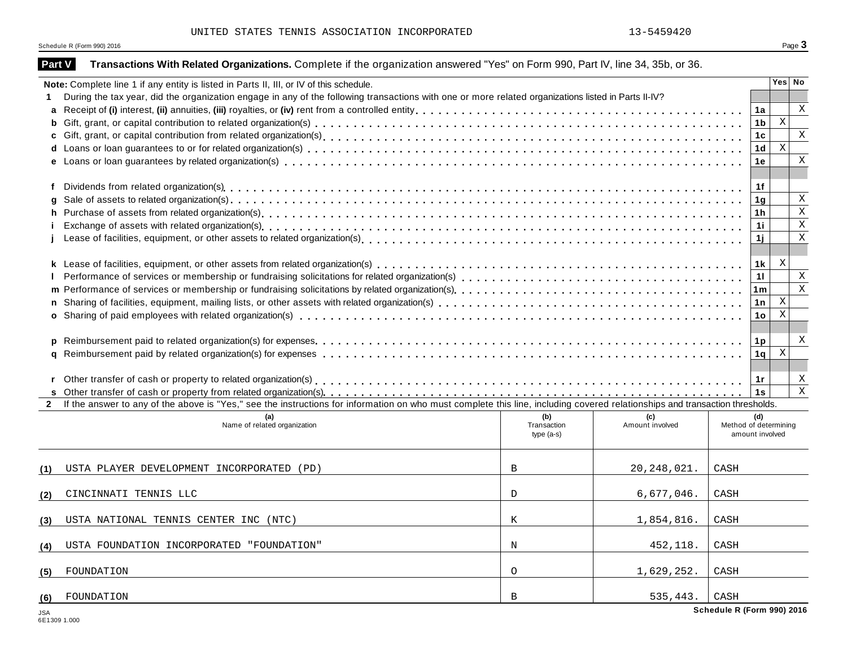UNITED STATES TENNIS ASSOCIATION INCORPORATED 13-5459420

Schedule R (Form 990) 2016  $\overline{\textbf{S}}$  Page  $\overline{\textbf{3}}$ 

| <b>Part V</b>  | Transactions With Related Organizations. Complete if the organization answered "Yes" on Form 990, Part IV, line 34, 35b, or 36.                                                                                                   |                    |                        |                       |                |              |              |
|----------------|-----------------------------------------------------------------------------------------------------------------------------------------------------------------------------------------------------------------------------------|--------------------|------------------------|-----------------------|----------------|--------------|--------------|
|                | Note: Complete line 1 if any entity is listed in Parts II, III, or IV of this schedule.                                                                                                                                           |                    |                        |                       |                | Yes No       |              |
|                | During the tax year, did the organization engage in any of the following transactions with one or more related organizations listed in Parts II-IV?                                                                               |                    |                        |                       |                |              |              |
| a              |                                                                                                                                                                                                                                   |                    |                        |                       | 1a             |              | X            |
| b              |                                                                                                                                                                                                                                   |                    |                        |                       | 1b             | $\mathbf x$  |              |
|                |                                                                                                                                                                                                                                   |                    |                        |                       | 1 <sub>c</sub> |              | $\mathbf{x}$ |
|                |                                                                                                                                                                                                                                   |                    |                        |                       | 1d             | $\mathbf{x}$ |              |
|                |                                                                                                                                                                                                                                   |                    |                        |                       | 1e             |              | $\mathbf X$  |
|                |                                                                                                                                                                                                                                   |                    |                        |                       |                |              |              |
| f              |                                                                                                                                                                                                                                   |                    |                        |                       | 1f             |              |              |
|                |                                                                                                                                                                                                                                   |                    |                        |                       | 1 <sub>g</sub> |              | $\mathbf X$  |
| h              |                                                                                                                                                                                                                                   |                    |                        |                       | 1 <sub>h</sub> |              | $\mathbf{x}$ |
|                | Exchange of assets with related organization(s) enterpreened and according to the content of the content of the content of the content of the content of the content of the content of the content of the content of the conte    |                    |                        |                       | 1i             |              | $\mathbf x$  |
|                |                                                                                                                                                                                                                                   |                    |                        |                       | 1j             |              | X            |
|                |                                                                                                                                                                                                                                   |                    |                        |                       |                |              |              |
|                |                                                                                                                                                                                                                                   |                    |                        |                       | 1k             | X            |              |
|                | Performance of services or membership or fundraising solicitations for related organization(s)<br>examination, and announced and announced and announced or the contractor or the tender is solicitations for relations of the co |                    |                        |                       | 11             |              | X            |
|                |                                                                                                                                                                                                                                   |                    |                        |                       | 1 <sub>m</sub> |              | $\mathbf{X}$ |
|                |                                                                                                                                                                                                                                   |                    |                        |                       | 1n             | $\mathbf X$  |              |
|                |                                                                                                                                                                                                                                   |                    |                        |                       | 1 <sub>o</sub> | X            |              |
|                |                                                                                                                                                                                                                                   |                    |                        |                       |                |              |              |
| p              |                                                                                                                                                                                                                                   |                    |                        |                       | 1 <sub>p</sub> |              | X            |
|                |                                                                                                                                                                                                                                   |                    |                        |                       | 1 <sub>q</sub> | $\mathbf x$  |              |
|                |                                                                                                                                                                                                                                   |                    |                        |                       |                |              |              |
|                |                                                                                                                                                                                                                                   |                    |                        |                       | 1r             |              | X            |
|                |                                                                                                                                                                                                                                   |                    |                        |                       | 1s             |              | $\,$ X       |
| $\overline{2}$ | If the answer to any of the above is "Yes," see the instructions for information on who must complete this line, including covered relationships and transaction thresholds.                                                      |                    |                        |                       |                |              |              |
|                | (a)<br>Name of related organization                                                                                                                                                                                               | (b)<br>Transaction | (c)<br>Amount involved | Method of determining | (d)            |              |              |
|                |                                                                                                                                                                                                                                   | $type(a-s)$        |                        | amount involved       |                |              |              |
|                |                                                                                                                                                                                                                                   |                    |                        |                       |                |              |              |
| (1)            | USTA PLAYER DEVELOPMENT INCORPORATED (PD)                                                                                                                                                                                         | $\mathbf{B}$       | 20, 248, 021.          | CASH                  |                |              |              |
|                | CINCINNATI TENNIS LLC                                                                                                                                                                                                             | $\mathcal{D}$      | 6,677,046.             | CASH                  |                |              |              |
| (2)            |                                                                                                                                                                                                                                   |                    |                        |                       |                |              |              |
| (3)            | USTA NATIONAL TENNIS CENTER INC (NTC)                                                                                                                                                                                             | K                  | 1,854,816.             | CASH                  |                |              |              |
|                |                                                                                                                                                                                                                                   |                    |                        |                       |                |              |              |
| (4)            | USTA FOUNDATION INCORPORATED "FOUNDATION"                                                                                                                                                                                         | N                  | 452,118.               | CASH                  |                |              |              |
|                |                                                                                                                                                                                                                                   |                    |                        |                       |                |              |              |
| (5)            | FOUNDATION                                                                                                                                                                                                                        | $\circ$            | 1,629,252.             | ${\tt CASH}$          |                |              |              |
| (6)            | FOUNDATION                                                                                                                                                                                                                        | B                  | 535,443.               | CASH                  |                |              |              |
|                |                                                                                                                                                                                                                                   |                    |                        |                       |                |              |              |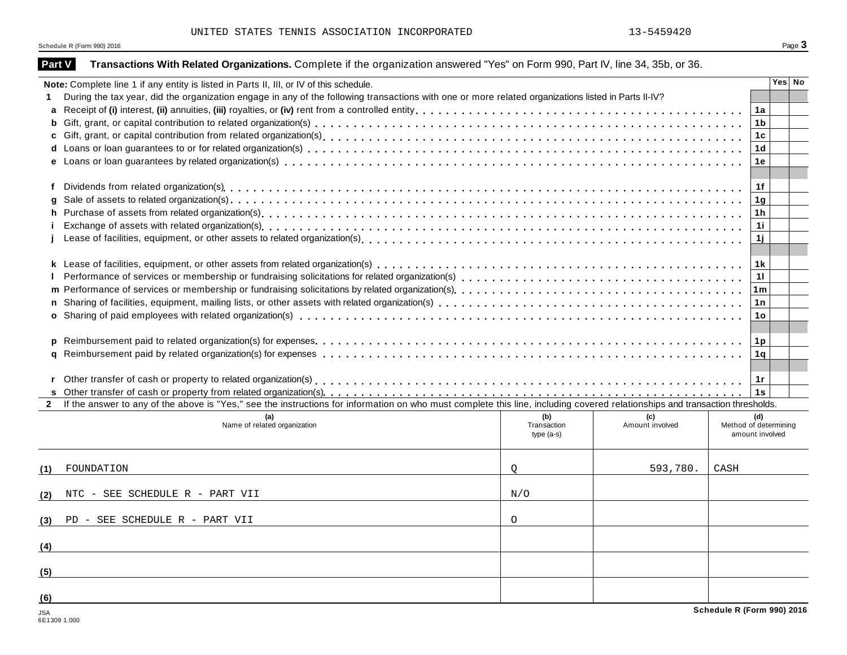UNITED STATES TENNIS ASSOCIATION INCORPORATED 13-5459420

Schedule R (Form 990) 2016  $\overline{\textbf{S}}$  Page  $\overline{\textbf{3}}$ 

| Part V         | Transactions With Related Organizations. Complete if the organization answered "Yes" on Form 990, Part IV, line 34, 35b, or 36.                                              |                            |                 |                                          |                |        |
|----------------|------------------------------------------------------------------------------------------------------------------------------------------------------------------------------|----------------------------|-----------------|------------------------------------------|----------------|--------|
|                | Note: Complete line 1 if any entity is listed in Parts II, III, or IV of this schedule.                                                                                      |                            |                 |                                          |                | Yes No |
|                | During the tax year, did the organization engage in any of the following transactions with one or more related organizations listed in Parts II-IV?                          |                            |                 |                                          |                |        |
|                |                                                                                                                                                                              |                            |                 |                                          | 1a             |        |
| b              |                                                                                                                                                                              |                            |                 |                                          | 1 <sub>b</sub> |        |
|                |                                                                                                                                                                              |                            |                 |                                          | 1c             |        |
|                |                                                                                                                                                                              |                            |                 |                                          | 1 <sub>d</sub> |        |
|                |                                                                                                                                                                              |                            |                 |                                          | 1e             |        |
|                |                                                                                                                                                                              |                            |                 |                                          |                |        |
| f              |                                                                                                                                                                              |                            |                 |                                          | 1f             |        |
|                |                                                                                                                                                                              |                            |                 |                                          | 1 <sub>g</sub> |        |
| h.             |                                                                                                                                                                              |                            |                 |                                          | 1 h            |        |
|                |                                                                                                                                                                              |                            |                 |                                          | 1i             |        |
|                |                                                                                                                                                                              |                            |                 |                                          | 1j             |        |
|                |                                                                                                                                                                              |                            |                 |                                          | 1 <sub>k</sub> |        |
|                |                                                                                                                                                                              |                            |                 |                                          | 11             |        |
|                |                                                                                                                                                                              |                            |                 |                                          | 1 <sub>m</sub> |        |
|                |                                                                                                                                                                              |                            |                 |                                          | 1n             |        |
|                |                                                                                                                                                                              |                            |                 |                                          | 1 <sub>o</sub> |        |
|                |                                                                                                                                                                              |                            |                 |                                          |                |        |
|                |                                                                                                                                                                              |                            |                 |                                          | 1p             |        |
|                |                                                                                                                                                                              |                            |                 |                                          | 1α             |        |
|                |                                                                                                                                                                              |                            |                 |                                          |                |        |
|                |                                                                                                                                                                              |                            |                 |                                          | 1r             |        |
|                |                                                                                                                                                                              |                            |                 |                                          | 1s             |        |
| $\overline{2}$ | If the answer to any of the above is "Yes," see the instructions for information on who must complete this line, including covered relationships and transaction thresholds. |                            |                 |                                          |                |        |
|                | (a)                                                                                                                                                                          | (b)                        | (c)             | (d)                                      |                |        |
|                | Name of related organization                                                                                                                                                 | Transaction<br>$type(a-s)$ | Amount involved | Method of determining<br>amount involved |                |        |
|                |                                                                                                                                                                              |                            |                 |                                          |                |        |
|                |                                                                                                                                                                              |                            |                 |                                          |                |        |
| (1)            | FOUNDATION                                                                                                                                                                   | Q                          | 593,780.        | CASH                                     |                |        |
| (2)            | NTC - SEE SCHEDULE R - PART VII                                                                                                                                              | N/O                        |                 |                                          |                |        |
|                |                                                                                                                                                                              |                            |                 |                                          |                |        |
| (3)            | PD - SEE SCHEDULE R - PART VII                                                                                                                                               | $\circ$                    |                 |                                          |                |        |
|                |                                                                                                                                                                              |                            |                 |                                          |                |        |
| (4)            |                                                                                                                                                                              |                            |                 |                                          |                |        |
|                |                                                                                                                                                                              |                            |                 |                                          |                |        |
| (5)            |                                                                                                                                                                              |                            |                 |                                          |                |        |
|                |                                                                                                                                                                              |                            |                 |                                          |                |        |
| (6)            |                                                                                                                                                                              |                            |                 | Schodule D (Form 000) 2016               |                |        |

**Schedule R (Form 990) 2016**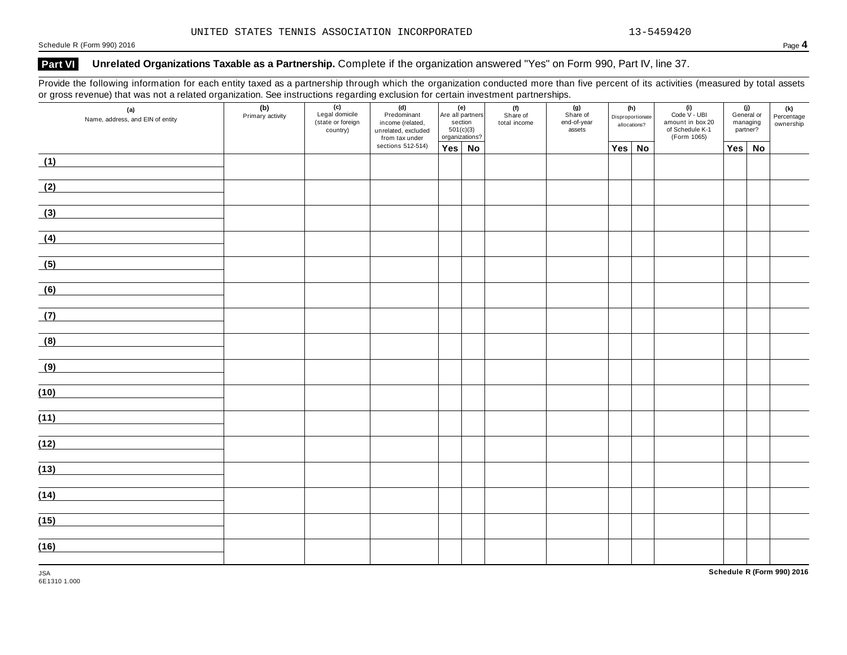# **Part VI Unrelated Organizations Taxable as a Partnership.** Complete if the organization answered "Yes" on Form 990, Part IV, line 37.

Provide the following information for each entity taxed as a partnership through which the organization conducted more than five percent of its activities (measured by total assets or gross revenue) that was not a related organization. See instructions regarding exclusion for certain investment partnerships.

|      | $\sim$<br>$\overline{\phantom{a}}$<br>ັ<br>(a)<br>Name, address, and EIN of entity |  | . ت<br>$\overline{(c)}$<br>Legal domicile<br>(state or foreign<br>country) | . ت<br>(d)<br>Predominant<br>income (related,<br>unrelated, excluded<br>from tax under | (e)<br>Are all partners<br>section<br>$501(c)(3)$<br>organizations? |  | .<br>(f)<br>Share of<br>total income | (g)<br>Share of<br>end-of-year<br>assets | (h)<br>Disproportionate<br>allocations? |           | $(i)$<br>Code $\vee$ - UBI<br>amount in box 20<br>of Schedule K-1<br>(Form 1065) | (j)<br>General or<br>managing<br>partner? |    | $(k)$<br>Percentage<br>ownership |
|------|------------------------------------------------------------------------------------|--|----------------------------------------------------------------------------|----------------------------------------------------------------------------------------|---------------------------------------------------------------------|--|--------------------------------------|------------------------------------------|-----------------------------------------|-----------|----------------------------------------------------------------------------------|-------------------------------------------|----|----------------------------------|
|      |                                                                                    |  |                                                                            | sections 512-514)                                                                      | Yes No                                                              |  |                                      |                                          | Yes                                     | <b>No</b> |                                                                                  | Yes                                       | No |                                  |
| (1)  |                                                                                    |  |                                                                            |                                                                                        |                                                                     |  |                                      |                                          |                                         |           |                                                                                  |                                           |    |                                  |
| (2)  |                                                                                    |  |                                                                            |                                                                                        |                                                                     |  |                                      |                                          |                                         |           |                                                                                  |                                           |    |                                  |
| (3)  |                                                                                    |  |                                                                            |                                                                                        |                                                                     |  |                                      |                                          |                                         |           |                                                                                  |                                           |    |                                  |
| (4)  |                                                                                    |  |                                                                            |                                                                                        |                                                                     |  |                                      |                                          |                                         |           |                                                                                  |                                           |    |                                  |
| (5)  |                                                                                    |  |                                                                            |                                                                                        |                                                                     |  |                                      |                                          |                                         |           |                                                                                  |                                           |    |                                  |
| (6)  |                                                                                    |  |                                                                            |                                                                                        |                                                                     |  |                                      |                                          |                                         |           |                                                                                  |                                           |    |                                  |
| (7)  |                                                                                    |  |                                                                            |                                                                                        |                                                                     |  |                                      |                                          |                                         |           |                                                                                  |                                           |    |                                  |
| (8)  |                                                                                    |  |                                                                            |                                                                                        |                                                                     |  |                                      |                                          |                                         |           |                                                                                  |                                           |    |                                  |
| (9)  |                                                                                    |  |                                                                            |                                                                                        |                                                                     |  |                                      |                                          |                                         |           |                                                                                  |                                           |    |                                  |
| (10) |                                                                                    |  |                                                                            |                                                                                        |                                                                     |  |                                      |                                          |                                         |           |                                                                                  |                                           |    |                                  |
| (11) |                                                                                    |  |                                                                            |                                                                                        |                                                                     |  |                                      |                                          |                                         |           |                                                                                  |                                           |    |                                  |
| (12) |                                                                                    |  |                                                                            |                                                                                        |                                                                     |  |                                      |                                          |                                         |           |                                                                                  |                                           |    |                                  |
| (13) |                                                                                    |  |                                                                            |                                                                                        |                                                                     |  |                                      |                                          |                                         |           |                                                                                  |                                           |    |                                  |
| (14) |                                                                                    |  |                                                                            |                                                                                        |                                                                     |  |                                      |                                          |                                         |           |                                                                                  |                                           |    |                                  |
| (15) |                                                                                    |  |                                                                            |                                                                                        |                                                                     |  |                                      |                                          |                                         |           |                                                                                  |                                           |    |                                  |
| (16) |                                                                                    |  |                                                                            |                                                                                        |                                                                     |  |                                      |                                          |                                         |           |                                                                                  |                                           |    |                                  |

JSA **Schedule R (Form 990) 2016**